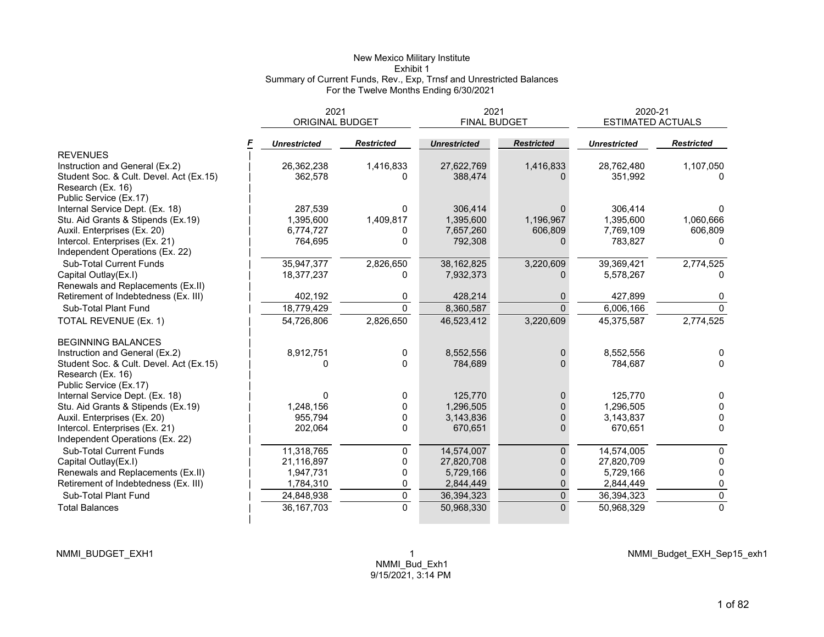## New Mexico Military Institute Exhibit 1 Summary of Current Funds, Rev., Exp, Trnsf and Unrestricted Balances For the Twelve Months Ending 6/30/2021

|                                                                   | 2021                   |                   | 2021                |                   | 2020-21<br><b>ESTIMATED ACTUALS</b> |                   |  |
|-------------------------------------------------------------------|------------------------|-------------------|---------------------|-------------------|-------------------------------------|-------------------|--|
|                                                                   | <b>ORIGINAL BUDGET</b> |                   | <b>FINAL BUDGET</b> |                   |                                     |                   |  |
|                                                                   | <b>Unrestricted</b>    | <b>Restricted</b> | <b>Unrestricted</b> | <b>Restricted</b> | <b>Unrestricted</b>                 | <b>Restricted</b> |  |
| <b>REVENUES</b>                                                   |                        |                   |                     |                   |                                     |                   |  |
| Instruction and General (Ex.2)                                    | 26,362,238             | 1,416,833         | 27,622,769          | 1,416,833         | 28,762,480                          | 1,107,050         |  |
| Student Soc. & Cult. Devel. Act (Ex.15)                           | 362,578                | <sup>0</sup>      | 388,474             |                   | 351.992                             |                   |  |
| Research (Ex. 16)                                                 |                        |                   |                     |                   |                                     |                   |  |
| Public Service (Ex.17)                                            |                        |                   |                     |                   |                                     |                   |  |
| Internal Service Dept. (Ex. 18)                                   | 287,539                | 0                 | 306,414             | $\Omega$          | 306,414                             |                   |  |
| Stu. Aid Grants & Stipends (Ex.19)                                | 1,395,600              | 1,409,817         | 1,395,600           | 1,196,967         | 1.395.600                           | 1,060,666         |  |
| Auxil. Enterprises (Ex. 20)                                       | 6,774,727              | <sup>0</sup>      | 7,657,260           | 606,809           | 7,769,109                           | 606,809           |  |
| Intercol. Enterprises (Ex. 21)<br>Independent Operations (Ex. 22) | 764,695                | 0                 | 792,308             | $\Omega$          | 783,827                             | <sup>n</sup>      |  |
| <b>Sub-Total Current Funds</b>                                    | 35,947,377             | 2,826,650         | 38,162,825          | 3,220,609         | 39,369,421                          | 2,774,525         |  |
| Capital Outlay(Ex.I)                                              | 18,377,237             | 0                 | 7,932,373           | <sup>n</sup>      | 5.578.267                           |                   |  |
| Renewals and Replacements (Ex.II)                                 |                        |                   |                     |                   |                                     |                   |  |
| Retirement of Indebtedness (Ex. III)                              | 402,192                | 0                 | 428,214             | 0                 | 427,899                             | 0                 |  |
| Sub-Total Plant Fund                                              | 18,779,429             | $\Omega$          | 8,360,587           | $\Omega$          | 6,006,166                           | $\Omega$          |  |
| TOTAL REVENUE (Ex. 1)                                             | 54,726,806             | 2,826,650         | 46,523,412          | 3,220,609         | 45,375,587                          | 2,774,525         |  |
| <b>BEGINNING BALANCES</b>                                         |                        |                   |                     |                   |                                     |                   |  |
| Instruction and General (Ex.2)                                    | 8,912,751              | 0                 | 8,552,556           | $\mathbf 0$       | 8,552,556                           | $\Omega$          |  |
| Student Soc. & Cult. Devel. Act (Ex.15)                           | O                      | $\Omega$          | 784,689             | $\Omega$          | 784.687                             | $\Omega$          |  |
| Research (Ex. 16)                                                 |                        |                   |                     |                   |                                     |                   |  |
| Public Service (Ex.17)                                            |                        |                   |                     |                   |                                     |                   |  |
| Internal Service Dept. (Ex. 18)                                   |                        | 0                 | 125,770             | $\Omega$          | 125.770                             | $\mathbf{0}$      |  |
| Stu. Aid Grants & Stipends (Ex.19)                                | 1,248,156              | $\Omega$          | 1,296,505           | $\Omega$          | 1,296,505                           | $\mathbf{0}$      |  |
| Auxil. Enterprises (Ex. 20)                                       | 955,794                | 0                 | 3,143,836           | $\Omega$          | 3,143,837                           | 0                 |  |
| Intercol. Enterprises (Ex. 21)                                    | 202,064                | 0                 | 670,651             | $\Omega$          | 670,651                             | 0                 |  |
| Independent Operations (Ex. 22)                                   |                        |                   |                     |                   |                                     |                   |  |
| <b>Sub-Total Current Funds</b>                                    | 11,318,765             | 0                 | 14,574,007          | $\mathbf{0}$      | 14,574,005                          | 0                 |  |
| Capital Outlay(Ex.I)                                              | 21,116,897             | 0                 | 27,820,708          | $\Omega$          | 27,820,709                          | $\mathbf{0}$      |  |
| Renewals and Replacements (Ex.II)                                 | 1,947,731              | 0                 | 5,729,166           | $\mathbf{0}$      | 5,729,166                           | 0                 |  |
| Retirement of Indebtedness (Ex. III)                              | 1,784,310              | 0                 | 2,844,449           | 0                 | 2,844,449                           | 0                 |  |
| Sub-Total Plant Fund                                              | 24,848,938             | 0                 | 36,394,323          | $\pmb{0}$         | 36,394,323                          | 0                 |  |
| <b>Total Balances</b>                                             | 36, 167, 703           | $\Omega$          | 50,968,330          | $\Omega$          | 50,968,329                          | $\Omega$          |  |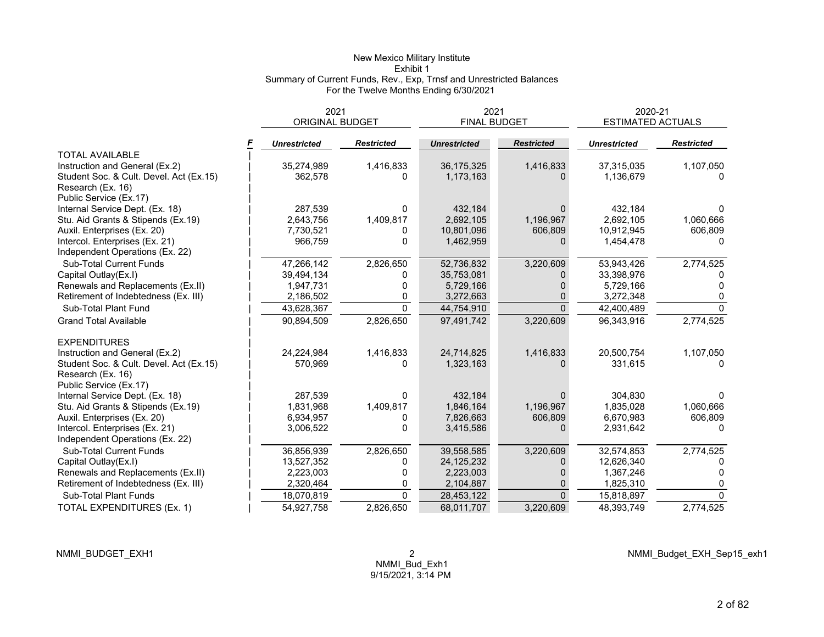## New Mexico Military Institute Exhibit 1 Summary of Current Funds, Rev., Exp, Trnsf and Unrestricted Balances For the Twelve Months Ending 6/30/2021

|                                                                   | 2021<br><b>ORIGINAL BUDGET</b> |                   | 2021<br><b>FINAL BUDGET</b> |                   | 2020-21<br><b>ESTIMATED ACTUALS</b> |                   |  |
|-------------------------------------------------------------------|--------------------------------|-------------------|-----------------------------|-------------------|-------------------------------------|-------------------|--|
|                                                                   | <b>Unrestricted</b>            | <b>Restricted</b> | <b>Unrestricted</b>         | <b>Restricted</b> | <b>Unrestricted</b>                 | <b>Restricted</b> |  |
| <b>TOTAL AVAILABLE</b>                                            |                                |                   |                             |                   |                                     |                   |  |
| Instruction and General (Ex.2)                                    | 35,274,989                     | 1,416,833         | 36,175,325                  | 1,416,833         | 37,315,035                          | 1,107,050         |  |
| Student Soc. & Cult. Devel. Act (Ex.15)<br>Research (Ex. 16)      | 362,578                        | O                 | 1,173,163                   |                   | 1,136,679                           |                   |  |
| Public Service (Ex.17)                                            |                                |                   |                             |                   |                                     |                   |  |
| Internal Service Dept. (Ex. 18)                                   | 287,539                        | $\Omega$          | 432,184                     | $\Omega$          | 432,184                             | 0                 |  |
| Stu. Aid Grants & Stipends (Ex.19)                                | 2,643,756                      | 1,409,817         | 2,692,105                   | 1,196,967         | 2,692,105                           | 1,060,666         |  |
| Auxil. Enterprises (Ex. 20)                                       | 7,730,521                      | 0                 | 10,801,096                  | 606,809           | 10,912,945                          | 606,809           |  |
| Intercol. Enterprises (Ex. 21)<br>Independent Operations (Ex. 22) | 966,759                        | $\Omega$          | 1,462,959                   | $\Omega$          | 1,454,478                           | <sup>0</sup>      |  |
| <b>Sub-Total Current Funds</b>                                    | 47,266,142                     | 2,826,650         | 52,736,832                  | 3,220,609         | 53,943,426                          | 2,774,525         |  |
| Capital Outlay(Ex.I)                                              | 39,494,134                     | 0                 | 35,753,081                  |                   | 33,398,976                          |                   |  |
| Renewals and Replacements (Ex.II)                                 | 1,947,731                      | 0                 | 5,729,166                   |                   | 5,729,166                           |                   |  |
| Retirement of Indebtedness (Ex. III)                              | 2,186,502                      | 0                 | 3,272,663                   | 0                 | 3,272,348                           | 0                 |  |
| Sub-Total Plant Fund                                              | 43,628,367                     | $\Omega$          | 44,754,910                  | $\Omega$          | 42,400,489                          | $\Omega$          |  |
| <b>Grand Total Available</b>                                      | 90,894,509                     | 2,826,650         | 97,491,742                  | 3,220,609         | 96,343,916                          | 2,774,525         |  |
| <b>EXPENDITURES</b>                                               |                                |                   |                             |                   |                                     |                   |  |
| Instruction and General (Ex.2)                                    | 24,224,984                     | 1,416,833         | 24,714,825                  | 1,416,833         | 20,500,754                          | 1,107,050         |  |
| Student Soc. & Cult. Devel. Act (Ex.15)<br>Research (Ex. 16)      | 570,969                        | 0                 | 1,323,163                   | <sup>0</sup>      | 331,615                             | $\Omega$          |  |
| Public Service (Ex.17)                                            |                                |                   |                             |                   |                                     |                   |  |
| Internal Service Dept. (Ex. 18)                                   | 287.539                        | O                 | 432,184                     | 0                 | 304.830                             |                   |  |
| Stu. Aid Grants & Stipends (Ex.19)                                | 1,831,968                      | 1,409,817         | 1,846,164                   | 1,196,967         | 1,835,028                           | 1,060,666         |  |
| Auxil. Enterprises (Ex. 20)                                       | 6,934,957                      | 0                 | 7,826,663                   | 606,809           | 6,670,983                           | 606,809           |  |
| Intercol. Enterprises (Ex. 21)                                    | 3,006,522                      | 0                 | 3,415,586                   | $\Omega$          | 2,931,642                           | n                 |  |
| Independent Operations (Ex. 22)                                   |                                |                   |                             |                   |                                     |                   |  |
| <b>Sub-Total Current Funds</b>                                    | 36,856,939                     | 2,826,650         | 39,558,585                  | 3,220,609         | 32,574,853                          | 2,774,525         |  |
| Capital Outlay(Ex.I)                                              | 13,527,352                     | 0                 | 24, 125, 232                | $\Omega$          | 12,626,340                          |                   |  |
| Renewals and Replacements (Ex.II)                                 | 2,223,003                      | 0                 | 2,223,003                   | 0                 | 1,367,246                           |                   |  |
| Retirement of Indebtedness (Ex. III)                              | 2,320,464                      | 0                 | 2,104,887                   | $\Omega$          | 1,825,310                           |                   |  |
| Sub-Total Plant Funds                                             | 18,070,819                     | $\Omega$          | 28,453,122                  | $\Omega$          | 15,818,897                          | $\Omega$          |  |
| TOTAL EXPENDITURES (Ex. 1)                                        | 54,927,758                     | 2,826,650         | 68.011.707                  | 3,220,609         | 48,393,749                          | 2,774,525         |  |

NMMI\_Budget\_EXH\_Sep15\_exh1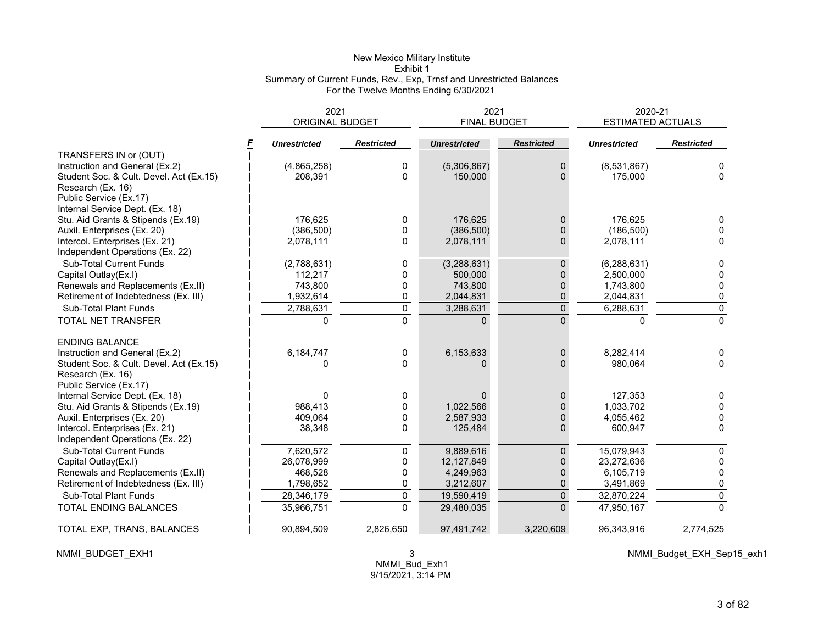## New Mexico Military Institute Exhibit 1 Summary of Current Funds, Rev., Exp, Trnsf and Unrestricted Balances For the Twelve Months Ending 6/30/2021

|                                         | 2021                   |                   | 2021                |                   | 2020-21                  |                   |  |
|-----------------------------------------|------------------------|-------------------|---------------------|-------------------|--------------------------|-------------------|--|
|                                         | <b>ORIGINAL BUDGET</b> |                   | <b>FINAL BUDGET</b> |                   | <b>ESTIMATED ACTUALS</b> |                   |  |
|                                         | <b>Unrestricted</b>    | <b>Restricted</b> | <b>Unrestricted</b> | <b>Restricted</b> | <b>Unrestricted</b>      | <b>Restricted</b> |  |
| TRANSFERS IN or (OUT)                   |                        |                   |                     |                   |                          |                   |  |
| Instruction and General (Ex.2)          | (4,865,258)            | 0                 | (5,306,867)         | 0                 | (8,531,867)              | 0                 |  |
| Student Soc. & Cult. Devel. Act (Ex.15) | 208.391                | 0                 | 150,000             | $\Omega$          | 175.000                  | $\Omega$          |  |
| Research (Ex. 16)                       |                        |                   |                     |                   |                          |                   |  |
| Public Service (Ex.17)                  |                        |                   |                     |                   |                          |                   |  |
| Internal Service Dept. (Ex. 18)         |                        |                   |                     |                   |                          |                   |  |
| Stu. Aid Grants & Stipends (Ex.19)      | 176,625                | 0                 | 176,625             | 0                 | 176,625                  |                   |  |
| Auxil. Enterprises (Ex. 20)             | (386, 500)             | 0                 | (386, 500)          | $\Omega$          | (186, 500)               | $\Omega$          |  |
| Intercol. Enterprises (Ex. 21)          | 2,078,111              | 0                 | 2,078,111           | 0                 | 2,078,111                | $\Omega$          |  |
| Independent Operations (Ex. 22)         |                        |                   |                     |                   |                          |                   |  |
| Sub-Total Current Funds                 | (2,788,631)            | 0                 | (3,288,631)         | 0                 | (6, 288, 631)            | $\mathbf{0}$      |  |
| Capital Outlay(Ex.I)                    | 112,217                | 0                 | 500,000             | 0                 | 2,500,000                | 0                 |  |
| Renewals and Replacements (Ex.II)       | 743,800                | 0                 | 743,800             | 0                 | 1,743,800                | 0                 |  |
| Retirement of Indebtedness (Ex. III)    | 1,932,614              | 0                 | 2,044,831           | 0                 | 2,044,831                | 0                 |  |
| Sub-Total Plant Funds                   | 2,788,631              | $\overline{0}$    | 3,288,631           | $\overline{0}$    | 6,288,631                | $\mathsf 0$       |  |
| TOTAL NET TRANSFER                      | <sup>0</sup>           | $\overline{0}$    | <sup>n</sup>        | $\Omega$          | U                        | $\overline{0}$    |  |
| <b>ENDING BALANCE</b>                   |                        |                   |                     |                   |                          |                   |  |
| Instruction and General (Ex.2)          | 6,184,747              | 0                 | 6,153,633           | 0                 | 8,282,414                | 0                 |  |
| Student Soc. & Cult. Devel. Act (Ex.15) | <sup>0</sup>           | $\Omega$          |                     | 0                 | 980,064                  | $\Omega$          |  |
| Research (Ex. 16)                       |                        |                   |                     |                   |                          |                   |  |
| Public Service (Ex.17)                  |                        |                   |                     |                   |                          |                   |  |
| Internal Service Dept. (Ex. 18)         | <sup>0</sup>           | 0                 | $\Omega$            | 0                 | 127,353                  | $\Omega$          |  |
| Stu. Aid Grants & Stipends (Ex.19)      | 988,413                | 0                 | 1,022,566           | 0                 | 1,033,702                | $\Omega$          |  |
| Auxil. Enterprises (Ex. 20)             | 409,064                | 0                 | 2,587,933           | 0                 | 4,055,462                | 0                 |  |
| Intercol. Enterprises (Ex. 21)          | 38,348                 | $\Omega$          | 125,484             | $\Omega$          | 600,947                  | 0                 |  |
| Independent Operations (Ex. 22)         |                        |                   |                     |                   |                          |                   |  |
| <b>Sub-Total Current Funds</b>          | 7,620,572              | $\mathbf 0$       | 9,889,616           | 0                 | 15,079,943               | $\mathbf{0}$      |  |
| Capital Outlay(Ex.I)                    | 26,078,999             | 0                 | 12,127,849          | 0                 | 23,272,636               | 0                 |  |
| Renewals and Replacements (Ex.II)       | 468,528                | $\pmb{0}$         | 4,249,963           | 0                 | 6,105,719                | 0                 |  |
| Retirement of Indebtedness (Ex. III)    | 1,798,652              | 0                 | 3,212,607           | 0                 | 3,491,869                | 0                 |  |
| Sub-Total Plant Funds                   | 28,346,179             | $\pmb{0}$         | 19,590,419          | $\overline{0}$    | 32,870,224               | $\pmb{0}$         |  |
| <b>TOTAL ENDING BALANCES</b>            | 35,966,751             | $\mathbf 0$       | 29,480,035          | $\Omega$          | 47,950,167               | $\Omega$          |  |
| TOTAL EXP, TRANS, BALANCES              | 90,894,509             | 2,826,650         | 97,491,742          | 3,220,609         | 96,343,916               | 2,774,525         |  |

NMMI\_BUDGET\_EXH1 3

NMMI\_Budget\_EXH\_Sep15\_exh1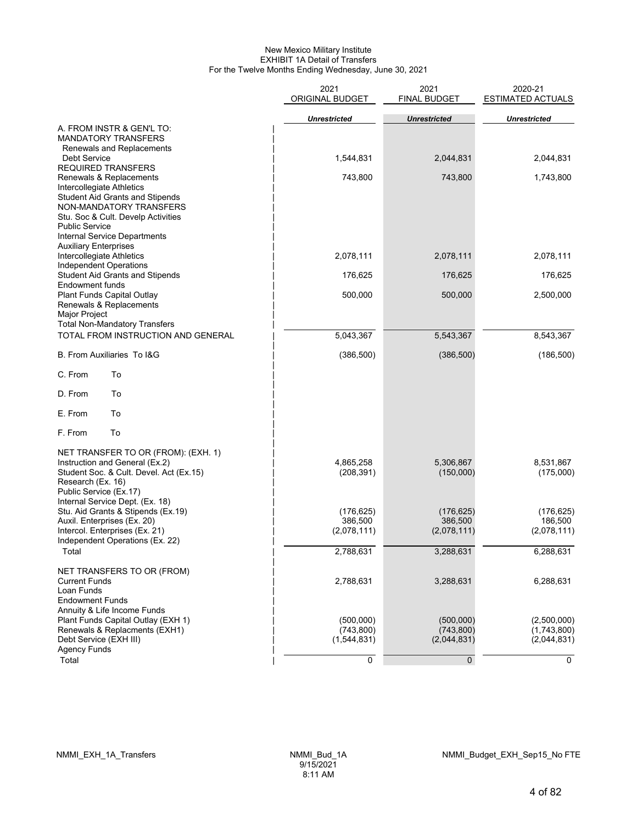#### New Mexico Military Institute EXHIBIT 1A Detail of Transfers For the Twelve Months Ending Wednesday, June 30, 2021

|                                                                                                                                                                                                                          | 2021<br>ORIGINAL BUDGET                  | 2021<br><b>FINAL BUDGET</b>            | 2020-21<br><b>ESTIMATED ACTUALS</b>       |
|--------------------------------------------------------------------------------------------------------------------------------------------------------------------------------------------------------------------------|------------------------------------------|----------------------------------------|-------------------------------------------|
|                                                                                                                                                                                                                          | <b>Unrestricted</b>                      | <b>Unrestricted</b>                    | <b>Unrestricted</b>                       |
| A. FROM INSTR & GEN'L TO:<br><b>MANDATORY TRANSFERS</b><br>Renewals and Replacements                                                                                                                                     |                                          |                                        |                                           |
| Debt Service<br><b>REQUIRED TRANSFERS</b>                                                                                                                                                                                | 1,544,831                                | 2,044,831                              | 2,044,831                                 |
| Renewals & Replacements<br>Intercollegiate Athletics<br><b>Student Aid Grants and Stipends</b><br>NON-MANDATORY TRANSFERS<br>Stu. Soc & Cult. Develp Activities<br><b>Public Service</b><br>Internal Service Departments | 743,800                                  | 743,800                                | 1,743,800                                 |
| <b>Auxiliary Enterprises</b><br>Intercollegiate Athletics<br>Independent Operations                                                                                                                                      | 2,078,111                                | 2,078,111                              | 2,078,111                                 |
| <b>Student Aid Grants and Stipends</b><br>Endowment funds                                                                                                                                                                | 176,625                                  | 176,625                                | 176,625                                   |
| Plant Funds Capital Outlay<br>Renewals & Replacements<br>Major Project<br><b>Total Non-Mandatory Transfers</b>                                                                                                           | 500,000                                  | 500,000                                | 2,500,000                                 |
| TOTAL FROM INSTRUCTION AND GENERAL                                                                                                                                                                                       | 5,043,367                                | 5,543,367                              | 8,543,367                                 |
| B. From Auxiliaries To I&G                                                                                                                                                                                               | (386, 500)                               | (386, 500)                             | (186, 500)                                |
| C. From<br>To                                                                                                                                                                                                            |                                          |                                        |                                           |
| D. From<br>To                                                                                                                                                                                                            |                                          |                                        |                                           |
| E. From<br>To                                                                                                                                                                                                            |                                          |                                        |                                           |
| F. From<br>To                                                                                                                                                                                                            |                                          |                                        |                                           |
| NET TRANSFER TO OR (FROM): (EXH. 1)<br>Instruction and General (Ex.2)<br>Student Soc. & Cult. Devel. Act (Ex.15)<br>Research (Ex. 16)<br>Public Service (Ex.17)<br>Internal Service Dept. (Ex. 18)                       | 4,865,258<br>(208, 391)                  | 5,306,867<br>(150,000)                 | 8,531,867<br>(175,000)                    |
| Stu. Aid Grants & Stipends (Ex.19)                                                                                                                                                                                       | (176, 625)                               | (176, 625)                             | (176, 625)                                |
| Auxil. Enterprises (Ex. 20)<br>Intercol. Enterprises (Ex. 21)<br>Independent Operations (Ex. 22)                                                                                                                         | 386,500<br>(2,078,111)                   | 386,500<br>(2,078,111)                 | 186,500<br>(2,078,111)                    |
| Total                                                                                                                                                                                                                    | 2,788,631                                | 3,288,631                              | 6,288,631                                 |
| NET TRANSFERS TO OR (FROM)<br><b>Current Funds</b><br>Loan Funds<br><b>Endowment Funds</b>                                                                                                                               | 2,788,631                                | 3,288,631                              | 6,288,631                                 |
| Annuity & Life Income Funds<br>Plant Funds Capital Outlay (EXH 1)<br>Renewals & Replacments (EXH1)<br>Debt Service (EXH III)<br><b>Agency Funds</b>                                                                      | (500,000)<br>(743, 800)<br>(1, 544, 831) | (500,000)<br>(743, 800)<br>(2,044,831) | (2,500,000)<br>(1,743,800)<br>(2,044,831) |
| Total                                                                                                                                                                                                                    | 0                                        | 0                                      | 0                                         |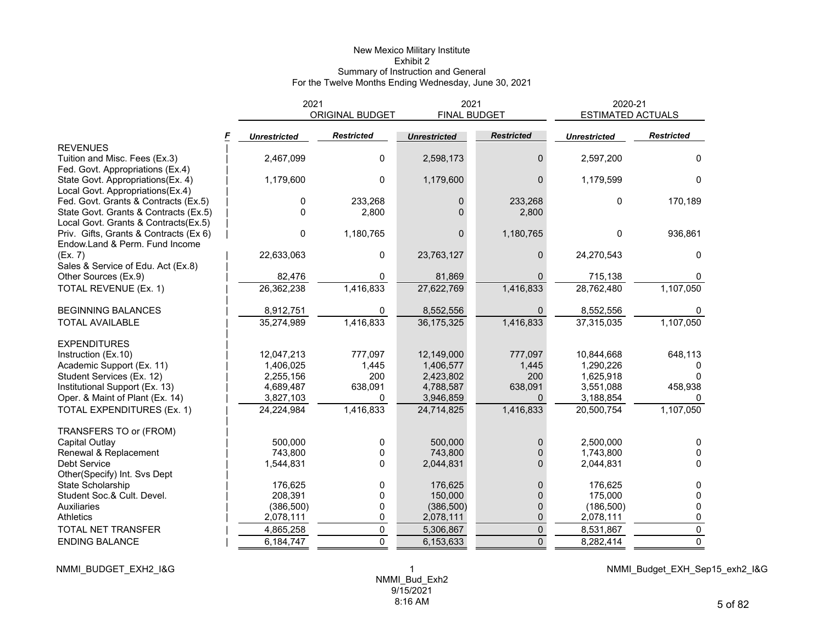#### New Mexico Military Institute Exhibit 2 Summary of Instruction and General For the Twelve Months Ending Wednesday, June 30, 2021

|                                        | 2021                |                   | 2021                |                   | 2020-21                  |                   |  |
|----------------------------------------|---------------------|-------------------|---------------------|-------------------|--------------------------|-------------------|--|
|                                        |                     | ORIGINAL BUDGET   | <b>FINAL BUDGET</b> |                   | <b>ESTIMATED ACTUALS</b> |                   |  |
|                                        | <b>Unrestricted</b> | <b>Restricted</b> | <b>Unrestricted</b> | <b>Restricted</b> | <b>Unrestricted</b>      | <b>Restricted</b> |  |
| <b>REVENUES</b>                        |                     |                   |                     |                   |                          |                   |  |
| Tuition and Misc. Fees (Ex.3)          | 2,467,099           | 0                 | 2,598,173           | $\Omega$          | 2,597,200                | 0                 |  |
| Fed. Govt. Appropriations (Ex.4)       |                     |                   |                     |                   |                          |                   |  |
| State Govt. Appropriations(Ex. 4)      | 1,179,600           | $\Omega$          | 1,179,600           | 0                 | 1,179,599                | $\Omega$          |  |
| Local Govt. Appropriations(Ex.4)       |                     |                   |                     |                   |                          |                   |  |
| Fed. Govt. Grants & Contracts (Ex.5)   | 0                   | 233,268           | 0                   | 233,268           | 0                        | 170,189           |  |
| State Govt. Grants & Contracts (Ex.5)  | $\mathbf 0$         | 2,800             | 0                   | 2,800             |                          |                   |  |
| Local Govt. Grants & Contracts(Ex.5)   |                     |                   |                     |                   |                          |                   |  |
| Priv. Gifts, Grants & Contracts (Ex 6) | $\mathbf 0$         | 1,180,765         | $\Omega$            | 1,180,765         | 0                        | 936,861           |  |
| Endow.Land & Perm. Fund Income         |                     |                   |                     |                   |                          |                   |  |
| (EX. 7)                                | 22,633,063          | 0                 | 23,763,127          | 0                 | 24,270,543               | 0                 |  |
| Sales & Service of Edu. Act (Ex.8)     |                     |                   |                     |                   |                          |                   |  |
| Other Sources (Ex.9)                   | 82,476              | 0                 | 81,869              | $\Omega$          | 715,138                  | 0                 |  |
| TOTAL REVENUE (Ex. 1)                  | 26,362,238          | 1,416,833         | 27,622,769          | 1,416,833         | 28,762,480               | 1,107,050         |  |
| <b>BEGINNING BALANCES</b>              | 8,912,751           | 0                 | 8,552,556           |                   | 8,552,556                |                   |  |
| <b>TOTAL AVAILABLE</b>                 | 35,274,989          | 1,416,833         | 36, 175, 325        | 1,416,833         | 37,315,035               | 1,107,050         |  |
| <b>EXPENDITURES</b>                    |                     |                   |                     |                   |                          |                   |  |
| Instruction (Ex.10)                    | 12,047,213          | 777.097           | 12,149,000          | 777,097           | 10,844,668               | 648,113           |  |
| Academic Support (Ex. 11)              | 1,406,025           | 1,445             | 1,406,577           | 1,445             | 1,290,226                |                   |  |
| Student Services (Ex. 12)              | 2,255,156           | 200               | 2,423,802           | 200               | 1,625,918                |                   |  |
| Institutional Support (Ex. 13)         | 4,689,487           | 638,091           | 4,788,587           | 638,091           | 3,551,088                | 458,938           |  |
| Oper. & Maint of Plant (Ex. 14)        | 3,827,103           | $\Omega$          | 3,946,859           | $\Omega$          | 3,188,854                | 0                 |  |
| TOTAL EXPENDITURES (Ex. 1)             | 24,224,984          | 1,416,833         | 24,714,825          | 1,416,833         | 20,500,754               | 1,107,050         |  |
| TRANSFERS TO or (FROM)                 |                     |                   |                     |                   |                          |                   |  |
| Capital Outlay                         | 500,000             | 0                 | 500,000             | $\Omega$          | 2,500,000                | $\Omega$          |  |
| Renewal & Replacement                  | 743,800             | 0                 | 743,800             | 0                 | 1,743,800                | $\Omega$          |  |
| Debt Service                           | 1,544,831           | 0                 | 2,044,831           | 0                 | 2,044,831                | $\Omega$          |  |
| Other(Specify) Int. Svs Dept           |                     |                   |                     |                   |                          |                   |  |
| State Scholarship                      | 176,625             | 0                 | 176,625             | 0                 | 176,625                  | 0                 |  |
| Student Soc.& Cult. Devel.             | 208,391             | 0                 | 150,000             | 0                 | 175,000                  | $\Omega$          |  |
| Auxiliaries                            | (386, 500)          | 0                 | (386, 500)          | 0                 | (186, 500)               | $\Omega$          |  |
| <b>Athletics</b>                       | 2,078,111           | 0                 | 2,078,111           | 0                 | 2,078,111                | 0                 |  |
| <b>TOTAL NET TRANSFER</b>              | 4,865,258           | 0                 | 5,306,867           | $\pmb{0}$         | 8,531,867                | $\pmb{0}$         |  |
| <b>ENDING BALANCE</b>                  | 6,184,747           | $\Omega$          | 6,153,633           | $\overline{0}$    | 8,282,414                | $\mathbf 0$       |  |

NMMI\_BUDGET\_EXH2\_I&G 1

NMMI\_Budget\_EXH\_Sep15\_exh2\_I&G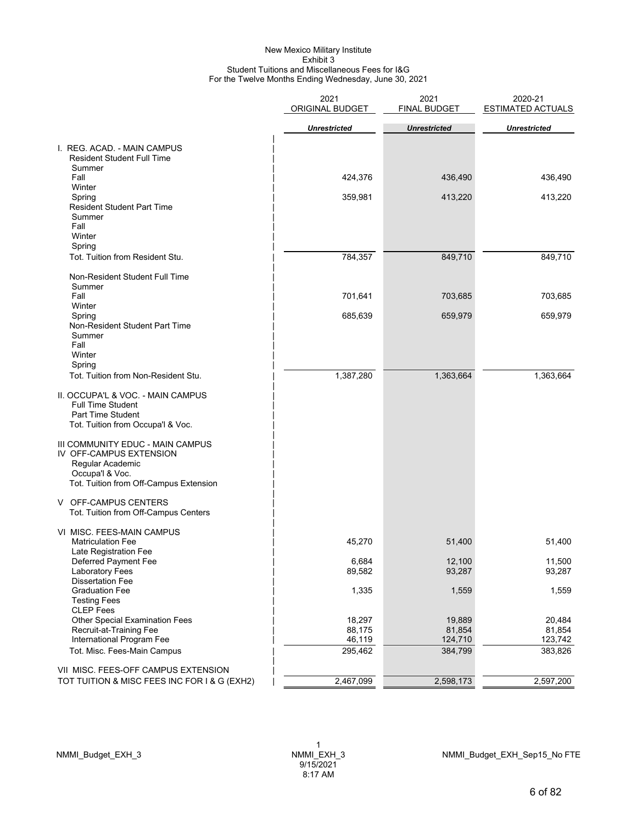#### New Mexico Military Institute Exhibit 3 Student Tuitions and Miscellaneous Fees for I&G For the Twelve Months Ending Wednesday, June 30, 2021

|                                                                                                                                              | 2021<br>ORIGINAL BUDGET | 2021<br><b>FINAL BUDGET</b> | 2020-21<br><b>ESTIMATED ACTUALS</b> |
|----------------------------------------------------------------------------------------------------------------------------------------------|-------------------------|-----------------------------|-------------------------------------|
|                                                                                                                                              | <b>Unrestricted</b>     | <b>Unrestricted</b>         | <b>Unrestricted</b>                 |
| I. REG. ACAD. - MAIN CAMPUS<br><b>Resident Student Full Time</b><br>Summer                                                                   |                         |                             |                                     |
| Fall                                                                                                                                         | 424,376                 | 436,490                     | 436,490                             |
| Winter<br>Spring<br><b>Resident Student Part Time</b><br>Summer<br>Fall<br>Winter                                                            | 359,981                 | 413,220                     | 413,220                             |
| Spring<br>Tot. Tuition from Resident Stu.                                                                                                    | 784,357                 | 849,710                     | 849,710                             |
| Non-Resident Student Full Time<br>Summer                                                                                                     |                         |                             |                                     |
| Fall<br>Winter                                                                                                                               | 701,641                 | 703,685                     | 703,685                             |
| Spring<br>Non-Resident Student Part Time<br>Summer<br>Fall                                                                                   | 685,639                 | 659,979                     | 659,979                             |
| Winter<br>Spring                                                                                                                             |                         |                             |                                     |
| Tot. Tuition from Non-Resident Stu.                                                                                                          | 1,387,280               | 1,363,664                   | 1,363,664                           |
| II. OCCUPA'L & VOC. - MAIN CAMPUS<br><b>Full Time Student</b><br>Part Time Student<br>Tot. Tuition from Occupa'l & Voc.                      |                         |                             |                                     |
| III COMMUNITY EDUC - MAIN CAMPUS<br>IV OFF-CAMPUS EXTENSION<br>Regular Academic<br>Occupa'l & Voc.<br>Tot. Tuition from Off-Campus Extension |                         |                             |                                     |
| V OFF-CAMPUS CENTERS<br>Tot. Tuition from Off-Campus Centers                                                                                 |                         |                             |                                     |
| VI MISC. FEES-MAIN CAMPUS<br><b>Matriculation Fee</b><br>Late Registration Fee                                                               | 45,270                  | 51,400                      | 51,400                              |
| Deferred Payment Fee<br>Laboratory Fees                                                                                                      | 6,684<br>89,582         | 12,100<br>93,287            | 11,500<br>93,287                    |
| <b>Dissertation Fee</b><br><b>Graduation Fee</b><br><b>Testing Fees</b>                                                                      | 1,335                   | 1,559                       | 1,559                               |
| <b>CLEP</b> Fees<br><b>Other Special Examination Fees</b>                                                                                    | 18,297                  | 19,889                      | 20,484                              |
| Recruit-at-Training Fee                                                                                                                      | 88,175                  | 81,854                      | 81,854                              |
| International Program Fee<br>Tot. Misc. Fees-Main Campus                                                                                     | 46,119<br>295,462       | 124,710<br>384,799          | 123,742<br>383,826                  |
| VII MISC. FEES-OFF CAMPUS EXTENSION                                                                                                          |                         |                             |                                     |
| TOT TUITION & MISC FEES INC FOR I & G (EXH2)                                                                                                 | 2,467,099               | 2,598,173                   | 2,597,200                           |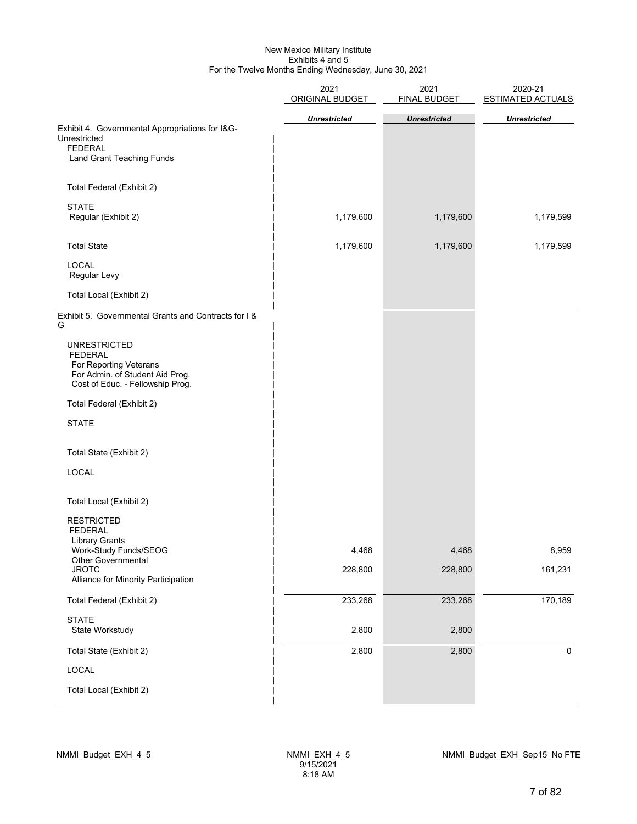#### New Mexico Military Institute Exhibits 4 and 5 For the Twelve Months Ending Wednesday, June 30, 2021

|                                                                                                                                        | 2021<br>ORIGINAL BUDGET | 2021<br><b>FINAL BUDGET</b> | 2020-21<br><b>ESTIMATED ACTUALS</b> |  |  |
|----------------------------------------------------------------------------------------------------------------------------------------|-------------------------|-----------------------------|-------------------------------------|--|--|
|                                                                                                                                        | <b>Unrestricted</b>     | <b>Unrestricted</b>         | <b>Unrestricted</b>                 |  |  |
| Exhibit 4. Governmental Appropriations for I&G-<br>Unrestricted<br><b>FEDERAL</b>                                                      |                         |                             |                                     |  |  |
| <b>Land Grant Teaching Funds</b>                                                                                                       |                         |                             |                                     |  |  |
| Total Federal (Exhibit 2)                                                                                                              |                         |                             |                                     |  |  |
| <b>STATE</b><br>Regular (Exhibit 2)                                                                                                    | 1,179,600               | 1,179,600                   | 1,179,599                           |  |  |
| <b>Total State</b>                                                                                                                     | 1,179,600               | 1,179,600                   | 1,179,599                           |  |  |
| <b>LOCAL</b><br>Regular Levy                                                                                                           |                         |                             |                                     |  |  |
| Total Local (Exhibit 2)                                                                                                                |                         |                             |                                     |  |  |
| Exhibit 5. Governmental Grants and Contracts for I &<br>G                                                                              |                         |                             |                                     |  |  |
| <b>UNRESTRICTED</b><br><b>FEDERAL</b><br>For Reporting Veterans<br>For Admin. of Student Aid Prog.<br>Cost of Educ. - Fellowship Prog. |                         |                             |                                     |  |  |
| Total Federal (Exhibit 2)                                                                                                              |                         |                             |                                     |  |  |
| <b>STATE</b>                                                                                                                           |                         |                             |                                     |  |  |
| Total State (Exhibit 2)                                                                                                                |                         |                             |                                     |  |  |
| LOCAL                                                                                                                                  |                         |                             |                                     |  |  |
| Total Local (Exhibit 2)                                                                                                                |                         |                             |                                     |  |  |
| <b>RESTRICTED</b><br><b>FEDERAL</b><br><b>Library Grants</b>                                                                           |                         |                             |                                     |  |  |
| Work-Study Funds/SEOG<br>Other Governmental                                                                                            | 4,468                   | 4,468                       | 8,959                               |  |  |
| <b>JROTC</b><br>Alliance for Minority Participation                                                                                    | 228,800                 | 228,800                     | 161,231                             |  |  |
| Total Federal (Exhibit 2)                                                                                                              | 233,268                 | 233,268                     | 170,189                             |  |  |
| <b>STATE</b><br>State Workstudy                                                                                                        | 2,800                   | 2,800                       |                                     |  |  |
| Total State (Exhibit 2)                                                                                                                | 2,800                   | 2,800                       | $\mathbf 0$                         |  |  |
| LOCAL                                                                                                                                  |                         |                             |                                     |  |  |
| Total Local (Exhibit 2)                                                                                                                |                         |                             |                                     |  |  |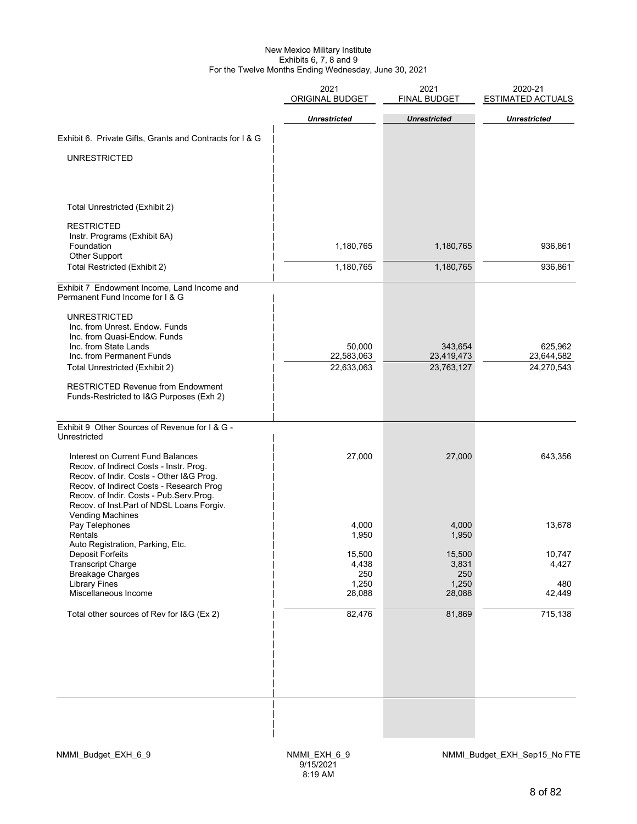#### New Mexico Military Institute Exhibits 6, 7, 8 and 9 For the Twelve Months Ending Wednesday, June 30, 2021

| 2021<br>ORIGINAL BUDGET | 2021<br><b>FINAL BUDGET</b>                        | 2020-21<br><b>ESTIMATED ACTUALS</b>                 |
|-------------------------|----------------------------------------------------|-----------------------------------------------------|
|                         |                                                    | <b>Unrestricted</b>                                 |
|                         |                                                    |                                                     |
|                         |                                                    |                                                     |
|                         |                                                    |                                                     |
|                         |                                                    |                                                     |
|                         |                                                    |                                                     |
|                         |                                                    |                                                     |
|                         |                                                    |                                                     |
| 1,180,765               | 1,180,765                                          | 936,861                                             |
| 1,180,765               | 1,180,765                                          | 936,861                                             |
|                         |                                                    |                                                     |
|                         |                                                    |                                                     |
|                         |                                                    |                                                     |
|                         |                                                    | 625,962                                             |
| 22,583,063              | 23,419,473                                         | 23,644,582                                          |
|                         |                                                    | 24,270,543                                          |
|                         |                                                    |                                                     |
|                         |                                                    |                                                     |
| 27,000                  | 27,000                                             | 643,356                                             |
| 4,000<br>1,950          | 4,000<br>1,950                                     | 13,678                                              |
| 15,500<br>4,438         | 15,500<br>3,831                                    | 10,747<br>4,427                                     |
| 1,250<br>28,088         | 1,250<br>28,088                                    | 480<br>42,449                                       |
| 82,476                  | 81,869                                             | 715,138                                             |
|                         |                                                    |                                                     |
|                         | <b>Unrestricted</b><br>50,000<br>22,633,063<br>250 | <b>Unrestricted</b><br>343,654<br>23,763,127<br>250 |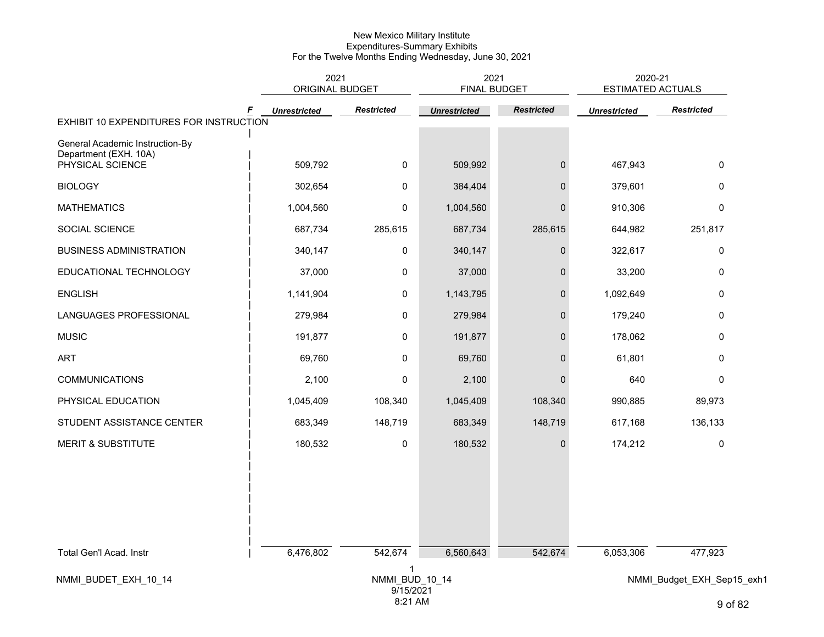|                                                                              | 2021<br>ORIGINAL BUDGET  |                      | 2021<br><b>FINAL BUDGET</b> |                   | 2020-21<br><b>ESTIMATED ACTUALS</b> |                               |  |  |
|------------------------------------------------------------------------------|--------------------------|----------------------|-----------------------------|-------------------|-------------------------------------|-------------------------------|--|--|
|                                                                              | F<br><b>Unrestricted</b> | <b>Restricted</b>    | <b>Unrestricted</b>         | <b>Restricted</b> | <b>Unrestricted</b>                 | <b>Restricted</b>             |  |  |
| EXHIBIT 10 EXPENDITURES FOR INSTRUCTION                                      |                          |                      |                             |                   |                                     |                               |  |  |
| General Academic Instruction-By<br>Department (EXH. 10A)<br>PHYSICAL SCIENCE | 509,792                  | $\mathbf 0$          | 509,992                     | $\boldsymbol{0}$  | 467,943                             | 0                             |  |  |
| <b>BIOLOGY</b>                                                               | 302,654                  | 0                    | 384,404                     | $\mathbf 0$       | 379,601                             | 0                             |  |  |
| <b>MATHEMATICS</b>                                                           | 1,004,560                | 0                    | 1,004,560                   | $\overline{0}$    | 910,306                             | 0                             |  |  |
| SOCIAL SCIENCE                                                               | 687,734                  | 285,615              | 687,734                     | 285,615           | 644,982                             | 251,817                       |  |  |
| <b>BUSINESS ADMINISTRATION</b>                                               | 340,147                  | $\mathbf 0$          | 340,147                     | $\pmb{0}$         | 322,617                             | $\pmb{0}$                     |  |  |
| EDUCATIONAL TECHNOLOGY                                                       | 37,000                   | 0                    | 37,000                      | $\overline{0}$    | 33,200                              | 0                             |  |  |
| <b>ENGLISH</b>                                                               | 1,141,904                | 0                    | 1,143,795                   | $\mathbf{0}$      | 1,092,649                           | 0                             |  |  |
| LANGUAGES PROFESSIONAL                                                       | 279,984                  | 0                    | 279,984                     | $\mathbf 0$       | 179,240                             | 0                             |  |  |
| <b>MUSIC</b>                                                                 | 191,877                  | 0                    | 191,877                     | $\mathbf{0}$      | 178,062                             | 0                             |  |  |
| ART                                                                          | 69,760                   | 0                    | 69,760                      | $\mathbf 0$       | 61,801                              | 0                             |  |  |
| <b>COMMUNICATIONS</b>                                                        | 2,100                    | 0                    | 2,100                       | $\overline{0}$    | 640                                 | 0                             |  |  |
| PHYSICAL EDUCATION                                                           | 1,045,409                | 108,340              | 1,045,409                   | 108,340           | 990,885                             | 89,973                        |  |  |
| STUDENT ASSISTANCE CENTER                                                    | 683,349                  | 148,719              | 683,349                     | 148,719           | 617,168                             | 136,133                       |  |  |
| <b>MERIT &amp; SUBSTITUTE</b>                                                | 180,532                  | 0                    | 180,532                     | $\boldsymbol{0}$  | 174,212                             | 0                             |  |  |
|                                                                              |                          |                      |                             |                   |                                     |                               |  |  |
| Total Gen'l Acad. Instr                                                      | 6,476,802                | 542,674              | 6,560,643                   | 542,674           | 6,053,306                           | 477,923                       |  |  |
| NMMI_BUDET_EXH_10_14                                                         |                          | 1<br>NMMI_BUD_10_14  |                             |                   | NMMI_Budget_EXH_Sep15_exh1          |                               |  |  |
|                                                                              |                          | 9/15/2021<br>8:21 AM |                             |                   |                                     | Q <sub>0</sub> f <sub>0</sub> |  |  |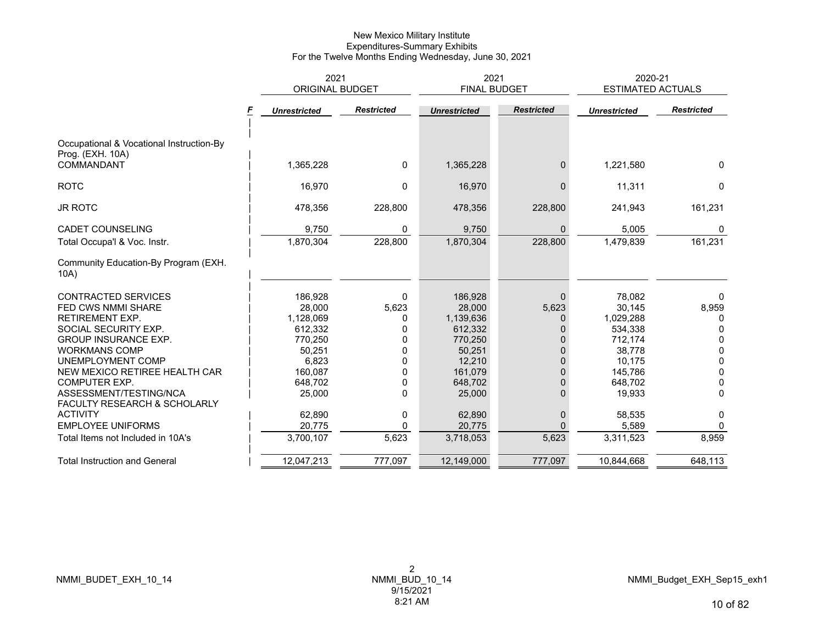|                                                              | 2021<br><b>ORIGINAL BUDGET</b> |                   |                     | 2021<br><b>FINAL BUDGET</b> | 2020-21<br><b>ESTIMATED ACTUALS</b> |                   |  |
|--------------------------------------------------------------|--------------------------------|-------------------|---------------------|-----------------------------|-------------------------------------|-------------------|--|
|                                                              | <b>Unrestricted</b>            | <b>Restricted</b> | <b>Unrestricted</b> | <b>Restricted</b>           | <b>Unrestricted</b>                 | <b>Restricted</b> |  |
| Occupational & Vocational Instruction-By<br>Prog. (EXH. 10A) |                                |                   |                     |                             |                                     |                   |  |
| COMMANDANT                                                   | 1,365,228                      | $\mathbf{0}$      | 1,365,228           | $\mathbf{0}$                | 1,221,580                           | 0                 |  |
| <b>ROTC</b>                                                  | 16,970                         | $\mathbf{0}$      | 16,970              | $\mathbf{0}$                | 11,311                              | 0                 |  |
| <b>JR ROTC</b>                                               | 478,356                        | 228,800           | 478,356             | 228,800                     | 241,943                             | 161,231           |  |
| <b>CADET COUNSELING</b>                                      | 9,750                          | 0                 | 9,750               | $\Omega$                    | 5,005                               | 0                 |  |
| Total Occupa'l & Voc. Instr.                                 | 1,870,304                      | 228,800           | 1,870,304           | 228,800                     | 1,479,839                           | 161,231           |  |
| Community Education-By Program (EXH.<br>10A)                 |                                |                   |                     |                             |                                     |                   |  |
| <b>CONTRACTED SERVICES</b>                                   | 186,928                        | 0                 | 186,928             | $\Omega$                    | 78,082                              | 0                 |  |
| <b>FED CWS NMMI SHARE</b>                                    | 28,000                         | 5,623             | 28,000              | 5,623                       | 30,145                              | 8,959             |  |
| <b>RETIREMENT EXP.</b>                                       | 1,128,069                      | 0                 | 1,139,636           | 0                           | 1,029,288                           | 0                 |  |
| SOCIAL SECURITY EXP.                                         | 612,332                        | 0                 | 612,332             | 0                           | 534,338                             | 0                 |  |
| <b>GROUP INSURANCE EXP.</b>                                  | 770,250                        | 0                 | 770,250             | $\Omega$                    | 712,174                             | 0                 |  |
| <b>WORKMANS COMP</b>                                         | 50,251                         | 0                 | 50,251              | $\Omega$                    | 38,778                              | 0                 |  |
| UNEMPLOYMENT COMP                                            | 6,823                          | 0                 | 12,210              | $\Omega$                    | 10,175                              | 0                 |  |
| NEW MEXICO RETIREE HEALTH CAR                                | 160,087                        |                   | 161,079             | $\Omega$                    | 145,786                             | 0                 |  |
| <b>COMPUTER EXP.</b>                                         | 648,702                        | 0                 | 648,702             | $\Omega$                    | 648,702                             | 0                 |  |
| ASSESSMENT/TESTING/NCA                                       | 25,000                         | $\Omega$          | 25,000              | $\Omega$                    | 19,933                              | $\Omega$          |  |
| FACULTY RESEARCH & SCHOLARLY                                 |                                |                   |                     |                             |                                     |                   |  |
| <b>ACTIVITY</b>                                              | 62,890                         | 0                 | 62,890              | $\mathbf 0$                 | 58,535                              | 0                 |  |
| <b>EMPLOYEE UNIFORMS</b>                                     | 20,775                         | $\Omega$          | 20,775              | $\Omega$                    | 5,589                               | 0                 |  |
| Total Items not Included in 10A's                            | 3,700,107                      | 5,623             | 3,718,053           | 5,623                       | 3,311,523                           | 8,959             |  |
| <b>Total Instruction and General</b>                         | 12,047,213                     | 777,097           | 12,149,000          | 777,097                     | 10,844,668                          | 648,113           |  |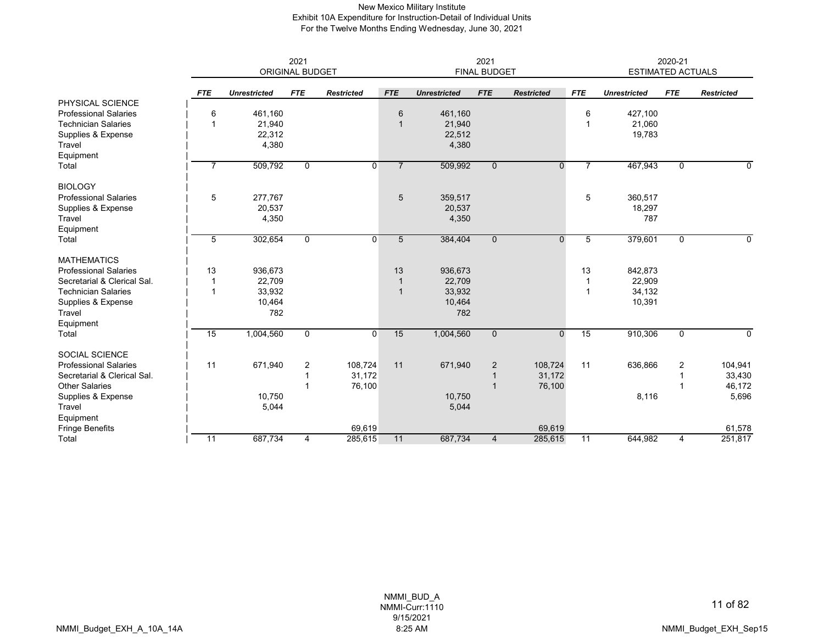## New Mexico Military Institute Exhibit 10A Expenditure for Instruction-Detail of Individual Units For the Twelve Months Ending Wednesday, June 30, 2021

|                              | 2021<br><b>ORIGINAL BUDGET</b> |                     |              |                   |                | 2021<br><b>FINAL BUDGET</b> |                |                   |                 | 2020-21<br><b>ESTIMATED ACTUALS</b> |             |                   |
|------------------------------|--------------------------------|---------------------|--------------|-------------------|----------------|-----------------------------|----------------|-------------------|-----------------|-------------------------------------|-------------|-------------------|
|                              | <b>FTE</b>                     | <b>Unrestricted</b> | <b>FTE</b>   | <b>Restricted</b> | <b>FTE</b>     | <b>Unrestricted</b>         | <b>FTE</b>     | <b>Restricted</b> | <b>FTE</b>      | <b>Unrestricted</b>                 | <b>FTE</b>  | <b>Restricted</b> |
| PHYSICAL SCIENCE             |                                |                     |              |                   |                |                             |                |                   |                 |                                     |             |                   |
| <b>Professional Salaries</b> | 6                              | 461,160             |              |                   | 6              | 461,160                     |                |                   | 6               | 427,100                             |             |                   |
| <b>Technician Salaries</b>   | 1                              | 21,940              |              |                   | $\mathbf{1}$   | 21,940                      |                |                   | $\mathbf 1$     | 21,060                              |             |                   |
| Supplies & Expense           |                                | 22,312              |              |                   |                | 22,512                      |                |                   |                 | 19,783                              |             |                   |
| Travel<br>Equipment          |                                | 4,380               |              |                   |                | 4,380                       |                |                   |                 |                                     |             |                   |
| Total                        |                                | 509,792             | $\mathbf 0$  | 0                 | $\overline{7}$ | 509,992                     | $\overline{0}$ | $\mathbf{0}$      |                 | 467,943                             | $\mathbf 0$ | 0                 |
| <b>BIOLOGY</b>               |                                |                     |              |                   |                |                             |                |                   |                 |                                     |             |                   |
| <b>Professional Salaries</b> | 5                              | 277,767             |              |                   | 5              | 359,517                     |                |                   | 5               | 360,517                             |             |                   |
| Supplies & Expense           |                                | 20,537              |              |                   |                | 20,537                      |                |                   |                 | 18,297                              |             |                   |
| Travel                       |                                | 4,350               |              |                   |                | 4,350                       |                |                   |                 | 787                                 |             |                   |
| Equipment                    |                                |                     |              |                   |                |                             |                |                   |                 |                                     |             |                   |
| Total                        | 5                              | 302,654             | $\mathbf 0$  | 0                 | 5              | 384,404                     | $\mathbf{0}$   | $\overline{0}$    | 5               | 379,601                             | $\mathbf 0$ | $\Omega$          |
| <b>MATHEMATICS</b>           |                                |                     |              |                   |                |                             |                |                   |                 |                                     |             |                   |
| <b>Professional Salaries</b> | 13                             | 936,673             |              |                   | 13             | 936,673                     |                |                   | 13              | 842,873                             |             |                   |
| Secretarial & Clerical Sal.  | -1                             | 22,709              |              |                   | $\mathbf{1}$   | 22,709                      |                |                   | $\mathbf 1$     | 22,909                              |             |                   |
| <b>Technician Salaries</b>   | $\overline{1}$                 | 33,932              |              |                   | $\overline{1}$ | 33,932                      |                |                   | $\mathbf{1}$    | 34,132                              |             |                   |
| Supplies & Expense           |                                | 10,464              |              |                   |                | 10,464                      |                |                   |                 | 10,391                              |             |                   |
| Travel                       |                                | 782                 |              |                   |                | 782                         |                |                   |                 |                                     |             |                   |
| Equipment                    |                                |                     |              |                   |                |                             |                |                   |                 |                                     |             |                   |
| Total                        | $\overline{15}$                | 1,004,560           | $\mathbf{0}$ | $\mathbf 0$       | 15             | 1,004,560                   | $\mathbf{0}$   | $\mathbf{0}$      | 15              | 910,306                             | $\mathbf 0$ | 0                 |
| <b>SOCIAL SCIENCE</b>        |                                |                     |              |                   |                |                             |                |                   |                 |                                     |             |                   |
| <b>Professional Salaries</b> | 11                             | 671,940             | 2            | 108,724           | 11             | 671,940                     | $\overline{2}$ | 108,724           | 11              | 636,866                             | 2           | 104,941           |
| Secretarial & Clerical Sal.  |                                |                     |              | 31,172            |                |                             |                | 31,172            |                 |                                     |             | 33,430            |
| <b>Other Salaries</b>        |                                |                     |              | 76,100            |                |                             | $\overline{1}$ | 76,100            |                 |                                     |             | 46,172            |
| Supplies & Expense           |                                | 10,750              |              |                   |                | 10,750                      |                |                   |                 | 8,116                               |             | 5,696             |
| Travel                       |                                | 5,044               |              |                   |                | 5,044                       |                |                   |                 |                                     |             |                   |
| Equipment                    |                                |                     |              |                   |                |                             |                |                   |                 |                                     |             |                   |
| <b>Fringe Benefits</b>       |                                |                     |              | 69,619            |                |                             |                | 69,619            |                 |                                     |             | 61,578            |
| Total                        | $\overline{11}$                | 687,734             | 4            | 285,615           | 11             | 687,734                     | $\overline{4}$ | 285,615           | $\overline{11}$ | 644,982                             | 4           | 251,817           |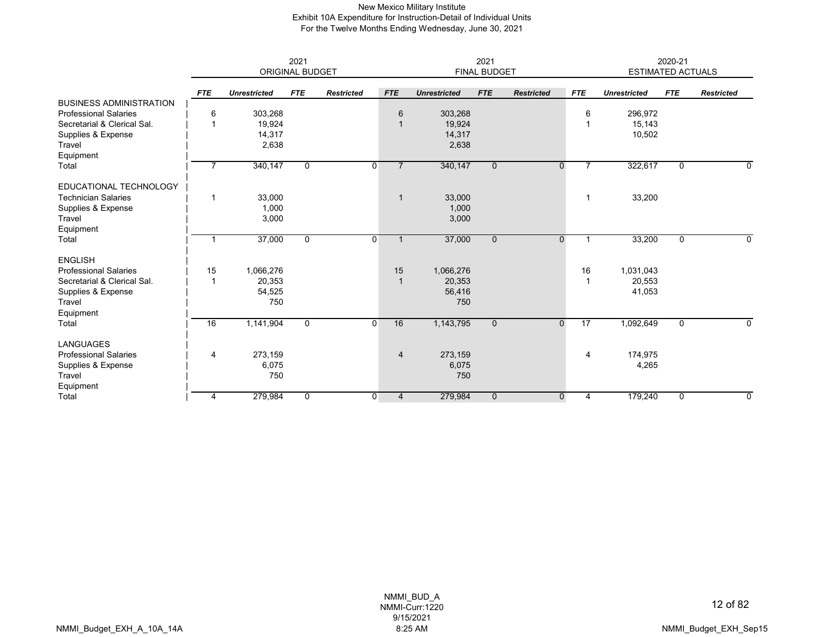## New Mexico Military Institute Exhibit 10A Expenditure for Instruction-Detail of Individual Units For the Twelve Months Ending Wednesday, June 30, 2021

|                                | 2021<br><b>ORIGINAL BUDGET</b> |                     |              |                   |                | 2021<br><b>FINAL BUDGET</b> |              |                   |                | 2020-21<br><b>ESTIMATED ACTUALS</b> |             |                   |
|--------------------------------|--------------------------------|---------------------|--------------|-------------------|----------------|-----------------------------|--------------|-------------------|----------------|-------------------------------------|-------------|-------------------|
|                                | <b>FTE</b>                     | <b>Unrestricted</b> | <b>FTE</b>   | <b>Restricted</b> | <b>FTE</b>     | <b>Unrestricted</b>         | <b>FTE</b>   | <b>Restricted</b> | <b>FTE</b>     | <b>Unrestricted</b>                 | <b>FTE</b>  | <b>Restricted</b> |
| <b>BUSINESS ADMINISTRATION</b> |                                |                     |              |                   |                |                             |              |                   |                |                                     |             |                   |
| <b>Professional Salaries</b>   | 6                              | 303,268             |              |                   | 6              | 303,268                     |              |                   | 6              | 296,972                             |             |                   |
| Secretarial & Clerical Sal.    | 1                              | 19,924              |              |                   |                | 19,924                      |              |                   |                | 15,143                              |             |                   |
| Supplies & Expense             |                                | 14,317              |              |                   |                | 14,317                      |              |                   |                | 10,502                              |             |                   |
| Travel                         |                                | 2,638               |              |                   |                | 2,638                       |              |                   |                |                                     |             |                   |
| Equipment                      |                                |                     |              |                   |                |                             |              |                   |                |                                     |             |                   |
| Total                          | 7                              | 340,147             | 0            | $\mathbf 0$       | $\overline{7}$ | 340,147                     | $\mathbf{0}$ | $\mathbf{0}$      | $\overline{7}$ | 322,617                             | 0           | 0                 |
| EDUCATIONAL TECHNOLOGY         |                                |                     |              |                   |                |                             |              |                   |                |                                     |             |                   |
| <b>Technician Salaries</b>     | $\overline{1}$                 | 33,000              |              |                   | $\overline{1}$ | 33,000                      |              |                   | 1              | 33,200                              |             |                   |
| Supplies & Expense             |                                | 1,000               |              |                   |                | 1,000                       |              |                   |                |                                     |             |                   |
| Travel                         |                                | 3,000               |              |                   |                | 3,000                       |              |                   |                |                                     |             |                   |
| Equipment                      |                                |                     |              |                   |                |                             |              |                   |                |                                     |             |                   |
| Total                          | $\mathbf{1}$                   | 37,000              | 0            | 0                 | $\mathbf{1}$   | 37,000                      | $\mathbf 0$  | $\mathbf 0$       | 1              | 33,200                              | 0           | 0                 |
| <b>ENGLISH</b>                 |                                |                     |              |                   |                |                             |              |                   |                |                                     |             |                   |
| <b>Professional Salaries</b>   | 15                             | 1,066,276           |              |                   | 15             | 1,066,276                   |              |                   | 16             | 1,031,043                           |             |                   |
| Secretarial & Clerical Sal.    | 1                              | 20,353              |              |                   | $\mathbf 1$    | 20,353                      |              |                   |                | 20,553                              |             |                   |
| Supplies & Expense             |                                | 54,525              |              |                   |                | 56,416                      |              |                   |                | 41,053                              |             |                   |
| Travel                         |                                | 750                 |              |                   |                | 750                         |              |                   |                |                                     |             |                   |
| Equipment                      |                                |                     |              |                   |                |                             |              |                   |                |                                     |             |                   |
| Total                          | 16                             | 1,141,904           | $\mathbf 0$  | $\mathbf 0$       | 16             | 1,143,795                   | $\mathbf{0}$ | $\mathbf{0}$      | 17             | 1,092,649                           | $\mathbf 0$ | 0                 |
| <b>LANGUAGES</b>               |                                |                     |              |                   |                |                             |              |                   |                |                                     |             |                   |
| <b>Professional Salaries</b>   | $\overline{4}$                 | 273,159             |              |                   | $\overline{4}$ | 273,159                     |              |                   | 4              | 174,975                             |             |                   |
| Supplies & Expense             |                                | 6,075               |              |                   |                | 6,075                       |              |                   |                | 4,265                               |             |                   |
| Travel                         |                                | 750                 |              |                   |                | 750                         |              |                   |                |                                     |             |                   |
| Equipment                      |                                |                     |              |                   |                |                             |              |                   |                |                                     |             |                   |
| Total                          | 4                              | 279,984             | $\mathbf{0}$ | $\mathbf 0$       | $\overline{4}$ | 279,984                     | $\Omega$     | $\mathbf 0$       | 4              | 179,240                             | $\Omega$    | $\Omega$          |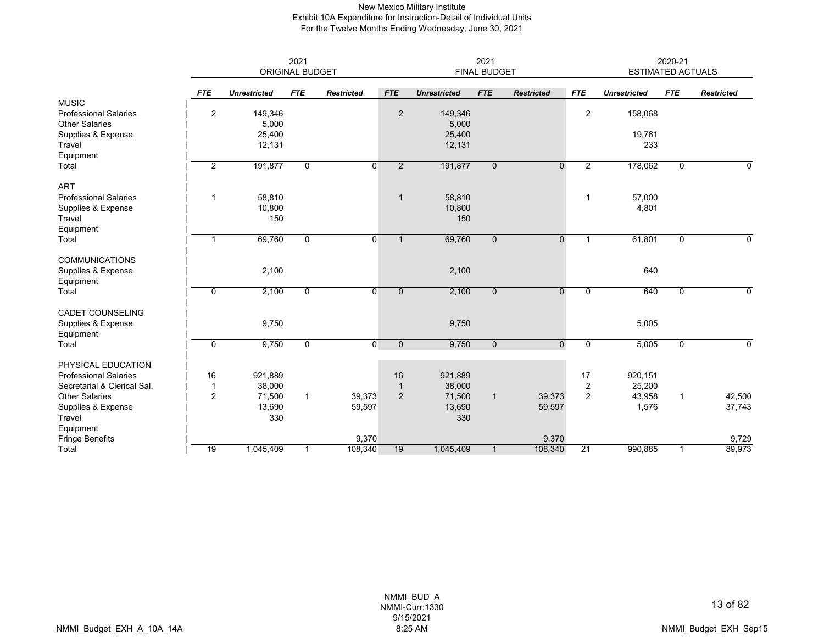## New Mexico Military Institute Exhibit 10A Expenditure for Instruction-Detail of Individual Units For the Twelve Months Ending Wednesday, June 30, 2021

|                                                    |                | 2021<br><b>ORIGINAL BUDGET</b> |                |                   |                | 2021<br><b>FINAL BUDGET</b> |                |                   |                | 2020-21<br><b>ESTIMATED ACTUALS</b> |              |                   |
|----------------------------------------------------|----------------|--------------------------------|----------------|-------------------|----------------|-----------------------------|----------------|-------------------|----------------|-------------------------------------|--------------|-------------------|
|                                                    | <b>FTE</b>     | <b>Unrestricted</b>            | <b>FTE</b>     | <b>Restricted</b> | <b>FTE</b>     | <b>Unrestricted</b>         | <b>FTE</b>     | <b>Restricted</b> | <b>FTE</b>     | <b>Unrestricted</b>                 | <b>FTE</b>   | <b>Restricted</b> |
| <b>MUSIC</b><br><b>Professional Salaries</b>       | $\overline{2}$ | 149,346                        |                |                   | $\overline{2}$ | 149,346                     |                |                   | $\overline{2}$ | 158,068                             |              |                   |
| <b>Other Salaries</b><br>Supplies & Expense        |                | 5,000<br>25,400                |                |                   |                | 5,000<br>25,400             |                |                   |                | 19,761                              |              |                   |
| Travel<br>Equipment                                |                | 12,131                         |                |                   |                | 12,131                      |                |                   |                | 233                                 |              |                   |
| Total                                              | $\overline{2}$ | 191,877                        | $\overline{0}$ | $\overline{0}$    | $\overline{2}$ | 191,877                     | $\overline{0}$ | $\overline{0}$    | $\overline{2}$ | 178,062                             | $\mathbf 0$  | 0                 |
| <b>ART</b>                                         |                |                                |                |                   |                |                             |                |                   |                |                                     |              |                   |
| <b>Professional Salaries</b><br>Supplies & Expense | 1              | 58,810<br>10,800               |                |                   | $\mathbf{1}$   | 58,810<br>10,800            |                |                   | $\mathbf 1$    | 57,000<br>4,801                     |              |                   |
| Travel<br>Equipment                                |                | 150                            |                |                   |                | 150                         |                |                   |                |                                     |              |                   |
| Total                                              | $\mathbf{1}$   | 69,760                         | $\mathbf 0$    | 0                 | $\mathbf{1}$   | 69,760                      | $\mathbf{0}$   | $\overline{0}$    | $\mathbf{1}$   | 61,801                              | $\mathbf 0$  | 0                 |
| <b>COMMUNICATIONS</b>                              |                |                                |                |                   |                |                             |                |                   |                |                                     |              |                   |
| Supplies & Expense<br>Equipment                    |                | 2,100                          |                |                   |                | 2,100                       |                |                   |                | 640                                 |              |                   |
| Total                                              | $\mathbf 0$    | 2,100                          | 0              | 0                 | $\overline{0}$ | 2,100                       | $\mathbf{0}$   | $\Omega$          | $\mathbf 0$    | 640                                 | 0            | 0                 |
| <b>CADET COUNSELING</b><br>Supplies & Expense      |                | 9,750                          |                |                   |                | 9,750                       |                |                   |                | 5,005                               |              |                   |
| Equipment                                          |                |                                |                |                   |                |                             |                |                   |                |                                     |              |                   |
| Total                                              | 0              | 9,750                          | 0              | $\overline{0}$    | $\overline{0}$ | 9,750                       | $\mathbf{0}$   | $\mathbf 0$       | 0              | 5,005                               | 0            | 0                 |
| PHYSICAL EDUCATION<br><b>Professional Salaries</b> | 16             | 921,889                        |                |                   | 16             | 921,889                     |                |                   | 17             | 920,151                             |              |                   |
| Secretarial & Clerical Sal.                        | 1              | 38,000                         |                |                   | $\mathbf{1}$   | 38,000                      |                |                   | 2              | 25,200                              |              |                   |
| <b>Other Salaries</b>                              | $\overline{2}$ | 71,500                         | $\mathbf{1}$   | 39,373            | 2              | 71,500                      | $\mathbf{1}$   | 39,373            | 2              | 43,958                              | $\mathbf{1}$ | 42,500            |
| Supplies & Expense                                 |                | 13,690                         |                | 59,597            |                | 13,690                      |                | 59,597            |                | 1,576                               |              | 37,743            |
| Travel                                             |                | 330                            |                |                   |                | 330                         |                |                   |                |                                     |              |                   |
| Equipment                                          |                |                                |                |                   |                |                             |                |                   |                |                                     |              |                   |
| <b>Fringe Benefits</b>                             |                |                                |                | 9,370             |                |                             |                | 9,370             |                |                                     |              | 9,729             |
| Total                                              | 19             | 1,045,409                      | 1              | 108,340           | 19             | 1,045,409                   | $\mathbf{1}$   | 108,340           | 21             | 990,885                             | 1            | 89,973            |

NMMI\_BUD\_A NMMI-Curr:1330 9/15/2021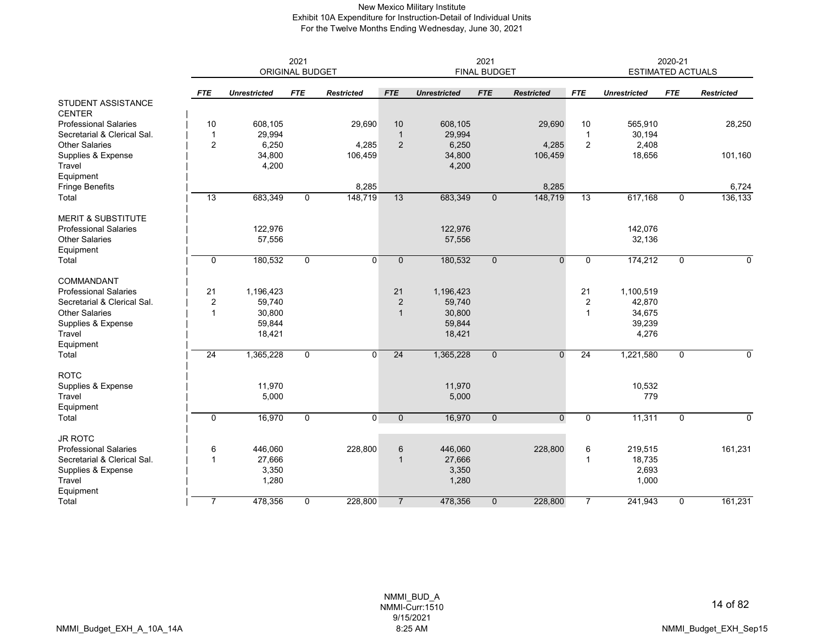# New Mexico Military Institute Exhibit 10A Expenditure for Instruction-Detail of Individual Units For the Twelve Months Ending Wednesday, June 30, 2021

|                                                      |                |                     | 2021<br><b>ORIGINAL BUDGET</b> |                   | 2021<br><b>FINAL BUDGET</b> |                     |              |                   |                | 2020-21<br><b>ESTIMATED ACTUALS</b> |             |                   |
|------------------------------------------------------|----------------|---------------------|--------------------------------|-------------------|-----------------------------|---------------------|--------------|-------------------|----------------|-------------------------------------|-------------|-------------------|
|                                                      | <b>FTE</b>     | <b>Unrestricted</b> | <b>FTE</b>                     | <b>Restricted</b> | <b>FTE</b>                  | <b>Unrestricted</b> | <b>FTE</b>   | <b>Restricted</b> | <b>FTE</b>     | <b>Unrestricted</b>                 | <b>FTE</b>  | <b>Restricted</b> |
| <b>STUDENT ASSISTANCE</b>                            |                |                     |                                |                   |                             |                     |              |                   |                |                                     |             |                   |
| <b>CENTER</b>                                        |                |                     |                                |                   |                             |                     |              |                   |                |                                     |             |                   |
| <b>Professional Salaries</b>                         | 10             | 608,105             |                                | 29,690            | 10                          | 608,105             |              | 29,690            | 10             | 565,910                             |             | 28,250            |
| Secretarial & Clerical Sal.<br><b>Other Salaries</b> | $\overline{1}$ | 29,994              |                                |                   | $\overline{1}$              | 29,994              |              |                   | $\overline{1}$ | 30,194                              |             |                   |
| Supplies & Expense                                   | $\overline{c}$ | 6,250<br>34,800     |                                | 4,285<br>106,459  | $\overline{2}$              | 6,250<br>34,800     |              | 4,285<br>106,459  | $\sqrt{2}$     | 2,408<br>18,656                     |             | 101,160           |
| Travel                                               |                | 4,200               |                                |                   |                             | 4,200               |              |                   |                |                                     |             |                   |
| Equipment                                            |                |                     |                                |                   |                             |                     |              |                   |                |                                     |             |                   |
| <b>Fringe Benefits</b>                               |                |                     |                                | 8,285             |                             |                     |              | 8,285             |                |                                     |             | 6,724             |
| Total                                                | 13             | 683,349             | $\mathbf{0}$                   | 148,719           | 13                          | 683,349             | $\mathbf{0}$ | 148,719           | 13             | 617,168                             | $\mathbf 0$ | 136,133           |
|                                                      |                |                     |                                |                   |                             |                     |              |                   |                |                                     |             |                   |
| <b>MERIT &amp; SUBSTITUTE</b>                        |                |                     |                                |                   |                             |                     |              |                   |                |                                     |             |                   |
| <b>Professional Salaries</b>                         |                | 122,976             |                                |                   |                             | 122,976             |              |                   |                | 142,076                             |             |                   |
| <b>Other Salaries</b>                                |                | 57,556              |                                |                   |                             | 57,556              |              |                   |                | 32,136                              |             |                   |
| Equipment                                            |                |                     |                                |                   |                             |                     |              |                   |                |                                     |             |                   |
| Total                                                | $\mathbf 0$    | 180,532             | 0                              | $\overline{0}$    | $\mathbf 0$                 | 180,532             | $\mathbf{0}$ | $\mathbf{0}$      | 0              | 174,212                             | 0           | 0                 |
| COMMANDANT                                           |                |                     |                                |                   |                             |                     |              |                   |                |                                     |             |                   |
| <b>Professional Salaries</b>                         | 21             | 1,196,423           |                                |                   | 21                          | 1,196,423           |              |                   | 21             | 1,100,519                           |             |                   |
| Secretarial & Clerical Sal.                          | $\overline{2}$ | 59,740              |                                |                   | $\overline{2}$              | 59,740              |              |                   | $\sqrt{2}$     | 42,870                              |             |                   |
| <b>Other Salaries</b>                                | 1              | 30,800              |                                |                   | $\overline{1}$              | 30,800              |              |                   | 1              | 34,675                              |             |                   |
| Supplies & Expense                                   |                | 59,844              |                                |                   |                             | 59,844              |              |                   |                | 39,239                              |             |                   |
| Travel                                               |                | 18,421              |                                |                   |                             | 18,421              |              |                   |                | 4,276                               |             |                   |
| Equipment                                            |                |                     |                                |                   |                             |                     |              |                   |                |                                     |             |                   |
| Total                                                | 24             | 1,365,228           | $\mathbf 0$                    | $\Omega$          | 24                          | 1,365,228           | $\mathbf{0}$ | $\Omega$          | 24             | 1,221,580                           | $\mathbf 0$ | $\mathbf 0$       |
| <b>ROTC</b>                                          |                |                     |                                |                   |                             |                     |              |                   |                |                                     |             |                   |
| Supplies & Expense                                   |                | 11,970              |                                |                   |                             | 11,970              |              |                   |                | 10,532                              |             |                   |
| Travel                                               |                | 5,000               |                                |                   |                             | 5,000               |              |                   |                | 779                                 |             |                   |
| Equipment                                            |                |                     |                                |                   |                             |                     |              |                   |                |                                     |             |                   |
| Total                                                | $\mathbf 0$    | 16,970              | $\mathbf 0$                    | $\overline{0}$    | $\mathbf{0}$                | 16,970              | $\Omega$     | $\mathbf 0$       | 0              | 11,311                              | $\mathbf 0$ | $\mathbf 0$       |
| <b>JR ROTC</b>                                       |                |                     |                                |                   |                             |                     |              |                   |                |                                     |             |                   |
| <b>Professional Salaries</b>                         | 6              | 446,060             |                                | 228,800           | 6                           | 446,060             |              | 228,800           | 6              | 219,515                             |             | 161,231           |
| Secretarial & Clerical Sal.                          | $\overline{1}$ | 27,666              |                                |                   | 1                           | 27,666              |              |                   | 1              | 18,735                              |             |                   |
| Supplies & Expense                                   |                | 3,350               |                                |                   |                             | 3,350               |              |                   |                | 2,693                               |             |                   |
| Travel                                               |                | 1,280               |                                |                   |                             | 1,280               |              |                   |                | 1,000                               |             |                   |
| Equipment                                            |                |                     |                                |                   |                             |                     |              |                   |                |                                     |             |                   |
| Total                                                | $\overline{7}$ | 478,356             | $\mathbf 0$                    | 228,800           | $\overline{7}$              | 478,356             | $\mathbf{0}$ | 228,800           | $\overline{7}$ | 241,943                             | $\mathbf 0$ | 161,231           |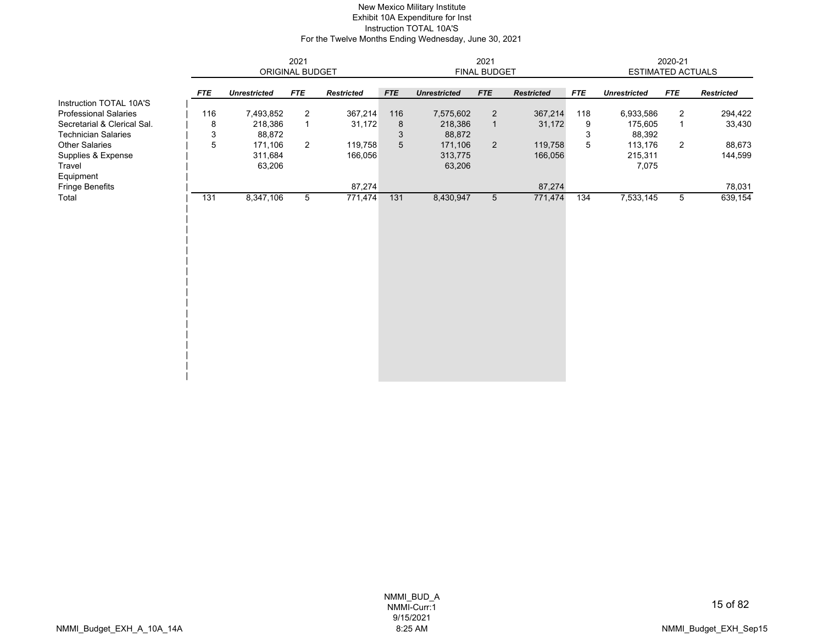#### New Mexico Military Institute Exhibit 10A Expenditure for Inst Instruction TOTAL 10A'S For the Twelve Months Ending Wednesday, June 30, 2021

|                              |            |                     |                 | 2021              |                 |                     |                 |                   | 2020-21<br><b>ESTIMATED ACTUALS</b> |                     |                |                   |
|------------------------------|------------|---------------------|-----------------|-------------------|-----------------|---------------------|-----------------|-------------------|-------------------------------------|---------------------|----------------|-------------------|
|                              |            |                     | ORIGINAL BUDGET |                   |                 |                     | FINAL BUDGET    |                   |                                     |                     |                |                   |
|                              | <b>FTE</b> | <b>Unrestricted</b> | <b>FTE</b>      | <b>Restricted</b> | <b>FTE</b>      | <b>Unrestricted</b> | <b>FTE</b>      | <b>Restricted</b> | <b>FTE</b>                          | <b>Unrestricted</b> | <b>FTE</b>     | <b>Restricted</b> |
| Instruction TOTAL 10A'S      |            |                     |                 |                   |                 |                     |                 |                   |                                     |                     |                |                   |
| <b>Professional Salaries</b> | 116        | 7,493,852           | 2               | 367,214           | 116             | 7,575,602           | $\overline{2}$  | 367,214           | 118                                 | 6,933,586           | $\overline{2}$ | 294,422           |
| Secretarial & Clerical Sal.  | 8          | 218,386             | $\mathbf{1}$    | 31,172            | 8               | 218,386             | $\mathbf{1}$    | 31,172            | 9                                   | 175,605             | $\mathbf{1}$   | 33,430            |
| <b>Technician Salaries</b>   | 3          | 88,872              |                 |                   | 3               | 88,872              |                 |                   | 3                                   | 88,392              |                |                   |
| <b>Other Salaries</b>        | 5          | 171,106             | $\overline{2}$  | 119,758           | $5\phantom{.0}$ | 171,106             | $\overline{2}$  | 119,758           | 5                                   | 113,176             | $\overline{2}$ | 88,673            |
| Supplies & Expense           |            | 311,684             |                 | 166,056           |                 | 313,775             |                 | 166,056           |                                     | 215,311             |                | 144,599           |
| Travel                       |            | 63,206              |                 |                   |                 | 63,206              |                 |                   |                                     | 7,075               |                |                   |
| Equipment                    |            |                     |                 |                   |                 |                     |                 |                   |                                     |                     |                |                   |
| Fringe Benefits              |            | 87,274              |                 |                   |                 |                     |                 | 87,274            |                                     |                     |                | 78,031            |
| Total                        | 131        | 8,347,106           | 5               | 771,474           | 131             | 8,430,947           | $5\overline{)}$ | 771,474           | 134                                 | 7,533,145           | 5              | 639,154           |
|                              |            |                     |                 |                   |                 |                     |                 |                   |                                     |                     |                |                   |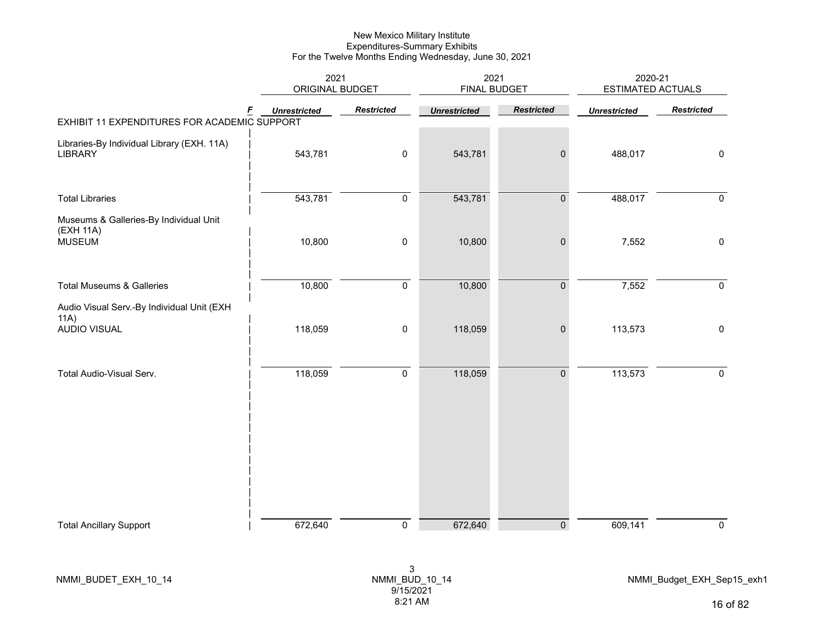|                                                                      | 2021<br>ORIGINAL BUDGET |                   | 2021<br><b>FINAL BUDGET</b> |                     | 2020-21<br><b>ESTIMATED ACTUALS</b> |                     |  |
|----------------------------------------------------------------------|-------------------------|-------------------|-----------------------------|---------------------|-------------------------------------|---------------------|--|
| F<br>EXHIBIT 11 EXPENDITURES FOR ACADEMIC SUPPORT                    | <b>Unrestricted</b>     | <b>Restricted</b> | <b>Unrestricted</b>         | <b>Restricted</b>   | <b>Unrestricted</b>                 | <b>Restricted</b>   |  |
| Libraries-By Individual Library (EXH. 11A)<br><b>LIBRARY</b>         | 543,781                 | $\pmb{0}$         | 543,781                     | $\pmb{0}$           | 488,017                             | $\mathbf 0$         |  |
| <b>Total Libraries</b>                                               | 543,781                 | $\pmb{0}$         | 543,781                     | $\pmb{0}$           | 488,017                             | $\pmb{0}$           |  |
| Museums & Galleries-By Individual Unit<br>(EXH 11A)<br><b>MUSEUM</b> | 10,800                  | $\pmb{0}$         | 10,800                      | $\pmb{0}$           | 7,552                               | $\mathbf 0$         |  |
| <b>Total Museums &amp; Galleries</b>                                 | 10,800                  | $\pmb{0}$         | 10,800                      | $\pmb{0}$           | 7,552                               | $\mathsf{O}\xspace$ |  |
| Audio Visual Serv.-By Individual Unit (EXH<br>11A)<br>AUDIO VISUAL   | 118,059                 | 0                 | 118,059                     | $\pmb{0}$           | 113,573                             | $\mathbf 0$         |  |
| Total Audio-Visual Serv.                                             | 118,059                 | $\pmb{0}$         | 118,059                     | $\mathsf{O}\xspace$ | 113,573                             | $\pmb{0}$           |  |
|                                                                      |                         |                   |                             |                     |                                     |                     |  |
| <b>Total Ancillary Support</b>                                       | 672,640                 | $\mathbf 0$       | 672,640                     | $\overline{0}$      | 609,141                             | $\pmb{0}$           |  |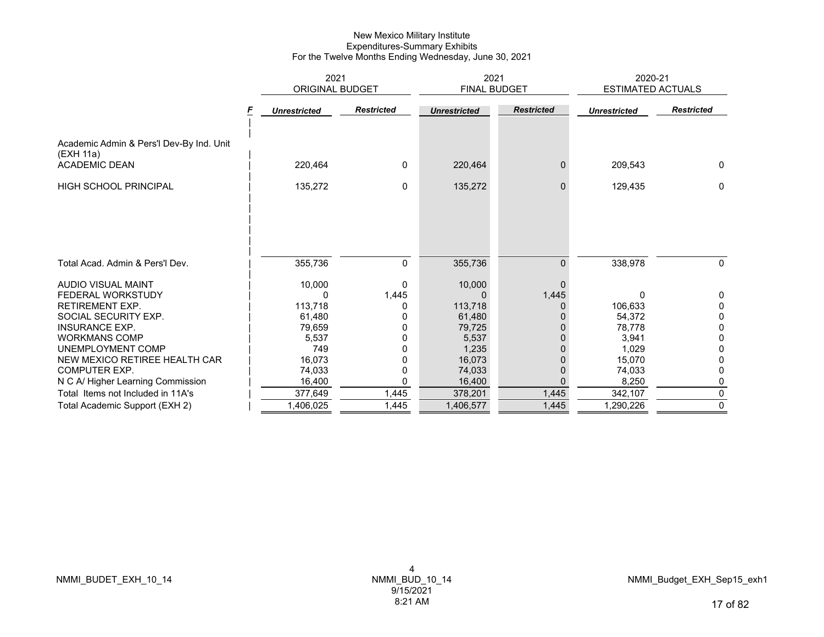|                                                       | 2021                |                   | 2021                |                   | 2020-21                  |                   |
|-------------------------------------------------------|---------------------|-------------------|---------------------|-------------------|--------------------------|-------------------|
|                                                       | ORIGINAL BUDGET     |                   | FINAL BUDGET        |                   | <b>ESTIMATED ACTUALS</b> |                   |
|                                                       | <b>Unrestricted</b> | <b>Restricted</b> | <b>Unrestricted</b> | <b>Restricted</b> | <b>Unrestricted</b>      | <b>Restricted</b> |
| Academic Admin & Pers'l Dev-By Ind. Unit<br>(EXH 11a) |                     |                   |                     |                   |                          |                   |
| <b>ACADEMIC DEAN</b>                                  | 220,464             | $\mathbf{0}$      | 220,464             | $\Omega$          | 209,543                  | $\mathbf{0}$      |
| <b>HIGH SCHOOL PRINCIPAL</b>                          | 135,272             | 0                 | 135,272             | $\mathbf{0}$      | 129,435                  | 0                 |
| Total Acad. Admin & Pers'l Dev.                       | 355,736             | 0                 | 355,736             | $\mathbf{0}$      | 338,978                  | 0                 |
|                                                       |                     |                   |                     |                   |                          |                   |
| AUDIO VISUAL MAINT                                    | 10,000              | 0                 | 10,000              | $\Omega$          |                          |                   |
| FEDERAL WORKSTUDY                                     | 0                   | 1,445             | <sup>0</sup>        | 1,445             | 0                        | 0                 |
| <b>RETIREMENT EXP.</b>                                | 113,718             |                   | 113,718             | 0                 | 106,633                  | $\Omega$          |
| SOCIAL SECURITY EXP.                                  | 61,480              |                   | 61,480              |                   | 54.372                   | 0                 |
| <b>INSURANCE EXP.</b>                                 | 79,659              |                   | 79,725              |                   | 78,778                   | 0                 |
| <b>WORKMANS COMP</b>                                  | 5,537               |                   | 5,537               | 0                 | 3,941                    | 0                 |
| UNEMPLOYMENT COMP                                     | 749                 |                   | 1,235               |                   | 1,029                    | 0                 |
| NEW MEXICO RETIREE HEALTH CAR                         | 16.073              |                   | 16,073              |                   | 15.070                   | 0                 |
| <b>COMPUTER EXP.</b>                                  | 74,033              | 0                 | 74,033              | 0                 | 74,033                   | 0                 |
| N C A/ Higher Learning Commission                     | 16,400              | 0                 | 16,400              | $\Omega$          | 8,250                    | 0                 |
| Total Items not Included in 11A's                     | 377,649             | 1,445             | 378,201             | 1,445             | 342,107                  | 0                 |
| Total Academic Support (EXH 2)                        | 1,406,025           | 1,445             | 1,406,577           | 1,445             | 1,290,226                | 0                 |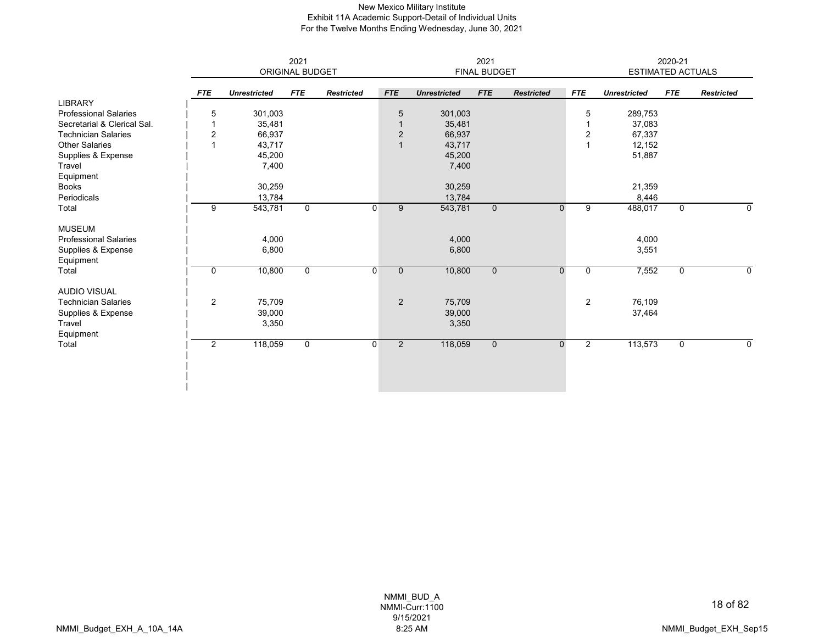#### New Mexico Military Institute Exhibit 11A Academic Support-Detail of Individual Units For the Twelve Months Ending Wednesday, June 30, 2021

|                              |                | 2021<br>ORIGINAL BUDGET |             |                   |                | 2021<br>FINAL BUDGET |                     |             |                   |                | 2020-21<br>ESTIMATED ACTUALS |             |                   |  |
|------------------------------|----------------|-------------------------|-------------|-------------------|----------------|----------------------|---------------------|-------------|-------------------|----------------|------------------------------|-------------|-------------------|--|
|                              |                |                         |             |                   |                |                      |                     |             |                   |                |                              |             |                   |  |
|                              | <b>FTE</b>     | <b>Unrestricted</b>     | <b>FTE</b>  | <b>Restricted</b> | <b>FTE</b>     |                      | <b>Unrestricted</b> | <b>FTE</b>  | <b>Restricted</b> | <b>FTE</b>     | <b>Unrestricted</b>          | <b>FTE</b>  | <b>Restricted</b> |  |
| <b>LIBRARY</b>               |                |                         |             |                   |                |                      |                     |             |                   |                |                              |             |                   |  |
| <b>Professional Salaries</b> | 5              | 301,003                 |             |                   |                | 5                    | 301,003             |             |                   | 5              | 289,753                      |             |                   |  |
| Secretarial & Clerical Sal.  |                | 35,481                  |             |                   |                |                      | 35,481              |             |                   |                | 37,083                       |             |                   |  |
| <b>Technician Salaries</b>   | $\overline{c}$ | 66,937                  |             |                   |                | $\overline{2}$       | 66,937              |             |                   | 2              | 67,337                       |             |                   |  |
| <b>Other Salaries</b>        | 1              | 43,717                  |             |                   |                | $\mathbf{1}$         | 43,717              |             |                   |                | 12,152                       |             |                   |  |
| Supplies & Expense           |                | 45,200                  |             |                   |                |                      | 45,200              |             |                   |                | 51,887                       |             |                   |  |
| Travel                       |                | 7,400                   |             |                   |                |                      | 7,400               |             |                   |                |                              |             |                   |  |
| Equipment                    |                |                         |             |                   |                |                      |                     |             |                   |                |                              |             |                   |  |
| <b>Books</b>                 |                | 30,259                  |             |                   |                |                      | 30,259              |             |                   |                | 21,359                       |             |                   |  |
| Periodicals                  |                | 13,784                  |             |                   |                |                      | 13,784              |             |                   |                | 8,446                        |             |                   |  |
| Total                        | 9              | 543,781                 | $\mathbf 0$ |                   | $\overline{0}$ | $\overline{9}$       | 543,781             | $\mathbf 0$ | 0                 | 9              | 488,017                      | 0           | 0                 |  |
| <b>MUSEUM</b>                |                |                         |             |                   |                |                      |                     |             |                   |                |                              |             |                   |  |
| <b>Professional Salaries</b> |                | 4,000                   |             |                   |                |                      | 4,000               |             |                   |                | 4,000                        |             |                   |  |
| Supplies & Expense           |                | 6,800                   |             |                   |                |                      | 6,800               |             |                   |                | 3,551                        |             |                   |  |
| Equipment                    |                |                         |             |                   |                |                      |                     |             |                   |                |                              |             |                   |  |
| Total                        | 0              | 10,800                  | $\mathbf 0$ |                   | 0              | $\mathbf{0}$         | 10,800              | $\mathbf 0$ | 0                 | 0              | 7,552                        | 0           | 0                 |  |
| <b>AUDIO VISUAL</b>          |                |                         |             |                   |                |                      |                     |             |                   |                |                              |             |                   |  |
| <b>Technician Salaries</b>   | $\overline{2}$ | 75,709                  |             |                   |                | $\overline{2}$       | 75,709              |             |                   | $\overline{2}$ | 76,109                       |             |                   |  |
| Supplies & Expense           |                | 39,000                  |             |                   |                |                      | 39,000              |             |                   |                | 37,464                       |             |                   |  |
| Travel                       |                | 3,350                   |             |                   |                |                      | 3,350               |             |                   |                |                              |             |                   |  |
| Equipment                    |                |                         |             |                   |                |                      |                     |             |                   |                |                              |             |                   |  |
| Total                        | $\overline{2}$ | 118,059                 | $\mathbf 0$ |                   | $\Omega$       | $2^{\circ}$          | 118,059             | $\mathbf 0$ | $\Omega$          | $\overline{2}$ | 113,573                      | $\mathbf 0$ | $\Omega$          |  |
|                              |                |                         |             |                   |                |                      |                     |             |                   |                |                              |             |                   |  |
|                              |                |                         |             |                   |                |                      |                     |             |                   |                |                              |             |                   |  |
|                              |                |                         |             |                   |                |                      |                     |             |                   |                |                              |             |                   |  |
|                              |                |                         |             |                   |                |                      |                     |             |                   |                |                              |             |                   |  |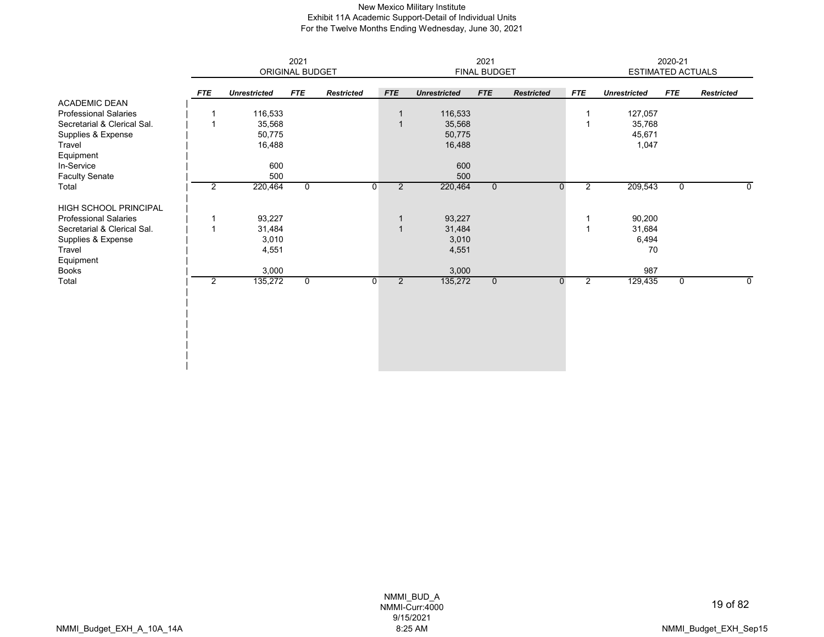#### New Mexico Military Institute Exhibit 11A Academic Support-Detail of Individual Units For the Twelve Months Ending Wednesday, June 30, 2021

|                              |                |                     | 2021            |                   | 2021                             |                     |              |                   |                | 2020-21                  |             |                   |  |
|------------------------------|----------------|---------------------|-----------------|-------------------|----------------------------------|---------------------|--------------|-------------------|----------------|--------------------------|-------------|-------------------|--|
|                              |                |                     | ORIGINAL BUDGET |                   |                                  |                     | FINAL BUDGET |                   |                | <b>ESTIMATED ACTUALS</b> |             |                   |  |
|                              | <b>FTE</b>     | <b>Unrestricted</b> | <b>FTE</b>      | <b>Restricted</b> | <b>FTE</b>                       | <b>Unrestricted</b> | <b>FTE</b>   | <b>Restricted</b> | <b>FTE</b>     | <b>Unrestricted</b>      | <b>FTE</b>  | <b>Restricted</b> |  |
| <b>ACADEMIC DEAN</b>         |                |                     |                 |                   |                                  |                     |              |                   |                |                          |             |                   |  |
| <b>Professional Salaries</b> |                | 116,533             |                 |                   | $\overline{\mathbf{1}}$          | 116,533             |              |                   |                | 127,057                  |             |                   |  |
| Secretarial & Clerical Sal.  | -1             | 35,568              |                 |                   | $\overline{1}$                   | 35,568              |              |                   | $\overline{1}$ | 35,768                   |             |                   |  |
| Supplies & Expense           |                | 50,775              |                 |                   |                                  | 50,775              |              |                   |                | 45,671                   |             |                   |  |
| Travel                       |                | 16,488              |                 |                   |                                  | 16,488              |              |                   |                | 1,047                    |             |                   |  |
| Equipment                    |                |                     |                 |                   |                                  |                     |              |                   |                |                          |             |                   |  |
| In-Service                   |                | 600                 |                 |                   |                                  | 600                 |              |                   |                |                          |             |                   |  |
| <b>Faculty Senate</b>        |                | 500                 |                 |                   |                                  | 500                 |              |                   |                |                          |             |                   |  |
| Total                        | $\overline{2}$ | 220,464             | $\mathbf 0$     |                   | $\overline{2}$<br>$\overline{0}$ | 220,464             | $\mathbf{0}$ | 0                 | $\overline{2}$ | 209,543                  | 0           | $\Omega$          |  |
| <b>HIGH SCHOOL PRINCIPAL</b> |                |                     |                 |                   |                                  |                     |              |                   |                |                          |             |                   |  |
| <b>Professional Salaries</b> |                | 93,227              |                 |                   | $\overline{1}$                   | 93,227              |              |                   |                | 90,200                   |             |                   |  |
| Secretarial & Clerical Sal.  | $\overline{ }$ | 31,484              |                 |                   | $\overline{1}$                   | 31,484              |              |                   | $\overline{1}$ | 31,684                   |             |                   |  |
| Supplies & Expense           |                | 3,010               |                 |                   |                                  | 3,010               |              |                   |                | 6,494                    |             |                   |  |
| Travel                       |                | 4,551               |                 |                   |                                  | 4,551               |              |                   |                | 70                       |             |                   |  |
| Equipment                    |                |                     |                 |                   |                                  |                     |              |                   |                |                          |             |                   |  |
| Books                        |                | 3,000               |                 |                   |                                  | 3,000               |              |                   |                | 987                      |             |                   |  |
| Total                        | $\overline{2}$ | 135,272             | 0               |                   | $\overline{2}$<br>$\overline{0}$ | 135,272             | $\mathbf 0$  | $\mathbf{0}$      | $\overline{2}$ | 129,435                  | $\mathbf 0$ | 0                 |  |
|                              |                |                     |                 |                   |                                  |                     |              |                   |                |                          |             |                   |  |
|                              |                |                     |                 |                   |                                  |                     |              |                   |                |                          |             |                   |  |
|                              |                |                     |                 |                   |                                  |                     |              |                   |                |                          |             |                   |  |
|                              |                |                     |                 |                   |                                  |                     |              |                   |                |                          |             |                   |  |
|                              |                |                     |                 |                   |                                  |                     |              |                   |                |                          |             |                   |  |
|                              |                |                     |                 |                   |                                  |                     |              |                   |                |                          |             |                   |  |
|                              |                |                     |                 |                   |                                  |                     |              |                   |                |                          |             |                   |  |
|                              |                |                     |                 |                   |                                  |                     |              |                   |                |                          |             |                   |  |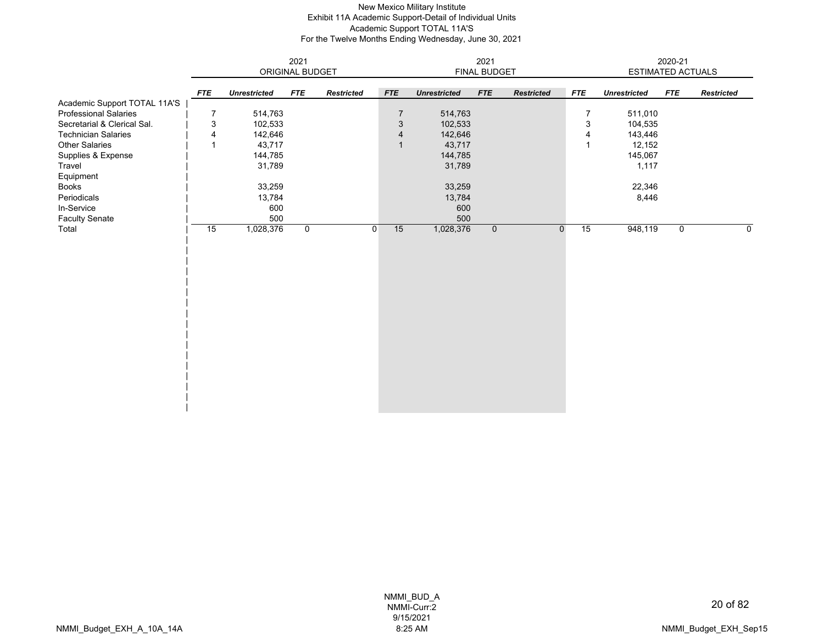# New Mexico Military Institute Exhibit 11A Academic Support-Detail of Individual Units Academic Support TOTAL 11A'S For the Twelve Months Ending Wednesday, June 30, 2021

|                              | 2021<br>ORIGINAL BUDGET |                     |              |                   |                           |                     | 2021           |                   | 2020-21        |                          |             |                   |
|------------------------------|-------------------------|---------------------|--------------|-------------------|---------------------------|---------------------|----------------|-------------------|----------------|--------------------------|-------------|-------------------|
|                              |                         |                     |              |                   |                           |                     | FINAL BUDGET   |                   |                | <b>ESTIMATED ACTUALS</b> |             |                   |
|                              | <b>FTE</b>              | <b>Unrestricted</b> | <b>FTE</b>   | <b>Restricted</b> | <b>FTE</b>                | <b>Unrestricted</b> | <b>FTE</b>     | <b>Restricted</b> | <b>FTE</b>     | <b>Unrestricted</b>      | <b>FTE</b>  | <b>Restricted</b> |
| Academic Support TOTAL 11A'S |                         |                     |              |                   |                           |                     |                |                   |                |                          |             |                   |
| <b>Professional Salaries</b> | 7                       | 514,763             |              |                   | $\overline{7}$            | 514,763             |                |                   | $\overline{7}$ | 511,010                  |             |                   |
| Secretarial & Clerical Sal.  | 3                       | 102,533             |              |                   | $\ensuremath{\mathsf{3}}$ | 102,533             |                |                   | $\sqrt{3}$     | 104,535                  |             |                   |
| <b>Technician Salaries</b>   | $\overline{4}$          | 142,646             |              |                   | $\overline{4}$            | 142,646             |                |                   | 4              | 143,446                  |             |                   |
| <b>Other Salaries</b>        |                         | 43,717              |              |                   | $\mathbf{1}$              | 43,717              |                |                   | $\overline{1}$ | 12,152                   |             |                   |
| Supplies & Expense           |                         | 144,785             |              |                   |                           | 144,785             |                |                   |                | 145,067                  |             |                   |
| Travel                       |                         | 31,789              |              |                   |                           | 31,789              |                |                   |                | 1,117                    |             |                   |
| Equipment                    |                         |                     |              |                   |                           |                     |                |                   |                |                          |             |                   |
| Books                        |                         | 33,259              |              |                   |                           | 33,259              |                |                   |                | 22,346                   |             |                   |
| Periodicals                  |                         | 13,784              |              |                   |                           | 13,784              |                |                   |                | 8,446                    |             |                   |
| In-Service                   |                         | 600                 |              |                   |                           | 600                 |                |                   |                |                          |             |                   |
| <b>Faculty Senate</b>        |                         | 500                 |              |                   |                           | 500                 |                |                   |                |                          |             |                   |
| Total                        | 15                      | 1,028,376           | $\mathsf{O}$ |                   | 15<br>$\mathbf{0}$        | 1,028,376           | $\overline{0}$ | $\mathbf 0$       | 15             | 948,119                  | $\mathbf 0$ | $\mathbf 0$       |
|                              |                         |                     |              |                   |                           |                     |                |                   |                |                          |             |                   |
|                              |                         |                     |              |                   |                           |                     |                |                   |                |                          |             |                   |
|                              |                         |                     |              |                   |                           |                     |                |                   |                |                          |             |                   |
|                              |                         |                     |              |                   |                           |                     |                |                   |                |                          |             |                   |
|                              |                         |                     |              |                   |                           |                     |                |                   |                |                          |             |                   |
|                              |                         |                     |              |                   |                           |                     |                |                   |                |                          |             |                   |
|                              |                         |                     |              |                   |                           |                     |                |                   |                |                          |             |                   |
|                              |                         |                     |              |                   |                           |                     |                |                   |                |                          |             |                   |
|                              |                         |                     |              |                   |                           |                     |                |                   |                |                          |             |                   |
|                              |                         |                     |              |                   |                           |                     |                |                   |                |                          |             |                   |
|                              |                         |                     |              |                   |                           |                     |                |                   |                |                          |             |                   |
|                              |                         |                     |              |                   |                           |                     |                |                   |                |                          |             |                   |
|                              |                         |                     |              |                   |                           |                     |                |                   |                |                          |             |                   |
|                              |                         |                     |              |                   |                           |                     |                |                   |                |                          |             |                   |
|                              |                         |                     |              |                   |                           |                     |                |                   |                |                          |             |                   |
|                              |                         |                     |              |                   |                           |                     |                |                   |                |                          |             |                   |
|                              |                         |                     |              |                   |                           |                     |                |                   |                |                          |             |                   |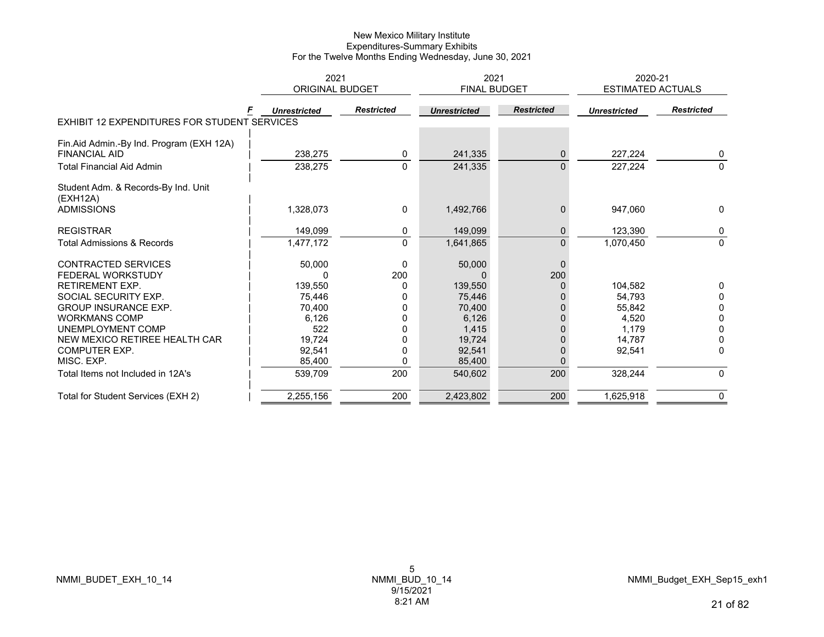|                                                     | 2021                   |                   | 2021                |                   | 2020-21                  |                   |
|-----------------------------------------------------|------------------------|-------------------|---------------------|-------------------|--------------------------|-------------------|
|                                                     | <b>ORIGINAL BUDGET</b> |                   | <b>FINAL BUDGET</b> |                   | <b>ESTIMATED ACTUALS</b> |                   |
|                                                     | <b>Unrestricted</b>    | <b>Restricted</b> | <b>Unrestricted</b> | <b>Restricted</b> | <b>Unrestricted</b>      | <b>Restricted</b> |
| <b>EXHIBIT 12 EXPENDITURES FOR STUDENT SERVICES</b> |                        |                   |                     |                   |                          |                   |
| Fin.Aid Admin.-By Ind. Program (EXH 12A)            |                        |                   |                     |                   |                          |                   |
| <b>FINANCIAL AID</b>                                | 238,275                | 0                 | 241,335             | 0                 | 227,224                  | 0                 |
| <b>Total Financial Aid Admin</b>                    | 238,275                | $\Omega$          | 241,335             | $\Omega$          | 227,224                  | $\Omega$          |
| Student Adm. & Records-By Ind. Unit<br>(EXH12A)     |                        |                   |                     |                   |                          |                   |
| <b>ADMISSIONS</b>                                   | 1,328,073              | 0                 | 1,492,766           | $\mathbf{0}$      | 947.060                  | $\Omega$          |
| <b>REGISTRAR</b>                                    | 149,099                | 0                 | 149,099             | $\mathbf{0}$      | 123,390                  | 0                 |
| <b>Total Admissions &amp; Records</b>               | 1,477,172              | $\Omega$          | 1,641,865           | $\Omega$          | 1,070,450                | $\mathbf{0}$      |
| <b>CONTRACTED SERVICES</b>                          | 50,000                 | 0                 | 50,000              | $\overline{0}$    |                          |                   |
| FEDERAL WORKSTUDY                                   |                        | 200               |                     | 200               |                          |                   |
| <b>RETIREMENT EXP.</b>                              | 139,550                |                   | 139,550             | 0                 | 104,582                  |                   |
| SOCIAL SECURITY EXP.                                | 75,446                 |                   | 75,446              |                   | 54,793                   | 0                 |
| <b>GROUP INSURANCE EXP.</b>                         | 70,400                 | $\Omega$          | 70,400              |                   | 55,842                   | 0                 |
| <b>WORKMANS COMP</b>                                | 6,126                  | $\Omega$          | 6,126               |                   | 4,520                    | 0                 |
| UNEMPLOYMENT COMP                                   | 522                    | 0                 | 1,415               |                   | 1,179                    | $\Omega$          |
| NEW MEXICO RETIREE HEALTH CAR                       | 19,724                 |                   | 19,724              |                   | 14,787                   |                   |
| <b>COMPUTER EXP.</b>                                | 92,541                 | 0                 | 92,541              | 0                 | 92,541                   | 0                 |
| MISC. EXP.                                          | 85,400                 | O                 | 85,400              | $\Omega$          |                          |                   |
| Total Items not Included in 12A's                   | 539,709                | 200               | 540,602             | 200               | 328,244                  | $\mathbf{0}$      |
| Total for Student Services (EXH 2)                  | 2,255,156              | 200               | 2,423,802           | 200               | 1,625,918                | $\mathbf 0$       |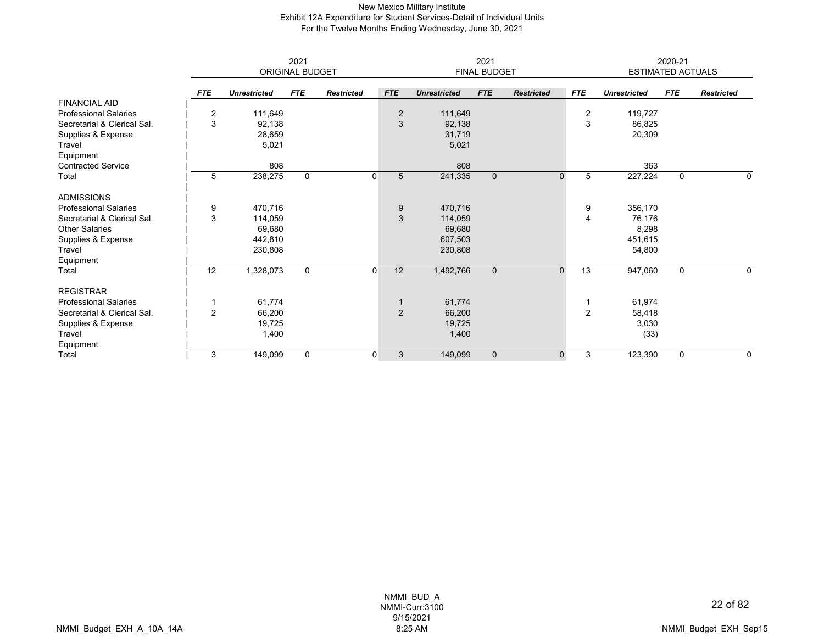## New Mexico Military Institute Exhibit 12A Expenditure for Student Services-Detail of Individual Units For the Twelve Months Ending Wednesday, June 30, 2021

|                              |                 |                     | 2021<br>ORIGINAL BUDGET |                   |                | 2021<br><b>FINAL BUDGET</b> |                |                   |                   | 2020-21<br><b>ESTIMATED ACTUALS</b> |              |                   |  |
|------------------------------|-----------------|---------------------|-------------------------|-------------------|----------------|-----------------------------|----------------|-------------------|-------------------|-------------------------------------|--------------|-------------------|--|
|                              |                 |                     |                         |                   |                |                             |                |                   |                   |                                     |              |                   |  |
|                              | <b>FTE</b>      | <b>Unrestricted</b> | <b>FTE</b>              | <b>Restricted</b> | <b>FTE</b>     | <b>Unrestricted</b>         | <b>FTE</b>     | <b>Restricted</b> | <b>FTE</b>        | <b>Unrestricted</b>                 | <b>FTE</b>   | <b>Restricted</b> |  |
| <b>FINANCIAL AID</b>         |                 |                     |                         |                   |                |                             |                |                   |                   |                                     |              |                   |  |
| <b>Professional Salaries</b> | $\overline{2}$  | 111,649             |                         |                   | $\overline{2}$ | 111,649                     |                |                   | $\overline{2}$    | 119,727                             |              |                   |  |
| Secretarial & Clerical Sal.  | 3               | 92,138              |                         |                   | 3              | 92,138                      |                |                   | 3                 | 86,825                              |              |                   |  |
| Supplies & Expense           |                 | 28,659              |                         |                   |                | 31,719                      |                |                   |                   | 20,309                              |              |                   |  |
| Travel                       |                 | 5,021               |                         |                   |                | 5,021                       |                |                   |                   |                                     |              |                   |  |
| Equipment                    |                 |                     |                         |                   |                |                             |                |                   |                   |                                     |              |                   |  |
| <b>Contracted Service</b>    |                 | 808                 |                         |                   |                | 808                         |                |                   |                   | 363                                 |              |                   |  |
| Total                        | 5               | 238,275             | $\mathbf{0}$            |                   | 0<br>5         | 241,335                     | $\overline{0}$ |                   | $\mathbf{0}$<br>5 | 227,224                             | $\mathbf 0$  | 0                 |  |
| <b>ADMISSIONS</b>            |                 |                     |                         |                   |                |                             |                |                   |                   |                                     |              |                   |  |
| <b>Professional Salaries</b> | 9               | 470,716             |                         |                   | 9              | 470,716                     |                |                   | 9                 | 356,170                             |              |                   |  |
| Secretarial & Clerical Sal.  | 3               | 114,059             |                         |                   | 3              | 114,059                     |                |                   | 4                 | 76,176                              |              |                   |  |
| <b>Other Salaries</b>        |                 | 69,680              |                         |                   |                | 69,680                      |                |                   |                   | 8,298                               |              |                   |  |
| Supplies & Expense           |                 | 442,810             |                         |                   |                | 607,503                     |                |                   |                   | 451,615                             |              |                   |  |
| Travel                       |                 | 230,808             |                         |                   |                | 230,808                     |                |                   |                   | 54,800                              |              |                   |  |
| Equipment                    |                 |                     |                         |                   |                |                             |                |                   |                   |                                     |              |                   |  |
| Total                        | $\overline{12}$ | 1,328,073           | $\Omega$                |                   | 12<br>0        | 1,492,766                   | $\mathbf{0}$   | $\Omega$          | $\overline{13}$   | 947,060                             | $\Omega$     | 0                 |  |
| <b>REGISTRAR</b>             |                 |                     |                         |                   |                |                             |                |                   |                   |                                     |              |                   |  |
| <b>Professional Salaries</b> |                 | 61,774              |                         |                   |                | 61,774                      |                |                   |                   | 61,974                              |              |                   |  |
| Secretarial & Clerical Sal.  | 2               | 66,200              |                         |                   | 2              | 66,200                      |                |                   | 2                 | 58,418                              |              |                   |  |
| Supplies & Expense           |                 | 19,725              |                         |                   |                | 19,725                      |                |                   |                   | 3,030                               |              |                   |  |
| Travel                       |                 | 1,400               |                         |                   |                | 1,400                       |                |                   |                   | (33)                                |              |                   |  |
| Equipment                    |                 |                     |                         |                   |                |                             |                |                   |                   |                                     |              |                   |  |
| Total                        | 3               | 149,099             | $\Omega$                |                   | 3<br>0         | 149,099                     | $\mathbf{0}$   |                   | 0<br>3            | 123,390                             | $\mathbf{0}$ | 0                 |  |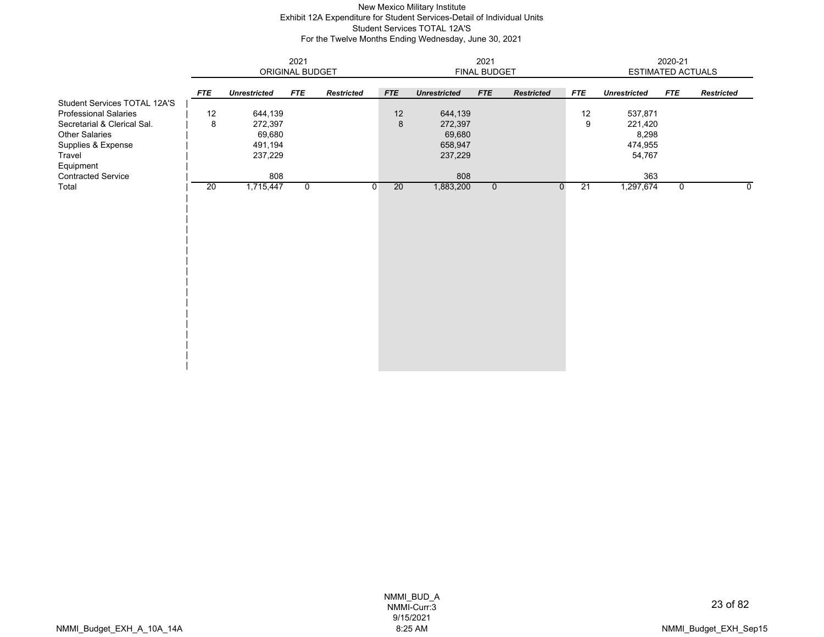## New Mexico Military Institute Exhibit 12A Expenditure for Student Services-Detail of Individual Units Student Services TOTAL 12A'S For the Twelve Months Ending Wednesday, June 30, 2021

|                                                                                                                                                            |            |                                                    | 2021<br>ORIGINAL BUDGET |                   | 2021<br>FINAL BUDGET |                                                    |                |                   |            | 2020-21<br>ESTIMATED ACTUALS                     |             |                   |  |
|------------------------------------------------------------------------------------------------------------------------------------------------------------|------------|----------------------------------------------------|-------------------------|-------------------|----------------------|----------------------------------------------------|----------------|-------------------|------------|--------------------------------------------------|-------------|-------------------|--|
|                                                                                                                                                            | <b>FTE</b> | <b>Unrestricted</b>                                | <b>FTE</b>              | <b>Restricted</b> | <b>FTE</b>           | <b>Unrestricted</b>                                | <b>FTE</b>     | <b>Restricted</b> | <b>FTE</b> | <b>Unrestricted</b>                              | <b>FTE</b>  | <b>Restricted</b> |  |
| Student Services TOTAL 12A'S<br><b>Professional Salaries</b><br>Secretarial & Clerical Sal.<br>Other Salaries<br>Supplies & Expense<br>Travel<br>Equipment | 12<br>8    | 644,139<br>272,397<br>69,680<br>491,194<br>237,229 |                         |                   | 12<br>8              | 644,139<br>272,397<br>69,680<br>658,947<br>237,229 |                |                   | 12<br>9    | 537,871<br>221,420<br>8,298<br>474,955<br>54,767 |             |                   |  |
| <b>Contracted Service</b><br>Total                                                                                                                         | 20         | 808<br>1,715,447                                   | $\mathbf 0$             |                   | 20<br>$\overline{0}$ | 808<br>1,883,200                                   | $\overline{0}$ | $\mathbf 0$       | 21         | 363<br>1,297,674                                 | $\mathbf 0$ | 0                 |  |
|                                                                                                                                                            |            |                                                    |                         |                   |                      |                                                    |                |                   |            |                                                  |             |                   |  |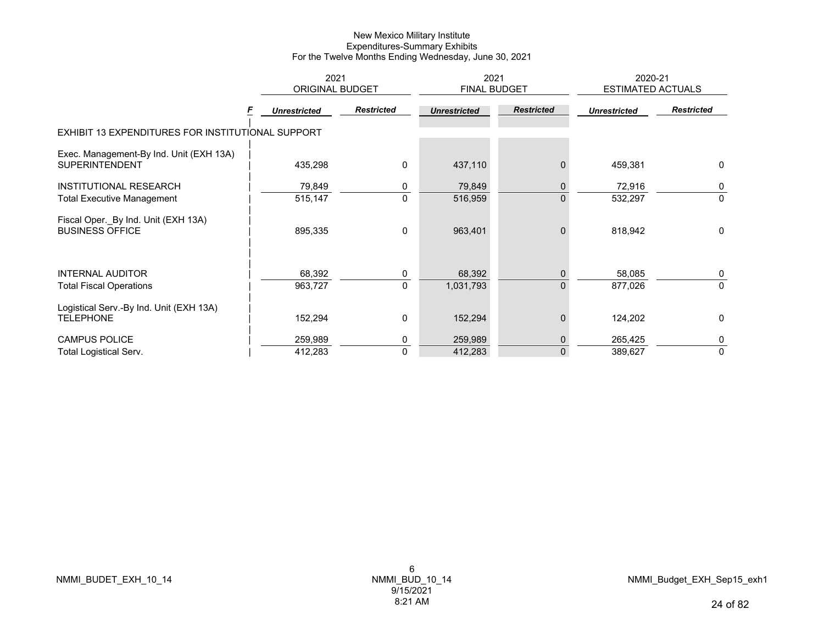|                                                                  | 2021                   |                   | 2021                |                   | 2020-21<br><b>ESTIMATED ACTUALS</b> |                   |
|------------------------------------------------------------------|------------------------|-------------------|---------------------|-------------------|-------------------------------------|-------------------|
|                                                                  | <b>ORIGINAL BUDGET</b> |                   | <b>FINAL BUDGET</b> |                   |                                     |                   |
|                                                                  | <b>Unrestricted</b>    | <b>Restricted</b> | <b>Unrestricted</b> | <b>Restricted</b> | <b>Unrestricted</b>                 | <b>Restricted</b> |
| EXHIBIT 13 EXPENDITURES FOR INSTITUTIONAL SUPPORT                |                        |                   |                     |                   |                                     |                   |
| Exec. Management-By Ind. Unit (EXH 13A)<br><b>SUPERINTENDENT</b> | 435,298                | 0                 | 437,110             |                   | 459,381                             | 0                 |
| <b>INSTITUTIONAL RESEARCH</b>                                    | 79,849                 | 0                 | 79,849              | 0                 | 72,916                              | 0                 |
| <b>Total Executive Management</b>                                | 515,147                | $\Omega$          | 516,959             | $\overline{0}$    | 532,297                             | $\Omega$          |
| Fiscal Oper._By Ind. Unit (EXH 13A)<br><b>BUSINESS OFFICE</b>    | 895,335                | 0                 | 963,401             | $\mathbf{0}$      | 818,942                             | 0                 |
| <b>INTERNAL AUDITOR</b>                                          | 68,392                 | 0                 | 68,392              | 0                 | 58,085                              | 0                 |
| <b>Total Fiscal Operations</b>                                   | 963,727                | $\mathbf{0}$      | 1,031,793           | $\Omega$          | 877,026                             | $\mathbf{0}$      |
| Logistical Serv.-By Ind. Unit (EXH 13A)<br><b>TELEPHONE</b>      | 152,294                | 0                 | 152,294             | 0                 | 124,202                             | 0                 |
| <b>CAMPUS POLICE</b>                                             | 259,989                | 0                 | 259,989             | $\mathbf 0$       | 265,425                             | 0                 |
| <b>Total Logistical Serv.</b>                                    | 412,283                | $\mathbf{0}$      | 412,283             | $\Omega$          | 389,627                             | 0                 |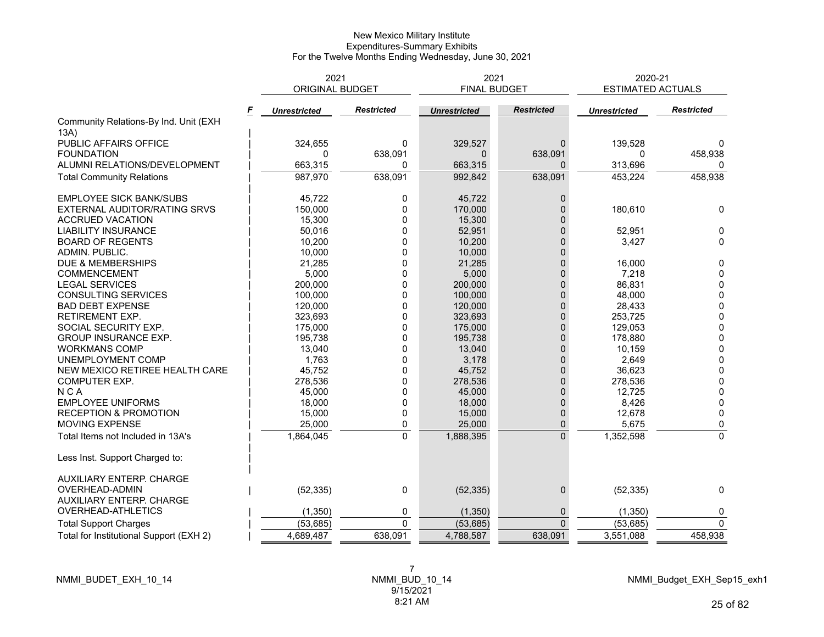|                                         | 2021<br><b>ORIGINAL BUDGET</b> |                   | 2021<br><b>FINAL BUDGET</b> |                   | 2020-21<br><b>ESTIMATED ACTUALS</b> |                   |
|-----------------------------------------|--------------------------------|-------------------|-----------------------------|-------------------|-------------------------------------|-------------------|
|                                         | <b>Unrestricted</b>            | <b>Restricted</b> | <b>Unrestricted</b>         | <b>Restricted</b> | <b>Unrestricted</b>                 | <b>Restricted</b> |
| Community Relations-By Ind. Unit (EXH   |                                |                   |                             |                   |                                     |                   |
| 13A)                                    |                                |                   |                             |                   |                                     |                   |
| PUBLIC AFFAIRS OFFICE                   | 324,655                        | $\mathbf{0}$      | 329,527                     | $\mathbf{0}$      | 139,528                             | $\Omega$          |
| <b>FOUNDATION</b>                       | $\Omega$                       | 638,091           | $\Omega$                    | 638,091           | $\Omega$                            | 458,938           |
| ALUMNI RELATIONS/DEVELOPMENT            | 663,315                        | 0                 | 663,315                     | $\Omega$          | 313,696                             | $\Omega$          |
| <b>Total Community Relations</b>        | 987,970                        | 638,091           | 992,842                     | 638,091           | 453,224                             | 458,938           |
| <b>EMPLOYEE SICK BANK/SUBS</b>          | 45.722                         | 0                 | 45,722                      | $\overline{0}$    |                                     |                   |
| EXTERNAL AUDITOR/RATING SRVS            | 150,000                        | $\mathbf{0}$      | 170,000                     | $\Omega$          | 180,610                             | 0                 |
| <b>ACCRUED VACATION</b>                 | 15,300                         | 0                 | 15,300                      | $\Omega$          |                                     |                   |
| <b>LIABILITY INSURANCE</b>              | 50,016                         | 0                 | 52,951                      | $\mathbf{0}$      | 52,951                              | 0                 |
| <b>BOARD OF REGENTS</b>                 | 10,200                         | 0                 | 10,200                      | $\mathbf{0}$      | 3,427                               | $\Omega$          |
| ADMIN. PUBLIC.                          | 10,000                         | 0                 | 10,000                      | $\Omega$          |                                     |                   |
| DUE & MEMBERSHIPS                       | 21,285                         | 0                 | 21,285                      | $\mathbf{0}$      | 16,000                              | 0                 |
| COMMENCEMENT                            | 5,000                          | 0                 | 5,000                       | $\overline{0}$    | 7,218                               | 0                 |
| <b>LEGAL SERVICES</b>                   | 200,000                        | 0                 | 200,000                     | $\mathbf{0}$      | 86,831                              | $\pmb{0}$         |
| <b>CONSULTING SERVICES</b>              | 100,000                        | 0                 | 100,000                     | $\Omega$          | 48.000                              | $\mathbf 0$       |
| <b>BAD DEBT EXPENSE</b>                 | 120,000                        | 0                 | 120,000                     | $\mathbf{0}$      | 28,433                              | $\pmb{0}$         |
| <b>RETIREMENT EXP.</b>                  | 323,693                        | 0                 | 323,693                     | 0                 | 253,725                             | $\pmb{0}$         |
| SOCIAL SECURITY EXP.                    | 175,000                        | 0                 | 175,000                     | $\Omega$          | 129,053                             | $\pmb{0}$         |
| <b>GROUP INSURANCE EXP.</b>             | 195,738                        | 0                 | 195,738                     | $\mathbf{0}$      | 178,880                             | $\mathbf 0$       |
| <b>WORKMANS COMP</b>                    | 13,040                         | 0                 | 13,040                      | $\mathbf{0}$      | 10,159                              | $\pmb{0}$         |
| UNEMPLOYMENT COMP                       | 1,763                          | 0                 | 3,178                       | $\mathbf 0$       | 2,649                               | $\pmb{0}$         |
| NEW MEXICO RETIREE HEALTH CARE          | 45,752                         | 0                 | 45,752                      | $\Omega$          | 36,623                              | $\pmb{0}$         |
| COMPUTER EXP.                           | 278,536                        | 0                 | 278,536                     | $\mathbf{0}$      | 278,536                             | $\mathbf 0$       |
| <b>NCA</b>                              | 45,000                         | 0                 | 45,000                      | 0                 | 12,725                              | 0                 |
| <b>EMPLOYEE UNIFORMS</b>                | 18,000                         | 0                 | 18,000                      | $\Omega$          | 8,426                               | 0                 |
| <b>RECEPTION &amp; PROMOTION</b>        | 15,000                         | 0                 | 15,000                      | 0                 | 12,678                              | $\mathbf{0}$      |
| MOVING EXPENSE                          | 25,000                         | 0                 | 25,000                      | 0                 | 5,675                               | 0                 |
| Total Items not Included in 13A's       | 1,864,045                      | $\overline{0}$    | 1,888,395                   | $\overline{0}$    | 1,352,598                           | $\pmb{0}$         |
| Less Inst. Support Charged to:          |                                |                   |                             |                   |                                     |                   |
| AUXILIARY ENTERP. CHARGE                |                                |                   |                             |                   |                                     |                   |
| OVERHEAD-ADMIN                          | (52, 335)                      | 0                 | (52, 335)                   | 0                 | (52, 335)                           | 0                 |
| <b>AUXILIARY ENTERP. CHARGE</b>         |                                |                   |                             |                   |                                     |                   |
| OVERHEAD-ATHLETICS                      | (1, 350)                       | 0                 | (1, 350)                    | $\mathbf 0$       | (1, 350)                            | 0                 |
| <b>Total Support Charges</b>            | (53, 685)                      | 0                 | (53, 685)                   | $\mathbf{0}$      | (53, 685)                           | $\mathbf 0$       |
| Total for Institutional Support (EXH 2) | 4,689,487                      | 638,091           | 4,788,587                   | 638,091           | 3,551,088                           | 458,938           |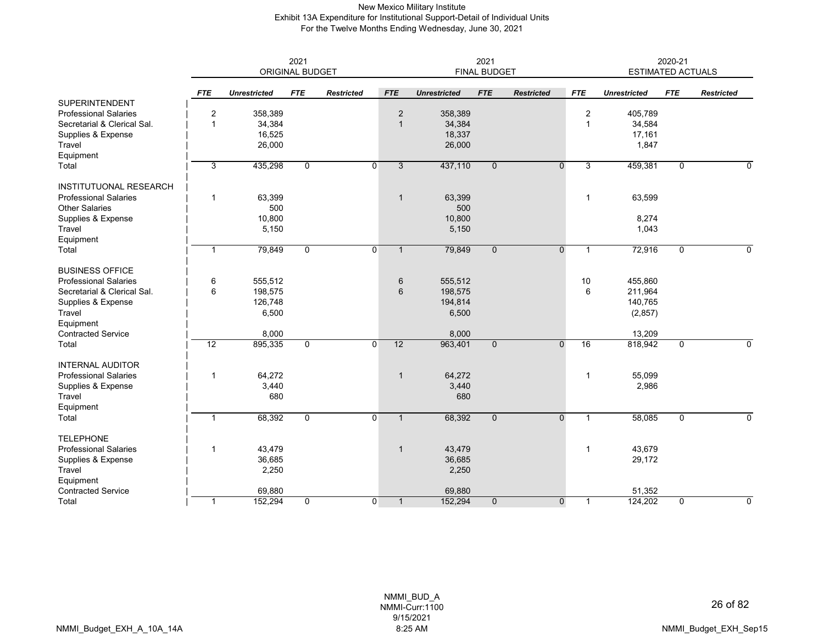## New Mexico Military Institute Exhibit 13A Expenditure for Institutional Support-Detail of Individual Units For the Twelve Months Ending Wednesday, June 30, 2021

|                               | 2021<br><b>ORIGINAL BUDGET</b> |                     |              |                   |                | 2021<br><b>FINAL BUDGET</b> |              |                   |                |                     | 2020-21<br><b>ESTIMATED ACTUALS</b> |                   |  |  |
|-------------------------------|--------------------------------|---------------------|--------------|-------------------|----------------|-----------------------------|--------------|-------------------|----------------|---------------------|-------------------------------------|-------------------|--|--|
|                               | <b>FTE</b>                     | <b>Unrestricted</b> | <b>FTE</b>   | <b>Restricted</b> | <b>FTE</b>     | <b>Unrestricted</b>         | <b>FTE</b>   | <b>Restricted</b> | <b>FTE</b>     | <b>Unrestricted</b> | <b>FTE</b>                          | <b>Restricted</b> |  |  |
| <b>SUPERINTENDENT</b>         |                                |                     |              |                   |                |                             |              |                   |                |                     |                                     |                   |  |  |
| <b>Professional Salaries</b>  | $\overline{2}$                 | 358,389             |              |                   | $\overline{2}$ | 358,389                     |              |                   | $\overline{2}$ | 405,789             |                                     |                   |  |  |
| Secretarial & Clerical Sal.   | $\overline{1}$                 | 34,384              |              |                   | $\overline{1}$ | 34,384                      |              |                   | $\mathbf 1$    | 34,584              |                                     |                   |  |  |
| Supplies & Expense            |                                | 16,525              |              |                   |                | 18,337                      |              |                   |                | 17,161              |                                     |                   |  |  |
| Travel                        |                                | 26,000              |              |                   |                | 26,000                      |              |                   |                | 1,847               |                                     |                   |  |  |
| Equipment                     |                                |                     |              |                   |                |                             |              |                   |                |                     |                                     |                   |  |  |
| Total                         | 3                              | 435,298             | 0            | $\overline{0}$    | $\overline{3}$ | 437,110                     | $\mathbf 0$  | $\overline{0}$    | 3              | 459,381             | 0                                   | 0                 |  |  |
| <b>INSTITUTUONAL RESEARCH</b> |                                |                     |              |                   |                |                             |              |                   |                |                     |                                     |                   |  |  |
| <b>Professional Salaries</b>  | $\mathbf{1}$                   | 63,399              |              |                   | $\overline{1}$ | 63,399                      |              |                   | $\mathbf{1}$   | 63,599              |                                     |                   |  |  |
| <b>Other Salaries</b>         |                                | 500                 |              |                   |                | 500                         |              |                   |                |                     |                                     |                   |  |  |
| Supplies & Expense            |                                | 10,800              |              |                   |                | 10,800                      |              |                   |                | 8,274               |                                     |                   |  |  |
| Travel                        |                                | 5,150               |              |                   |                | 5,150                       |              |                   |                | 1,043               |                                     |                   |  |  |
| Equipment                     |                                |                     |              |                   |                |                             |              |                   |                |                     |                                     |                   |  |  |
| Total                         | $\overline{1}$                 | 79,849              | 0            | $\overline{0}$    | $\mathbf{1}$   | 79,849                      | $\mathbf{0}$ | $\mathbf{0}$      | $\mathbf{1}$   | 72,916              | $\mathbf 0$                         | 0                 |  |  |
| <b>BUSINESS OFFICE</b>        |                                |                     |              |                   |                |                             |              |                   |                |                     |                                     |                   |  |  |
| <b>Professional Salaries</b>  | 6                              | 555,512             |              |                   | 6              | 555,512                     |              |                   | 10             | 455,860             |                                     |                   |  |  |
| Secretarial & Clerical Sal.   | 6                              | 198,575             |              |                   | 6              | 198,575                     |              |                   | 6              | 211,964             |                                     |                   |  |  |
| Supplies & Expense            |                                | 126,748             |              |                   |                | 194,814                     |              |                   |                | 140,765             |                                     |                   |  |  |
| Travel                        |                                | 6,500               |              |                   |                | 6,500                       |              |                   |                | (2, 857)            |                                     |                   |  |  |
| Equipment                     |                                |                     |              |                   |                |                             |              |                   |                |                     |                                     |                   |  |  |
| <b>Contracted Service</b>     |                                | 8,000               |              |                   |                | 8,000                       |              |                   |                | 13,209              |                                     |                   |  |  |
| Total                         | 12                             | 895,335             | 0            | $\overline{0}$    | 12             | 963,401                     | $\mathbf 0$  | $\Omega$          | 16             | 818,942             | 0                                   | 0                 |  |  |
| <b>INTERNAL AUDITOR</b>       |                                |                     |              |                   |                |                             |              |                   |                |                     |                                     |                   |  |  |
| <b>Professional Salaries</b>  | $\overline{1}$                 | 64,272              |              |                   | $\overline{1}$ | 64,272                      |              |                   | -1             | 55,099              |                                     |                   |  |  |
| Supplies & Expense            |                                | 3,440               |              |                   |                | 3,440                       |              |                   |                | 2,986               |                                     |                   |  |  |
| Travel                        |                                | 680                 |              |                   |                | 680                         |              |                   |                |                     |                                     |                   |  |  |
| Equipment                     |                                |                     |              |                   |                |                             |              |                   |                |                     |                                     |                   |  |  |
| Total                         | $\overline{1}$                 | 68,392              | $\mathbf 0$  | $\overline{0}$    | $\overline{1}$ | 68,392                      | $\mathbf{0}$ | $\mathbf 0$       | $\mathbf{1}$   | 58,085              | 0                                   | 0                 |  |  |
| <b>TELEPHONE</b>              |                                |                     |              |                   |                |                             |              |                   |                |                     |                                     |                   |  |  |
| <b>Professional Salaries</b>  | $\overline{1}$                 | 43,479              |              |                   | $\mathbf{1}$   | 43,479                      |              |                   | $\mathbf{1}$   | 43,679              |                                     |                   |  |  |
| Supplies & Expense            |                                | 36,685              |              |                   |                | 36,685                      |              |                   |                | 29,172              |                                     |                   |  |  |
| Travel                        |                                | 2,250               |              |                   |                | 2,250                       |              |                   |                |                     |                                     |                   |  |  |
| Equipment                     |                                |                     |              |                   |                |                             |              |                   |                |                     |                                     |                   |  |  |
| <b>Contracted Service</b>     |                                | 69,880              |              |                   |                | 69,880                      |              |                   |                | 51,352              |                                     |                   |  |  |
| Total                         | $\overline{1}$                 | 152,294             | $\mathbf{0}$ | $\overline{0}$    | $\mathbf{1}$   | 152,294                     | $\mathbf{0}$ | $\mathbf{0}$      | $\mathbf{1}$   | 124,202             | $\mathbf 0$                         | 0                 |  |  |

NMMI\_BUD\_A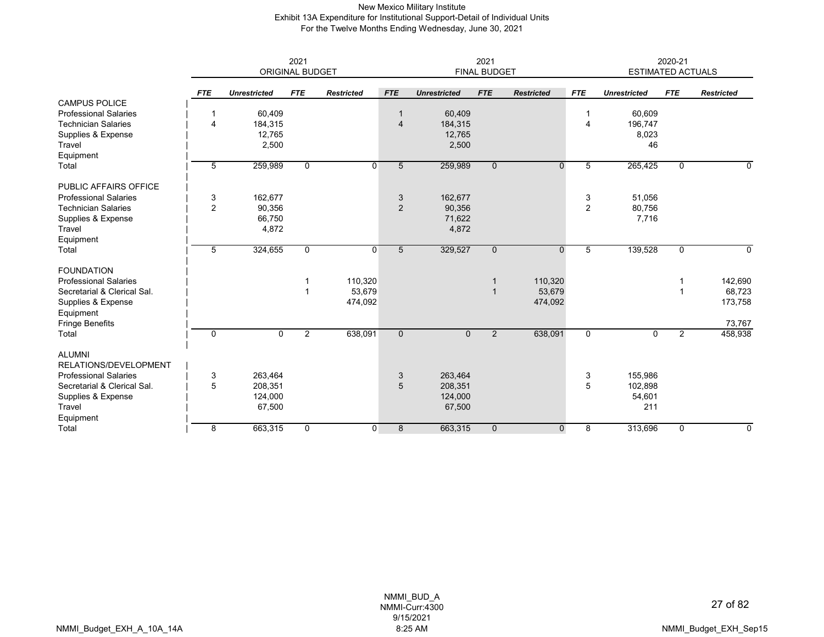## New Mexico Military Institute Exhibit 13A Expenditure for Institutional Support-Detail of Individual Units For the Twelve Months Ending Wednesday, June 30, 2021

|                              | 2021<br>2021   |                     |                        |                   |              |                     |                     | 2020-21           |                |                          |                |                   |
|------------------------------|----------------|---------------------|------------------------|-------------------|--------------|---------------------|---------------------|-------------------|----------------|--------------------------|----------------|-------------------|
|                              |                |                     | <b>ORIGINAL BUDGET</b> |                   |              |                     | <b>FINAL BUDGET</b> |                   |                | <b>ESTIMATED ACTUALS</b> |                |                   |
|                              | <b>FTE</b>     | <b>Unrestricted</b> | <b>FTE</b>             | <b>Restricted</b> | <b>FTE</b>   | <b>Unrestricted</b> | <b>FTE</b>          | <b>Restricted</b> | <b>FTE</b>     | <b>Unrestricted</b>      | <b>FTE</b>     | <b>Restricted</b> |
| <b>CAMPUS POLICE</b>         |                |                     |                        |                   |              |                     |                     |                   |                |                          |                |                   |
| <b>Professional Salaries</b> | -1             | 60,409              |                        |                   |              | 60,409              |                     |                   |                | 60,609                   |                |                   |
| <b>Technician Salaries</b>   | 4              | 184,315             |                        |                   | 4            | 184,315             |                     |                   | $\overline{4}$ | 196,747                  |                |                   |
| Supplies & Expense           |                | 12,765              |                        |                   |              | 12,765              |                     |                   |                | 8,023                    |                |                   |
| Travel                       |                | 2,500               |                        |                   |              | 2,500               |                     |                   |                | 46                       |                |                   |
| Equipment                    |                |                     |                        |                   |              |                     |                     |                   |                |                          |                |                   |
| Total                        | 5              | 259,989             | 0                      | $\Omega$          | 5            | 259,989             | $\mathbf{0}$        | $\Omega$          | 5              | 265,425                  | $\mathbf 0$    | 0                 |
| PUBLIC AFFAIRS OFFICE        |                |                     |                        |                   |              |                     |                     |                   |                |                          |                |                   |
| <b>Professional Salaries</b> | 3              | 162,677             |                        |                   | 3            | 162,677             |                     |                   | 3              | 51,056                   |                |                   |
| <b>Technician Salaries</b>   | $\overline{2}$ | 90,356              |                        |                   | 2            | 90,356              |                     |                   | 2              | 80,756                   |                |                   |
| Supplies & Expense           |                | 66,750              |                        |                   |              | 71,622              |                     |                   |                | 7,716                    |                |                   |
| Travel                       |                | 4,872               |                        |                   |              | 4,872               |                     |                   |                |                          |                |                   |
| Equipment                    |                |                     |                        |                   |              |                     |                     |                   |                |                          |                |                   |
| Total                        | 5              | 324,655             | $\mathbf 0$            | $\overline{0}$    | 5            | 329,527             | $\mathbf{0}$        | $\mathbf{0}$      | 5              | 139,528                  | $\mathbf 0$    | 0                 |
| <b>FOUNDATION</b>            |                |                     |                        |                   |              |                     |                     |                   |                |                          |                |                   |
| <b>Professional Salaries</b> |                |                     |                        | 110,320           |              |                     |                     | 110,320           |                |                          |                | 142,690           |
| Secretarial & Clerical Sal.  |                |                     |                        | 53,679            |              |                     |                     | 53,679            |                |                          |                | 68,723            |
| Supplies & Expense           |                |                     |                        | 474,092           |              |                     |                     | 474,092           |                |                          |                | 173,758           |
| Equipment                    |                |                     |                        |                   |              |                     |                     |                   |                |                          |                |                   |
| <b>Fringe Benefits</b>       |                |                     |                        |                   |              |                     |                     |                   |                |                          |                | 73,767            |
| Total                        | $\mathbf 0$    | $\Omega$            | $\overline{2}$         | 638,091           | $\mathbf{0}$ | $\mathbf{0}$        | $\overline{2}$      | 638,091           | $\Omega$       | 0                        | $\overline{2}$ | 458,938           |
| <b>ALUMNI</b>                |                |                     |                        |                   |              |                     |                     |                   |                |                          |                |                   |
| RELATIONS/DEVELOPMENT        |                |                     |                        |                   |              |                     |                     |                   |                |                          |                |                   |
| <b>Professional Salaries</b> | 3              | 263,464             |                        |                   | 3            | 263,464             |                     |                   | 3              | 155,986                  |                |                   |
| Secretarial & Clerical Sal.  | 5              | 208,351             |                        |                   | 5            | 208,351             |                     |                   | 5              | 102,898                  |                |                   |
| Supplies & Expense           |                | 124,000             |                        |                   |              | 124,000             |                     |                   |                | 54,601                   |                |                   |
| Travel                       |                | 67,500              |                        |                   |              | 67,500              |                     |                   |                | 211                      |                |                   |
| Equipment                    |                |                     |                        |                   |              |                     |                     |                   |                |                          |                |                   |
| Total                        | 8              | 663,315             | 0                      | $\overline{0}$    | 8            | 663,315             | $\mathbf 0$         | $\mathbf 0$       | 8              | 313,696                  | 0              | 0                 |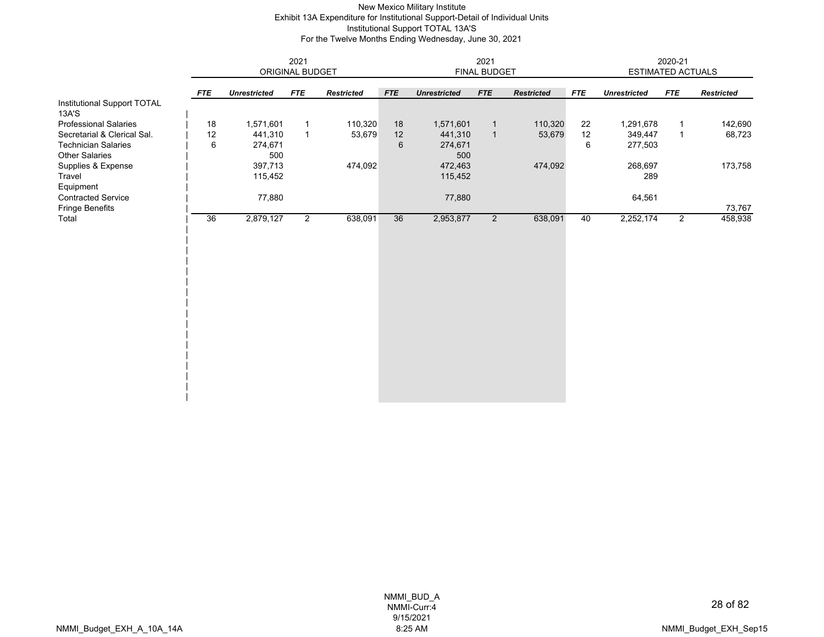## New Mexico Military Institute Exhibit 13A Expenditure for Institutional Support-Detail of Individual Units Institutional Support TOTAL 13A'S For the Twelve Months Ending Wednesday, June 30, 2021

|                                      | 2021       |                     |                 |                   | 2021           |                     |                |                   |            | 2020-21                  |                |                   |  |
|--------------------------------------|------------|---------------------|-----------------|-------------------|----------------|---------------------|----------------|-------------------|------------|--------------------------|----------------|-------------------|--|
|                                      |            |                     | ORIGINAL BUDGET |                   |                |                     | FINAL BUDGET   |                   |            | <b>ESTIMATED ACTUALS</b> |                |                   |  |
|                                      | <b>FTE</b> | <b>Unrestricted</b> | <b>FTE</b>      | <b>Restricted</b> | <b>FTE</b>     | <b>Unrestricted</b> | <b>FTE</b>     | <b>Restricted</b> | <b>FTE</b> | <b>Unrestricted</b>      | <b>FTE</b>     | <b>Restricted</b> |  |
| Institutional Support TOTAL<br>13A'S |            |                     |                 |                   |                |                     |                |                   |            |                          |                |                   |  |
| <b>Professional Salaries</b>         | 18         | 1,571,601           | $\mathbf{1}$    | 110,320           | 18             | 1,571,601           | $\mathbf{1}$   | 110,320           | 22         | 1,291,678                | $\mathbf{1}$   | 142,690           |  |
| Secretarial & Clerical Sal.          | 12         | 441,310             | $\mathbf{1}$    | 53,679            | 12             | 441,310             | $\mathbf{1}$   | 53,679            | 12         | 349,447                  | $\mathbf{1}$   | 68,723            |  |
| <b>Technician Salaries</b>           | 6          | 274,671             |                 |                   | $6\phantom{1}$ | 274,671             |                |                   | 6          | 277,503                  |                |                   |  |
| <b>Other Salaries</b>                |            | 500                 |                 |                   |                | 500                 |                |                   |            |                          |                |                   |  |
| Supplies & Expense                   |            | 397,713             |                 | 474,092           |                | 472,463             |                | 474,092           |            | 268,697                  |                | 173,758           |  |
| Travel                               |            | 115,452             |                 |                   |                | 115,452             |                |                   |            | 289                      |                |                   |  |
| Equipment                            |            |                     |                 |                   |                |                     |                |                   |            |                          |                |                   |  |
| <b>Contracted Service</b>            |            | 77,880              |                 |                   |                | 77,880              |                |                   |            | 64,561                   |                |                   |  |
| <b>Fringe Benefits</b>               |            |                     |                 |                   |                |                     |                |                   |            |                          |                | 73,767            |  |
| Total                                | 36         | 2,879,127           | $\overline{2}$  | 638,091           | 36             | 2,953,877           | $\overline{2}$ | 638,091           | 40         | 2,252,174                | $\overline{2}$ | 458,938           |  |
|                                      |            |                     |                 |                   |                |                     |                |                   |            |                          |                |                   |  |
|                                      |            |                     |                 |                   |                |                     |                |                   |            |                          |                |                   |  |
|                                      |            |                     |                 |                   |                |                     |                |                   |            |                          |                |                   |  |
|                                      |            |                     |                 |                   |                |                     |                |                   |            |                          |                |                   |  |
|                                      |            |                     |                 |                   |                |                     |                |                   |            |                          |                |                   |  |
|                                      |            |                     |                 |                   |                |                     |                |                   |            |                          |                |                   |  |
|                                      |            |                     |                 |                   |                |                     |                |                   |            |                          |                |                   |  |
|                                      |            |                     |                 |                   |                |                     |                |                   |            |                          |                |                   |  |
|                                      |            |                     |                 |                   |                |                     |                |                   |            |                          |                |                   |  |
|                                      |            |                     |                 |                   |                |                     |                |                   |            |                          |                |                   |  |
|                                      |            |                     |                 |                   |                |                     |                |                   |            |                          |                |                   |  |
|                                      |            |                     |                 |                   |                |                     |                |                   |            |                          |                |                   |  |
|                                      |            |                     |                 |                   |                |                     |                |                   |            |                          |                |                   |  |
|                                      |            |                     |                 |                   |                |                     |                |                   |            |                          |                |                   |  |
|                                      |            |                     |                 |                   |                |                     |                |                   |            |                          |                |                   |  |
|                                      |            |                     |                 |                   |                |                     |                |                   |            |                          |                |                   |  |
|                                      |            |                     |                 |                   |                |                     |                |                   |            |                          |                |                   |  |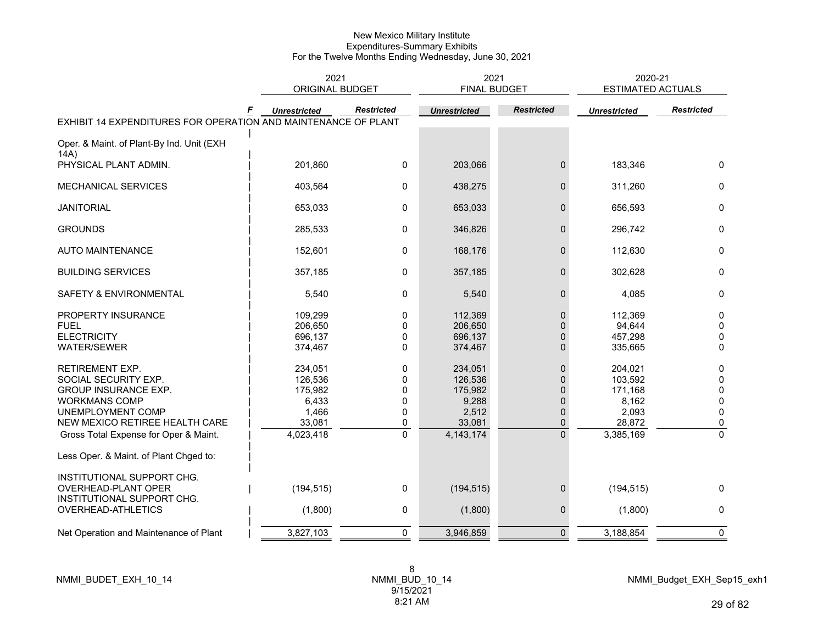|                                                                | 2021<br><b>ORIGINAL BUDGET</b> |                     | 2021<br><b>FINAL BUDGET</b> |                   | 2020-21<br><b>ESTIMATED ACTUALS</b> |                   |
|----------------------------------------------------------------|--------------------------------|---------------------|-----------------------------|-------------------|-------------------------------------|-------------------|
| EXHIBIT 14 EXPENDITURES FOR OPERATION AND MAINTENANCE OF PLANT | <b>Unrestricted</b>            | <b>Restricted</b>   | <b>Unrestricted</b>         | <b>Restricted</b> | <b>Unrestricted</b>                 | <b>Restricted</b> |
| Oper. & Maint. of Plant-By Ind. Unit (EXH                      |                                |                     |                             |                   |                                     |                   |
| 14A)<br>PHYSICAL PLANT ADMIN.                                  | 201,860                        | 0                   | 203,066                     | $\mathbf{0}$      | 183,346                             | $\mathbf{0}$      |
|                                                                |                                |                     |                             |                   |                                     |                   |
| MECHANICAL SERVICES                                            | 403,564                        | 0                   | 438,275                     | $\mathbf{0}$      | 311,260                             | 0                 |
| <b>JANITORIAL</b>                                              | 653,033                        | 0                   | 653,033                     | $\mathbf 0$       | 656,593                             | 0                 |
| <b>GROUNDS</b>                                                 | 285,533                        | 0                   | 346,826                     | $\mathbf{0}$      | 296,742                             | $\mathbf{0}$      |
| <b>AUTO MAINTENANCE</b>                                        | 152,601                        | 0                   | 168,176                     | $\mathbf 0$       | 112,630                             | $\mathbf 0$       |
| <b>BUILDING SERVICES</b>                                       | 357,185                        | 0                   | 357,185                     | $\mathbf 0$       | 302,628                             | $\mathbf 0$       |
| SAFETY & ENVIRONMENTAL                                         | 5,540                          | 0                   | 5,540                       | $\mathbf 0$       | 4,085                               | 0                 |
| PROPERTY INSURANCE                                             | 109,299                        | 0                   | 112,369                     | $\pmb{0}$         | 112,369                             | $\mathbf 0$       |
| <b>FUEL</b>                                                    | 206,650                        | 0                   | 206,650                     | $\Omega$          | 94,644                              | 0                 |
| <b>ELECTRICITY</b>                                             | 696,137                        | 0                   | 696,137                     | $\Omega$          | 457,298                             | 0                 |
| <b>WATER/SEWER</b>                                             | 374,467                        | 0                   | 374,467                     | $\Omega$          | 335,665                             | $\mathbf 0$       |
| <b>RETIREMENT EXP.</b>                                         | 234,051                        | 0                   | 234,051                     | $\mathbf{0}$      | 204,021                             | 0                 |
| SOCIAL SECURITY EXP.                                           | 126,536                        | 0                   | 126,536                     | $\mathbf{0}$      | 103,592                             | 0                 |
| <b>GROUP INSURANCE EXP.</b>                                    | 175,982                        | 0                   | 175,982                     | $\pmb{0}$         | 171,168                             | $\mathbf 0$       |
| <b>WORKMANS COMP</b>                                           | 6,433                          | 0                   | 9,288                       | $\mathbf{0}$      | 8,162                               | 0<br>$\mathbf{0}$ |
| UNEMPLOYMENT COMP<br>NEW MEXICO RETIREE HEALTH CARE            | 1,466<br>33,081                | 0                   | 2,512                       | $\mathbf 0$       | 2,093<br>28,872                     |                   |
|                                                                |                                | 0<br>$\overline{0}$ | 33,081                      | $\mathbf 0$       |                                     | 0                 |
| Gross Total Expense for Oper & Maint.                          | 4,023,418                      |                     | 4, 143, 174                 | $\Omega$          | 3,385,169                           | $\mathbf{0}$      |
| Less Oper. & Maint. of Plant Chged to:                         |                                |                     |                             |                   |                                     |                   |
| INSTITUTIONAL SUPPORT CHG.                                     |                                |                     |                             |                   |                                     |                   |
| OVERHEAD-PLANT OPER                                            | (194, 515)                     | 0                   | (194, 515)                  | $\mathbf 0$       | (194, 515)                          | $\mathbf{0}$      |
| INSTITUTIONAL SUPPORT CHG.                                     |                                |                     |                             |                   |                                     |                   |
| OVERHEAD-ATHLETICS                                             | (1,800)                        | 0                   | (1,800)                     | $\mathbf 0$       | (1,800)                             | 0                 |
| Net Operation and Maintenance of Plant                         | 3,827,103                      | $\mathbf 0$         | 3,946,859                   | $\mathbf 0$       | 3,188,854                           | $\mathbf 0$       |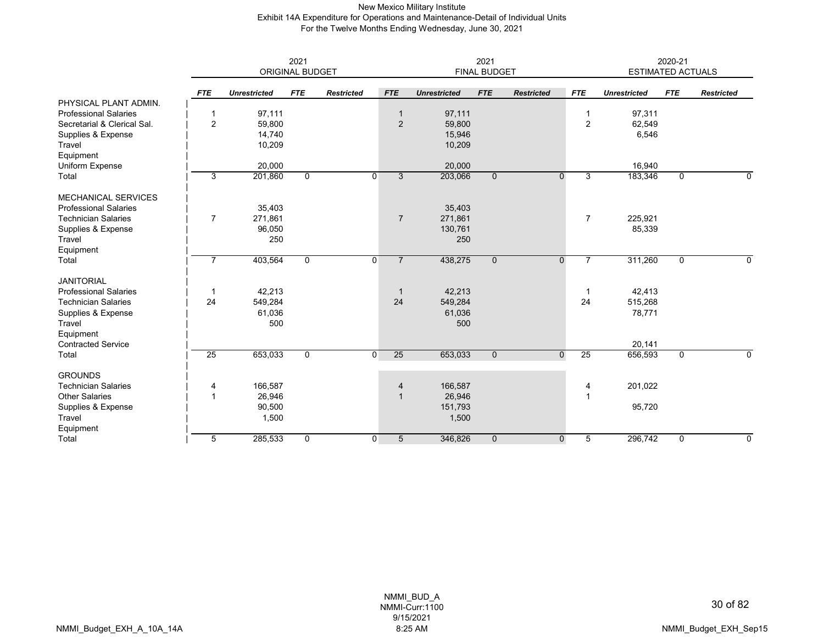## New Mexico Military Institute Exhibit 14A Expenditure for Operations and Maintenance-Detail of Individual Units For the Twelve Months Ending Wednesday, June 30, 2021

|                              | 2021<br>ORIGINAL BUDGET |                     |                |                   |                                  |                     | 2021<br><b>FINAL BUDGET</b> |                   |                | 2020-21<br><b>ESTIMATED ACTUALS</b> |             |                   |  |
|------------------------------|-------------------------|---------------------|----------------|-------------------|----------------------------------|---------------------|-----------------------------|-------------------|----------------|-------------------------------------|-------------|-------------------|--|
|                              | <b>FTE</b>              | <b>Unrestricted</b> | <b>FTE</b>     | <b>Restricted</b> | <b>FTE</b>                       | <b>Unrestricted</b> | <b>FTE</b>                  | <b>Restricted</b> | <b>FTE</b>     | <b>Unrestricted</b>                 | <b>FTE</b>  | <b>Restricted</b> |  |
| PHYSICAL PLANT ADMIN.        |                         |                     |                |                   |                                  |                     |                             |                   |                |                                     |             |                   |  |
| <b>Professional Salaries</b> | $\mathbf 1$             | 97,111              |                |                   | $\overline{\phantom{a}}$         | 97,111              |                             |                   | 1              | 97,311                              |             |                   |  |
| Secretarial & Clerical Sal.  | $\overline{2}$          | 59,800              |                |                   | $\overline{2}$                   | 59,800              |                             |                   | 2              | 62,549                              |             |                   |  |
| Supplies & Expense           |                         | 14,740              |                |                   |                                  | 15,946              |                             |                   |                | 6,546                               |             |                   |  |
| Travel                       |                         | 10,209              |                |                   |                                  | 10,209              |                             |                   |                |                                     |             |                   |  |
| Equipment                    |                         |                     |                |                   |                                  |                     |                             |                   |                |                                     |             |                   |  |
| Uniform Expense              |                         | 20,000              |                |                   |                                  | 20,000              |                             |                   |                | 16,940                              |             |                   |  |
| Total                        | 3                       | 201,860             | $\overline{0}$ |                   | $\Omega$<br>3                    | 203,066             | $\overline{0}$              | $\Omega$          | 3              | 183,346                             | $\mathbf 0$ | 0                 |  |
| <b>MECHANICAL SERVICES</b>   |                         |                     |                |                   |                                  |                     |                             |                   |                |                                     |             |                   |  |
| <b>Professional Salaries</b> |                         | 35,403              |                |                   |                                  | 35,403              |                             |                   |                |                                     |             |                   |  |
| <b>Technician Salaries</b>   | $\overline{7}$          | 271,861             |                |                   | $\overline{7}$                   | 271,861             |                             |                   | $\overline{7}$ | 225,921                             |             |                   |  |
| Supplies & Expense           |                         | 96,050              |                |                   |                                  | 130,761             |                             |                   |                | 85,339                              |             |                   |  |
| Travel                       |                         | 250                 |                |                   |                                  | 250                 |                             |                   |                |                                     |             |                   |  |
| Equipment                    |                         |                     |                |                   |                                  |                     |                             |                   |                |                                     |             |                   |  |
| Total                        | 7                       | 403,564             | $\mathbf{0}$   |                   | $\overline{0}$<br>$\overline{7}$ | 438,275             | $\mathbf 0$                 | $\overline{0}$    |                | 311,260                             | $\mathbf 0$ | 0                 |  |
| <b>JANITORIAL</b>            |                         |                     |                |                   |                                  |                     |                             |                   |                |                                     |             |                   |  |
| <b>Professional Salaries</b> | -1                      | 42,213              |                |                   | -1                               | 42,213              |                             |                   | -1             | 42,413                              |             |                   |  |
| <b>Technician Salaries</b>   | 24                      | 549,284             |                |                   | 24                               | 549,284             |                             |                   | 24             | 515,268                             |             |                   |  |
| Supplies & Expense           |                         | 61,036              |                |                   |                                  | 61,036              |                             |                   |                | 78,771                              |             |                   |  |
| Travel                       |                         | 500                 |                |                   |                                  | 500                 |                             |                   |                |                                     |             |                   |  |
| Equipment                    |                         |                     |                |                   |                                  |                     |                             |                   |                |                                     |             |                   |  |
| <b>Contracted Service</b>    |                         |                     |                |                   |                                  |                     |                             |                   |                | 20,141                              |             |                   |  |
| Total                        | 25                      | 653,033             | $\mathbf 0$    |                   | 25<br>$\Omega$                   | 653,033             | $\mathbf 0$                 | $\overline{0}$    | 25             | 656,593                             | $\mathbf 0$ | 0                 |  |
| <b>GROUNDS</b>               |                         |                     |                |                   |                                  |                     |                             |                   |                |                                     |             |                   |  |
| <b>Technician Salaries</b>   | 4                       | 166,587             |                |                   | 4                                | 166,587             |                             |                   | 4              | 201,022                             |             |                   |  |
| <b>Other Salaries</b>        | $\mathbf{1}$            | 26,946              |                |                   | $\overline{1}$                   | 26,946              |                             |                   | $\overline{1}$ |                                     |             |                   |  |
| Supplies & Expense           |                         | 90,500              |                |                   |                                  | 151,793             |                             |                   |                | 95,720                              |             |                   |  |
| Travel                       |                         | 1,500               |                |                   |                                  | 1,500               |                             |                   |                |                                     |             |                   |  |
| Equipment                    |                         |                     |                |                   |                                  |                     |                             |                   |                |                                     |             |                   |  |
| Total                        | 5                       | 285,533             | $\mathbf 0$    |                   | $\overline{0}$<br>5              | 346,826             | $\mathbf{0}$                | $\mathbf 0$       | 5              | 296,742                             | $\mathbf 0$ | 0                 |  |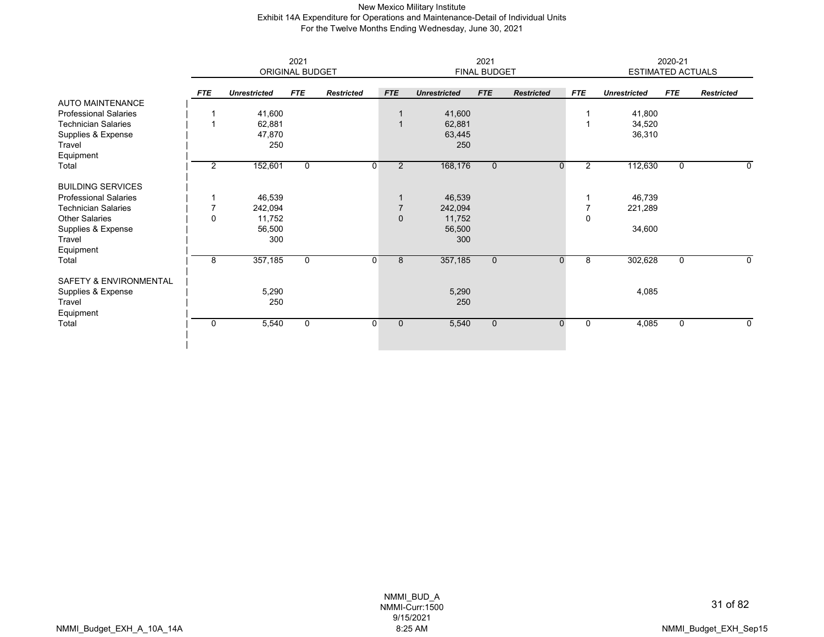### New Mexico Military Institute Exhibit 14A Expenditure for Operations and Maintenance-Detail of Individual Units For the Twelve Months Ending Wednesday, June 30, 2021

|                                   | 2021<br><b>ORIGINAL BUDGET</b> |                     |             |                   | 2021<br><b>FINAL BUDGET</b> |                     |              |                   |            | 2020-21<br><b>ESTIMATED ACTUALS</b> |             |                   |
|-----------------------------------|--------------------------------|---------------------|-------------|-------------------|-----------------------------|---------------------|--------------|-------------------|------------|-------------------------------------|-------------|-------------------|
|                                   | <b>FTE</b>                     | <b>Unrestricted</b> | <b>FTE</b>  | <b>Restricted</b> | <b>FTE</b>                  | <b>Unrestricted</b> | <b>FTE</b>   | <b>Restricted</b> | <b>FTE</b> | <b>Unrestricted</b>                 | <b>FTE</b>  | <b>Restricted</b> |
| <b>AUTO MAINTENANCE</b>           |                                |                     |             |                   |                             |                     |              |                   |            |                                     |             |                   |
| <b>Professional Salaries</b>      | 1                              | 41,600              |             |                   |                             | 41,600              |              |                   |            | 41,800                              |             |                   |
| <b>Technician Salaries</b>        | 1                              | 62,881              |             |                   |                             | 62,881              |              |                   |            | 34,520                              |             |                   |
| Supplies & Expense                |                                | 47,870              |             |                   |                             | 63,445              |              |                   |            | 36,310                              |             |                   |
| Travel                            |                                | 250                 |             |                   |                             | 250                 |              |                   |            |                                     |             |                   |
| Equipment                         |                                |                     |             |                   |                             |                     |              |                   |            |                                     |             |                   |
| Total                             | $\overline{2}$                 | 152,601             | $\mathbf 0$ | $\overline{0}$    | $\overline{2}$              | 168,176             | $\mathbf{0}$ | 0                 | 2          | 112,630                             | $\mathbf 0$ | 0                 |
| <b>BUILDING SERVICES</b>          |                                |                     |             |                   |                             |                     |              |                   |            |                                     |             |                   |
| <b>Professional Salaries</b>      | 1                              | 46,539              |             |                   |                             | 46,539              |              |                   |            | 46,739                              |             |                   |
| <b>Technician Salaries</b>        | $\overline{7}$                 | 242,094             |             |                   |                             | 242,094             |              |                   |            | 221,289                             |             |                   |
| <b>Other Salaries</b>             | $\mathbf 0$                    | 11,752              |             |                   | $\Omega$                    | 11,752              |              |                   | $\Omega$   |                                     |             |                   |
| Supplies & Expense                |                                | 56,500              |             |                   |                             | 56,500              |              |                   |            | 34,600                              |             |                   |
| Travel                            |                                | 300                 |             |                   |                             | 300                 |              |                   |            |                                     |             |                   |
| Equipment                         |                                |                     |             |                   |                             |                     |              |                   |            |                                     |             |                   |
| Total                             | 8                              | 357,185             | 0           | $\overline{0}$    | 8                           | 357,185             | $\mathbf 0$  | $\mathbf{0}$      | 8          | 302,628                             | $\mathbf 0$ | 0                 |
| <b>SAFETY &amp; ENVIRONMENTAL</b> |                                |                     |             |                   |                             |                     |              |                   |            |                                     |             |                   |
| Supplies & Expense                |                                | 5,290               |             |                   |                             | 5,290               |              |                   |            | 4,085                               |             |                   |
| Travel                            |                                | 250                 |             |                   |                             | 250                 |              |                   |            |                                     |             |                   |
| Equipment                         |                                |                     |             |                   |                             |                     |              |                   |            |                                     |             |                   |
| Total                             | $\mathbf 0$                    | 5,540               | 0           | $\overline{0}$    | $\mathbf 0$                 | 5,540               | $\mathbf 0$  | $\mathbf{0}$      | 0          | 4,085                               | $\mathbf 0$ | 0                 |
|                                   |                                |                     |             |                   |                             |                     |              |                   |            |                                     |             |                   |
|                                   |                                |                     |             |                   |                             |                     |              |                   |            |                                     |             |                   |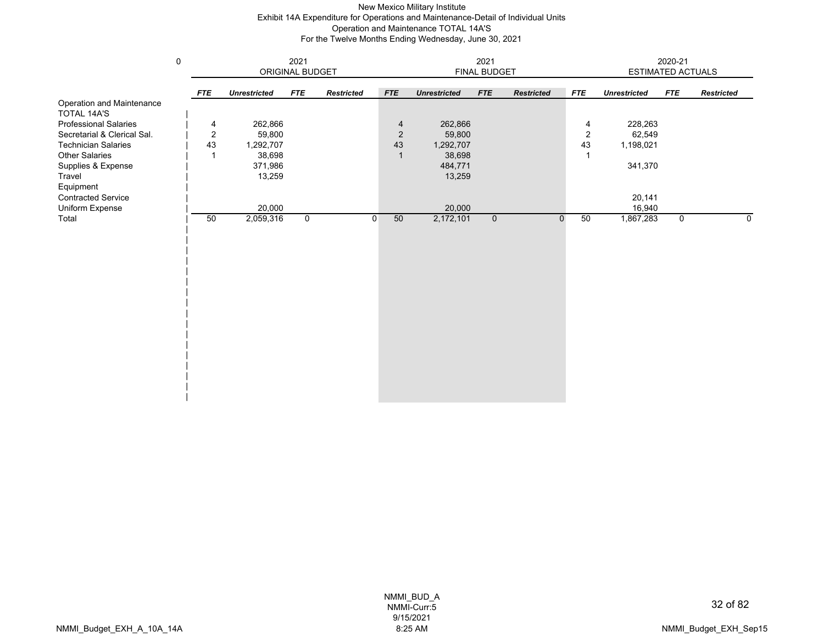## New Mexico Military Institute Exhibit 14A Expenditure for Operations and Maintenance-Detail of Individual Units Operation and Maintenance TOTAL 14A'S For the Twelve Months Ending Wednesday, June 30, 2021

|                                                 | $\mathsf 0$ |                |                     | 2021            |                   |                |                     | 2021<br><b>FINAL BUDGET</b> |                   |                | 2020-21<br>ESTIMATED ACTUALS |             |                   |  |
|-------------------------------------------------|-------------|----------------|---------------------|-----------------|-------------------|----------------|---------------------|-----------------------------|-------------------|----------------|------------------------------|-------------|-------------------|--|
|                                                 |             |                |                     | ORIGINAL BUDGET |                   |                |                     |                             |                   |                |                              |             |                   |  |
|                                                 |             | <b>FTE</b>     | <b>Unrestricted</b> | <b>FTE</b>      | <b>Restricted</b> | <b>FTE</b>     | <b>Unrestricted</b> | <b>FTE</b>                  | <b>Restricted</b> | <b>FTE</b>     | <b>Unrestricted</b>          | <b>FTE</b>  | <b>Restricted</b> |  |
| Operation and Maintenance<br><b>TOTAL 14A'S</b> |             |                |                     |                 |                   |                |                     |                             |                   |                |                              |             |                   |  |
| <b>Professional Salaries</b>                    |             | 4              | 262,866             |                 |                   | 4              | 262,866             |                             |                   | 4              | 228,263                      |             |                   |  |
| Secretarial & Clerical Sal.                     |             | $\overline{c}$ | 59,800              |                 |                   | $\overline{2}$ | 59,800              |                             |                   | $\overline{2}$ | 62,549                       |             |                   |  |
| <b>Technician Salaries</b>                      |             | 43             | 1,292,707           |                 |                   | 43             | 1,292,707           |                             |                   | 43             | 1,198,021                    |             |                   |  |
| <b>Other Salaries</b>                           |             | 1              | 38,698              |                 |                   | $\mathbf{1}$   | 38,698              |                             |                   |                |                              |             |                   |  |
| Supplies & Expense                              |             |                | 371,986             |                 |                   |                | 484,771             |                             |                   |                | 341,370                      |             |                   |  |
| Travel                                          |             |                | 13,259              |                 |                   |                | 13,259              |                             |                   |                |                              |             |                   |  |
| Equipment                                       |             |                |                     |                 |                   |                |                     |                             |                   |                |                              |             |                   |  |
| <b>Contracted Service</b>                       |             |                |                     |                 |                   |                |                     |                             |                   |                | 20,141                       |             |                   |  |
| Uniform Expense                                 |             |                | 20,000              |                 |                   |                | 20,000              |                             |                   |                | 16,940                       |             |                   |  |
| Total                                           |             | 50             | 2,059,316           | $\mathbf 0$     | $\mathbf{0}$      | 50             | 2,172,101           | $\mathbf 0$                 | $\mathbf{0}$      | 50             | 1,867,283                    | $\mathbf 0$ | 0                 |  |
|                                                 |             |                |                     |                 |                   |                |                     |                             |                   |                |                              |             |                   |  |
|                                                 |             |                |                     |                 |                   |                |                     |                             |                   |                |                              |             |                   |  |
|                                                 |             |                |                     |                 |                   |                |                     |                             |                   |                |                              |             |                   |  |
|                                                 |             |                |                     |                 |                   |                |                     |                             |                   |                |                              |             |                   |  |
|                                                 |             |                |                     |                 |                   |                |                     |                             |                   |                |                              |             |                   |  |
|                                                 |             |                |                     |                 |                   |                |                     |                             |                   |                |                              |             |                   |  |
|                                                 |             |                |                     |                 |                   |                |                     |                             |                   |                |                              |             |                   |  |
|                                                 |             |                |                     |                 |                   |                |                     |                             |                   |                |                              |             |                   |  |
|                                                 |             |                |                     |                 |                   |                |                     |                             |                   |                |                              |             |                   |  |
|                                                 |             |                |                     |                 |                   |                |                     |                             |                   |                |                              |             |                   |  |
|                                                 |             |                |                     |                 |                   |                |                     |                             |                   |                |                              |             |                   |  |
|                                                 |             |                |                     |                 |                   |                |                     |                             |                   |                |                              |             |                   |  |
|                                                 |             |                |                     |                 |                   |                |                     |                             |                   |                |                              |             |                   |  |
|                                                 |             |                |                     |                 |                   |                |                     |                             |                   |                |                              |             |                   |  |
|                                                 |             |                |                     |                 |                   |                |                     |                             |                   |                |                              |             |                   |  |
|                                                 |             |                |                     |                 |                   |                |                     |                             |                   |                |                              |             |                   |  |
|                                                 |             |                |                     |                 |                   |                |                     |                             |                   |                |                              |             |                   |  |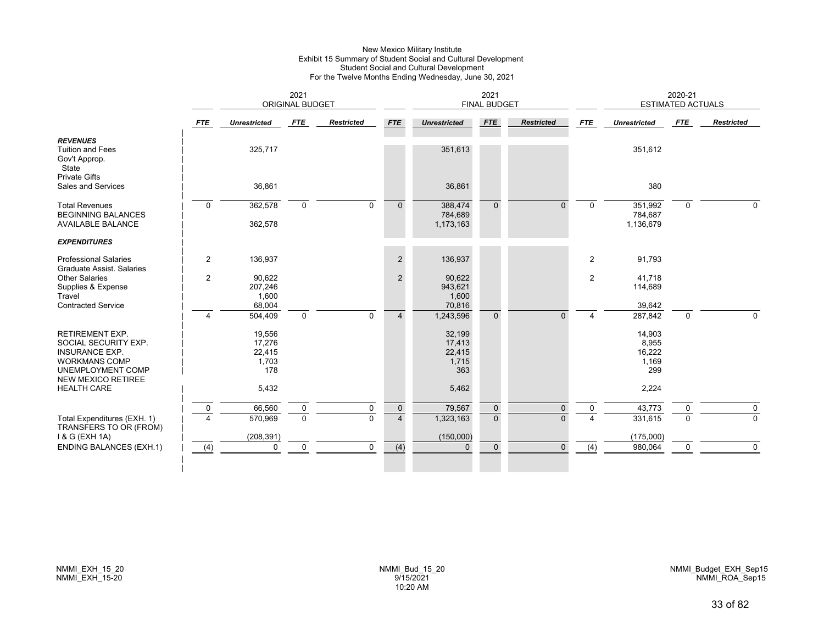#### New Mexico Military Institute Exhibit 15 Summary of Student Social and Cultural Development Student Social and Cultural Development For the Twelve Months Ending Wednesday, June 30, 2021

|                                                                                                                                                          |                | 2021<br><b>ORIGINAL BUDGET</b>             |                  |                   |                               | <b>FINAL BUDGET</b>                        |                         |                      | 2020-21<br><b>ESTIMATED ACTUALS</b> |                                           |               |                            |
|----------------------------------------------------------------------------------------------------------------------------------------------------------|----------------|--------------------------------------------|------------------|-------------------|-------------------------------|--------------------------------------------|-------------------------|----------------------|-------------------------------------|-------------------------------------------|---------------|----------------------------|
|                                                                                                                                                          | <b>FTE</b>     | <b>Unrestricted</b>                        | FTE              | <b>Restricted</b> | <b>FTE</b>                    | <b>Unrestricted</b>                        | <b>FTE</b>              | <b>Restricted</b>    | <b>FTE</b>                          | <b>Unrestricted</b>                       | FTE           | <b>Restricted</b>          |
| <b>REVENUES</b><br><b>Tuition and Fees</b><br>Gov't Approp.<br>State<br><b>Private Gifts</b>                                                             |                | 325,717                                    |                  |                   |                               | 351,613                                    |                         |                      |                                     | 351,612                                   |               |                            |
| Sales and Services                                                                                                                                       |                | 36,861                                     |                  |                   |                               | 36,861                                     |                         |                      |                                     | 380                                       |               |                            |
| <b>Total Revenues</b><br><b>BEGINNING BALANCES</b>                                                                                                       | $\mathbf 0$    | 362,578                                    | $\mathbf 0$      | $\mathbf 0$       | $\mathbf{0}$                  | 388,474<br>784,689                         | $\Omega$                | $\Omega$             | $\Omega$                            | 351,992<br>784,687                        | 0             | $\Omega$                   |
| <b>AVAILABLE BALANCE</b>                                                                                                                                 |                | 362,578                                    |                  |                   |                               | 1,173,163                                  |                         |                      |                                     | 1,136,679                                 |               |                            |
| <b>EXPENDITURES</b>                                                                                                                                      |                |                                            |                  |                   |                               |                                            |                         |                      |                                     |                                           |               |                            |
| <b>Professional Salaries</b><br>Graduate Assist. Salaries                                                                                                | $\overline{c}$ | 136,937                                    |                  |                   | $\overline{2}$                | 136,937                                    |                         |                      | $\overline{2}$                      | 91,793                                    |               |                            |
| Other Salaries<br>Supplies & Expense<br>Travel                                                                                                           | $\overline{2}$ | 90,622<br>207,246<br>1,600                 |                  |                   | $\overline{2}$                | 90,622<br>943,621<br>1,600                 |                         |                      | $\overline{2}$                      | 41,718<br>114,689                         |               |                            |
| <b>Contracted Service</b>                                                                                                                                | $\overline{4}$ | 68,004<br>504,409                          | $\mathbf 0$      | $\mathbf 0$       | $\overline{4}$                | 70,816<br>1,243,596                        | $\mathbf{0}$            | $\Omega$             | 4                                   | 39,642<br>287,842                         | 0             | $\Omega$                   |
| <b>RETIREMENT EXP.</b><br>SOCIAL SECURITY EXP.<br><b>INSURANCE EXP.</b><br><b>WORKMANS COMP</b><br><b>UNEMPLOYMENT COMP</b><br><b>NEW MEXICO RETIREE</b> |                | 19,556<br>17,276<br>22,415<br>1,703<br>178 |                  |                   |                               | 32,199<br>17,413<br>22,415<br>1,715<br>363 |                         |                      |                                     | 14,903<br>8,955<br>16,222<br>1,169<br>299 |               |                            |
| <b>HEALTH CARE</b>                                                                                                                                       |                | 5,432                                      |                  |                   |                               | 5,462                                      |                         |                      |                                     | 2,224                                     |               |                            |
| Total Expenditures (EXH. 1)<br>TRANSFERS TO OR (FROM)                                                                                                    | 0<br>$\Lambda$ | 66,560<br>570,969                          | 0<br>$\mathbf 0$ | 0<br>$\Omega$     | $\mathbf 0$<br>$\overline{4}$ | 79,567<br>1,323,163                        | $\mathbf 0$<br>$\Omega$ | $\Omega$<br>$\Omega$ | 0                                   | 43,773<br>331,615                         | 0<br>$\Omega$ | $\mathbf 0$<br>$\mathbf 0$ |
| 1 & G (EXH 1A)<br><b>ENDING BALANCES (EXH.1)</b>                                                                                                         | (4)            | (208, 391)<br>$\Omega$                     | $\mathbf 0$      | $\mathbf 0$       | (4)                           | (150,000)<br>$\Omega$                      | $\Omega$                | $\Omega$             | (4)                                 | (175,000)<br>980,064                      | $\mathbf 0$   | $\mathbf 0$                |
|                                                                                                                                                          |                |                                            |                  |                   |                               |                                            |                         |                      |                                     |                                           |               |                            |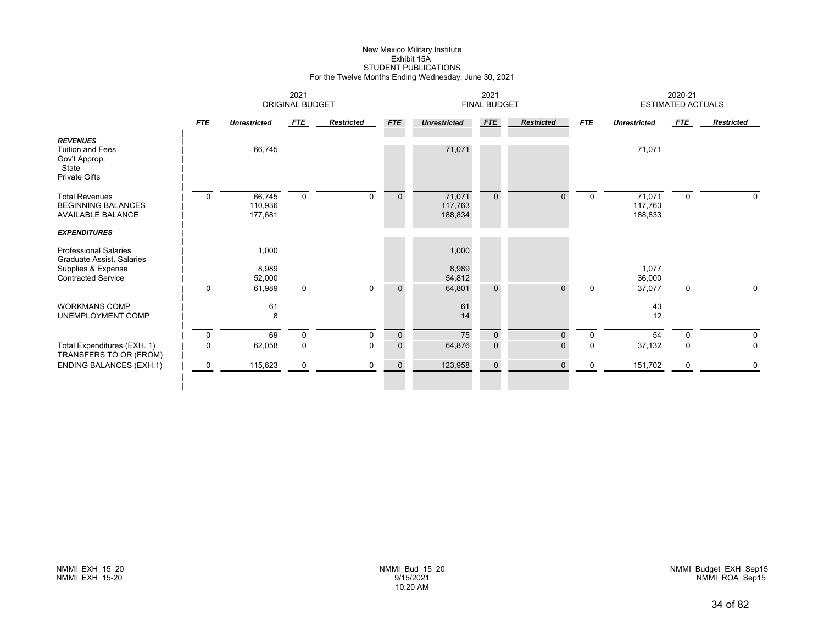# New Mexico Military Institute Exhibit 15ASTUDENT PUBLICATIONS For the Twelve Months Ending Wednesday, June 30, 2021

|                                                                                                              | 2021<br>ORIGINAL BUDGET |                              |                               |                         |                                | 2021<br><b>FINAL BUDGET</b>  |                              |                      |                            | 2020-21<br><b>ESTIMATED ACTUALS</b> |             |                            |  |
|--------------------------------------------------------------------------------------------------------------|-------------------------|------------------------------|-------------------------------|-------------------------|--------------------------------|------------------------------|------------------------------|----------------------|----------------------------|-------------------------------------|-------------|----------------------------|--|
|                                                                                                              | FTE                     | <b>Unrestricted</b>          | <b>FTE</b>                    | <b>Restricted</b>       | <b>FTE</b>                     | <b>Unrestricted</b>          | <b>FTE</b>                   | <b>Restricted</b>    | <b>FTE</b>                 | <b>Unrestricted</b>                 | <b>FTE</b>  | <b>Restricted</b>          |  |
| <b>REVENUES</b><br><b>Tuition and Fees</b><br>Gov't Approp.<br>State<br><b>Private Gifts</b>                 |                         | 66,745                       |                               |                         |                                | 71,071                       |                              |                      |                            | 71,071                              |             |                            |  |
| <b>Total Revenues</b><br><b>BEGINNING BALANCES</b><br><b>AVAILABLE BALANCE</b>                               | $\mathbf 0$             | 66,745<br>110,936<br>177,681 | $\mathbf 0$                   | $\Omega$                | $\mathbf{0}$                   | 71,071<br>117,763<br>188,834 | $\overline{0}$               | 0                    | $\mathbf 0$                | 71,071<br>117,763<br>188,833        | $\mathbf 0$ | $\Omega$                   |  |
| <b>EXPENDITURES</b>                                                                                          |                         |                              |                               |                         |                                |                              |                              |                      |                            |                                     |             |                            |  |
| <b>Professional Salaries</b><br>Graduate Assist, Salaries<br>Supplies & Expense<br><b>Contracted Service</b> |                         | 1,000<br>8,989<br>52,000     |                               |                         |                                | 1,000<br>8,989<br>54,812     |                              |                      |                            | 1,077<br>36,000                     |             |                            |  |
| <b>WORKMANS COMP</b><br>UNEMPLOYMENT COMP                                                                    | $\mathbf 0$             | 61,989<br>61<br>8            | $\mathbf 0$                   | $\Omega$                | $\Omega$                       | 64,801<br>61<br>14           | $\Omega$                     | O                    | $\mathbf 0$                | 37,077<br>43<br>12                  | $\mathbf 0$ | 0                          |  |
| Total Expenditures (EXH. 1)                                                                                  | $\mathbf 0$<br>$\Omega$ | 69<br>62,058                 | $\mathbf 0$<br>$\overline{0}$ | $\mathbf 0$<br>$\Omega$ | $\mathbf{0}$<br>$\overline{0}$ | 75<br>64,876                 | $\mathbf{0}$<br>$\mathbf{0}$ | $\Omega$<br>$\Omega$ | $\mathbf 0$<br>$\mathbf 0$ | 54<br>37,132                        | $\Omega$    | $\mathbf 0$<br>$\mathbf 0$ |  |
| TRANSFERS TO OR (FROM)<br><b>ENDING BALANCES (EXH.1)</b>                                                     | $\overline{0}$          | 115,623                      | $\mathbf 0$                   | $\Omega$                | $\Omega$                       | 123,958                      | $\Omega$                     | $\Omega$             | $\Omega$                   | 151,702                             | $\Omega$    | 0                          |  |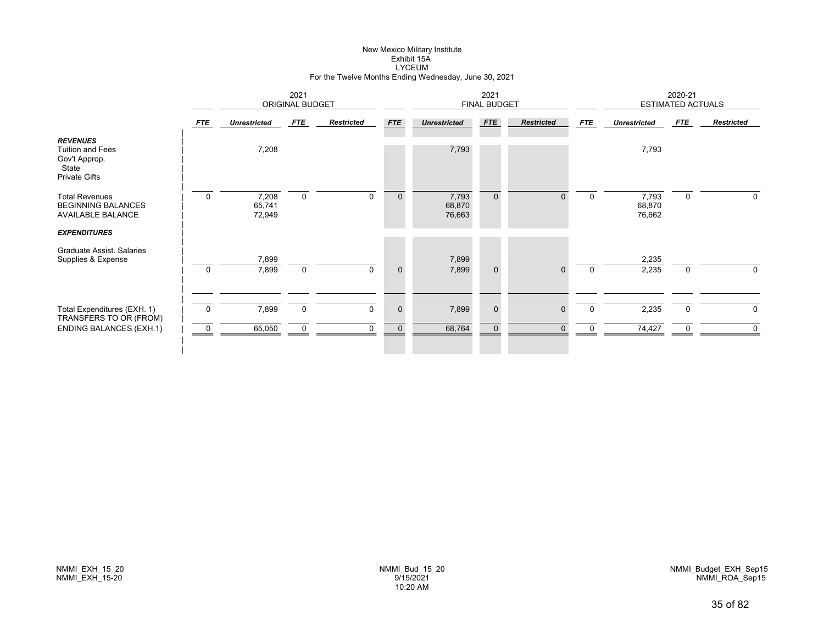# New Mexico Military Institute Exhibit 15ALYCEUM For the Twelve Months Ending Wednesday, June 30, 2021

|                                                                                                |                  | 2021<br><b>ORIGINAL BUDGET</b> |                  |                            |                            |                           | <b>FINAL BUDGET</b>            |                          | 2020-21<br><b>ESTIMATED ACTUALS</b> |                           |             |                   |
|------------------------------------------------------------------------------------------------|------------------|--------------------------------|------------------|----------------------------|----------------------------|---------------------------|--------------------------------|--------------------------|-------------------------------------|---------------------------|-------------|-------------------|
|                                                                                                | FTE              | <b>Unrestricted</b>            | FTE              | <b>Restricted</b>          | <b>FTE</b>                 | <b>Unrestricted</b>       | <b>FTE</b>                     | <b>Restricted</b>        | FTE                                 | <b>Unrestricted</b>       | FTE         | <b>Restricted</b> |
| <b>REVENUES</b><br><b>Tuition and Fees</b><br>Gov't Approp.<br>State<br><b>Private Gifts</b>   |                  | 7,208                          |                  |                            |                            | 7,793                     |                                |                          |                                     | 7,793                     |             |                   |
| <b>Total Revenues</b><br><b>BEGINNING BALANCES</b><br>AVAILABLE BALANCE<br><b>EXPENDITURES</b> | $\mathbf 0$      | 7,208<br>65,741<br>72,949      | $\mathbf 0$      | $\mathbf 0$                | $\mathbf{0}$               | 7,793<br>68,870<br>76,663 | $\mathbf{0}$                   | 0                        | $\overline{0}$                      | 7,793<br>68,870<br>76,662 | 0           | 0                 |
| Graduate Assist. Salaries<br>Supplies & Expense                                                | $\mathbf 0$      | 7,899<br>7,899                 | $\mathbf 0$      | $\Omega$                   | $\mathbf{0}$               | 7,899<br>7,899            | $\mathbf{0}$                   | $\Omega$                 | $\Omega$                            | 2,235<br>2,235            | $\mathbf 0$ | $\Omega$          |
| Total Expenditures (EXH. 1)<br>TRANSFERS TO OR (FROM)<br><b>ENDING BALANCES (EXH.1)</b>        | $\mathbf 0$<br>0 | 7,899<br>65,050                | 0<br>$\mathbf 0$ | $\mathbf 0$<br>$\mathbf 0$ | $\mathbf 0$<br>$\mathbf 0$ | 7,899<br>68,764           | $\mathbf{0}$<br>$\overline{0}$ | $\mathbf{0}$<br>$\Omega$ | 0                                   | 2,235<br>74,427           | 0<br>ŋ      | 0<br>0            |
|                                                                                                |                  |                                |                  |                            |                            |                           |                                |                          |                                     |                           |             |                   |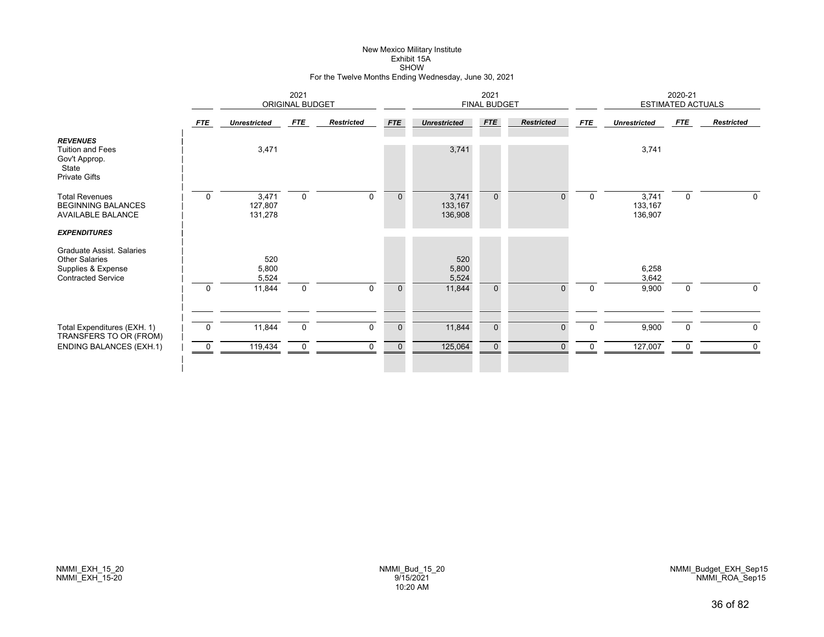# New Mexico Military Institute Exhibit 15ASHOW For the Twelve Months Ending Wednesday, June 30, 2021

|                                                                                                                              |                  | 2021<br><b>ORIGINAL BUDGET</b>  |                            |                   |                            | 2021<br><b>FINAL BUDGET</b>     |                             |                      |                      | 2020-21<br><b>ESTIMATED ACTUALS</b> |                         |                   |
|------------------------------------------------------------------------------------------------------------------------------|------------------|---------------------------------|----------------------------|-------------------|----------------------------|---------------------------------|-----------------------------|----------------------|----------------------|-------------------------------------|-------------------------|-------------------|
|                                                                                                                              | FTE              | <b>Unrestricted</b>             | FTE                        | <b>Restricted</b> | <b>FTE</b>                 | <b>Unrestricted</b>             | <b>FTE</b>                  | <b>Restricted</b>    | FTE                  | <b>Unrestricted</b>                 | FTE                     | <b>Restricted</b> |
| <b>REVENUES</b><br><b>Tuition and Fees</b><br>Gov't Approp.<br>State<br><b>Private Gifts</b>                                 |                  | 3,471                           |                            |                   |                            | 3,741                           |                             |                      |                      | 3,741                               |                         |                   |
| <b>Total Revenues</b><br><b>BEGINNING BALANCES</b><br>AVAILABLE BALANCE                                                      | $\mathbf 0$      | 3,471<br>127,807<br>131,278     | $\mathbf 0$                | $\mathbf 0$       | $\mathbf{0}$               | 3,741<br>133,167<br>136,908     | $\mathbf{0}$                | $\Omega$             | $\Omega$             | 3,741<br>133,167<br>136,907         | $\mathbf 0$             | $\mathbf 0$       |
| <b>EXPENDITURES</b><br>Graduate Assist, Salaries<br><b>Other Salaries</b><br>Supplies & Expense<br><b>Contracted Service</b> | $\mathbf 0$      | 520<br>5,800<br>5,524<br>11,844 | $\mathbf 0$                | $\Omega$          | $\mathbf{0}$               | 520<br>5,800<br>5,524<br>11,844 | $\mathbf{0}$                | $\Omega$             | $\Omega$             | 6,258<br>3,642<br>9,900             | $\mathbf 0$             | $\Omega$          |
| Total Expenditures (EXH. 1)<br>TRANSFERS TO OR (FROM)<br><b>ENDING BALANCES (EXH.1)</b>                                      | $\mathbf 0$<br>0 | 11,844<br>119,434               | $\mathbf 0$<br>$\mathbf 0$ | 0<br>$\Omega$     | $\mathbf 0$<br>$\mathbf 0$ | 11,844<br>125,064               | $\mathbf 0$<br>$\mathbf{0}$ | $\Omega$<br>$\Omega$ | $\Omega$<br>$\Omega$ | 9,900<br>127,007                    | $\mathbf 0$<br>$\Omega$ | $\mathbf 0$       |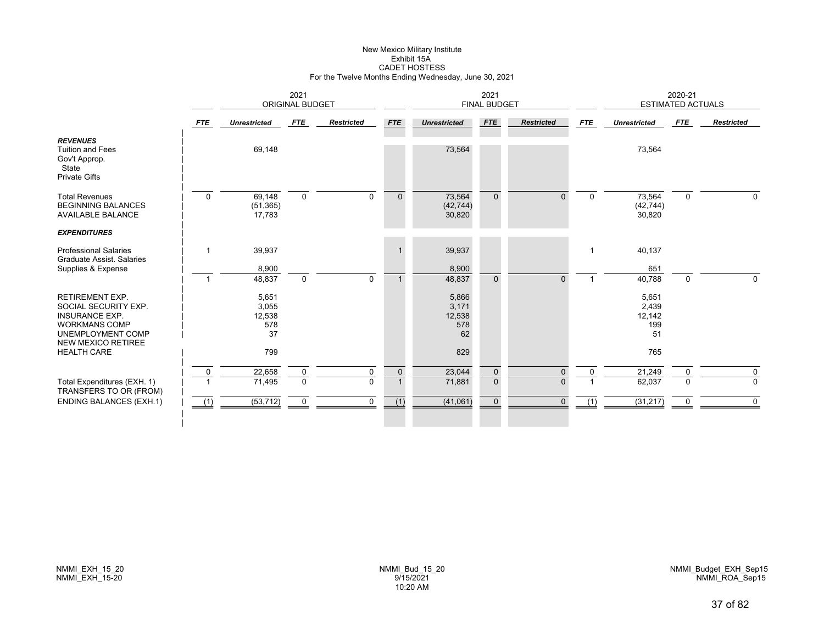# New Mexico Military Institute Exhibit 15ACADET HOSTESS For the Twelve Months Ending Wednesday, June 30, 2021

|                                                                                              | 2021<br><b>ORIGINAL BUDGET</b> |                               |             |                   |                | 2021<br><b>FINAL BUDGET</b>   |                |                   |              |                               | 2020-21<br><b>ESTIMATED ACTUALS</b> |                   |  |
|----------------------------------------------------------------------------------------------|--------------------------------|-------------------------------|-------------|-------------------|----------------|-------------------------------|----------------|-------------------|--------------|-------------------------------|-------------------------------------|-------------------|--|
|                                                                                              | <b>FTE</b>                     | <b>Unrestricted</b>           | <b>FTE</b>  | <b>Restricted</b> | <b>FTE</b>     | <b>Unrestricted</b>           | <b>FTE</b>     | <b>Restricted</b> | <b>FTE</b>   | <b>Unrestricted</b>           | <b>FTE</b>                          | <b>Restricted</b> |  |
| <b>REVENUES</b><br><b>Tuition and Fees</b><br>Gov't Approp.<br>State<br><b>Private Gifts</b> |                                | 69,148                        |             |                   |                | 73,564                        |                |                   |              | 73,564                        |                                     |                   |  |
| <b>Total Revenues</b><br><b>BEGINNING BALANCES</b><br><b>AVAILABLE BALANCE</b>               | $\Omega$                       | 69,148<br>(51, 365)<br>17,783 | $\mathbf 0$ | $\Omega$          | $\mathbf{0}$   | 73,564<br>(42, 744)<br>30,820 | $\mathbf{0}$   | $\Omega$          | $\mathbf 0$  | 73,564<br>(42, 744)<br>30,820 | $\mathbf 0$                         | 0                 |  |
| <b>EXPENDITURES</b>                                                                          |                                |                               |             |                   |                |                               |                |                   |              |                               |                                     |                   |  |
| <b>Professional Salaries</b><br><b>Graduate Assist. Salaries</b>                             | -1                             | 39,937                        |             |                   |                | 39,937                        |                |                   |              | 40,137                        |                                     |                   |  |
| Supplies & Expense                                                                           |                                | 8,900                         |             |                   |                | 8,900                         |                |                   |              | 651                           |                                     |                   |  |
|                                                                                              | $\overline{1}$                 | 48,837                        | $\mathbf 0$ | $\Omega$          | $\mathbf{1}$   | 48,837                        | $\overline{0}$ | $\overline{0}$    |              | 40,788                        | $\mathbf 0$                         | 0                 |  |
| <b>RETIREMENT EXP.</b>                                                                       |                                | 5,651                         |             |                   |                | 5,866                         |                |                   |              | 5,651                         |                                     |                   |  |
| SOCIAL SECURITY EXP.                                                                         |                                | 3,055                         |             |                   |                | 3,171                         |                |                   |              | 2,439                         |                                     |                   |  |
| <b>INSURANCE EXP.</b>                                                                        |                                | 12,538                        |             |                   |                | 12,538                        |                |                   |              | 12,142                        |                                     |                   |  |
| <b>WORKMANS COMP</b>                                                                         |                                | 578                           |             |                   |                | 578                           |                |                   |              | 199                           |                                     |                   |  |
| UNEMPLOYMENT COMP<br><b>NEW MEXICO RETIREE</b>                                               |                                | 37                            |             |                   |                | 62                            |                |                   |              | 51                            |                                     |                   |  |
| <b>HEALTH CARE</b>                                                                           |                                | 799                           |             |                   |                | 829                           |                |                   |              | 765                           |                                     |                   |  |
|                                                                                              | $\mathbf 0$                    | 22,658                        | $\mathbf 0$ | 0                 | $\mathbf 0$    | 23,044                        | $\mathbf 0$    | $\Omega$          | $\mathbf{0}$ | 21,249                        | 0                                   | 0                 |  |
| Total Expenditures (EXH. 1)<br>TRANSFERS TO OR (FROM)                                        |                                | 71,495                        | $\Omega$    | $\Omega$          | $\overline{1}$ | 71,881                        | $\Omega$       | $\Omega$          |              | 62,037                        | $\Omega$                            | $\Omega$          |  |
| <b>ENDING BALANCES (EXH.1)</b>                                                               | (1)                            | (53, 712)                     | 0           | $\Omega$          | (1)            | (41,061)                      | $\mathbf{0}$   | $\Omega$          | (1)          | (31, 217)                     | 0                                   | $\mathbf 0$       |  |
|                                                                                              |                                |                               |             |                   |                |                               |                |                   |              |                               |                                     |                   |  |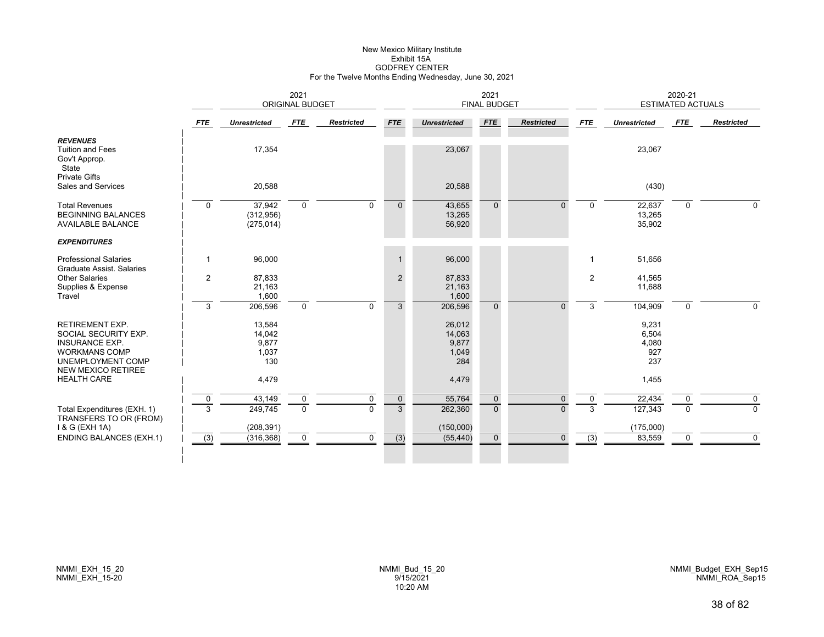# New Mexico Military Institute Exhibit 15AGODFREY CENTER For the Twelve Months Ending Wednesday, June 30, 2021

|                                                                                                                                                   |                  | 2021<br><b>ORIGINAL BUDGET</b>            |               |                   |                               | 2021<br><b>FINAL BUDGET</b>               |                         |                      |                | 2020-21<br><b>ESTIMATED ACTUALS</b>   |               |                         |
|---------------------------------------------------------------------------------------------------------------------------------------------------|------------------|-------------------------------------------|---------------|-------------------|-------------------------------|-------------------------------------------|-------------------------|----------------------|----------------|---------------------------------------|---------------|-------------------------|
|                                                                                                                                                   | FTE              | <b>Unrestricted</b>                       | <b>FTE</b>    | <b>Restricted</b> | <b>FTE</b>                    | <b>Unrestricted</b>                       | <b>FTE</b>              | <b>Restricted</b>    | <b>FTE</b>     | <b>Unrestricted</b>                   | FTE           | <b>Restricted</b>       |
| <b>REVENUES</b><br><b>Tuition and Fees</b><br>Gov't Approp.<br>State<br><b>Private Gifts</b>                                                      |                  | 17,354                                    |               |                   |                               | 23,067                                    |                         |                      |                | 23,067                                |               |                         |
| Sales and Services                                                                                                                                |                  | 20,588                                    |               |                   |                               | 20,588                                    |                         |                      |                | (430)                                 |               |                         |
| <b>Total Revenues</b><br><b>BEGINNING BALANCES</b><br><b>AVAILABLE BALANCE</b>                                                                    | $\Omega$         | 37,942<br>(312, 956)<br>(275, 014)        | $\Omega$      | $\Omega$          | $\Omega$                      | 43,655<br>13,265<br>56,920                | $\Omega$                | $\Omega$             | $\Omega$       | 22,637<br>13,265<br>35,902            | $\mathbf 0$   | $\Omega$                |
| <b>EXPENDITURES</b>                                                                                                                               |                  |                                           |               |                   |                               |                                           |                         |                      |                |                                       |               |                         |
| <b>Professional Salaries</b><br><b>Graduate Assist, Salaries</b>                                                                                  | $\mathbf{1}$     | 96,000                                    |               |                   | $\mathbf{1}$                  | 96,000                                    |                         |                      |                | 51,656                                |               |                         |
| <b>Other Salaries</b><br>Supplies & Expense<br>Travel                                                                                             | $\overline{2}$   | 87,833<br>21,163<br>1,600                 |               |                   | 2                             | 87,833<br>21,163<br>1,600                 |                         |                      | $\overline{2}$ | 41,565<br>11,688                      |               |                         |
|                                                                                                                                                   | 3                | 206,596                                   | $\mathbf 0$   | $\Omega$          | 3                             | 206,596                                   | $\Omega$                | $\Omega$             | 3              | 104,909                               | $\mathbf 0$   | $\mathbf{0}$            |
| <b>RETIREMENT EXP.</b><br>SOCIAL SECURITY EXP.<br><b>INSURANCE EXP.</b><br><b>WORKMANS COMP</b><br>UNEMPLOYMENT COMP<br><b>NEW MEXICO RETIREE</b> |                  | 13,584<br>14,042<br>9,877<br>1,037<br>130 |               |                   |                               | 26,012<br>14,063<br>9,877<br>1,049<br>284 |                         |                      |                | 9,231<br>6,504<br>4,080<br>927<br>237 |               |                         |
| <b>HEALTH CARE</b>                                                                                                                                |                  | 4,479                                     |               |                   |                               | 4,479                                     |                         |                      |                | 1,455                                 |               |                         |
| Total Expenditures (EXH. 1)<br>TRANSFERS TO OR (FROM)                                                                                             | $\mathbf 0$<br>3 | 43,149<br>249,745                         | 0<br>$\Omega$ | 0<br>$\Omega$     | $\mathbf 0$<br>$\overline{3}$ | 55,764<br>262,360                         | $\mathbf 0$<br>$\Omega$ | $\Omega$<br>$\Omega$ | 0<br>3         | 22,434<br>127,343                     | 0<br>$\Omega$ | $\mathbf 0$<br>$\Omega$ |
| 1 & G (EXH 1A)<br><b>ENDING BALANCES (EXH.1)</b>                                                                                                  | (3)              | (208, 391)<br>(316, 368)                  | 0             | 0                 | (3)                           | (150,000)<br>(55, 440)                    | $\mathbf 0$             | $\Omega$             | (3)            | (175,000)<br>83,559                   | 0             | $\mathbf 0$             |
|                                                                                                                                                   |                  |                                           |               |                   |                               |                                           |                         |                      |                |                                       |               |                         |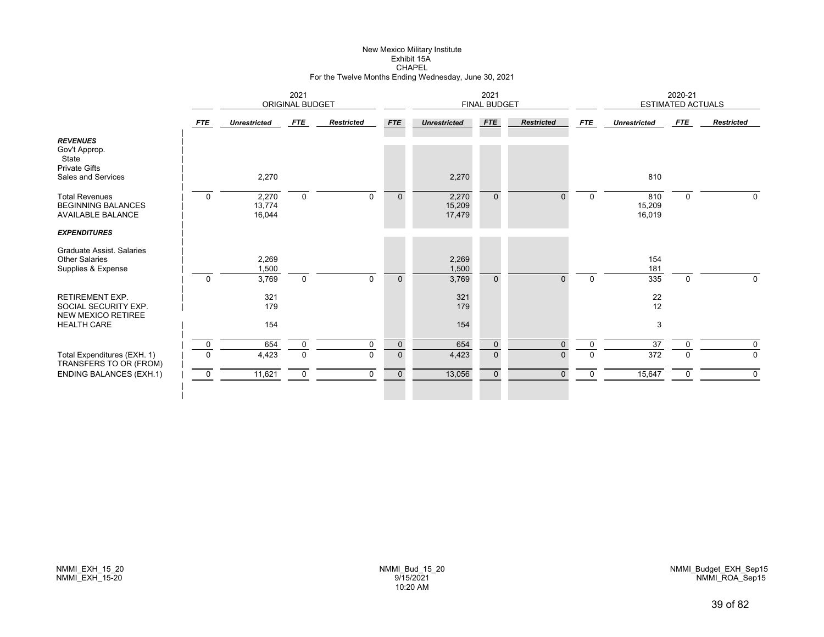# New Mexico Military Institute Exhibit 15ACHAPEL For the Twelve Months Ending Wednesday, June 30, 2021

|                                                                                                 | 2021<br><b>ORIGINAL BUDGET</b> |                           |                            |                            | 2021<br><b>FINAL BUDGET</b> |                           |                              |                   | 2020-21<br><b>ESTIMATED ACTUALS</b> |                         |               |                            |
|-------------------------------------------------------------------------------------------------|--------------------------------|---------------------------|----------------------------|----------------------------|-----------------------------|---------------------------|------------------------------|-------------------|-------------------------------------|-------------------------|---------------|----------------------------|
|                                                                                                 | <b>FTE</b>                     | <b>Unrestricted</b>       | FTE                        | <b>Restricted</b>          | <b>FTE</b>                  | <b>Unrestricted</b>       | <b>FTE</b>                   | <b>Restricted</b> | <b>FTE</b>                          | <b>Unrestricted</b>     | FTE           | <b>Restricted</b>          |
| <b>REVENUES</b><br>Gov't Approp.<br>State<br><b>Private Gifts</b><br>Sales and Services         |                                | 2,270                     |                            |                            |                             | 2,270                     |                              |                   |                                     | 810                     |               |                            |
| <b>Total Revenues</b><br><b>BEGINNING BALANCES</b><br><b>AVAILABLE BALANCE</b>                  | $\mathbf 0$                    | 2,270<br>13,774<br>16,044 | $\mathbf 0$                | $\mathbf 0$                | $\mathbf{0}$                | 2,270<br>15,209<br>17,479 | $\mathbf{0}$                 | $\Omega$          | $\mathbf 0$                         | 810<br>15,209<br>16,019 | 0             | 0                          |
| <b>EXPENDITURES</b><br>Graduate Assist, Salaries<br><b>Other Salaries</b><br>Supplies & Expense |                                | 2,269<br>1,500            |                            |                            |                             | 2,269<br>1,500            |                              |                   |                                     | 154<br>181              |               |                            |
| <b>RETIREMENT EXP.</b><br>SOCIAL SECURITY EXP.<br><b>NEW MEXICO RETIREE</b>                     | $\mathbf 0$                    | 3,769<br>321<br>179       | $\mathbf 0$                | $\mathbf 0$                | $\mathbf{0}$                | 3,769<br>321<br>179       | $\Omega$                     | $\Omega$          | $\Omega$                            | 335<br>22<br>12         | $\mathbf 0$   | $\Omega$                   |
| <b>HEALTH CARE</b>                                                                              |                                | 154                       |                            |                            |                             | 154                       |                              |                   |                                     | 3                       |               |                            |
| Total Expenditures (EXH. 1)<br>TRANSFERS TO OR (FROM)                                           | $\mathbf 0$<br>$\Omega$        | 654<br>4,423              | $\mathsf 0$<br>$\mathbf 0$ | $\mathbf 0$<br>$\mathbf 0$ | $\mathbf 0$<br>$\mathbf 0$  | 654<br>4,423              | $\mathbf{0}$<br>$\mathbf{0}$ | $\mathbf 0$<br>0  | $\mathbf 0$<br>$\mathbf 0$          | 37<br>372               | $\Omega$<br>0 | $\mathbf 0$<br>$\mathbf 0$ |
| <b>ENDING BALANCES (EXH.1)</b>                                                                  | $\mathbf 0$                    | 11,621                    | $\mathbf 0$                | $\Omega$                   | $\mathbf{0}$                | 13,056                    | $\mathbf{0}$                 | $\Omega$          | $\Omega$                            | 15,647                  | 0             | 0                          |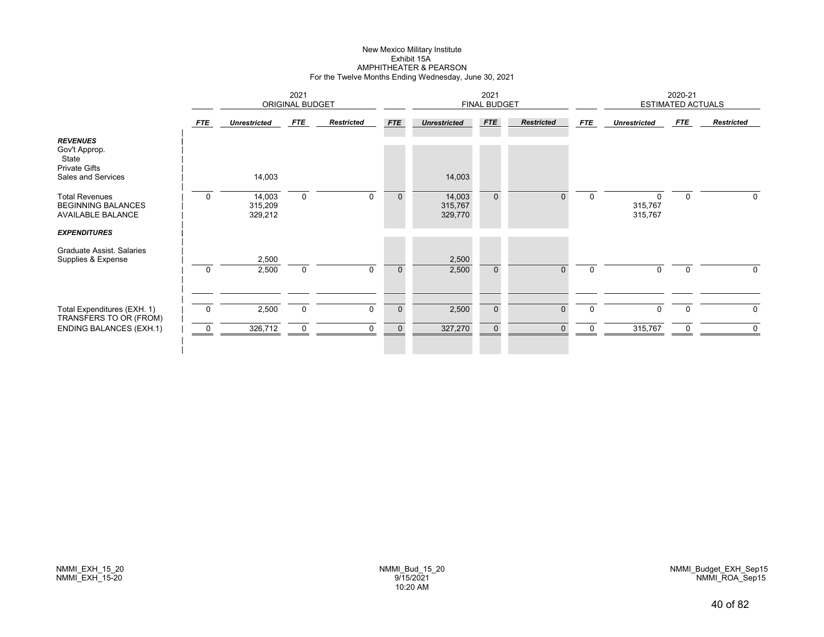#### New Mexico Military Institute Exhibit 15A AMPHITHEATER & PEARSON For the Twelve Months Ending Wednesday, June 30, 2021

|                                                                                                | 2021<br><b>ORIGINAL BUDGET</b> |                              |             |                   | 2021<br><b>FINAL BUDGET</b> |                              |              |                   |             | 2020-21<br><b>ESTIMATED ACTUALS</b> |                |                   |  |
|------------------------------------------------------------------------------------------------|--------------------------------|------------------------------|-------------|-------------------|-----------------------------|------------------------------|--------------|-------------------|-------------|-------------------------------------|----------------|-------------------|--|
|                                                                                                | <b>FTE</b>                     | <b>Unrestricted</b>          | FTE         | <b>Restricted</b> | <b>FTE</b>                  | <b>Unrestricted</b>          | <b>FTE</b>   | <b>Restricted</b> | <b>FTE</b>  | <b>Unrestricted</b>                 | FTE            | <b>Restricted</b> |  |
| <b>REVENUES</b><br>Gov't Approp.<br>State<br><b>Private Gifts</b><br>Sales and Services        |                                | 14,003                       |             |                   |                             | 14,003                       |              |                   |             |                                     |                |                   |  |
| <b>Total Revenues</b><br><b>BEGINNING BALANCES</b><br>AVAILABLE BALANCE<br><b>EXPENDITURES</b> | $\overline{0}$                 | 14,003<br>315,209<br>329,212 | $\mathbf 0$ | 0                 | $\mathbf 0$                 | 14,003<br>315,767<br>329,770 | $\mathbf{0}$ | $\Omega$          | $\mathbf 0$ | 0<br>315,767<br>315,767             | 0              | 0                 |  |
| Graduate Assist. Salaries<br>Supplies & Expense                                                | $\Omega$                       | 2,500<br>2,500               | $\mathbf 0$ | $\mathbf{0}$      | $\mathbf{0}$                | 2,500<br>2,500               | $\mathbf{0}$ | $\Omega$          | $\mathbf 0$ | $\Omega$                            | $\overline{0}$ | $\Omega$          |  |
| Total Expenditures (EXH. 1)<br>TRANSFERS TO OR (FROM)                                          | $\overline{0}$                 | 2,500                        | $\mathbf 0$ | $\mathbf 0$       | $\mathbf 0$                 | 2,500                        | $\mathbf 0$  | $\mathbf{0}$      | $\mathbf 0$ | $\mathbf 0$                         | $\mathbf 0$    | $\mathbf 0$       |  |
| <b>ENDING BALANCES (EXH.1)</b>                                                                 | 0                              | 326,712                      | $\Omega$    | $\Omega$          | $\Omega$                    | 327,270                      | $\Omega$     | $\Omega$          |             | 315,767                             |                | 0                 |  |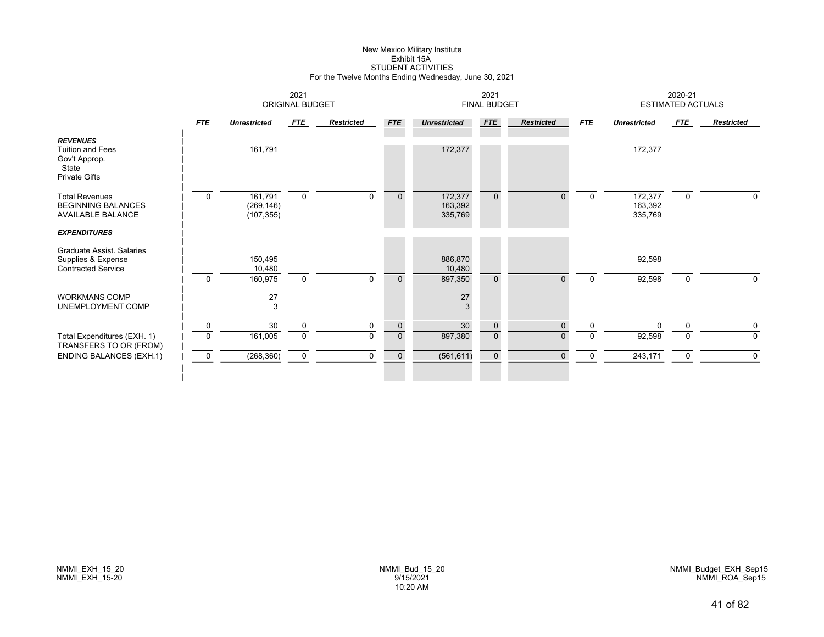# New Mexico Military Institute Exhibit 15ASTUDENT ACTIVITIES For the Twelve Months Ending Wednesday, June 30, 2021

|                                                                                              | 2021<br><b>ORIGINAL BUDGET</b> |                                     |             |                   | 2021<br><b>FINAL BUDGET</b> |                               |                |                   |             | 2020-21<br><b>ESTIMATED ACTUALS</b> |             |                   |
|----------------------------------------------------------------------------------------------|--------------------------------|-------------------------------------|-------------|-------------------|-----------------------------|-------------------------------|----------------|-------------------|-------------|-------------------------------------|-------------|-------------------|
|                                                                                              | FTE                            | <b>Unrestricted</b>                 | FTE         | <b>Restricted</b> | <b>FTE</b>                  | <b>Unrestricted</b>           | <b>FTE</b>     | <b>Restricted</b> | FTE         | <b>Unrestricted</b>                 | FTE         | <b>Restricted</b> |
| <b>REVENUES</b><br><b>Tuition and Fees</b><br>Gov't Approp.<br>State<br><b>Private Gifts</b> |                                | 161,791                             |             |                   |                             | 172,377                       |                |                   |             | 172,377                             |             |                   |
| <b>Total Revenues</b><br><b>BEGINNING BALANCES</b><br><b>AVAILABLE BALANCE</b>               | $\mathbf 0$                    | 161,791<br>(269, 146)<br>(107, 355) | $\mathbf 0$ | $\Omega$          | $\mathbf{0}$                | 172,377<br>163,392<br>335,769 | $\overline{0}$ | U                 | $\Omega$    | 172,377<br>163,392<br>335,769       | $\mathbf 0$ | 0                 |
| <b>EXPENDITURES</b>                                                                          |                                |                                     |             |                   |                             |                               |                |                   |             |                                     |             |                   |
| Graduate Assist. Salaries<br>Supplies & Expense<br><b>Contracted Service</b>                 |                                | 150,495<br>10,480                   |             |                   |                             | 886,870<br>10,480             |                |                   |             | 92,598                              |             |                   |
|                                                                                              | $\mathbf 0$                    | 160,975                             | $\mathbf 0$ | $\mathbf 0$       | $\mathbf{0}$                | 897,350                       | $\Omega$       | $\Omega$          | $\mathbf 0$ | 92,598                              | $\mathbf 0$ | 0                 |
| <b>WORKMANS COMP</b><br>UNEMPLOYMENT COMP                                                    |                                | 27<br>3                             |             |                   |                             | 27<br>3                       |                |                   |             |                                     |             |                   |
|                                                                                              | 0                              | 30                                  | 0           | 0                 | $\mathbf 0$                 | 30                            | $\mathbf 0$    | 0                 | 0           |                                     | 0           | 0                 |
| Total Expenditures (EXH. 1)<br>TRANSFERS TO OR (FROM)                                        | $\mathbf 0$                    | 161,005                             | $\mathbf 0$ | $\Omega$          | $\mathbf{0}$                | 897,380                       | $\overline{0}$ | U                 | ŋ           | 92,598                              |             | 0                 |
| <b>ENDING BALANCES (EXH.1)</b>                                                               | $\overline{0}$                 | (268, 360)                          | $\mathbf 0$ | $\mathbf 0$       | $\mathbf 0$                 | (561, 611)                    | $\mathbf 0$    | $\Omega$          | 0           | 243,171                             | 0           | 0                 |
|                                                                                              |                                |                                     |             |                   |                             |                               |                |                   |             |                                     |             |                   |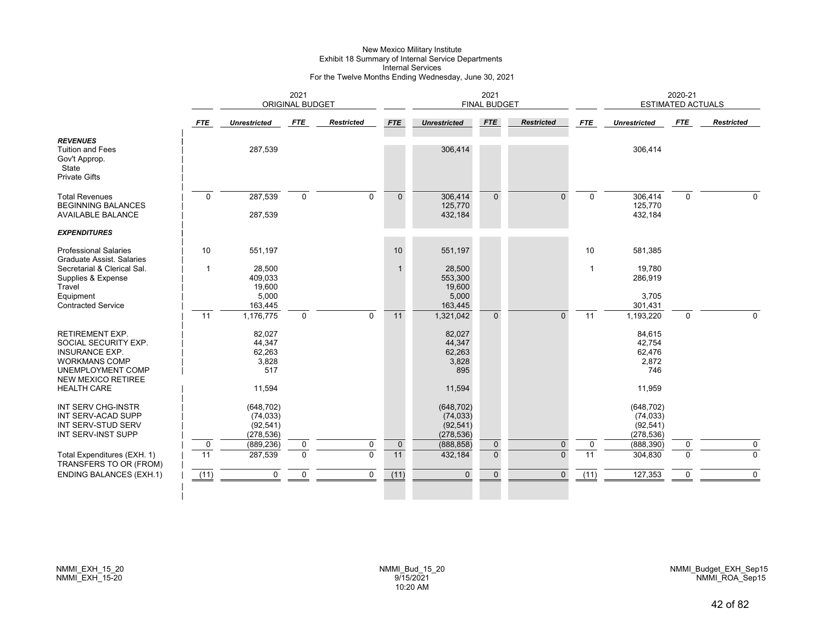# New Mexico Military Institute Exhibit 18 Summary of Internal Service Departments Internal Services For the Twelve Months Ending Wednesday, June 30, 2021

|                                                                                                                                                                         |                   |                                                      | 2021<br>ORIGINAL BUDGET |                   |                   |                                                      | 2021<br><b>FINAL BUDGET</b> |                         |                                |                         | 2020-21<br><b>ESTIMATED ACTUALS</b><br>FTE<br>306,414<br>306,414<br>$\Omega$<br>125,770<br>432,184<br>581,385<br>19,780<br>286,919<br>3,705<br>301,431<br>1,193,220<br>$\Omega$<br>84,615<br>42,754<br>62,476<br>2,872<br>746<br>11,959<br>(648, 702)<br>(74, 033) |                   |  |  |
|-------------------------------------------------------------------------------------------------------------------------------------------------------------------------|-------------------|------------------------------------------------------|-------------------------|-------------------|-------------------|------------------------------------------------------|-----------------------------|-------------------------|--------------------------------|-------------------------|--------------------------------------------------------------------------------------------------------------------------------------------------------------------------------------------------------------------------------------------------------------------|-------------------|--|--|
|                                                                                                                                                                         | <b>FTE</b>        | <b>Unrestricted</b>                                  | FTE                     | <b>Restricted</b> | <b>FTE</b>        | <b>Unrestricted</b>                                  | <b>FTE</b>                  | <b>Restricted</b>       | <b>FTE</b>                     | <b>Unrestricted</b>     |                                                                                                                                                                                                                                                                    | <b>Restricted</b> |  |  |
| <b>REVENUES</b><br><b>Tuition and Fees</b><br>Gov't Approp.<br>State<br><b>Private Gifts</b>                                                                            |                   | 287,539                                              |                         |                   |                   | 306,414                                              |                             |                         |                                |                         |                                                                                                                                                                                                                                                                    |                   |  |  |
| <b>Total Revenues</b><br><b>BEGINNING BALANCES</b><br><b>AVAILABLE BALANCE</b>                                                                                          | $\Omega$          | 287,539<br>287,539                                   | $\mathbf 0$             | $\Omega$          | $\Omega$          | 306,414<br>125,770<br>432,184                        | $\Omega$                    | $\Omega$                | $\Omega$                       |                         |                                                                                                                                                                                                                                                                    | $\Omega$          |  |  |
| <b>EXPENDITURES</b>                                                                                                                                                     |                   |                                                      |                         |                   |                   |                                                      |                             |                         |                                |                         |                                                                                                                                                                                                                                                                    |                   |  |  |
| <b>Professional Salaries</b><br><b>Graduate Assist. Salaries</b>                                                                                                        | 10                | 551,197                                              |                         |                   | 10                | 551,197                                              |                             |                         | 10                             |                         |                                                                                                                                                                                                                                                                    |                   |  |  |
| Secretarial & Clerical Sal.<br>Supplies & Expense<br>Travel<br>Equipment<br><b>Contracted Service</b>                                                                   | $\mathbf 1$       | 28,500<br>409,033<br>19,600<br>5,000<br>163,445      |                         |                   | $\mathbf{1}$      | 28,500<br>553,300<br>19,600<br>5,000<br>163,445      |                             |                         | $\mathbf{1}$                   |                         |                                                                                                                                                                                                                                                                    |                   |  |  |
|                                                                                                                                                                         | 11                | 1,176,775                                            | $\Omega$                | $\Omega$          | 11                | 1,321,042                                            | $\Omega$                    | $\Omega$                | 11                             |                         |                                                                                                                                                                                                                                                                    | $\Omega$          |  |  |
| <b>RETIREMENT EXP.</b><br>SOCIAL SECURITY EXP.<br><b>INSURANCE EXP.</b><br><b>WORKMANS COMP</b><br>UNEMPLOYMENT COMP<br><b>NEW MEXICO RETIREE</b><br><b>HEALTH CARE</b> |                   | 82,027<br>44.347<br>62,263<br>3,828<br>517<br>11,594 |                         |                   |                   | 82,027<br>44,347<br>62,263<br>3,828<br>895<br>11,594 |                             |                         |                                |                         |                                                                                                                                                                                                                                                                    |                   |  |  |
| INT SERV CHG-INSTR<br>INT SERV-ACAD SUPP<br>INT SERV-STUD SERV<br>INT SERV-INST SUPP                                                                                    |                   | (648, 702)<br>(74, 033)<br>(92, 541)<br>(278, 536)   |                         | $\mathbf 0$       |                   | (648, 702)<br>(74, 033)<br>(92, 541)<br>(278, 536)   |                             |                         |                                | (92, 541)<br>(278, 536) |                                                                                                                                                                                                                                                                    | $\mathbf 0$       |  |  |
| Total Expenditures (EXH. 1)<br>TRANSFERS TO OR (FROM)                                                                                                                   | $\mathbf 0$<br>11 | (889, 236)<br>287,539                                | 0<br>$\mathbf 0$        | $\Omega$          | $\mathbf 0$<br>11 | (888, 858)<br>432,184                                | $\mathbf 0$<br>$\Omega$     | $\mathbf 0$<br>$\Omega$ | $\mathbf 0$<br>$\overline{11}$ | (888, 390)<br>304,830   | 0<br>$\Omega$                                                                                                                                                                                                                                                      | $\Omega$          |  |  |
| <b>ENDING BALANCES (EXH.1)</b>                                                                                                                                          | (11)              | $\mathbf 0$                                          | $\mathbf 0$             | $\mathbf 0$       | (11)              | $\mathbf{0}$                                         | $\overline{0}$              | $\mathbf{0}$            | (11)                           | 127,353                 | 0                                                                                                                                                                                                                                                                  | $\mathbf 0$       |  |  |
|                                                                                                                                                                         |                   |                                                      |                         |                   |                   |                                                      |                             |                         |                                |                         |                                                                                                                                                                                                                                                                    |                   |  |  |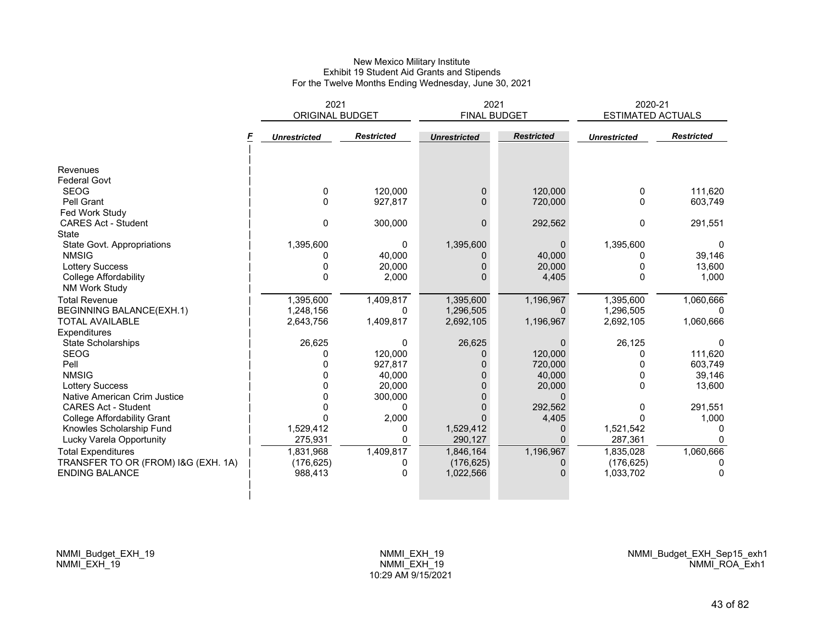### New Mexico Military Institute Exhibit 19 Student Aid Grants and Stipends For the Twelve Months Ending Wednesday, June 30, 2021

|                                                                                                                                                                                                                                                       | 2021<br>ORIGINAL BUDGET                                         |                                                               | 2021<br><b>FINAL BUDGET</b>                                  |                                                                                   | 2020-21<br>ESTIMATED ACTUALS                                           |                                                          |
|-------------------------------------------------------------------------------------------------------------------------------------------------------------------------------------------------------------------------------------------------------|-----------------------------------------------------------------|---------------------------------------------------------------|--------------------------------------------------------------|-----------------------------------------------------------------------------------|------------------------------------------------------------------------|----------------------------------------------------------|
|                                                                                                                                                                                                                                                       | <b>Unrestricted</b>                                             | <b>Restricted</b>                                             | <b>Unrestricted</b>                                          | <b>Restricted</b>                                                                 | <b>Unrestricted</b>                                                    | <b>Restricted</b>                                        |
| Revenues<br><b>Federal Govt</b><br><b>SEOG</b><br>Pell Grant<br>Fed Work Study<br><b>CARES Act - Student</b>                                                                                                                                          | 0<br>0<br>0                                                     | 120,000<br>927,817<br>300,000                                 | $\Omega$<br>$\Omega$<br>$\Omega$                             | 120,000<br>720,000<br>292,562                                                     | 0<br>0<br>0                                                            | 111,620<br>603,749<br>291,551                            |
| State<br>State Govt. Appropriations<br><b>NMSIG</b><br><b>Lottery Success</b><br>College Affordability<br><b>NM Work Study</b>                                                                                                                        | 1,395,600<br>0<br>$\Omega$                                      | 0<br>40,000<br>20,000<br>2,000                                | 1,395,600                                                    | 0<br>40,000<br>20,000<br>4,405                                                    | 1,395,600<br>ი<br>0<br>0                                               | $\Omega$<br>39,146<br>13,600<br>1,000                    |
| <b>Total Revenue</b><br><b>BEGINNING BALANCE(EXH.1)</b><br><b>TOTAL AVAILABLE</b><br>Expenditures                                                                                                                                                     | 1,395,600<br>1,248,156<br>2,643,756                             | 1,409,817<br>0<br>1,409,817                                   | 1,395,600<br>1,296,505<br>2,692,105                          | 1,196,967<br>$\Omega$<br>1,196,967                                                | 1,395,600<br>1,296,505<br>2,692,105                                    | 1,060,666<br>1,060,666                                   |
| State Scholarships<br><b>SEOG</b><br>Pell<br><b>NMSIG</b><br><b>Lottery Success</b>                                                                                                                                                                   | 26,625                                                          | $\Omega$<br>120,000<br>927,817<br>40,000<br>20,000            | 26,625<br>0                                                  | $\Omega$<br>120,000<br>720,000<br>40,000<br>20,000                                | 26,125<br>0<br>0<br>0<br>0                                             | 111,620<br>603,749<br>39,146<br>13,600                   |
| Native American Crim Justice<br><b>CARES Act - Student</b><br><b>College Affordability Grant</b><br>Knowles Scholarship Fund<br>Lucky Varela Opportunity<br><b>Total Expenditures</b><br>TRANSFER TO OR (FROM) I&G (EXH. 1A)<br><b>ENDING BALANCE</b> | 0<br>1,529,412<br>275,931<br>1,831,968<br>(176, 625)<br>988,413 | 300,000<br>$\Omega$<br>2,000<br>0<br>0<br>1,409,817<br>0<br>0 | 1,529,412<br>290,127<br>1,846,164<br>(176, 625)<br>1,022,566 | $\Omega$<br>292,562<br>4,405<br>0<br>$\Omega$<br>1,196,967<br>0<br>$\overline{0}$ | 0<br>O<br>1,521,542<br>287,361<br>1,835,028<br>(176, 625)<br>1,033,702 | 291,551<br>1,000<br>0<br>$\Omega$<br>1,060,666<br>0<br>0 |
|                                                                                                                                                                                                                                                       |                                                                 |                                                               |                                                              |                                                                                   |                                                                        |                                                          |

NMMI\_Budget\_EXH\_19 NMMI\_EXH\_19

NMMI\_Budget\_EXH\_Sep15\_exh1 NMMI\_ROA\_Exh1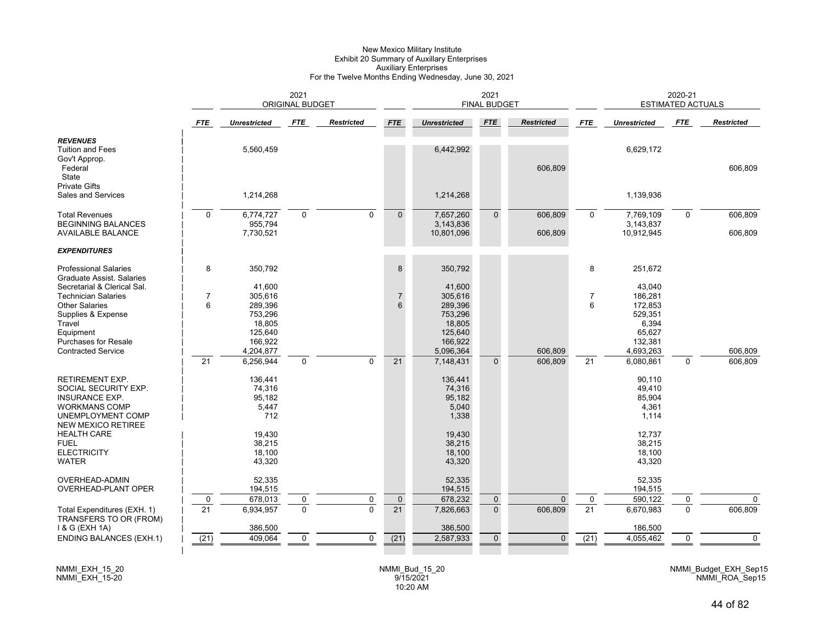#### New Mexico Military Institute Exhibit 20 Summary of Auxillary Enterprises Auxiliary Enterprises For the Twelve Months Ending Wednesday, June 30, 2021

| <b>FTE</b><br>Restricted<br><b>FTE</b><br><b>Restricted</b><br><b>FTE</b><br><b>FTE</b><br><b>FTE</b><br><b>Unrestricted</b><br><b>FTE</b><br><b>Unrestricted</b><br><b>Unrestricted</b>                                                                                                                                                                                                       | <b>Restricted</b>   |
|------------------------------------------------------------------------------------------------------------------------------------------------------------------------------------------------------------------------------------------------------------------------------------------------------------------------------------------------------------------------------------------------|---------------------|
|                                                                                                                                                                                                                                                                                                                                                                                                |                     |
| <b>REVENUES</b><br>6,629,172<br><b>Tuition and Fees</b><br>5,560,459<br>6,442,992<br>Gov't Approp.<br>Federal<br>606,809<br><b>State</b>                                                                                                                                                                                                                                                       | 606,809             |
| <b>Private Gifts</b><br>Sales and Services<br>1,214,268<br>1,214,268<br>1,139,936                                                                                                                                                                                                                                                                                                              |                     |
| $\mathbf 0$<br>6,774,727<br>$\mathbf 0$<br>$\mathbf 0$<br>7,657,260<br>$\overline{0}$<br>606,809<br>7,769,109<br>$\mathbf 0$<br><b>Total Revenues</b><br>$\mathbf 0$<br>$\mathbf 0$<br><b>BEGINNING BALANCES</b><br>955,794<br>3,143,836<br>3,143,837<br><b>AVAILABLE BALANCE</b><br>7,730,521<br>10,801,096<br>606,809<br>10,912,945                                                          | 606,809<br>606,809  |
| <b>EXPENDITURES</b>                                                                                                                                                                                                                                                                                                                                                                            |                     |
| 8<br>8<br>350,792<br>350,792<br>8<br>251,672<br><b>Professional Salaries</b><br><b>Graduate Assist, Salaries</b><br>41,600<br>Secretarial & Clerical Sal.<br>41,600<br>43,040                                                                                                                                                                                                                  |                     |
| <b>Technician Salaries</b><br>305,616<br>$\overline{7}$<br>$\overline{7}$<br>305,616<br>7<br>186,281<br>$6\phantom{1}$<br>6<br><b>Other Salaries</b><br>289,396<br>289,396<br>6<br>172,853<br>Supplies & Expense<br>753,296<br>753,296<br>529,351<br>Travel<br>18,805<br>18.805<br>6,394<br>Equipment<br>125,640<br>65,627<br>125,640<br>Purchases for Resale<br>166,922<br>166,922<br>132,381 |                     |
| <b>Contracted Service</b><br>5,096,364<br>606,809<br>4,693,263<br>4,204,877<br>$\overline{21}$<br>21<br>$\Omega$<br>606,809<br>21<br>6,256,944<br>$\mathbf 0$<br>7,148,431<br>$\mathbf{0}$<br>6,080,861<br>$\Omega$                                                                                                                                                                            | 606,809<br>606,809  |
| RETIREMENT EXP.<br>136,441<br>136,441<br>90,110<br>74,316<br>74,316<br>SOCIAL SECURITY EXP.<br>49,410<br>95,182<br>95,182<br>85,904<br><b>INSURANCE EXP.</b><br><b>WORKMANS COMP</b><br>5,447<br>5,040<br>4,361<br>712<br>1,338<br>UNEMPLOYMENT COMP<br>1,114<br><b>NEW MEXICO RETIREE</b>                                                                                                     |                     |
| <b>HEALTH CARE</b><br>19,430<br>19,430<br>12,737<br>38,215<br>38,215<br>38,215<br><b>FUEL</b><br><b>ELECTRICITY</b><br>18,100<br>18,100<br>18,100<br><b>WATER</b><br>43,320<br>43,320<br>43,320                                                                                                                                                                                                |                     |
| <b>OVERHEAD-ADMIN</b><br>52,335<br>52,335<br>52,335<br>OVERHEAD-PLANT OPER<br>194,515<br>194,515<br>194,515                                                                                                                                                                                                                                                                                    |                     |
| 678,013<br>678,232<br>590,122<br>$\mathbf 0$<br>$\mathbf 0$<br>$\mathbf 0$<br>$\mathbf 0$<br>$\mathbf 0$<br>$\mathbf 0$<br>0<br>$\Omega$<br>$\overline{21}$<br>$\overline{0}$<br>$\overline{21}$<br>$\overline{21}$<br>6,934,957<br>$\mathbf{0}$<br>606,809<br>6,670,983<br>$\Omega$<br>$\Omega$<br>7,826,663<br>Total Expenditures (EXH. 1)                                                   | $\Omega$<br>606,809 |
| TRANSFERS TO OR (FROM)<br>1 & G (EXH 1A)<br>386,500<br>386,500<br>186,500                                                                                                                                                                                                                                                                                                                      |                     |
| (21)<br>(21)<br>409,064<br>$\mathbf 0$<br>(21)<br>2,587,933<br>$\mathbf 0$<br>4,055,462<br><b>ENDING BALANCES (EXH.1)</b><br>$\mathbf 0$<br>$\mathbf{0}$<br>0                                                                                                                                                                                                                                  | $\mathbf 0$         |

NMMI\_EXH\_15\_20 NMMI\_EXH\_15-20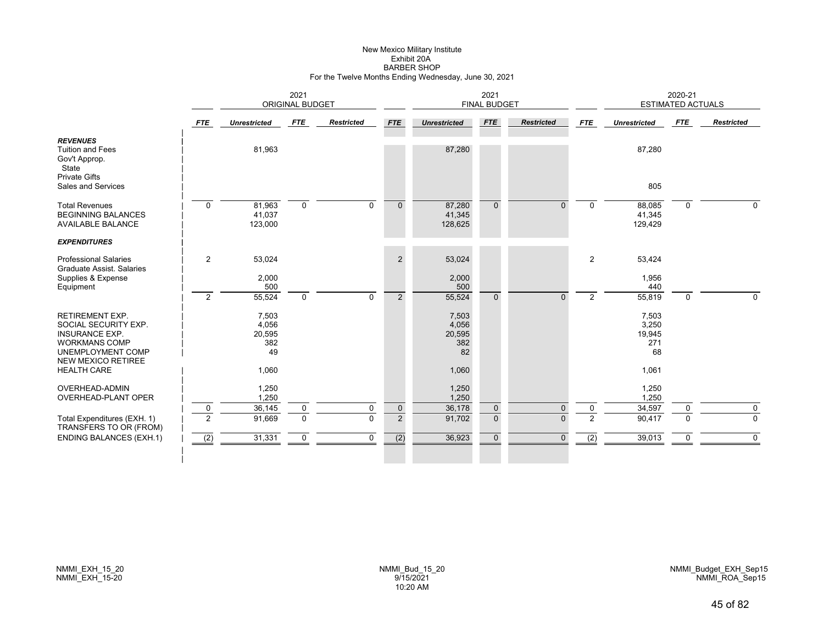#### New Mexico Military Institute Exhibit 20A BARBER SHOPFor the Twelve Months Ending Wednesday, June 30, 2021

|                                                                                                                                                   |                               | 2021<br><b>ORIGINAL BUDGET</b>        |                                 |                   |                               | 2021<br><b>FINAL BUDGET</b>           |                             |                      |                     | 2020-21<br><b>ESTIMATED ACTUALS</b>   |               |                         |  |
|---------------------------------------------------------------------------------------------------------------------------------------------------|-------------------------------|---------------------------------------|---------------------------------|-------------------|-------------------------------|---------------------------------------|-----------------------------|----------------------|---------------------|---------------------------------------|---------------|-------------------------|--|
|                                                                                                                                                   | FTE                           | <b>Unrestricted</b>                   | FTE                             | <b>Restricted</b> | <b>FTE</b>                    | <b>Unrestricted</b>                   | <b>FTE</b>                  | <b>Restricted</b>    | FTE                 | <b>Unrestricted</b>                   | FTE           | <b>Restricted</b>       |  |
| <b>REVENUES</b><br><b>Tuition and Fees</b><br>Gov't Approp.<br>State<br><b>Private Gifts</b>                                                      |                               | 81,963                                |                                 |                   |                               | 87,280                                |                             |                      |                     | 87,280                                |               |                         |  |
| Sales and Services                                                                                                                                |                               |                                       |                                 |                   |                               |                                       |                             |                      |                     | 805                                   |               |                         |  |
| <b>Total Revenues</b><br><b>BEGINNING BALANCES</b><br><b>AVAILABLE BALANCE</b>                                                                    | $\mathbf 0$                   | 81,963<br>41,037<br>123,000           | $\mathbf 0$                     | $\Omega$          | $\Omega$                      | 87,280<br>41,345<br>128,625           | $\mathbf{0}$                | $\Omega$             | $\Omega$            | 88,085<br>41,345<br>129,429           | $\Omega$      | $\Omega$                |  |
| <b>EXPENDITURES</b>                                                                                                                               |                               |                                       |                                 |                   |                               |                                       |                             |                      |                     |                                       |               |                         |  |
| <b>Professional Salaries</b><br><b>Graduate Assist, Salaries</b>                                                                                  | $\overline{2}$                | 53,024                                |                                 |                   | $\overline{2}$                | 53,024                                |                             |                      | $\overline{2}$      | 53,424                                |               |                         |  |
| Supplies & Expense<br>Equipment                                                                                                                   |                               | 2,000<br>500                          |                                 |                   |                               | 2,000<br>500                          |                             |                      |                     | 1,956<br>440                          |               |                         |  |
|                                                                                                                                                   | 2                             | 55,524                                | $\mathbf 0$                     | $\Omega$          | $\overline{2}$                | 55,524                                | $\Omega$                    | $\Omega$             | 2                   | 55,819                                | $\mathbf 0$   | $\Omega$                |  |
| <b>RETIREMENT EXP.</b><br>SOCIAL SECURITY EXP.<br><b>INSURANCE EXP.</b><br><b>WORKMANS COMP</b><br>UNEMPLOYMENT COMP<br><b>NEW MEXICO RETIREE</b> |                               | 7,503<br>4,056<br>20,595<br>382<br>49 |                                 |                   |                               | 7,503<br>4,056<br>20,595<br>382<br>82 |                             |                      |                     | 7,503<br>3,250<br>19,945<br>271<br>68 |               |                         |  |
| <b>HEALTH CARE</b>                                                                                                                                |                               | 1,060                                 |                                 |                   |                               | 1,060                                 |                             |                      |                     | 1,061                                 |               |                         |  |
| <b>OVERHEAD-ADMIN</b><br>OVERHEAD-PLANT OPER                                                                                                      |                               | 1,250<br>1,250                        |                                 |                   |                               | 1,250<br>1,250                        |                             |                      |                     | 1,250<br>1,250                        |               |                         |  |
| Total Expenditures (EXH. 1)<br>TRANSFERS TO OR (FROM)                                                                                             | $\mathbf 0$<br>$\overline{2}$ | 36,145<br>91,669                      | $\boldsymbol{0}$<br>$\mathbf 0$ | 0<br>$\Omega$     | $\mathbf 0$<br>$\overline{2}$ | 36,178<br>91,702                      | $\mathbf 0$<br>$\mathbf{0}$ | $\Omega$<br>$\Omega$ | 0<br>$\overline{2}$ | 34,597<br>90,417                      | 0<br>$\Omega$ | $\mathbf 0$<br>$\Omega$ |  |
| <b>ENDING BALANCES (EXH.1)</b>                                                                                                                    | (2)                           | 31,331                                | $\pmb{0}$                       | $\mathbf 0$       | (2)                           | 36,923                                | $\mathbf 0$                 | $\mathbf{0}$         | (2)                 | 39,013                                | 0             | $\Omega$                |  |
|                                                                                                                                                   |                               |                                       |                                 |                   |                               |                                       |                             |                      |                     |                                       |               |                         |  |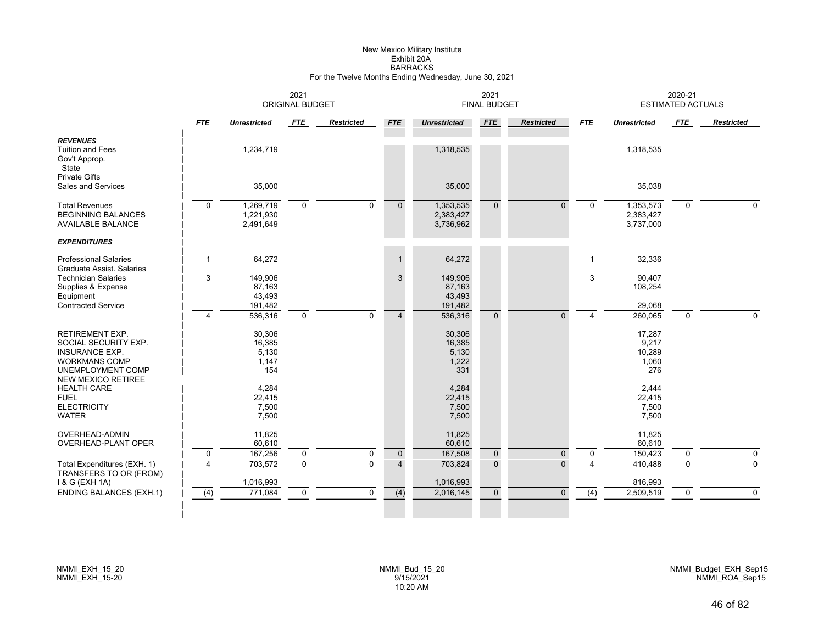#### New Mexico Military Institute Exhibit 20A BARRACKSFor the Twelve Months Ending Wednesday, June 30, 2021

|                                                                                                                                                   |                     |                                           | 2021<br><b>ORIGINAL BUDGET</b> |                     |                             |                                           | 2021<br><b>FINAL BUDGET</b> |                          |                      |                                           | 2020-21<br><b>ESTIMATED ACTUALS</b> |                         |
|---------------------------------------------------------------------------------------------------------------------------------------------------|---------------------|-------------------------------------------|--------------------------------|---------------------|-----------------------------|-------------------------------------------|-----------------------------|--------------------------|----------------------|-------------------------------------------|-------------------------------------|-------------------------|
|                                                                                                                                                   | <b>FTE</b>          | <b>Unrestricted</b>                       | FTE                            | <b>Restricted</b>   | <b>FTE</b>                  | <b>Unrestricted</b>                       | <b>FTE</b>                  | <b>Restricted</b>        | <b>FTE</b>           | <b>Unrestricted</b>                       | <b>FTE</b>                          | <b>Restricted</b>       |
| <b>REVENUES</b><br><b>Tuition and Fees</b><br>Gov't Approp.<br>State                                                                              |                     | 1,234,719                                 |                                |                     |                             | 1,318,535                                 |                             |                          |                      | 1,318,535                                 |                                     |                         |
| <b>Private Gifts</b><br>Sales and Services                                                                                                        |                     | 35,000                                    |                                |                     |                             | 35,000                                    |                             |                          |                      | 35,038                                    |                                     |                         |
| <b>Total Revenues</b><br><b>BEGINNING BALANCES</b><br><b>AVAILABLE BALANCE</b>                                                                    | $\mathbf 0$         | 1,269,719<br>1,221,930<br>2,491,649       | 0                              | $\mathbf 0$         | $\overline{0}$              | 1,353,535<br>2,383,427<br>3,736,962       | $\mathbf{0}$                | $\Omega$                 | $\mathbf 0$          | 1,353,573<br>2,383,427<br>3,737,000       | $\mathbf 0$                         | $\Omega$                |
| <b>EXPENDITURES</b>                                                                                                                               |                     |                                           |                                |                     |                             |                                           |                             |                          |                      |                                           |                                     |                         |
| <b>Professional Salaries</b><br>Graduate Assist. Salaries                                                                                         | 1                   | 64,272                                    |                                |                     | $\mathbf{1}$                | 64,272                                    |                             |                          | 1                    | 32,336                                    |                                     |                         |
| <b>Technician Salaries</b><br>Supplies & Expense<br>Equipment                                                                                     | 3                   | 149,906<br>87,163<br>43,493               |                                |                     | 3                           | 149,906<br>87,163<br>43,493               |                             |                          | 3                    | 90.407<br>108,254                         |                                     |                         |
| <b>Contracted Service</b>                                                                                                                         | $\overline{4}$      | 191,482<br>536,316                        | $\mathbf 0$                    | $\Omega$            | $\overline{4}$              | 191,482<br>536,316                        | $\Omega$                    | $\Omega$                 | 4                    | 29,068<br>260,065                         | $\Omega$                            | $\Omega$                |
| <b>RETIREMENT EXP.</b><br>SOCIAL SECURITY EXP.<br><b>INSURANCE EXP.</b><br><b>WORKMANS COMP</b><br>UNEMPLOYMENT COMP<br><b>NEW MEXICO RETIREE</b> |                     | 30,306<br>16,385<br>5,130<br>1,147<br>154 |                                |                     |                             | 30,306<br>16,385<br>5,130<br>1,222<br>331 |                             |                          |                      | 17,287<br>9,217<br>10,289<br>1,060<br>276 |                                     |                         |
| <b>HEALTH CARE</b><br><b>FUEL</b><br><b>ELECTRICITY</b><br><b>WATER</b>                                                                           |                     | 4,284<br>22,415<br>7,500<br>7,500         |                                |                     |                             | 4,284<br>22,415<br>7,500<br>7,500         |                             |                          |                      | 2.444<br>22,415<br>7,500<br>7,500         |                                     |                         |
| <b>OVERHEAD-ADMIN</b><br>OVERHEAD-PLANT OPER                                                                                                      |                     | 11,825<br>60,610                          |                                |                     |                             | 11,825<br>60,610                          |                             |                          |                      | 11,825<br>60,610                          |                                     |                         |
| Total Expenditures (EXH. 1)<br>TRANSFERS TO OR (FROM)                                                                                             | 0<br>$\overline{4}$ | 167,256<br>703,572                        | 0<br>$\mathbf 0$               | 0<br>$\overline{0}$ | $\pmb{0}$<br>$\overline{4}$ | 167,508<br>703,824                        | $\mathbf 0$<br>$\mathbf{0}$ | $\mathbf{0}$<br>$\Omega$ | $\Omega$<br>$\Delta$ | 150,423<br>410,488                        | 0<br>$\Omega$                       | $\mathbf 0$<br>$\Omega$ |
| 1 & G (EXH 1A)<br><b>ENDING BALANCES (EXH.1)</b>                                                                                                  | (4)                 | 1,016,993<br>771,084                      | 0                              | $\mathbf 0$         | $\overline{(4)}$            | 1,016,993<br>2,016,145                    | $\mathbf 0$                 | $\Omega$                 | (4)                  | 816,993<br>2,509,519                      | $\mathbf 0$                         | $\mathbf 0$             |
|                                                                                                                                                   |                     |                                           |                                |                     |                             |                                           |                             |                          |                      |                                           |                                     |                         |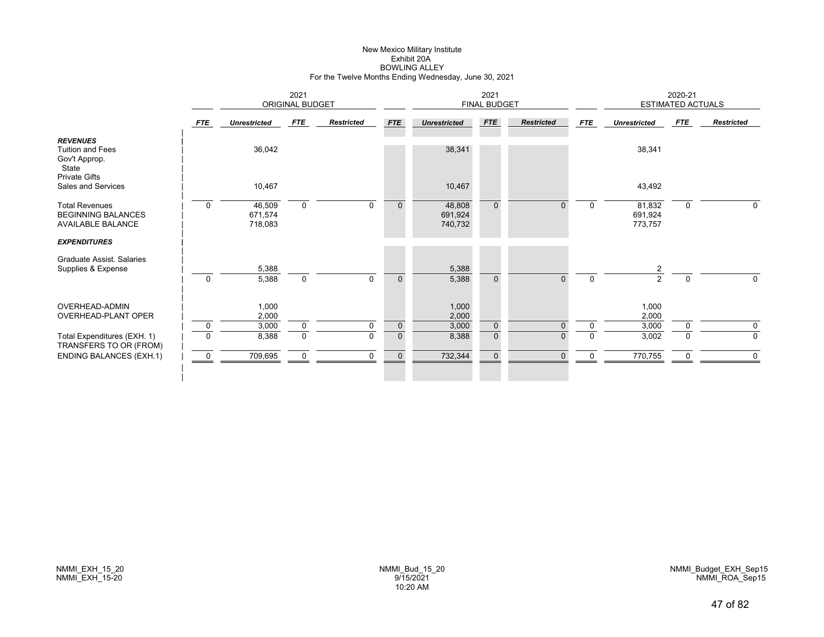# New Mexico Military Institute Exhibit 20ABOWLING ALLEY For the Twelve Months Ending Wednesday, June 30, 2021

|                                                                                              | 2021<br>ORIGINAL BUDGET |                              |             |                   |              | 2021<br><b>FINAL BUDGET</b>  |              |                   |             | 2020-21<br><b>ESTIMATED ACTUALS</b> |             |                   |  |
|----------------------------------------------------------------------------------------------|-------------------------|------------------------------|-------------|-------------------|--------------|------------------------------|--------------|-------------------|-------------|-------------------------------------|-------------|-------------------|--|
|                                                                                              | <b>FTE</b>              | <b>Unrestricted</b>          | FTE         | <b>Restricted</b> | <b>FTE</b>   | <b>Unrestricted</b>          | <b>FTE</b>   | <b>Restricted</b> | <b>FTE</b>  | <b>Unrestricted</b>                 | FTE         | <b>Restricted</b> |  |
| <b>REVENUES</b><br><b>Tuition and Fees</b><br>Gov't Approp.<br>State<br><b>Private Gifts</b> |                         | 36,042                       |             |                   |              | 38,341                       |              |                   |             | 38,341                              |             |                   |  |
| Sales and Services                                                                           |                         | 10,467                       |             |                   |              | 10,467                       |              |                   |             | 43,492                              |             |                   |  |
| <b>Total Revenues</b><br><b>BEGINNING BALANCES</b><br><b>AVAILABLE BALANCE</b>               | $\mathbf 0$             | 46,509<br>671,574<br>718,083 | $\mathbf 0$ | $\Omega$          | $\mathbf{0}$ | 48,808<br>691,924<br>740,732 | $\Omega$     | $\Omega$          | $\Omega$    | 81,832<br>691,924<br>773,757        | $\mathbf 0$ | $\Omega$          |  |
| <b>EXPENDITURES</b>                                                                          |                         |                              |             |                   |              |                              |              |                   |             |                                     |             |                   |  |
| <b>Graduate Assist, Salaries</b><br>Supplies & Expense                                       | $\mathbf 0$             | 5,388<br>5,388               | $\mathbf 0$ | $\Omega$          | $\mathbf{0}$ | 5,388<br>5,388               | $\Omega$     | $\Omega$          | $\mathbf 0$ | $\overline{2}$<br>$\overline{2}$    | $\mathbf 0$ | 0                 |  |
|                                                                                              |                         |                              |             |                   |              |                              |              |                   |             |                                     |             |                   |  |
| <b>OVERHEAD-ADMIN</b><br>OVERHEAD-PLANT OPER                                                 |                         | 1,000<br>2,000               |             |                   |              | 1,000<br>2,000               |              |                   |             | 1,000<br>2,000                      |             |                   |  |
|                                                                                              | $\mathbf 0$             | 3,000                        | $\mathbf 0$ | 0                 | $\mathbf 0$  | 3,000                        | $\mathbf 0$  | $\mathbf{0}$      | 0           | 3,000                               |             | 0                 |  |
| Total Expenditures (EXH. 1)<br>TRANSFERS TO OR (FROM)                                        | $\Omega$                | 8,388                        | $\mathbf 0$ | $\Omega$          | $\mathbf{0}$ | 8,388                        | $\mathbf{0}$ | $\Omega$          | 0           | 3,002                               | $\Omega$    | $\mathbf 0$       |  |
| <b>ENDING BALANCES (EXH.1)</b>                                                               | $\mathbf 0$             | 709,695                      | 0           | 0                 | $\mathbf{0}$ | 732,344                      | $\mathbf{0}$ | n                 | 0           | 770,755                             |             | $\mathbf 0$       |  |
|                                                                                              |                         |                              |             |                   |              |                              |              |                   |             |                                     |             |                   |  |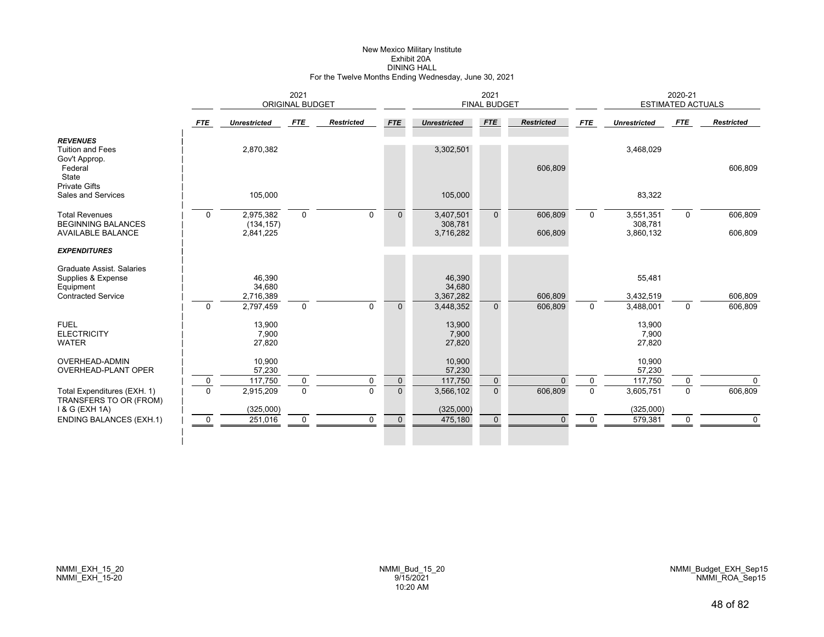# New Mexico Military Institute Exhibit 20ADINING HALL For the Twelve Months Ending Wednesday, June 30, 2021

|             |                                            | 2021                              |                   |                        | <b>FINAL BUDGET</b>                        |                                   |                     |              | <b>ESTIMATED ACTUALS</b>         |                                   |                    |
|-------------|--------------------------------------------|-----------------------------------|-------------------|------------------------|--------------------------------------------|-----------------------------------|---------------------|--------------|----------------------------------|-----------------------------------|--------------------|
| <b>FTE</b>  | <b>Unrestricted</b>                        | FTE                               | <b>Restricted</b> | <b>FTE</b>             | <b>Unrestricted</b>                        | <b>FTE</b>                        | <b>Restricted</b>   | <b>FTE</b>   | <b>Unrestricted</b>              | <b>FTE</b>                        | <b>Restricted</b>  |
|             | 2,870,382                                  |                                   |                   |                        | 3,302,501                                  |                                   | 606,809             |              | 3,468,029                        |                                   | 606,809            |
|             | 105,000                                    |                                   |                   |                        | 105,000                                    |                                   |                     |              | 83,322                           |                                   |                    |
| $\mathbf 0$ | 2,975,382<br>(134, 157)                    | $\mathbf 0$                       | $\Omega$          | $\mathbf 0$            | 3,407,501<br>308,781                       | $\Omega$                          | 606,809             | $\Omega$     | 3,551,351<br>308,781             | $\mathbf 0$                       | 606,809<br>606,809 |
|             |                                            |                                   |                   |                        |                                            |                                   |                     |              |                                  |                                   |                    |
| $\mathbf 0$ | 46.390<br>34,680<br>2,716,389<br>2,797,459 | $\mathbf 0$                       | $\Omega$          | $\mathbf{0}$           | 46.390<br>34,680<br>3,367,282<br>3,448,352 | $\mathbf{0}$                      | 606,809<br>606,809  | $\mathbf 0$  | 55,481<br>3,432,519<br>3,488,001 | $\mathbf 0$                       | 606,809<br>606,809 |
|             | 13,900<br>7,900<br>27,820                  |                                   |                   |                        | 13,900<br>7,900<br>27,820                  |                                   |                     |              | 13,900<br>7,900<br>27,820        |                                   |                    |
|             | 10,900<br>57,230                           |                                   | $\mathbf 0$       |                        | 10,900<br>57,230                           |                                   |                     | $\mathbf 0$  | 10,900<br>57,230                 |                                   | $\Omega$           |
| $\Omega$    | 2,915,209                                  | $\mathbf 0$                       | $\Omega$          | $\overline{0}$         | 3,566,102                                  | $\mathbf{0}$                      | 606,809             | $\mathbf{0}$ | 3,605,751                        | $\Omega$                          | 606,809            |
| 0           | 251,016                                    | $\mathbf 0$                       | $\mathbf 0$       | $\mathbf 0$            | 475,180                                    | $\mathbf 0$                       | $\Omega$            | $\mathbf 0$  | 579,381                          | 0                                 | $\mathbf 0$        |
|             | 0                                          | 2,841,225<br>117,750<br>(325,000) | 0                 | <b>ORIGINAL BUDGET</b> | $\mathbf 0$                                | 3,716,282<br>117,750<br>(325,000) | 2021<br>$\mathbf 0$ | 606,809      |                                  | 3,860,132<br>117,750<br>(325,000) | 2020-21<br>0       |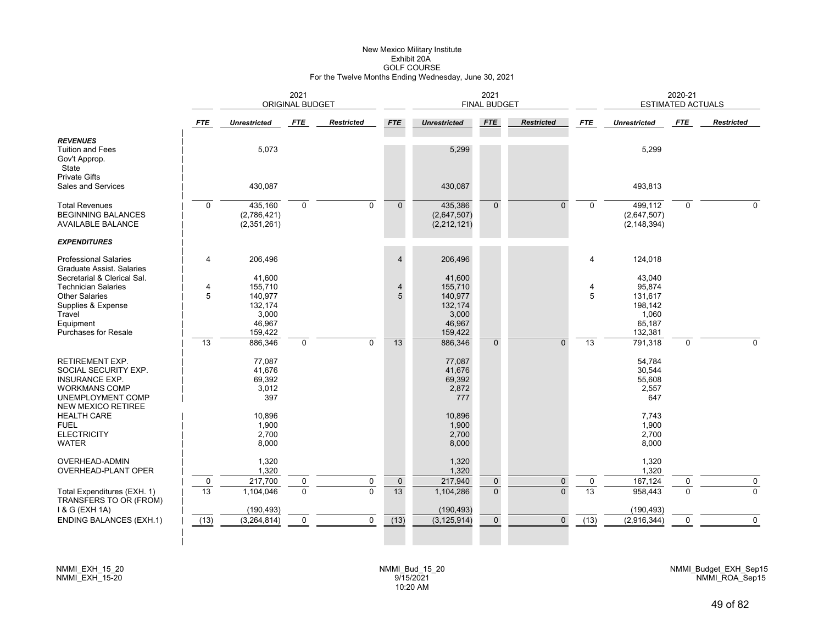# New Mexico Military Institute Exhibit 20AGOLF COURSE For the Twelve Months Ending Wednesday, June 30, 2021

|                                                                                                                                 |                   | <b>ORIGINAL BUDGET</b>                                     |                          |                               |                              | 2021<br><b>FINAL BUDGET</b>                                |                             |                          |                      | 2020-21<br><b>ESTIMATED ACTUALS</b>                       |               |                       |
|---------------------------------------------------------------------------------------------------------------------------------|-------------------|------------------------------------------------------------|--------------------------|-------------------------------|------------------------------|------------------------------------------------------------|-----------------------------|--------------------------|----------------------|-----------------------------------------------------------|---------------|-----------------------|
|                                                                                                                                 | <b>FTE</b>        | <b>Unrestricted</b>                                        | FTE                      | Restricted                    | <b>FTE</b>                   | <b>Unrestricted</b>                                        | <b>FTE</b>                  | <b>Restricted</b>        | <b>FTE</b>           | <b>Unrestricted</b>                                       | <b>FTE</b>    | <b>Restricted</b>     |
| <b>REVENUES</b><br><b>Tuition and Fees</b><br>Gov't Approp.<br>State<br><b>Private Gifts</b>                                    |                   | 5,073                                                      |                          |                               |                              | 5,299                                                      |                             |                          |                      | 5,299                                                     |               |                       |
| <b>Sales and Services</b>                                                                                                       |                   | 430,087                                                    |                          |                               |                              | 430,087                                                    |                             |                          |                      | 493,813                                                   |               |                       |
| <b>Total Revenues</b><br><b>BEGINNING BALANCES</b><br><b>AVAILABLE BALANCE</b>                                                  | $\Omega$          | 435,160<br>(2,786,421)<br>(2,351,261)                      | $\mathbf 0$              | $\Omega$                      | $\mathbf{0}$                 | 435,386<br>(2,647,507)<br>(2,212,121)                      | $\mathbf{0}$                | $\Omega$                 | $\Omega$             | 499,112<br>(2,647,507)<br>(2, 148, 394)                   | $\mathbf 0$   | $\Omega$              |
| <b>EXPENDITURES</b>                                                                                                             |                   |                                                            |                          |                               |                              |                                                            |                             |                          |                      |                                                           |               |                       |
| <b>Professional Salaries</b><br>Graduate Assist, Salaries                                                                       | 4                 | 206,496                                                    |                          |                               | $\overline{4}$               | 206,496                                                    |                             |                          | 4                    | 124,018                                                   |               |                       |
| Secretarial & Clerical Sal.<br><b>Technician Salaries</b><br><b>Other Salaries</b><br>Supplies & Expense<br>Travel<br>Equipment | 4<br>5            | 41,600<br>155,710<br>140,977<br>132,174<br>3,000<br>46,967 |                          |                               | $\overline{4}$<br>5          | 41,600<br>155,710<br>140,977<br>132,174<br>3,000<br>46,967 |                             |                          | 4<br>5               | 43,040<br>95,874<br>131,617<br>198,142<br>1,060<br>65,187 |               |                       |
| <b>Purchases for Resale</b>                                                                                                     | $\overline{13}$   | 159,422<br>886,346                                         | $\mathbf 0$              | $\mathbf 0$                   | $\overline{13}$              | 159,422<br>886,346                                         | $\mathbf{0}$                | $\Omega$                 | 13                   | 132,381<br>791,318                                        | 0             | $\Omega$              |
| <b>RETIREMENT EXP.</b><br>SOCIAL SECURITY EXP.<br><b>INSURANCE EXP.</b><br><b>WORKMANS COMP</b><br>UNEMPLOYMENT COMP            |                   | 77,087<br>41,676<br>69,392<br>3,012<br>397                 |                          |                               |                              | 77,087<br>41,676<br>69,392<br>2,872<br>777                 |                             |                          |                      | 54,784<br>30,544<br>55,608<br>2,557<br>647                |               |                       |
| <b>NEW MEXICO RETIREE</b><br><b>HEALTH CARE</b><br><b>FUEL</b><br><b>ELECTRICITY</b><br><b>WATER</b>                            |                   | 10,896<br>1,900<br>2,700<br>8,000                          |                          |                               |                              | 10,896<br>1,900<br>2,700<br>8,000                          |                             |                          |                      | 7,743<br>1,900<br>2,700<br>8,000                          |               |                       |
| OVERHEAD-ADMIN<br>OVERHEAD-PLANT OPER                                                                                           |                   | 1,320<br>1,320                                             |                          |                               |                              | 1,320<br>1,320                                             |                             |                          |                      | 1,320<br>1,320                                            |               |                       |
| Total Expenditures (EXH. 1)<br>TRANSFERS TO OR (FROM)                                                                           | $\mathbf 0$<br>13 | 217,700<br>1,104,046                                       | $\pmb{0}$<br>$\mathbf 0$ | $\mathbf 0$<br>$\overline{0}$ | $\pmb{0}$<br>$\overline{13}$ | 217,940<br>1,104,286                                       | $\mathbf 0$<br>$\mathbf{0}$ | $\mathbf{0}$<br>$\Omega$ | 0<br>$\overline{13}$ | 167,124<br>958,443                                        | 0<br>$\Omega$ | $\pmb{0}$<br>$\Omega$ |
| 1 & G (EXH 1A)<br><b>ENDING BALANCES (EXH.1)</b>                                                                                | (13)              | (190, 493)<br>(3, 264, 814)                                | $\mathbf 0$              | $\mathbf 0$                   | (13)                         | (190, 493)<br>(3, 125, 914)                                | $\mathbf 0$                 | $\Omega$                 | (13)                 | (190, 493)<br>(2,916,344)                                 | $\mathbf 0$   | $\Omega$              |
|                                                                                                                                 |                   |                                                            |                          |                               |                              |                                                            |                             |                          |                      |                                                           |               |                       |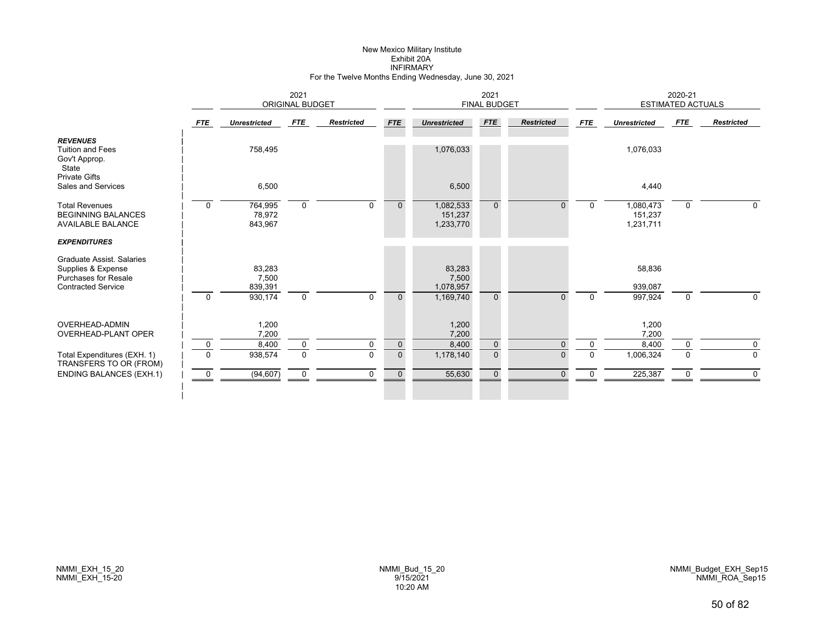#### New Mexico Military Institute Exhibit 20A INFIRMARYFor the Twelve Months Ending Wednesday, June 30, 2021

|                                                                                | 2021<br><b>ORIGINAL BUDGET</b> |                              |             |                   |              |                                   | 2021<br><b>FINAL BUDGET</b> |                   |              |                                   | 2020-21<br><b>ESTIMATED ACTUALS</b> |                   |
|--------------------------------------------------------------------------------|--------------------------------|------------------------------|-------------|-------------------|--------------|-----------------------------------|-----------------------------|-------------------|--------------|-----------------------------------|-------------------------------------|-------------------|
|                                                                                | FTE                            | <b>Unrestricted</b>          | FTE         | <b>Restricted</b> | <b>FTE</b>   | <b>Unrestricted</b>               | <b>FTE</b>                  | <b>Restricted</b> | <b>FTE</b>   | <b>Unrestricted</b>               | FTE                                 | <b>Restricted</b> |
| <b>REVENUES</b><br><b>Tuition and Fees</b><br>Gov't Approp.<br>State           |                                | 758,495                      |             |                   |              | 1,076,033                         |                             |                   |              | 1,076,033                         |                                     |                   |
| <b>Private Gifts</b><br>Sales and Services                                     |                                | 6,500                        |             |                   |              | 6,500                             |                             |                   |              | 4,440                             |                                     |                   |
| <b>Total Revenues</b><br><b>BEGINNING BALANCES</b><br><b>AVAILABLE BALANCE</b> | $\mathbf 0$                    | 764,995<br>78,972<br>843,967 | $\mathbf 0$ | $\mathbf 0$       | $\mathbf{0}$ | 1,082,533<br>151,237<br>1,233,770 | $\overline{0}$              | $\overline{0}$    | $\mathbf 0$  | 1,080,473<br>151,237<br>1,231,711 | 0                                   | 0                 |
| <b>EXPENDITURES</b>                                                            |                                |                              |             |                   |              |                                   |                             |                   |              |                                   |                                     |                   |
| Graduate Assist, Salaries<br>Supplies & Expense<br><b>Purchases for Resale</b> |                                | 83,283<br>7,500              |             |                   |              | 83,283<br>7,500                   |                             |                   |              | 58,836                            |                                     |                   |
| <b>Contracted Service</b>                                                      |                                | 839,391                      |             |                   |              | 1,078,957                         |                             |                   |              | 939,087                           |                                     |                   |
|                                                                                | $\mathbf 0$                    | 930,174                      | $\mathbf 0$ | $\mathbf 0$       | $\mathbf{0}$ | 1,169,740                         | $\Omega$                    | $\Omega$          | $\mathbf{0}$ | 997,924                           | $\mathbf 0$                         | 0                 |
| OVERHEAD-ADMIN<br><b>OVERHEAD-PLANT OPER</b>                                   |                                | 1,200<br>7,200               |             |                   |              | 1,200<br>7,200                    |                             |                   |              | 1,200<br>7,200                    |                                     |                   |
|                                                                                | 0                              | 8,400                        | 0           | 0                 | $\mathbf 0$  | 8,400                             | $\mathbf 0$                 | $\Omega$          | 0            | 8,400                             | 0                                   | 0                 |
| Total Expenditures (EXH. 1)<br>TRANSFERS TO OR (FROM)                          | $\Omega$                       | 938,574                      | $\mathbf 0$ | $\Omega$          | $\mathbf 0$  | 1,178,140                         | $\mathbf{0}$                | $\Omega$          | $\mathbf 0$  | 1,006,324                         | $\Omega$                            | 0                 |
| <b>ENDING BALANCES (EXH.1)</b>                                                 | 0                              | (94, 607)                    | $\mathbf 0$ | $\Omega$          | $\mathbf 0$  | 55,630                            | $\mathbf 0$                 | $\Omega$          | $\mathbf{0}$ | 225,387                           | $\mathbf 0$                         | $\Omega$          |
|                                                                                |                                |                              |             |                   |              |                                   |                             |                   |              |                                   |                                     |                   |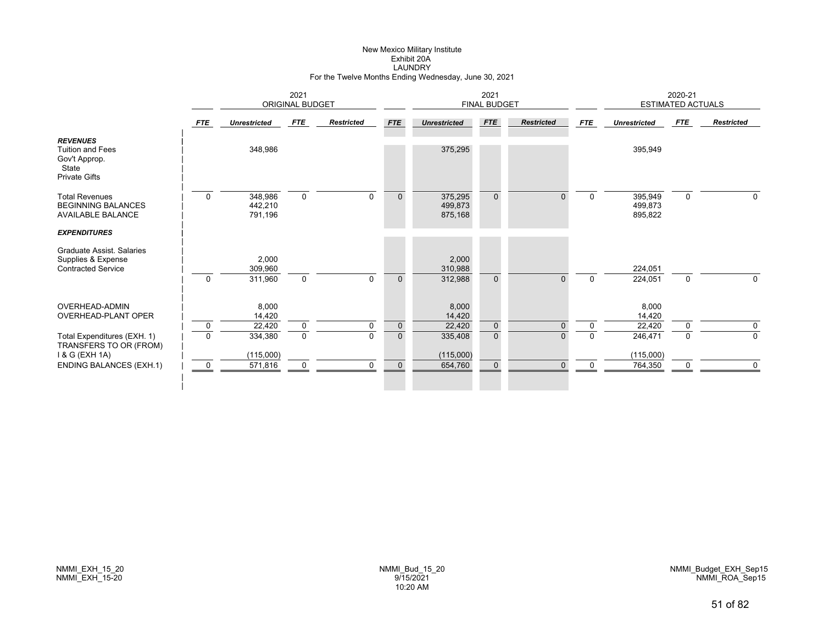#### New Mexico Military Institute Exhibit 20A LAUNDRYFor the Twelve Months Ending Wednesday, June 30, 2021

|                                                                                              | 2021<br><b>ORIGINAL BUDGET</b> |                               |             |                   |              |                               | 2021<br><b>FINAL BUDGET</b> |                   |             |                               | 2020-21<br><b>ESTIMATED ACTUALS</b> |                   |
|----------------------------------------------------------------------------------------------|--------------------------------|-------------------------------|-------------|-------------------|--------------|-------------------------------|-----------------------------|-------------------|-------------|-------------------------------|-------------------------------------|-------------------|
|                                                                                              | <b>FTE</b>                     | <b>Unrestricted</b>           | <b>FTE</b>  | <b>Restricted</b> | <b>FTE</b>   | <b>Unrestricted</b>           | <b>FTE</b>                  | <b>Restricted</b> | <b>FTE</b>  | <b>Unrestricted</b>           | <b>FTE</b>                          | <b>Restricted</b> |
| <b>REVENUES</b><br><b>Tuition and Fees</b><br>Gov't Approp.<br>State<br><b>Private Gifts</b> |                                | 348,986                       |             |                   |              | 375,295                       |                             |                   |             | 395,949                       |                                     |                   |
| <b>Total Revenues</b><br><b>BEGINNING BALANCES</b><br><b>AVAILABLE BALANCE</b>               | 0                              | 348,986<br>442,210<br>791,196 | $\mathbf 0$ | $\Omega$          | $\mathbf{0}$ | 375,295<br>499,873<br>875,168 | $\mathbf{0}$                | $\Omega$          | $\mathbf 0$ | 395,949<br>499,873<br>895,822 | $\mathbf 0$                         | $\Omega$          |
| <b>EXPENDITURES</b>                                                                          |                                |                               |             |                   |              |                               |                             |                   |             |                               |                                     |                   |
| Graduate Assist. Salaries<br>Supplies & Expense<br><b>Contracted Service</b>                 | $\mathbf 0$                    | 2,000<br>309,960<br>311,960   | $\mathbf 0$ | $\Omega$          | $\mathbf{0}$ | 2,000<br>310,988<br>312,988   | $\mathbf{0}$                | $\Omega$          | $\mathbf 0$ | 224,051<br>224,051            | $\mathbf 0$                         | 0                 |
| OVERHEAD-ADMIN<br><b>OVERHEAD-PLANT OPER</b>                                                 |                                | 8,000<br>14,420               |             |                   |              | 8,000<br>14,420               |                             |                   |             | 8,000<br>14,420               |                                     |                   |
|                                                                                              | 0                              | 22,420                        | $\mathbf 0$ | $\mathbf 0$       | $\mathbf 0$  | 22,420                        | $\overline{0}$              | $\Omega$          | $\Omega$    | 22,420                        | $\Omega$                            | 0                 |
| Total Expenditures (EXH. 1)<br>TRANSFERS TO OR (FROM)<br>1 & G (EXH 1A)                      | $\Omega$                       | 334,380<br>(115,000)          | $\mathbf 0$ | $\Omega$          | $\mathbf{0}$ | 335,408<br>(115,000)          | $\mathbf{0}$                | U                 | $\Omega$    | 246,471<br>(115,000)          | $\Omega$                            | $\Omega$          |
| <b>ENDING BALANCES (EXH.1)</b>                                                               | $\mathbf 0$                    | 571,816                       | $\mathbf 0$ | 0                 | $\mathbf{0}$ | 654,760                       | $\mathbf{0}$                | $\Omega$          | $\Omega$    | 764,350                       | $\Omega$                            | 0                 |
|                                                                                              |                                |                               |             |                   |              |                               |                             |                   |             |                               |                                     |                   |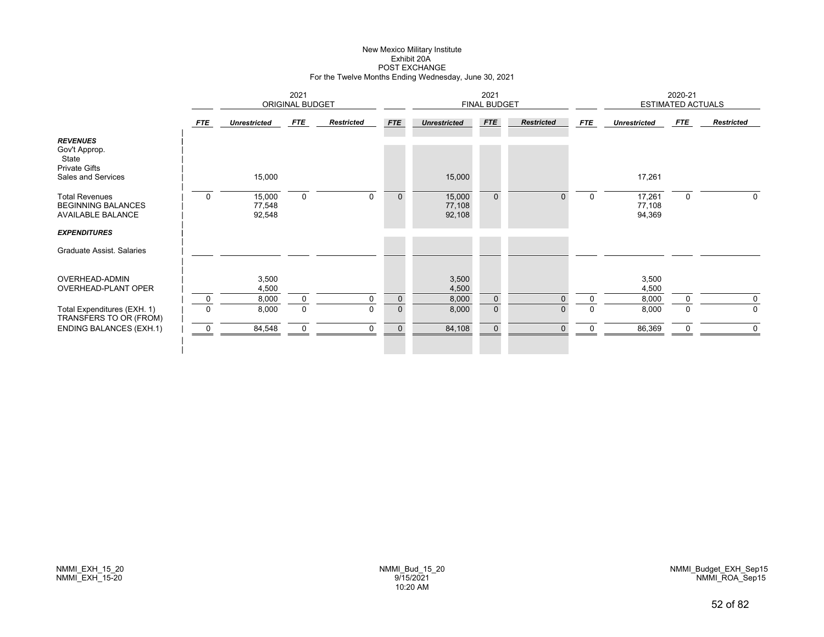# New Mexico Military Institute Exhibit 20APOST EXCHANGE For the Twelve Months Ending Wednesday, June 30, 2021

|                                                                                         |             |                            | 2021<br><b>ORIGINAL BUDGET</b> |                   |             |                            | 2021<br>FINAL BUDGET |                   |             |                            | 2020-21<br><b>ESTIMATED ACTUALS</b> |                   |
|-----------------------------------------------------------------------------------------|-------------|----------------------------|--------------------------------|-------------------|-------------|----------------------------|----------------------|-------------------|-------------|----------------------------|-------------------------------------|-------------------|
|                                                                                         | <b>FTE</b>  | <b>Unrestricted</b>        | FTE                            | <b>Restricted</b> | <b>FTE</b>  | <b>Unrestricted</b>        | FTE                  | <b>Restricted</b> | <b>FTE</b>  | <b>Unrestricted</b>        | <b>FTE</b>                          | <b>Restricted</b> |
| <b>REVENUES</b><br>Gov't Approp.<br>State<br><b>Private Gifts</b><br>Sales and Services |             | 15,000                     |                                |                   |             | 15,000                     |                      |                   |             | 17,261                     |                                     |                   |
| <b>Total Revenues</b><br><b>BEGINNING BALANCES</b><br>AVAILABLE BALANCE                 | $\mathbf 0$ | 15,000<br>77,548<br>92,548 | $\mathbf 0$                    | $\mathbf 0$       | $\mathbf 0$ | 15,000<br>77,108<br>92,108 | $\mathbf 0$          | $\Omega$          | $\mathbf 0$ | 17,261<br>77,108<br>94,369 | 0                                   | $\Omega$          |
| <b>EXPENDITURES</b><br>Graduate Assist. Salaries                                        |             |                            |                                |                   |             |                            |                      |                   |             |                            |                                     |                   |
| OVERHEAD-ADMIN<br>OVERHEAD-PLANT OPER                                                   |             | 3,500<br>4,500             |                                |                   |             | 3,500<br>4,500             |                      |                   |             | 3,500<br>4,500             |                                     |                   |
|                                                                                         | $\mathbf 0$ | 8,000                      | $\mathbf 0$                    | $\mathbf 0$       | $\mathbf 0$ | 8,000                      | $\mathbf 0$          | $\Omega$          | $\mathbf 0$ | 8,000                      | $\mathbf 0$                         | $\mathbf 0$       |
| Total Expenditures (EXH. 1)<br>TRANSFERS TO OR (FROM)                                   | $\Omega$    | 8,000                      | $\mathbf 0$                    | $\mathbf 0$       | $\mathbf 0$ | 8,000                      | $\mathbf 0$          | $\mathbf{0}$      | $\Omega$    | 8,000                      | 0                                   | $\mathbf 0$       |
| <b>ENDING BALANCES (EXH.1)</b>                                                          | 0           | 84,548                     | $\mathbf 0$                    | $\mathbf 0$       | $\pmb{0}$   | 84,108                     | $\mathbf 0$          | $\Omega$          |             | 86,369                     | 0                                   | $\mathbf 0$       |
|                                                                                         |             |                            |                                |                   |             |                            |                      |                   |             |                            |                                     |                   |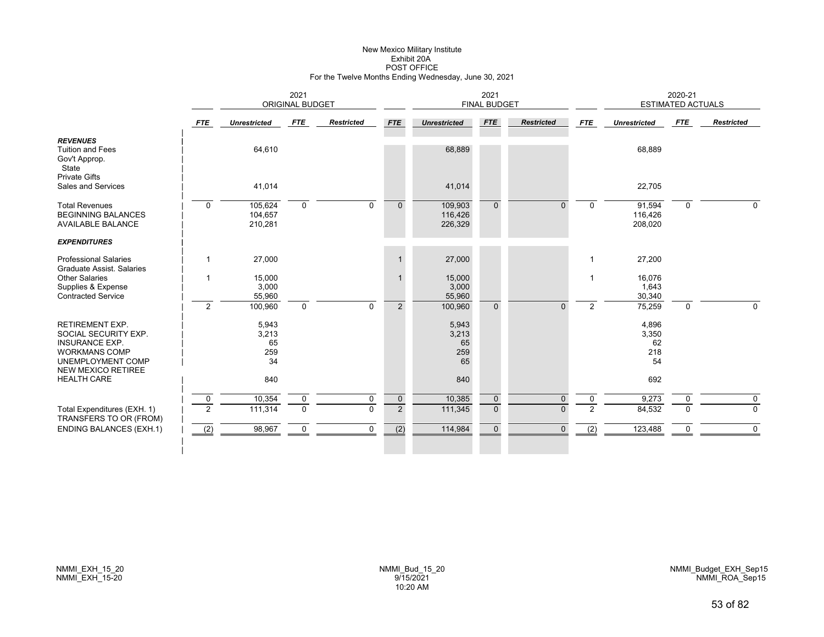# New Mexico Military Institute Exhibit 20APOST OFFICE For the Twelve Months Ending Wednesday, June 30, 2021

|                                                                                                                                                   | 2021<br><b>ORIGINAL BUDGET</b> |                                   |             |                   |                |                                   | 2021<br><b>FINAL BUDGET</b> |                   |                |                                   | 2020-21<br><b>ESTIMATED ACTUALS</b> |                   |
|---------------------------------------------------------------------------------------------------------------------------------------------------|--------------------------------|-----------------------------------|-------------|-------------------|----------------|-----------------------------------|-----------------------------|-------------------|----------------|-----------------------------------|-------------------------------------|-------------------|
|                                                                                                                                                   | <b>FTE</b>                     | <b>Unrestricted</b>               | FTE         | <b>Restricted</b> | <b>FTE</b>     | <b>Unrestricted</b>               | <b>FTE</b>                  | <b>Restricted</b> | <b>FTE</b>     | <b>Unrestricted</b>               | FTE                                 | <b>Restricted</b> |
| <b>REVENUES</b><br><b>Tuition and Fees</b><br>Gov't Approp.<br>State<br><b>Private Gifts</b>                                                      |                                | 64,610                            |             |                   |                | 68,889                            |                             |                   |                | 68,889                            |                                     |                   |
| Sales and Services                                                                                                                                |                                | 41,014                            |             |                   |                | 41,014                            |                             |                   |                | 22,705                            |                                     |                   |
| <b>Total Revenues</b><br><b>BEGINNING BALANCES</b><br><b>AVAILABLE BALANCE</b>                                                                    | $\Omega$                       | 105,624<br>104,657<br>210,281     | $\Omega$    | $\Omega$          | $\mathbf{0}$   | 109,903<br>116,426<br>226,329     | $\Omega$                    | $\Omega$          | $\Omega$       | 91,594<br>116,426<br>208,020      | $\Omega$                            | $\Omega$          |
| <b>EXPENDITURES</b>                                                                                                                               |                                |                                   |             |                   |                |                                   |                             |                   |                |                                   |                                     |                   |
| <b>Professional Salaries</b><br>Graduate Assist, Salaries                                                                                         | $\mathbf{1}$                   | 27,000                            |             |                   | $\mathbf 1$    | 27,000                            |                             |                   |                | 27,200                            |                                     |                   |
| <b>Other Salaries</b><br>Supplies & Expense<br><b>Contracted Service</b>                                                                          | 1                              | 15,000<br>3,000<br>55,960         |             |                   |                | 15,000<br>3,000<br>55,960         |                             |                   |                | 16,076<br>1,643<br>30,340         |                                     |                   |
|                                                                                                                                                   | 2                              | 100,960                           | $\mathbf 0$ | $\Omega$          | 2              | 100,960                           | $\Omega$                    | $\Omega$          | $\overline{2}$ | 75,259                            | $\mathbf 0$                         | $\mathbf 0$       |
| <b>RETIREMENT EXP.</b><br>SOCIAL SECURITY EXP.<br><b>INSURANCE EXP.</b><br><b>WORKMANS COMP</b><br>UNEMPLOYMENT COMP<br><b>NEW MEXICO RETIREE</b> |                                | 5,943<br>3,213<br>65<br>259<br>34 |             |                   |                | 5,943<br>3,213<br>65<br>259<br>65 |                             |                   |                | 4,896<br>3,350<br>62<br>218<br>54 |                                     |                   |
| <b>HEALTH CARE</b>                                                                                                                                |                                | 840                               |             |                   |                | 840                               |                             |                   |                | 692                               |                                     |                   |
|                                                                                                                                                   | 0                              | 10,354                            | $\mathbf 0$ | 0                 | $\mathbf 0$    | 10,385                            | $\mathbf 0$                 | $\Omega$          | 0              | 9,273                             | 0                                   | 0                 |
| Total Expenditures (EXH. 1)<br>TRANSFERS TO OR (FROM)                                                                                             | $\overline{2}$                 | 111,314                           | $\mathbf 0$ | $\mathbf 0$       | $\overline{2}$ | 111,345                           | $\mathbf{0}$                | $\Omega$          | 2              | 84,532                            | $\Omega$                            | $\mathbf 0$       |
| <b>ENDING BALANCES (EXH.1)</b>                                                                                                                    | (2)                            | 98,967                            | 0           | 0                 | (2)            | 114,984                           | $\mathbf{0}$                | $\mathbf{0}$      | (2)            | 123,488                           | 0                                   | 0                 |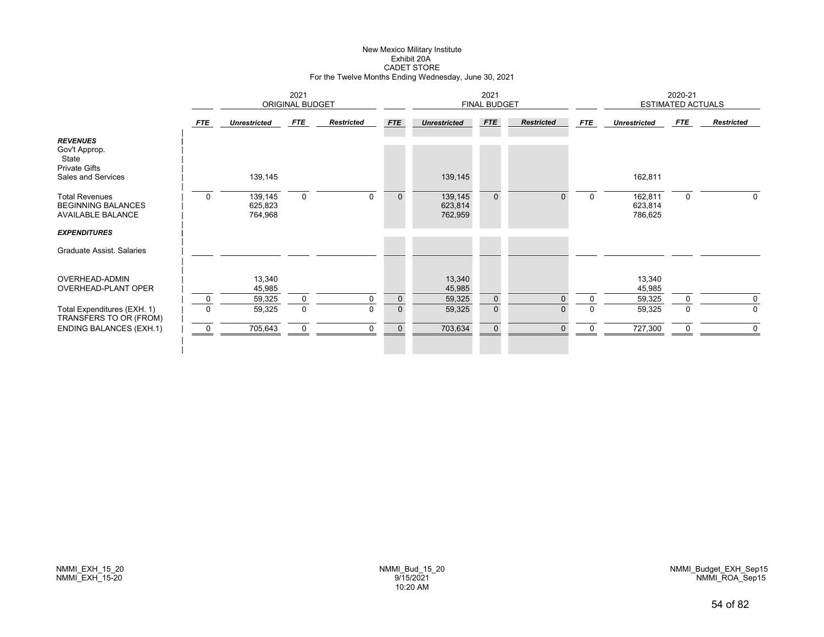# New Mexico Military Institute Exhibit 20ACADET STORE For the Twelve Months Ending Wednesday, June 30, 2021

|                                                                                         |             |                               | 2021<br><b>ORIGINAL BUDGET</b> |                   |             |                               | 2021<br>FINAL BUDGET |                   |             |                               | 2020-21<br><b>ESTIMATED ACTUALS</b> |                   |
|-----------------------------------------------------------------------------------------|-------------|-------------------------------|--------------------------------|-------------------|-------------|-------------------------------|----------------------|-------------------|-------------|-------------------------------|-------------------------------------|-------------------|
|                                                                                         | <b>FTE</b>  | <b>Unrestricted</b>           | FTE                            | <b>Restricted</b> | <b>FTE</b>  | <b>Unrestricted</b>           | FTE                  | <b>Restricted</b> | <b>FTE</b>  | <b>Unrestricted</b>           | <b>FTE</b>                          | <b>Restricted</b> |
| <b>REVENUES</b><br>Gov't Approp.<br>State<br><b>Private Gifts</b><br>Sales and Services |             | 139,145                       |                                |                   |             | 139,145                       |                      |                   |             | 162,811                       |                                     |                   |
| <b>Total Revenues</b><br><b>BEGINNING BALANCES</b><br>AVAILABLE BALANCE                 | $\mathbf 0$ | 139,145<br>625,823<br>764,968 | $\mathbf 0$                    | $\mathbf 0$       | $\mathbf 0$ | 139,145<br>623,814<br>762,959 | $\mathbf 0$          | $\Omega$          | $\mathbf 0$ | 162,811<br>623,814<br>786,625 | 0                                   | $\Omega$          |
| <b>EXPENDITURES</b>                                                                     |             |                               |                                |                   |             |                               |                      |                   |             |                               |                                     |                   |
| Graduate Assist, Salaries                                                               |             |                               |                                |                   |             |                               |                      |                   |             |                               |                                     |                   |
| OVERHEAD-ADMIN<br>OVERHEAD-PLANT OPER                                                   |             | 13,340<br>45,985              |                                |                   |             | 13,340<br>45,985              |                      |                   |             | 13,340<br>45,985              |                                     |                   |
|                                                                                         | $\mathbf 0$ | 59,325                        | $\mathbf 0$                    | $\mathbf 0$       | $\mathbf 0$ | 59,325                        | $\mathbf 0$          | $\Omega$          | $\mathbf 0$ | 59,325                        | $\mathbf 0$                         | $\mathbf 0$       |
| Total Expenditures (EXH. 1)<br>TRANSFERS TO OR (FROM)                                   | $\Omega$    | 59,325                        | $\mathbf 0$                    | $\mathbf 0$       | $\mathbf 0$ | 59,325                        | $\mathbf 0$          | $\mathbf{0}$      | $\Omega$    | 59,325                        | 0                                   | $\mathbf 0$       |
| <b>ENDING BALANCES (EXH.1)</b>                                                          | 0           | 705,643                       | $\boldsymbol{0}$               | $\mathbf 0$       | $\mathbf 0$ | 703,634                       | $\mathbf 0$          | $\Omega$          |             | 727,300                       | 0                                   | $\mathbf 0$       |
|                                                                                         |             |                               |                                |                   |             |                               |                      |                   |             |                               |                                     |                   |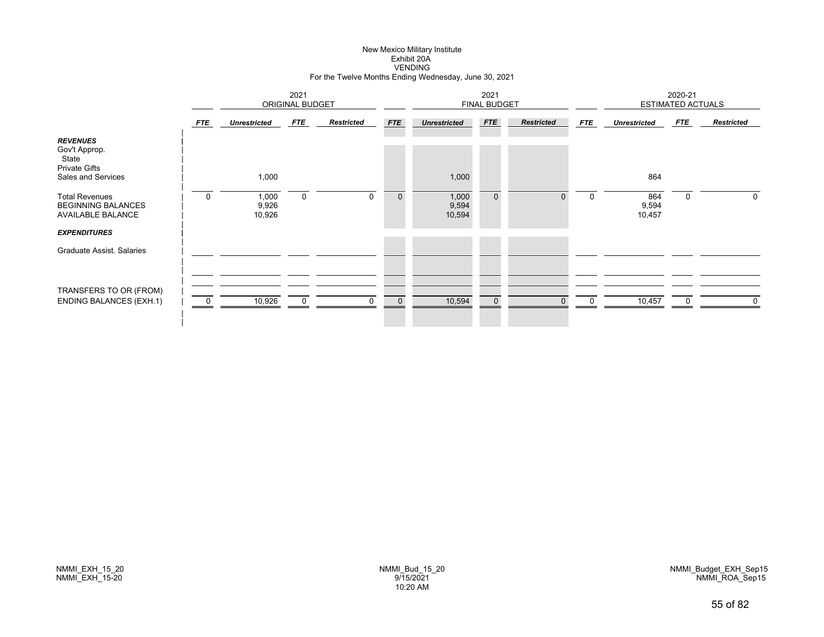#### New Mexico Military Institute Exhibit 20A VENDINGFor the Twelve Months Ending Wednesday, June 30, 2021

|                                                                                                                                                                                                  | 2021<br>ORIGINAL BUDGET |                                   |             |                   |             |                                   | 2021<br><b>FINAL BUDGET</b> |                   |             |                               | 2020-21<br><b>ESTIMATED ACTUALS</b> |                   |
|--------------------------------------------------------------------------------------------------------------------------------------------------------------------------------------------------|-------------------------|-----------------------------------|-------------|-------------------|-------------|-----------------------------------|-----------------------------|-------------------|-------------|-------------------------------|-------------------------------------|-------------------|
|                                                                                                                                                                                                  | FTE                     | <b>Unrestricted</b>               | FTE         | <b>Restricted</b> | <b>FTE</b>  | <b>Unrestricted</b>               | <b>FTE</b>                  | <b>Restricted</b> | <b>FTE</b>  | <b>Unrestricted</b>           | FTE                                 | <b>Restricted</b> |
| <b>REVENUES</b><br>Gov't Approp.<br>State<br><b>Private Gifts</b><br>Sales and Services<br><b>Total Revenues</b><br><b>BEGINNING BALANCES</b><br><b>AVAILABLE BALANCE</b><br><b>EXPENDITURES</b> | $\mathbf 0$             | 1,000<br>1,000<br>9,926<br>10,926 | $\mathbf 0$ | $\mathbf 0$       | $\mathbf 0$ | 1,000<br>1,000<br>9,594<br>10,594 | $\overline{0}$              | $\mathbf{0}$      | $\mathbf 0$ | 864<br>864<br>9,594<br>10,457 | 0                                   | $\mathbf{0}$      |
| Graduate Assist. Salaries                                                                                                                                                                        |                         |                                   |             |                   |             |                                   |                             |                   |             |                               |                                     |                   |
| TRANSFERS TO OR (FROM)<br><b>ENDING BALANCES (EXH.1)</b>                                                                                                                                         | 0                       | 10,926                            | $\mathbf 0$ | $\Omega$          | $\mathbf 0$ | 10,594                            | $\mathbf 0$                 | $\Omega$          |             | 10,457                        | $\Omega$                            | $\mathbf 0$       |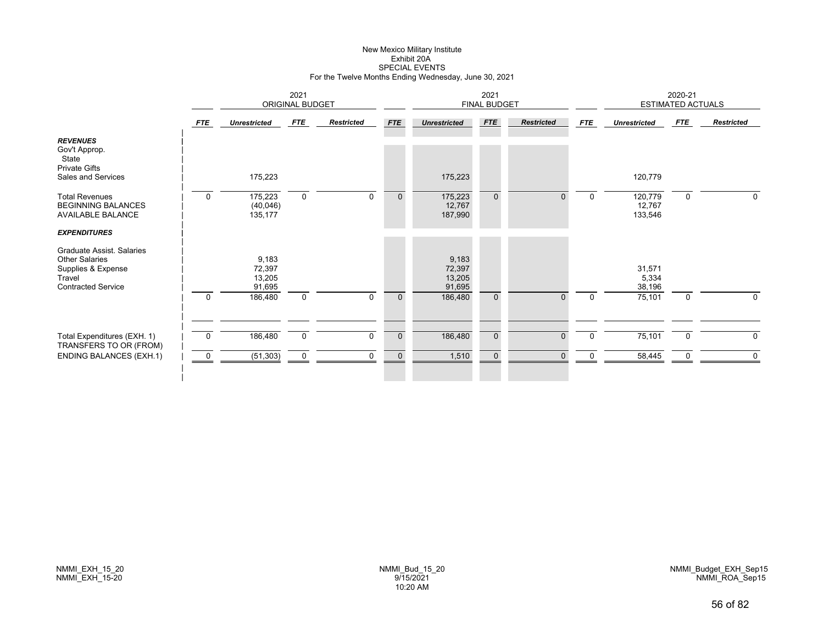# New Mexico Military Institute Exhibit 20ASPECIAL EVENTS For the Twelve Months Ending Wednesday, June 30, 2021

|                                                                                                                 |             | 2021<br>ORIGINAL BUDGET             |             |                   |              |                                     | 2021<br><b>FINAL BUDGET</b> |                   |            |                              | 2020-21<br><b>ESTIMATED ACTUALS</b> |                   |
|-----------------------------------------------------------------------------------------------------------------|-------------|-------------------------------------|-------------|-------------------|--------------|-------------------------------------|-----------------------------|-------------------|------------|------------------------------|-------------------------------------|-------------------|
|                                                                                                                 | FTE         | <b>Unrestricted</b>                 | FTE         | <b>Restricted</b> | <b>FTE</b>   | <b>Unrestricted</b>                 | <b>FTE</b>                  | <b>Restricted</b> | <b>FTE</b> | <b>Unrestricted</b>          | FTE                                 | <b>Restricted</b> |
| <b>REVENUES</b><br>Gov't Approp.<br>State<br><b>Private Gifts</b><br>Sales and Services                         |             | 175,223                             |             |                   |              | 175,223                             |                             |                   |            | 120,779                      |                                     |                   |
| <b>Total Revenues</b><br><b>BEGINNING BALANCES</b><br><b>AVAILABLE BALANCE</b>                                  | $\mathbf 0$ | 175,223<br>(40, 046)<br>135,177     | $\mathbf 0$ | $\Omega$          | $\mathbf{0}$ | 175,223<br>12,767<br>187,990        | $\overline{0}$              | $\Omega$          | $\Omega$   | 120,779<br>12,767<br>133,546 | $\mathbf 0$                         | $\mathbf 0$       |
| <b>EXPENDITURES</b>                                                                                             |             |                                     |             |                   |              |                                     |                             |                   |            |                              |                                     |                   |
| Graduate Assist, Salaries<br><b>Other Salaries</b><br>Supplies & Expense<br>Travel<br><b>Contracted Service</b> |             | 9,183<br>72,397<br>13,205<br>91,695 |             |                   |              | 9,183<br>72,397<br>13,205<br>91,695 |                             |                   |            | 31,571<br>5,334<br>38,196    |                                     |                   |
|                                                                                                                 | $\mathbf 0$ | 186,480                             | $\mathbf 0$ | $\Omega$          | $\mathbf 0$  | 186,480                             | $\mathbf 0$                 | $\Omega$          | $\Omega$   | 75,101                       | $\mathbf 0$                         | $\mathbf{0}$      |
| Total Expenditures (EXH. 1)                                                                                     | $\mathbf 0$ | 186,480                             | $\mathbf 0$ | $\Omega$          | $\mathbf 0$  | 186,480                             | $\mathbf 0$                 | $\Omega$          | $\Omega$   | 75,101                       | $\mathbf 0$                         | $\mathbf{0}$      |
| TRANSFERS TO OR (FROM)                                                                                          |             |                                     |             |                   |              |                                     |                             |                   |            |                              |                                     |                   |
| <b>ENDING BALANCES (EXH.1)</b>                                                                                  | 0           | (51, 303)                           | $\mathbf 0$ | 0                 | $\mathbf 0$  | 1,510                               | $\pmb{0}$                   | $\Omega$          | 0          | 58,445                       | 0                                   | 0                 |
|                                                                                                                 |             |                                     |             |                   |              |                                     |                             |                   |            |                              |                                     |                   |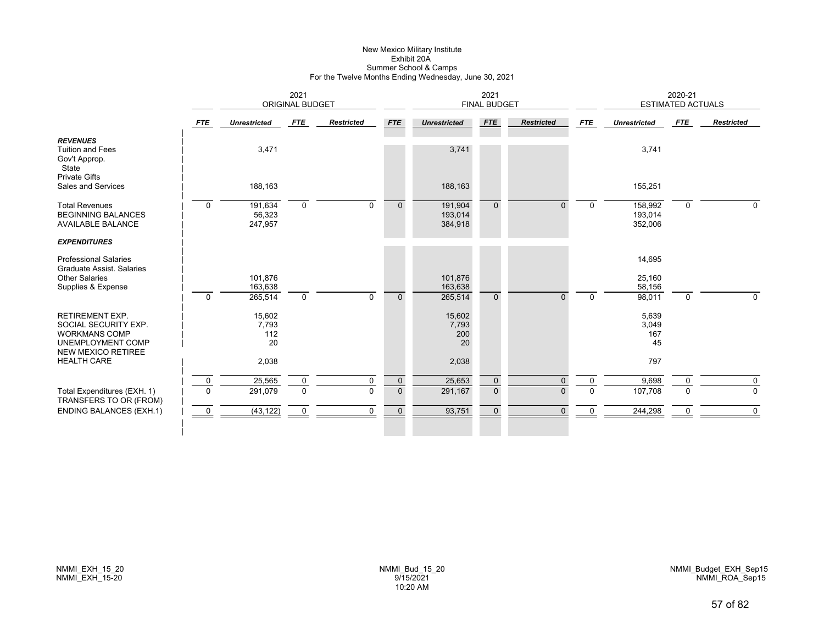#### New Mexico Military Institute Exhibit 20A Summer School & Camps For the Twelve Months Ending Wednesday, June 30, 2021

|                                                                                                                          | 2021<br><b>ORIGINAL BUDGET</b> |                               |                            |                   |                             |                               | 2021<br><b>FINAL BUDGET</b> |                      |                      |                               | 2020-21<br><b>ESTIMATED ACTUALS</b> |                         |
|--------------------------------------------------------------------------------------------------------------------------|--------------------------------|-------------------------------|----------------------------|-------------------|-----------------------------|-------------------------------|-----------------------------|----------------------|----------------------|-------------------------------|-------------------------------------|-------------------------|
|                                                                                                                          | <b>FTE</b>                     | <b>Unrestricted</b>           | <b>FTE</b>                 | <b>Restricted</b> | <b>FTE</b>                  | <b>Unrestricted</b>           | <b>FTE</b>                  | <b>Restricted</b>    | <b>FTE</b>           | <b>Unrestricted</b>           | <b>FTE</b>                          | <b>Restricted</b>       |
| <b>REVENUES</b><br><b>Tuition and Fees</b><br>Gov't Approp.<br>State<br><b>Private Gifts</b>                             |                                | 3,471                         |                            |                   |                             | 3,741                         |                             |                      |                      | 3,741                         |                                     |                         |
| Sales and Services                                                                                                       |                                | 188,163                       |                            |                   |                             | 188,163                       |                             |                      |                      | 155,251                       |                                     |                         |
| <b>Total Revenues</b><br><b>BEGINNING BALANCES</b><br><b>AVAILABLE BALANCE</b>                                           | $\Omega$                       | 191,634<br>56,323<br>247,957  | $\mathbf 0$                | $\Omega$          | $\mathbf{0}$                | 191,904<br>193,014<br>384,918 | $\mathbf{0}$                | $\Omega$             | $\Omega$             | 158,992<br>193,014<br>352,006 | $\mathbf 0$                         | $\Omega$                |
| <b>EXPENDITURES</b>                                                                                                      |                                |                               |                            |                   |                             |                               |                             |                      |                      |                               |                                     |                         |
| <b>Professional Salaries</b><br>Graduate Assist, Salaries                                                                |                                |                               |                            |                   |                             |                               |                             |                      |                      | 14,695                        |                                     |                         |
| <b>Other Salaries</b><br>Supplies & Expense                                                                              | $\Omega$                       | 101.876<br>163,638<br>265,514 | $\mathbf 0$                | $\Omega$          | $\Omega$                    | 101.876<br>163,638<br>265,514 | $\Omega$                    | $\Omega$             | $\Omega$             | 25,160<br>58,156<br>98,011    | $\mathbf 0$                         | $\Omega$                |
| <b>RETIREMENT EXP.</b><br>SOCIAL SECURITY EXP.<br><b>WORKMANS COMP</b><br>UNEMPLOYMENT COMP<br><b>NEW MEXICO RETIREE</b> |                                | 15,602<br>7,793<br>112<br>20  |                            |                   |                             | 15,602<br>7,793<br>200<br>20  |                             |                      |                      | 5,639<br>3,049<br>167<br>45   |                                     |                         |
| <b>HEALTH CARE</b>                                                                                                       |                                | 2,038                         |                            |                   |                             | 2,038                         |                             |                      |                      | 797                           |                                     |                         |
| Total Expenditures (EXH. 1)<br>TRANSFERS TO OR (FROM)                                                                    | $\mathbf 0$<br>$\Omega$        | 25,565<br>291,079             | $\mathbf 0$<br>$\mathbf 0$ | 0<br>$\Omega$     | $\pmb{0}$<br>$\overline{0}$ | 25,653<br>291,167             | $\mathbf 0$<br>$\mathbf 0$  | $\Omega$<br>$\Omega$ | $\Omega$<br>$\Omega$ | 9,698<br>107,708              | $\mathbf 0$<br>$\Omega$             | $\mathbf 0$<br>$\Omega$ |
| <b>ENDING BALANCES (EXH.1)</b>                                                                                           | $\mathbf 0$                    | (43, 122)                     | 0                          | $\mathbf 0$       | $\mathbf 0$                 | 93,751                        | $\mathbf{0}$                | $\Omega$             | 0                    | 244,298                       | 0                                   | $\mathbf 0$             |
|                                                                                                                          |                                |                               |                            |                   |                             |                               |                             |                      |                      |                               |                                     |                         |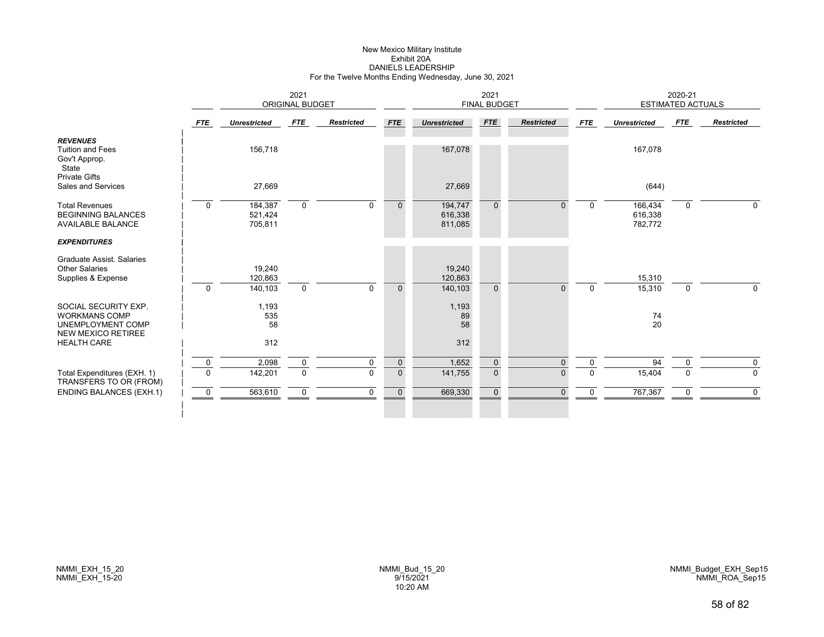# New Mexico Military Institute Exhibit 20ADANIELS LEADERSHIP For the Twelve Months Ending Wednesday, June 30, 2021

|                                                                                                |             |                               | 2021<br><b>ORIGINAL BUDGET</b> |                   |              |                               | 2021<br><b>FINAL BUDGET</b> |                   |             |                               | 2020-21<br><b>ESTIMATED ACTUALS</b> |                   |
|------------------------------------------------------------------------------------------------|-------------|-------------------------------|--------------------------------|-------------------|--------------|-------------------------------|-----------------------------|-------------------|-------------|-------------------------------|-------------------------------------|-------------------|
|                                                                                                | <b>FTE</b>  | <b>Unrestricted</b>           | <b>FTE</b>                     | <b>Restricted</b> | <b>FTE</b>   | <b>Unrestricted</b>           | <b>FTE</b>                  | <b>Restricted</b> | <b>FTE</b>  | <b>Unrestricted</b>           | <b>FTE</b>                          | <b>Restricted</b> |
| <b>REVENUES</b><br><b>Tuition and Fees</b><br>Gov't Approp.<br>State                           |             | 156,718                       |                                |                   |              | 167,078                       |                             |                   |             | 167,078                       |                                     |                   |
| <b>Private Gifts</b><br>Sales and Services                                                     |             | 27,669                        |                                |                   |              | 27,669                        |                             |                   |             | (644)                         |                                     |                   |
| <b>Total Revenues</b><br><b>BEGINNING BALANCES</b><br><b>AVAILABLE BALANCE</b>                 | $\Omega$    | 184,387<br>521,424<br>705,811 | $\mathbf 0$                    | $\mathbf 0$       | $\mathbf{0}$ | 194,747<br>616,338<br>811,085 | $\overline{0}$              | $\Omega$          | $\mathbf 0$ | 166,434<br>616,338<br>782,772 | $\mathbf 0$                         | 0                 |
| <b>EXPENDITURES</b>                                                                            |             |                               |                                |                   |              |                               |                             |                   |             |                               |                                     |                   |
| Graduate Assist, Salaries<br><b>Other Salaries</b><br>Supplies & Expense                       |             | 19,240<br>120,863             |                                |                   |              | 19,240<br>120,863             |                             |                   |             | 15,310                        |                                     |                   |
|                                                                                                | $\mathbf 0$ | 140,103                       | $\mathbf 0$                    | $\Omega$          | $\mathbf{0}$ | 140,103                       | $\mathbf{0}$                | $\Omega$          | $\Omega$    | 15,310                        | $\mathbf 0$                         | $\Omega$          |
| SOCIAL SECURITY EXP.<br><b>WORKMANS COMP</b><br>UNEMPLOYMENT COMP<br><b>NEW MEXICO RETIREE</b> |             | 1,193<br>535<br>58            |                                |                   |              | 1,193<br>89<br>58             |                             |                   |             | 74<br>20                      |                                     |                   |
| <b>HEALTH CARE</b>                                                                             |             | 312                           |                                |                   |              | 312                           |                             |                   |             |                               |                                     |                   |
|                                                                                                | $\mathbf 0$ | 2,098                         | $\mathbf 0$                    | $\mathbf 0$       | $\mathbf 0$  | 1,652                         | $\mathbf 0$                 | $\mathbf{0}$      | 0           | 94                            | $\Omega$                            | 0                 |
| Total Expenditures (EXH. 1)<br>TRANSFERS TO OR (FROM)                                          | $\Omega$    | 142,201                       | $\mathbf 0$                    | $\Omega$          | $\mathbf{0}$ | 141,755                       | $\mathbf{0}$                | $\Omega$          | $\Omega$    | 15,404                        | $\Omega$                            | $\mathbf 0$       |
| <b>ENDING BALANCES (EXH.1)</b>                                                                 | 0           | 563,610                       | $\mathbf 0$                    | $\mathbf 0$       | $\mathbf 0$  | 669,330                       | $\mathbf 0$                 | $\Omega$          | 0           | 767,367                       | 0                                   | $\mathbf 0$       |
|                                                                                                |             |                               |                                |                   |              |                               |                             |                   |             |                               |                                     |                   |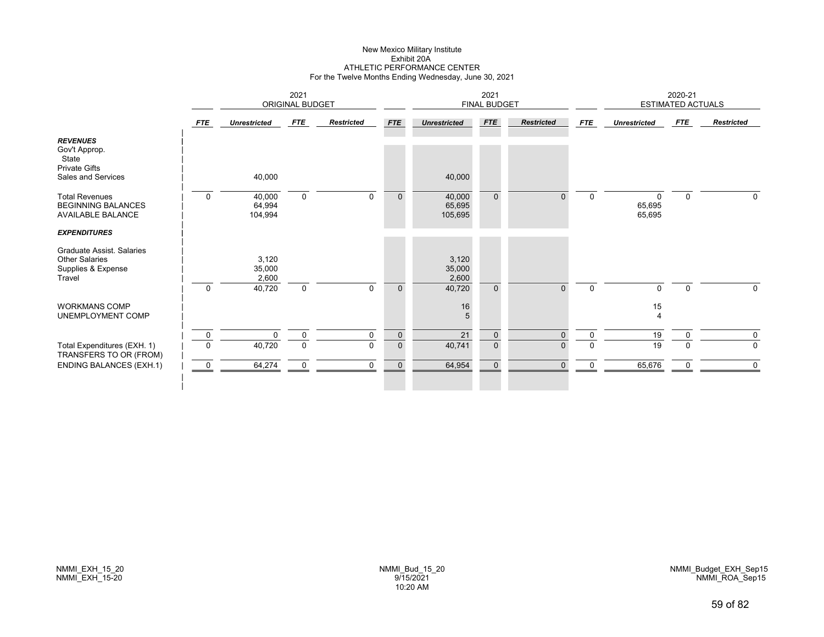# New Mexico Military Institute Exhibit 20AATHLETIC PERFORMANCE CENTER For the Twelve Months Ending Wednesday, June 30, 2021

|                                                                                         |                  |                             | 2021<br>ORIGINAL BUDGET    |                         |                               |                             | 2021<br><b>FINAL BUDGET</b>   |                   |                         |                       | 2020-21<br><b>ESTIMATED ACTUALS</b> |                            |
|-----------------------------------------------------------------------------------------|------------------|-----------------------------|----------------------------|-------------------------|-------------------------------|-----------------------------|-------------------------------|-------------------|-------------------------|-----------------------|-------------------------------------|----------------------------|
|                                                                                         | FTE              | <b>Unrestricted</b>         | FTE                        | <b>Restricted</b>       | <b>FTE</b>                    | <b>Unrestricted</b>         | <b>FTE</b>                    | <b>Restricted</b> | FTE                     | <b>Unrestricted</b>   | <b>FTE</b>                          | <b>Restricted</b>          |
| <b>REVENUES</b><br>Gov't Approp.<br>State<br><b>Private Gifts</b><br>Sales and Services |                  | 40,000                      |                            |                         |                               | 40,000                      |                               |                   |                         |                       |                                     |                            |
| <b>Total Revenues</b><br><b>BEGINNING BALANCES</b><br><b>AVAILABLE BALANCE</b>          | $\Omega$         | 40,000<br>64,994<br>104,994 | $\mathbf 0$                | $\Omega$                | $\Omega$                      | 40,000<br>65,695<br>105,695 | $\Omega$                      | $\Omega$          | $\Omega$                | O<br>65,695<br>65,695 | $\mathbf 0$                         | $\mathbf{0}$               |
| <b>EXPENDITURES</b>                                                                     |                  |                             |                            |                         |                               |                             |                               |                   |                         |                       |                                     |                            |
| Graduate Assist, Salaries<br><b>Other Salaries</b><br>Supplies & Expense<br>Travel      |                  | 3,120<br>35,000<br>2,600    |                            |                         |                               | 3,120<br>35,000<br>2,600    |                               |                   |                         |                       |                                     |                            |
|                                                                                         | $\mathbf 0$      | 40,720                      | $\mathbf 0$                | $\Omega$                | $\Omega$                      | 40,720                      | $\Omega$                      | $\Omega$          | $\mathbf 0$             | $\Omega$              | $\mathbf 0$                         | <sup>n</sup>               |
| <b>WORKMANS COMP</b><br>UNEMPLOYMENT COMP                                               |                  |                             |                            |                         |                               | $16\,$<br>5                 |                               |                   |                         | 15<br>$\overline{4}$  |                                     |                            |
| Total Expenditures (EXH. 1)<br>TRANSFERS TO OR (FROM)                                   | 0<br>$\mathbf 0$ | $\Omega$<br>40,720          | $\mathbf 0$<br>$\mathbf 0$ | $\mathbf 0$<br>$\Omega$ | $\mathbf 0$<br>$\overline{0}$ | 21<br>40,741                | $\mathbf 0$<br>$\overline{0}$ | $\Omega$<br>0     | $\mathbf 0$<br>$\Omega$ | 19<br>$\overline{19}$ | 0<br>$\Omega$                       | $\mathbf 0$<br>$\mathbf 0$ |
| <b>ENDING BALANCES (EXH.1)</b>                                                          | $\mathbf 0$      | 64,274                      | $\pmb{0}$                  | $\mathbf 0$             | $\mathbf 0$                   | 64,954                      | $\mathbf 0$                   | $\Omega$          | 0                       | 65,676                | 0                                   | $\Omega$                   |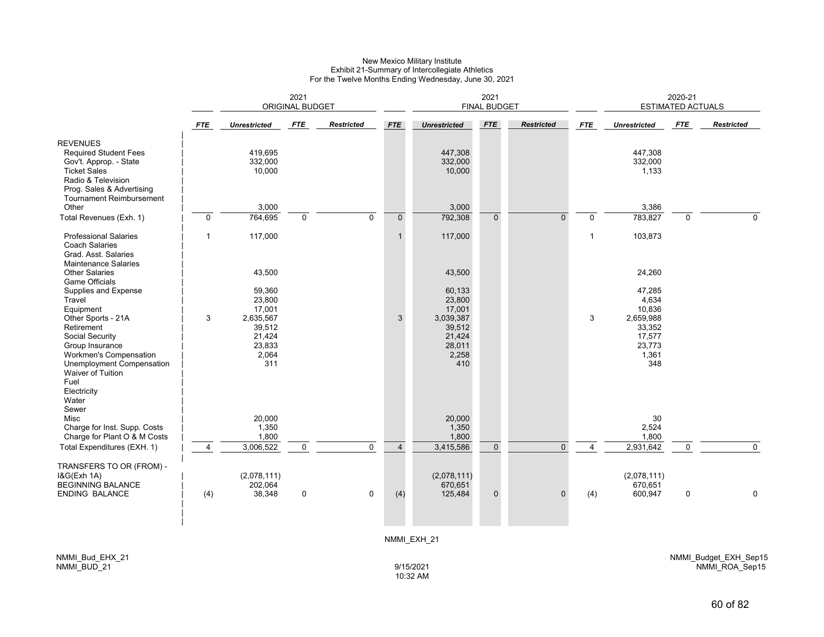#### New Mexico Military Institute Exhibit 21-Summary of Intercollegiate Athletics For the Twelve Months Ending Wednesday, June 30, 2021

|                                                                                                                                                                              | 2021<br><b>ORIGINAL BUDGET</b> |                                            |             |                   |                |                                            | 2021<br><b>FINAL BUDGET</b> |                   |                |                                            | 2020-21<br><b>ESTIMATED ACTUALS</b> |                   |
|------------------------------------------------------------------------------------------------------------------------------------------------------------------------------|--------------------------------|--------------------------------------------|-------------|-------------------|----------------|--------------------------------------------|-----------------------------|-------------------|----------------|--------------------------------------------|-------------------------------------|-------------------|
|                                                                                                                                                                              | <b>FTE</b>                     | <b>Unrestricted</b>                        | <b>FTE</b>  | <b>Restricted</b> | <b>FTE</b>     | <b>Unrestricted</b>                        | <b>FTE</b>                  | <b>Restricted</b> | <b>FTE</b>     | <b>Unrestricted</b>                        | <b>FTE</b>                          | <b>Restricted</b> |
| <b>REVENUES</b><br><b>Required Student Fees</b><br>Gov't. Approp. - State<br><b>Ticket Sales</b><br>Radio & Television<br>Prog. Sales & Advertising                          |                                | 419,695<br>332,000<br>10,000               |             |                   |                | 447,308<br>332,000<br>10,000               |                             |                   |                | 447,308<br>332,000<br>1,133                |                                     |                   |
| Tournament Reimbursement<br>Other                                                                                                                                            |                                | 3,000                                      |             |                   |                | 3,000                                      |                             |                   |                | 3,386                                      |                                     |                   |
| Total Revenues (Exh. 1)                                                                                                                                                      | $\mathbf 0$                    | 764,695                                    | $\Omega$    | $\Omega$          | $\mathbf{0}$   | 792,308                                    | $\mathbf{0}$                | $\Omega$          | $\mathbf{0}$   | 783,827                                    | $\mathbf{0}$                        | $\Omega$          |
|                                                                                                                                                                              |                                |                                            |             |                   |                |                                            |                             |                   |                |                                            |                                     |                   |
| <b>Professional Salaries</b><br><b>Coach Salaries</b><br>Grad. Asst. Salaries<br><b>Maintenance Salaries</b>                                                                 | 1                              | 117,000                                    |             |                   | $\mathbf{1}$   | 117,000                                    |                             |                   | $\mathbf{1}$   | 103,873                                    |                                     |                   |
| <b>Other Salaries</b><br><b>Game Officials</b>                                                                                                                               |                                | 43,500                                     |             |                   |                | 43,500                                     |                             |                   |                | 24,260                                     |                                     |                   |
| Supplies and Expense<br>Travel<br>Equipment<br>Other Sports - 21A                                                                                                            | 3                              | 59,360<br>23,800<br>17,001<br>2,635,567    |             |                   | 3              | 60,133<br>23,800<br>17,001<br>3,039,387    |                             |                   | 3              | 47,285<br>4,634<br>10,836<br>2,659,988     |                                     |                   |
| Retirement<br>Social Security<br>Group Insurance<br>Workmen's Compensation<br>Unemployment Compensation<br><b>Waiver of Tuition</b><br>Fuel<br>Electricity<br>Water<br>Sewer |                                | 39,512<br>21,424<br>23,833<br>2,064<br>311 |             |                   |                | 39,512<br>21,424<br>28,011<br>2,258<br>410 |                             |                   |                | 33,352<br>17,577<br>23,773<br>1,361<br>348 |                                     |                   |
| Misc                                                                                                                                                                         |                                | 20,000                                     |             |                   |                | 20,000                                     |                             |                   |                | 30                                         |                                     |                   |
| Charge for Inst. Supp. Costs                                                                                                                                                 |                                | 1,350                                      |             |                   |                | 1,350                                      |                             |                   |                | 2,524                                      |                                     |                   |
| Charge for Plant O & M Costs                                                                                                                                                 |                                | 1,800                                      |             |                   |                | 1,800                                      |                             |                   |                | 1,800                                      |                                     |                   |
| Total Expenditures (EXH. 1)                                                                                                                                                  | $\overline{4}$                 | 3,006,522                                  | $\mathbf 0$ | $\mathbf 0$       | $\overline{4}$ | 3,415,586                                  | $\mathbf 0$                 | $\Omega$          | $\overline{4}$ | 2,931,642                                  | $\mathbf 0$                         | $\Omega$          |
| TRANSFERS TO OR (FROM) -<br>1&G(Exh 1A)<br><b>BEGINNING BALANCE</b>                                                                                                          |                                | (2,078,111)<br>202,064                     |             |                   |                | (2,078,111)<br>670,651                     |                             |                   |                | (2,078,111)<br>670,651                     |                                     |                   |
| <b>ENDING BALANCE</b>                                                                                                                                                        | (4)                            | 38,348                                     | $\pmb{0}$   | $\mathbf 0$       | (4)            | 125,484                                    | $\mathbf 0$                 | $\Omega$          | (4)            | 600,947                                    | $\mathbf 0$                         | $\mathbf 0$       |
|                                                                                                                                                                              |                                |                                            |             |                   |                | NMMI EXH 21                                |                             |                   |                |                                            |                                     |                   |

NMMI\_Budget\_EXH\_Sep15 NMMI\_ROA\_Sep15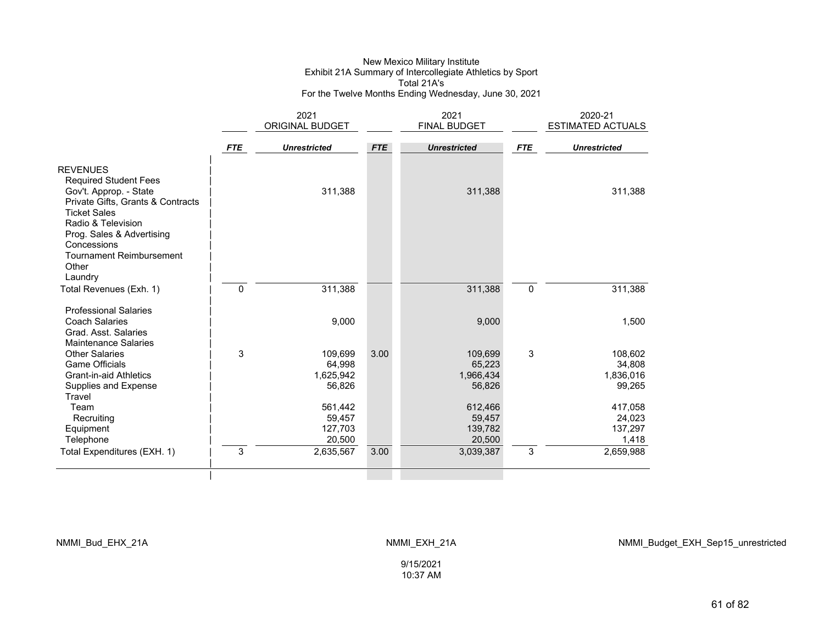#### New Mexico Military Institute Exhibit 21A Summary of Intercollegiate Athletics by Sport Total 21A'sFor the Twelve Months Ending Wednesday, June 30, 2021

|                                                                                                                                                                                                             |            | 2021                                     |            | 2021                                     |            | 2020-21                                  |
|-------------------------------------------------------------------------------------------------------------------------------------------------------------------------------------------------------------|------------|------------------------------------------|------------|------------------------------------------|------------|------------------------------------------|
|                                                                                                                                                                                                             |            | ORIGINAL BUDGET                          |            | <b>FINAL BUDGET</b>                      |            | <b>ESTIMATED ACTUALS</b>                 |
|                                                                                                                                                                                                             |            |                                          |            |                                          |            |                                          |
|                                                                                                                                                                                                             | <b>FTE</b> | <b>Unrestricted</b>                      | <b>FTE</b> | <b>Unrestricted</b>                      | <b>FTE</b> | <b>Unrestricted</b>                      |
| <b>REVENUES</b><br><b>Required Student Fees</b>                                                                                                                                                             |            |                                          |            |                                          |            |                                          |
| Gov't. Approp. - State<br>Private Gifts, Grants & Contracts<br><b>Ticket Sales</b><br>Radio & Television<br>Prog. Sales & Advertising<br>Concessions<br><b>Tournament Reimbursement</b><br>Other<br>Laundry |            | 311,388                                  |            | 311,388                                  |            | 311,388                                  |
| Total Revenues (Exh. 1)                                                                                                                                                                                     | 0          | 311,388                                  |            | 311,388                                  | $\pmb{0}$  | 311,388                                  |
| <b>Professional Salaries</b><br><b>Coach Salaries</b><br>Grad, Asst. Salaries<br><b>Maintenance Salaries</b>                                                                                                |            | 9,000                                    |            | 9,000                                    |            | 1,500                                    |
| <b>Other Salaries</b><br><b>Game Officials</b><br><b>Grant-in-aid Athletics</b><br>Supplies and Expense<br>Travel                                                                                           | 3          | 109,699<br>64,998<br>1,625,942<br>56,826 | 3.00       | 109,699<br>65,223<br>1,966,434<br>56,826 | 3          | 108,602<br>34,808<br>1,836,016<br>99,265 |
| Team<br>Recruiting<br>Equipment<br>Telephone                                                                                                                                                                |            | 561,442<br>59,457<br>127,703<br>20,500   |            | 612,466<br>59,457<br>139,782<br>20,500   |            | 417,058<br>24,023<br>137,297<br>1,418    |
| Total Expenditures (EXH. 1)                                                                                                                                                                                 | 3          | 2,635,567                                | 3.00       | 3,039,387                                | 3          | 2,659,988                                |
|                                                                                                                                                                                                             |            |                                          |            |                                          |            |                                          |

NMMI\_Budget\_EXH\_Sep15\_unrestricted

9/15/2021 10:37 AM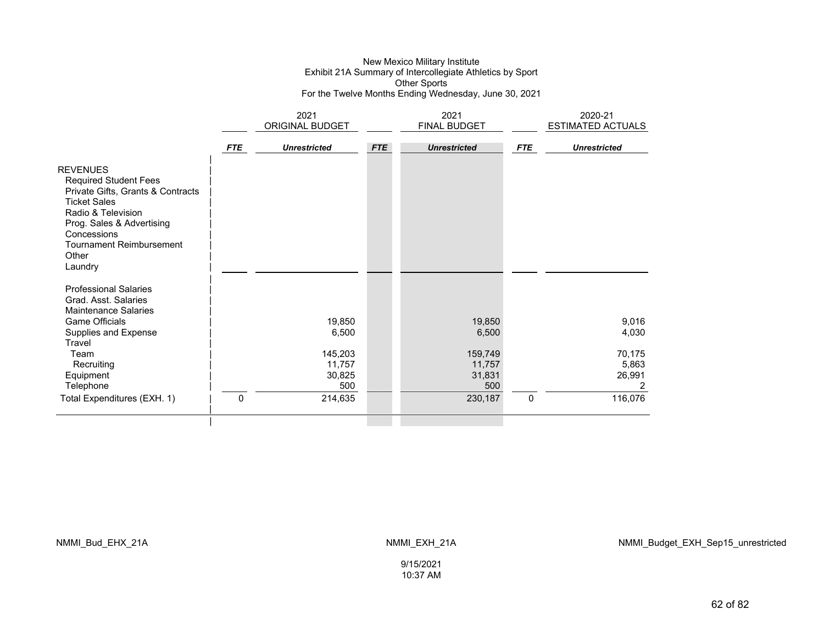### New Mexico Military Institute Exhibit 21A Summary of Intercollegiate Athletics by Sport Other Sports For the Twelve Months Ending Wednesday, June 30, 2021

|                                                                                                                                                                                                                                      |            | 2021<br>ORIGINAL BUDGET            |            | 2021<br>FINAL BUDGET               |            | 2020-21<br><b>ESTIMATED ACTUALS</b> |
|--------------------------------------------------------------------------------------------------------------------------------------------------------------------------------------------------------------------------------------|------------|------------------------------------|------------|------------------------------------|------------|-------------------------------------|
|                                                                                                                                                                                                                                      | <b>FTE</b> | <b>Unrestricted</b>                | <b>FTE</b> | <b>Unrestricted</b>                | <b>FTE</b> | <b>Unrestricted</b>                 |
| <b>REVENUES</b><br><b>Required Student Fees</b><br>Private Gifts, Grants & Contracts<br><b>Ticket Sales</b><br>Radio & Television<br>Prog. Sales & Advertising<br>Concessions<br><b>Tournament Reimbursement</b><br>Other<br>Laundry |            |                                    |            |                                    |            |                                     |
| <b>Professional Salaries</b><br>Grad. Asst. Salaries<br><b>Maintenance Salaries</b><br><b>Game Officials</b>                                                                                                                         |            | 19,850                             |            | 19,850                             |            | 9,016                               |
| Supplies and Expense<br>Travel                                                                                                                                                                                                       |            | 6,500                              |            | 6,500                              |            | 4,030                               |
| Team<br>Recruiting<br>Equipment<br>Telephone                                                                                                                                                                                         |            | 145,203<br>11,757<br>30,825<br>500 |            | 159,749<br>11,757<br>31,831<br>500 |            | 70,175<br>5,863<br>26,991<br>2      |
| Total Expenditures (EXH. 1)                                                                                                                                                                                                          | 0          | 214,635                            |            | 230,187                            | 0          | 116,076                             |
|                                                                                                                                                                                                                                      |            |                                    |            |                                    |            |                                     |

NMMI\_Bud\_EHX\_21A NMMI\_EXH\_21A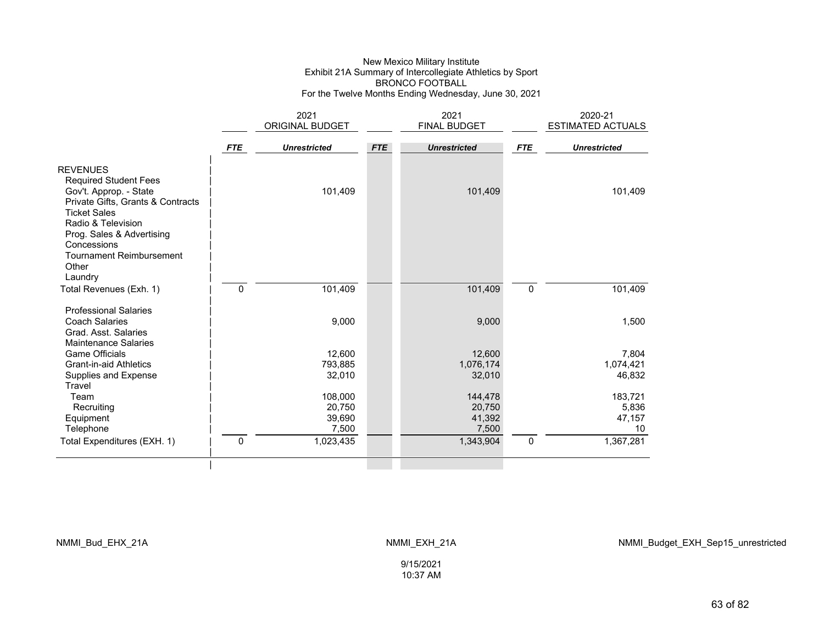#### New Mexico Military Institute Exhibit 21A Summary of Intercollegiate Athletics by Sport BRONCO FOOTBALL For the Twelve Months Ending Wednesday, June 30, 2021

|                                                                                                                                       |              | 2021                |            | 2021                |             | 2020-21                  |
|---------------------------------------------------------------------------------------------------------------------------------------|--------------|---------------------|------------|---------------------|-------------|--------------------------|
|                                                                                                                                       |              | ORIGINAL BUDGET     |            | FINAL BUDGET        |             | <b>ESTIMATED ACTUALS</b> |
|                                                                                                                                       |              |                     |            |                     |             |                          |
|                                                                                                                                       | <b>FTE</b>   | <b>Unrestricted</b> | <b>FTE</b> | <b>Unrestricted</b> | <b>FTE</b>  | <b>Unrestricted</b>      |
| <b>REVENUES</b><br><b>Required Student Fees</b><br>Gov't. Approp. - State<br>Private Gifts, Grants & Contracts<br><b>Ticket Sales</b> |              | 101,409             |            | 101,409             |             | 101,409                  |
| Radio & Television<br>Prog. Sales & Advertising<br>Concessions<br><b>Tournament Reimbursement</b>                                     |              |                     |            |                     |             |                          |
| Other                                                                                                                                 |              |                     |            |                     |             |                          |
| Laundry                                                                                                                               |              |                     |            |                     |             |                          |
| Total Revenues (Exh. 1)                                                                                                               | $\mathbf{0}$ | 101,409             |            | 101,409             | $\mathbf 0$ | 101,409                  |
| <b>Professional Salaries</b>                                                                                                          |              |                     |            |                     |             |                          |
| <b>Coach Salaries</b><br>Grad. Asst. Salaries<br><b>Maintenance Salaries</b>                                                          |              | 9,000               |            | 9,000               |             | 1,500                    |
| <b>Game Officials</b>                                                                                                                 |              | 12,600              |            | 12,600              |             | 7,804                    |
| <b>Grant-in-aid Athletics</b>                                                                                                         |              | 793,885             |            | 1,076,174           |             | 1,074,421                |
| Supplies and Expense                                                                                                                  |              | 32,010              |            | 32,010              |             | 46,832                   |
| Travel                                                                                                                                |              |                     |            |                     |             |                          |
| Team                                                                                                                                  |              | 108,000             |            | 144,478             |             | 183,721                  |
| Recruiting                                                                                                                            |              | 20,750              |            | 20,750              |             | 5,836                    |
| Equipment                                                                                                                             |              | 39,690              |            | 41,392              |             | 47,157<br>10             |
| Telephone                                                                                                                             |              | 7,500               |            | 7,500               |             |                          |
| Total Expenditures (EXH. 1)                                                                                                           | $\mathbf{0}$ | 1,023,435           |            | 1,343,904           | $\mathbf 0$ | 1,367,281                |
|                                                                                                                                       |              |                     |            |                     |             |                          |

NMMI\_Bud\_EHX\_21A NMMI\_EXH\_21A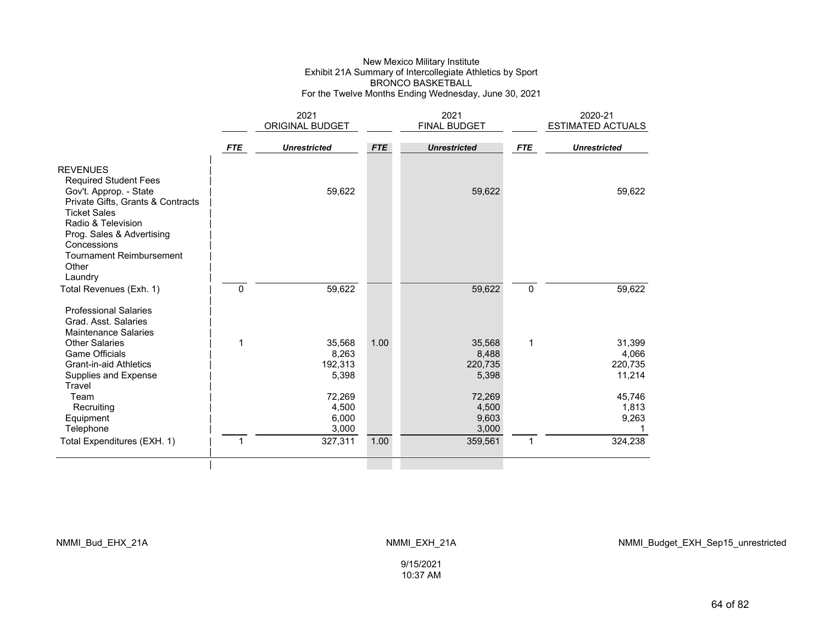### New Mexico Military Institute Exhibit 21A Summary of Intercollegiate Athletics by Sport BRONCO BASKETBALL For the Twelve Months Ending Wednesday, June 30, 2021

|                                                                                                                                                                                                                                                                |            | 2021                                |            | 2021                                |             | 2020-21                              |
|----------------------------------------------------------------------------------------------------------------------------------------------------------------------------------------------------------------------------------------------------------------|------------|-------------------------------------|------------|-------------------------------------|-------------|--------------------------------------|
|                                                                                                                                                                                                                                                                |            | ORIGINAL BUDGET                     |            | <b>FINAL BUDGET</b>                 |             | <b>ESTIMATED ACTUALS</b>             |
|                                                                                                                                                                                                                                                                | <b>FTE</b> | <b>Unrestricted</b>                 | <b>FTE</b> | <b>Unrestricted</b>                 | <b>FTE</b>  | <b>Unrestricted</b>                  |
| <b>REVENUES</b><br><b>Required Student Fees</b><br>Gov't. Approp. - State<br>Private Gifts, Grants & Contracts<br><b>Ticket Sales</b><br>Radio & Television<br>Prog. Sales & Advertising<br>Concessions<br><b>Tournament Reimbursement</b><br>Other<br>Laundry |            | 59,622                              |            | 59,622                              |             | 59,622                               |
| Total Revenues (Exh. 1)                                                                                                                                                                                                                                        | 0          | 59,622                              |            | 59,622                              | $\mathbf 0$ | 59,622                               |
| <b>Professional Salaries</b><br>Grad. Asst. Salaries<br><b>Maintenance Salaries</b>                                                                                                                                                                            |            |                                     |            |                                     |             |                                      |
| <b>Other Salaries</b><br><b>Game Officials</b><br><b>Grant-in-aid Athletics</b><br>Supplies and Expense<br>Travel                                                                                                                                              | 1          | 35,568<br>8,263<br>192,313<br>5,398 | 1.00       | 35,568<br>8,488<br>220,735<br>5,398 | 1           | 31,399<br>4,066<br>220,735<br>11,214 |
| Team<br>Recruiting<br>Equipment<br>Telephone                                                                                                                                                                                                                   |            | 72,269<br>4,500<br>6,000<br>3,000   |            | 72,269<br>4,500<br>9,603<br>3,000   |             | 45,746<br>1,813<br>9,263             |
| Total Expenditures (EXH. 1)                                                                                                                                                                                                                                    | 1          | 327,311                             | 1.00       | 359,561                             | 1           | 324,238                              |
|                                                                                                                                                                                                                                                                |            |                                     |            |                                     |             |                                      |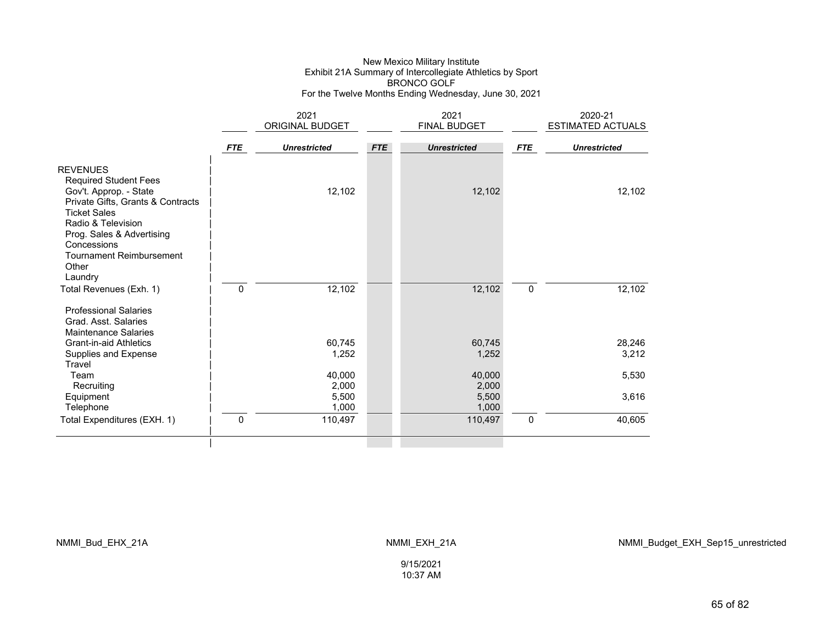### New Mexico Military Institute Exhibit 21A Summary of Intercollegiate Athletics by Sport BRONCO GOLF For the Twelve Months Ending Wednesday, June 30, 2021

|                                                                                                                                                                                   |              | 2021                |            | 2021                |             | 2020-21                  |
|-----------------------------------------------------------------------------------------------------------------------------------------------------------------------------------|--------------|---------------------|------------|---------------------|-------------|--------------------------|
|                                                                                                                                                                                   |              | ORIGINAL BUDGET     |            | FINAL BUDGET        |             | <b>ESTIMATED ACTUALS</b> |
|                                                                                                                                                                                   | <b>FTE</b>   | <b>Unrestricted</b> | <b>FTE</b> | <b>Unrestricted</b> | <b>FTE</b>  | <b>Unrestricted</b>      |
| <b>REVENUES</b><br><b>Required Student Fees</b><br>Gov't. Approp. - State                                                                                                         |              | 12,102              |            | 12,102              |             | 12,102                   |
| Private Gifts, Grants & Contracts<br><b>Ticket Sales</b><br>Radio & Television<br>Prog. Sales & Advertising<br>Concessions<br><b>Tournament Reimbursement</b><br>Other<br>Laundry |              |                     |            |                     |             |                          |
| Total Revenues (Exh. 1)<br><b>Professional Salaries</b><br>Grad, Asst, Salaries                                                                                                   | $\mathbf{0}$ | 12,102              |            | 12,102              | 0           | 12,102                   |
| <b>Maintenance Salaries</b>                                                                                                                                                       |              |                     |            |                     |             |                          |
| <b>Grant-in-aid Athletics</b>                                                                                                                                                     |              | 60,745              |            | 60,745              |             | 28,246                   |
| Supplies and Expense<br>Travel                                                                                                                                                    |              | 1,252               |            | 1,252               |             | 3,212                    |
| Team                                                                                                                                                                              |              | 40,000              |            | 40,000              |             | 5,530                    |
| Recruiting                                                                                                                                                                        |              | 2,000               |            | 2,000               |             |                          |
| Equipment                                                                                                                                                                         |              | 5,500               |            | 5,500               |             | 3,616                    |
| Telephone                                                                                                                                                                         |              | 1,000               |            | 1,000               |             |                          |
| Total Expenditures (EXH. 1)                                                                                                                                                       | 0            | 110,497             |            | 110,497             | $\mathbf 0$ | 40,605                   |
|                                                                                                                                                                                   |              |                     |            |                     |             |                          |

NMMI\_Bud\_EHX\_21A NMMI\_EXH\_21A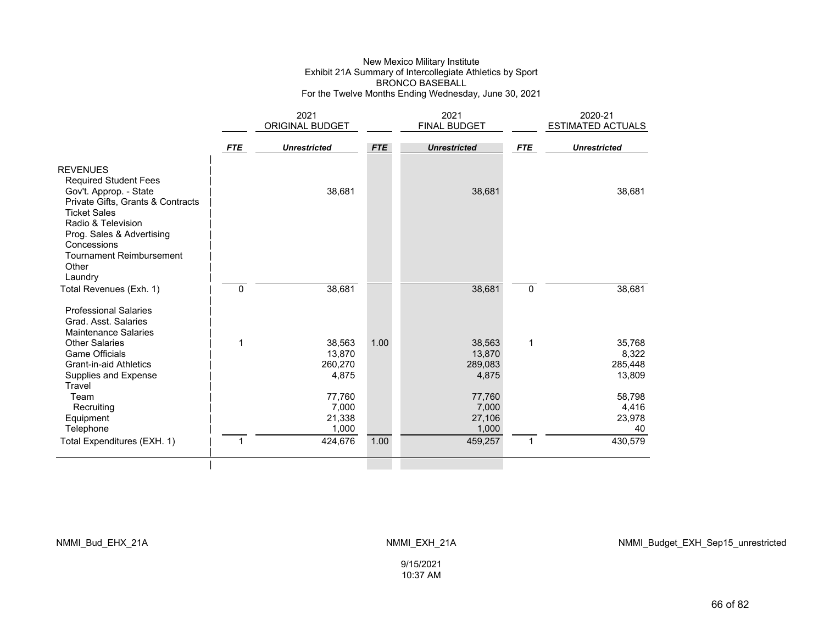### New Mexico Military Institute Exhibit 21A Summary of Intercollegiate Athletics by Sport BRONCO BASEBALL For the Twelve Months Ending Wednesday, June 30, 2021

|                                                                                                                                                             |              | 2021                                 |            | 2021                                 |             | 2020-21                              |
|-------------------------------------------------------------------------------------------------------------------------------------------------------------|--------------|--------------------------------------|------------|--------------------------------------|-------------|--------------------------------------|
|                                                                                                                                                             |              | ORIGINAL BUDGET                      |            | <b>FINAL BUDGET</b>                  |             | <b>ESTIMATED ACTUALS</b>             |
|                                                                                                                                                             | <b>FTE</b>   | <b>Unrestricted</b>                  | <b>FTE</b> | <b>Unrestricted</b>                  | <b>FTE</b>  | <b>Unrestricted</b>                  |
| <b>REVENUES</b><br><b>Required Student Fees</b><br>Gov't. Approp. - State<br>Private Gifts, Grants & Contracts<br><b>Ticket Sales</b><br>Radio & Television |              | 38,681                               |            | 38,681                               |             | 38,681                               |
| Prog. Sales & Advertising<br>Concessions<br><b>Tournament Reimbursement</b><br>Other<br>Laundry                                                             |              |                                      |            |                                      |             |                                      |
| Total Revenues (Exh. 1)<br><b>Professional Salaries</b><br>Grad. Asst. Salaries<br>Maintenance Salaries                                                     | $\mathbf{0}$ | 38,681                               |            | 38,681                               | $\mathbf 0$ | 38,681                               |
| <b>Other Salaries</b><br><b>Game Officials</b><br><b>Grant-in-aid Athletics</b><br>Supplies and Expense<br>Travel                                           | 1            | 38,563<br>13,870<br>260,270<br>4,875 | 1.00       | 38,563<br>13,870<br>289,083<br>4,875 | 1           | 35,768<br>8,322<br>285,448<br>13,809 |
| Team<br>Recruiting<br>Equipment<br>Telephone                                                                                                                |              | 77,760<br>7,000<br>21,338<br>1,000   |            | 77,760<br>7,000<br>27,106<br>1,000   |             | 58,798<br>4,416<br>23,978<br>40      |
| Total Expenditures (EXH. 1)                                                                                                                                 | 1            | 424,676                              | 1.00       | 459,257                              | 1           | 430,579                              |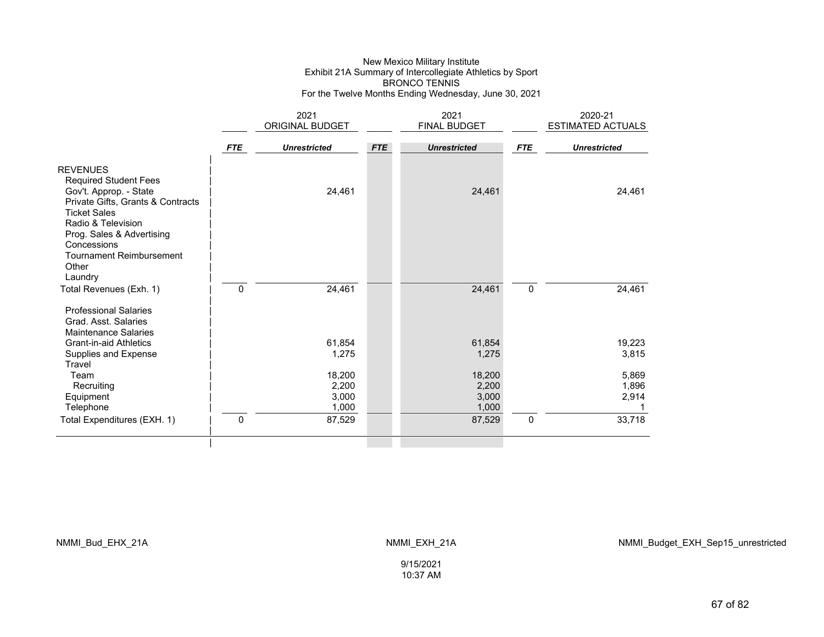### New Mexico Military Institute Exhibit 21A Summary of Intercollegiate Athletics by Sport BRONCO TENNIS For the Twelve Months Ending Wednesday, June 30, 2021

|                                                                                                                                                                                                         |            | 2021                              |            | 2021                              |             | 2020-21                 |
|---------------------------------------------------------------------------------------------------------------------------------------------------------------------------------------------------------|------------|-----------------------------------|------------|-----------------------------------|-------------|-------------------------|
|                                                                                                                                                                                                         |            | ORIGINAL BUDGET                   |            | FINAL BUDGET                      |             | ESTIMATED ACTUALS       |
|                                                                                                                                                                                                         | <b>FTE</b> | <b>Unrestricted</b>               | <b>FTE</b> | <b>Unrestricted</b>               | <b>FTE</b>  | <b>Unrestricted</b>     |
| <b>REVENUES</b><br><b>Required Student Fees</b><br>Gov't. Approp. - State<br>Private Gifts, Grants & Contracts<br><b>Ticket Sales</b><br>Radio & Television<br>Prog. Sales & Advertising<br>Concessions |            | 24,461                            |            | 24,461                            |             | 24,461                  |
| <b>Tournament Reimbursement</b><br>Other<br>Laundry<br>Total Revenues (Exh. 1)                                                                                                                          | 0          | 24,461                            |            | 24,461                            | $\mathbf 0$ | 24,461                  |
| <b>Professional Salaries</b><br>Grad. Asst. Salaries<br><b>Maintenance Salaries</b><br>Grant-in-aid Athletics<br>Supplies and Expense<br>Travel                                                         |            | 61,854<br>1,275                   |            | 61,854<br>1,275                   |             | 19,223<br>3,815         |
| Team<br>Recruiting<br>Equipment<br>Telephone                                                                                                                                                            |            | 18,200<br>2,200<br>3,000<br>1,000 |            | 18,200<br>2,200<br>3,000<br>1,000 |             | 5,869<br>1,896<br>2,914 |
| Total Expenditures (EXH. 1)                                                                                                                                                                             | 0          | 87,529                            |            | 87,529                            | $\mathbf 0$ | 33,718                  |
|                                                                                                                                                                                                         |            |                                   |            |                                   |             |                         |

NMMI\_Bud\_EHX\_21A NMMI\_EXH\_21A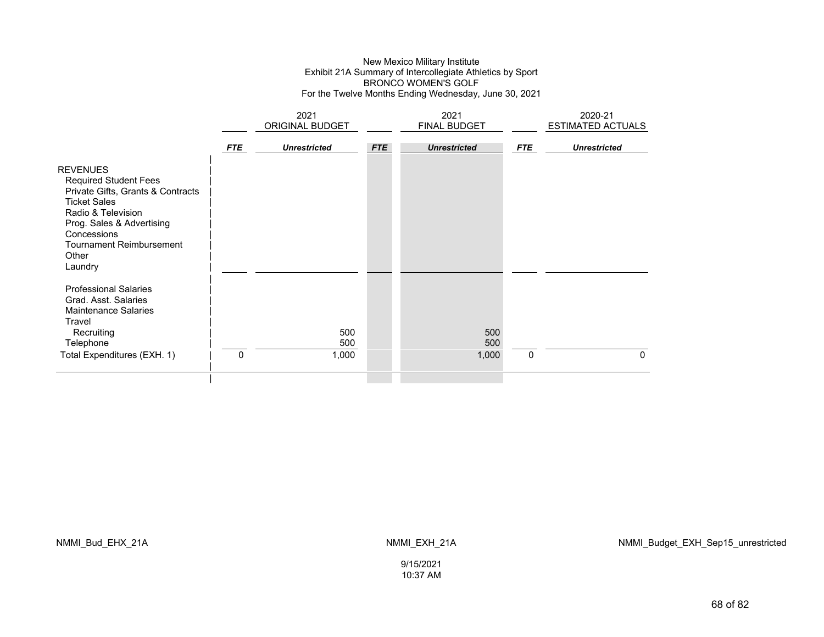### New Mexico Military Institute Exhibit 21A Summary of Intercollegiate Athletics by Sport BRONCO WOMEN'S GOLF For the Twelve Months Ending Wednesday, June 30, 2021

|                                                                                                                                                                                                                                      |              | 2021<br><b>ORIGINAL BUDGET</b> |            | 2021<br><b>FINAL BUDGET</b> |            | 2020-21<br><b>ESTIMATED ACTUALS</b> |  |
|--------------------------------------------------------------------------------------------------------------------------------------------------------------------------------------------------------------------------------------|--------------|--------------------------------|------------|-----------------------------|------------|-------------------------------------|--|
|                                                                                                                                                                                                                                      | <b>FTE</b>   | <b>Unrestricted</b>            | <b>FTE</b> | <b>Unrestricted</b>         | <b>FTE</b> | <b>Unrestricted</b>                 |  |
| <b>REVENUES</b><br><b>Required Student Fees</b><br>Private Gifts, Grants & Contracts<br><b>Ticket Sales</b><br>Radio & Television<br>Prog. Sales & Advertising<br>Concessions<br><b>Tournament Reimbursement</b><br>Other<br>Laundry |              |                                |            |                             |            |                                     |  |
| <b>Professional Salaries</b><br>Grad. Asst. Salaries<br><b>Maintenance Salaries</b><br>Travel<br>Recruiting<br>Telephone<br>Total Expenditures (EXH. 1)                                                                              | $\mathbf{0}$ | 500<br>500<br>1,000            |            | 500<br>500<br>1,000         | 0          | 0                                   |  |
|                                                                                                                                                                                                                                      |              |                                |            |                             |            |                                     |  |

NMMI\_Bud\_EHX\_21A NMMI\_EXH\_21A

NMMI\_Budget\_EXH\_Sep15\_unrestricted

9/15/202110:37 AM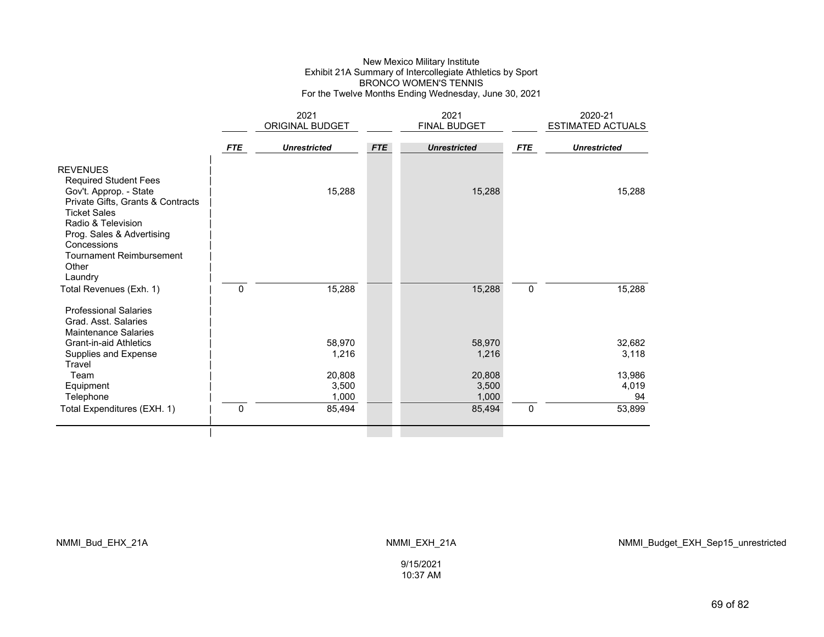### New Mexico Military Institute Exhibit 21A Summary of Intercollegiate Athletics by Sport BRONCO WOMEN'S TENNIS For the Twelve Months Ending Wednesday, June 30, 2021

|                                                                                                                                                                                                                                                     |            | 2021                     |            | 2021                     |             | 2020-21               |
|-----------------------------------------------------------------------------------------------------------------------------------------------------------------------------------------------------------------------------------------------------|------------|--------------------------|------------|--------------------------|-------------|-----------------------|
|                                                                                                                                                                                                                                                     |            | ORIGINAL BUDGET          |            | FINAL BUDGET             |             | ESTIMATED ACTUALS     |
|                                                                                                                                                                                                                                                     | <b>FTE</b> | <b>Unrestricted</b>      | <b>FTE</b> | <b>Unrestricted</b>      | <b>FTE</b>  | <b>Unrestricted</b>   |
| <b>REVENUES</b><br><b>Required Student Fees</b><br>Gov't. Approp. - State<br>Private Gifts, Grants & Contracts<br><b>Ticket Sales</b><br>Radio & Television<br>Prog. Sales & Advertising<br>Concessions<br><b>Tournament Reimbursement</b><br>Other |            | 15,288                   |            | 15,288                   |             | 15,288                |
| Laundry<br>Total Revenues (Exh. 1)                                                                                                                                                                                                                  | 0          | 15,288                   |            | 15,288                   | $\mathbf 0$ | 15,288                |
| <b>Professional Salaries</b><br>Grad. Asst. Salaries<br><b>Maintenance Salaries</b><br><b>Grant-in-aid Athletics</b><br>Supplies and Expense                                                                                                        |            | 58,970<br>1,216          |            | 58,970<br>1,216          |             | 32,682<br>3,118       |
| Travel<br>Team<br>Equipment<br>Telephone                                                                                                                                                                                                            |            | 20,808<br>3,500<br>1,000 |            | 20,808<br>3,500<br>1,000 |             | 13,986<br>4,019<br>94 |
| Total Expenditures (EXH. 1)                                                                                                                                                                                                                         | 0          | 85,494                   |            | 85,494                   | $\pmb{0}$   | 53,899                |
|                                                                                                                                                                                                                                                     |            |                          |            |                          |             |                       |

NMMI\_Bud\_EHX\_21A NMMI\_EXH\_21A

NMMI\_Budget\_EXH\_Sep15\_unrestricted

9/15/202110:37 AM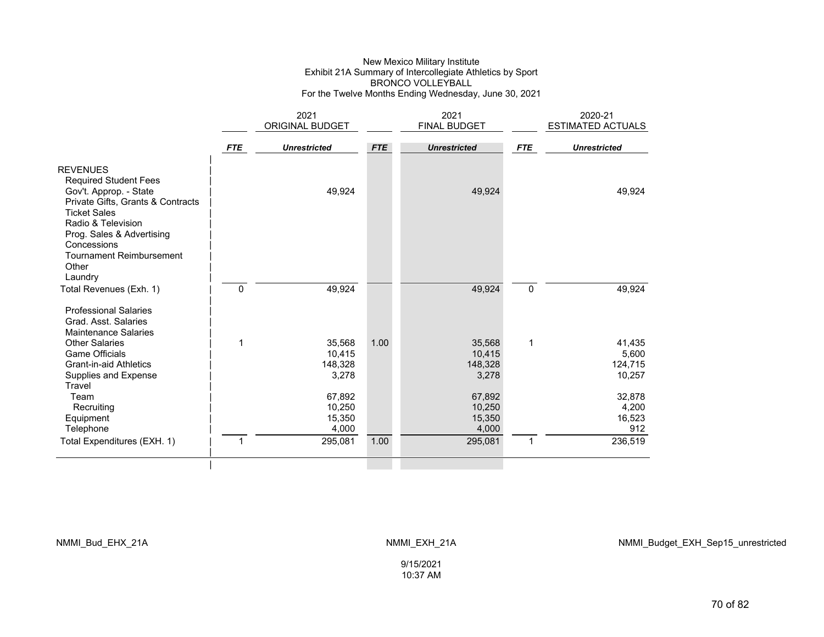### New Mexico Military Institute Exhibit 21A Summary of Intercollegiate Athletics by Sport BRONCO VOLLEYBALL For the Twelve Months Ending Wednesday, June 30, 2021

|                                                                                                                |              | 2021                |            | 2021                |             | 2020-21                  |
|----------------------------------------------------------------------------------------------------------------|--------------|---------------------|------------|---------------------|-------------|--------------------------|
|                                                                                                                |              | ORIGINAL BUDGET     |            | <b>FINAL BUDGET</b> |             | <b>ESTIMATED ACTUALS</b> |
|                                                                                                                |              |                     |            |                     |             |                          |
|                                                                                                                | <b>FTE</b>   | <b>Unrestricted</b> | <b>FTE</b> | <b>Unrestricted</b> | <b>FTE</b>  | <b>Unrestricted</b>      |
| <b>REVENUES</b><br><b>Required Student Fees</b><br>Gov't. Approp. - State<br>Private Gifts, Grants & Contracts |              | 49,924              |            | 49,924              |             | 49,924                   |
| <b>Ticket Sales</b><br>Radio & Television<br>Prog. Sales & Advertising<br>Concessions                          |              |                     |            |                     |             |                          |
| <b>Tournament Reimbursement</b><br>Other<br>Laundry                                                            |              |                     |            |                     |             |                          |
| Total Revenues (Exh. 1)                                                                                        | $\mathbf{0}$ | 49,924              |            | 49,924              | $\mathbf 0$ | 49,924                   |
| <b>Professional Salaries</b><br>Grad. Asst. Salaries<br><b>Maintenance Salaries</b>                            |              |                     |            |                     |             |                          |
| <b>Other Salaries</b>                                                                                          | 1            | 35,568              | 1.00       | 35,568              | 1           | 41,435                   |
| <b>Game Officials</b>                                                                                          |              | 10,415              |            | 10,415              |             | 5,600                    |
| <b>Grant-in-aid Athletics</b>                                                                                  |              | 148,328             |            | 148,328             |             | 124,715                  |
| Supplies and Expense<br>Travel                                                                                 |              | 3,278               |            | 3,278               |             | 10,257                   |
| Team                                                                                                           |              | 67,892              |            | 67,892              |             | 32,878                   |
| Recruiting                                                                                                     |              | 10,250              |            | 10,250              |             | 4,200                    |
| Equipment                                                                                                      |              | 15,350              |            | 15,350              |             | 16,523                   |
| Telephone                                                                                                      |              | 4,000               |            | 4,000               |             | 912                      |
| Total Expenditures (EXH. 1)                                                                                    | 1            | 295,081             | 1.00       | 295,081             | 1           | 236,519                  |
|                                                                                                                |              |                     |            |                     |             |                          |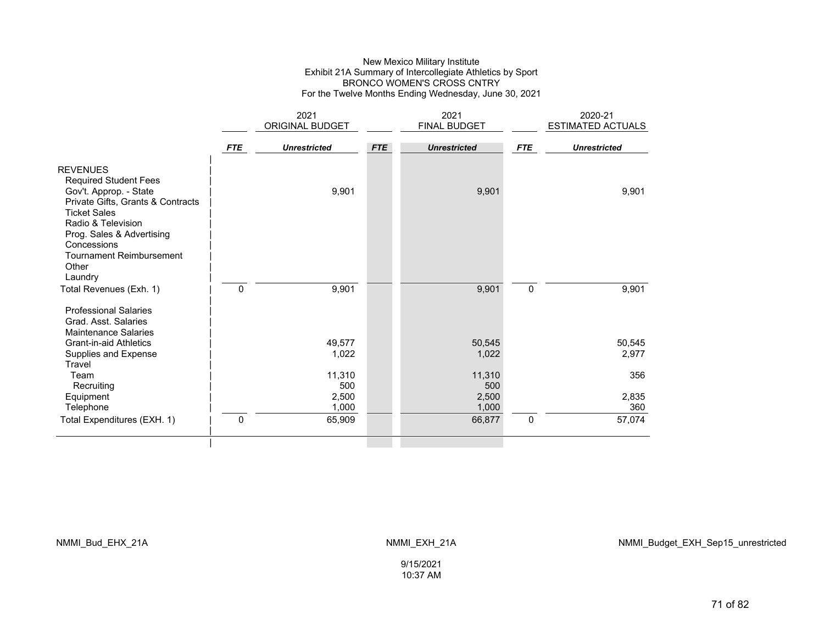### New Mexico Military Institute Exhibit 21A Summary of Intercollegiate Athletics by Sport BRONCO WOMEN'S CROSS CNTRY For the Twelve Months Ending Wednesday, June 30, 2021

|                                                                                                                                                                                          |              | 2021<br>ORIGINAL BUDGET |            | 2021<br>FINAL BUDGET |             | 2020-21<br>ESTIMATED ACTUALS |
|------------------------------------------------------------------------------------------------------------------------------------------------------------------------------------------|--------------|-------------------------|------------|----------------------|-------------|------------------------------|
|                                                                                                                                                                                          |              |                         |            |                      |             |                              |
|                                                                                                                                                                                          | <b>FTE</b>   | <b>Unrestricted</b>     | <b>FTE</b> | <b>Unrestricted</b>  | <b>FTE</b>  | <b>Unrestricted</b>          |
| <b>REVENUES</b><br><b>Required Student Fees</b><br>Gov't. Approp. - State<br>Private Gifts, Grants & Contracts<br><b>Ticket Sales</b><br>Radio & Television<br>Prog. Sales & Advertising |              | 9,901                   |            | 9,901                |             | 9,901                        |
| Concessions<br><b>Tournament Reimbursement</b><br>Other<br>Laundry<br>Total Revenues (Exh. 1)                                                                                            | $\mathbf{0}$ | 9,901                   |            | 9,901                | $\mathbf 0$ | 9,901                        |
| <b>Professional Salaries</b><br>Grad. Asst. Salaries<br><b>Maintenance Salaries</b>                                                                                                      |              |                         |            |                      |             |                              |
| <b>Grant-in-aid Athletics</b><br>Supplies and Expense<br>Travel                                                                                                                          |              | 49,577<br>1,022         |            | 50,545<br>1,022      |             | 50,545<br>2,977              |
| Team<br>Recruiting                                                                                                                                                                       |              | 11,310<br>500           |            | 11,310<br>500        |             | 356                          |
| Equipment<br>Telephone                                                                                                                                                                   |              | 2,500<br>1,000          |            | 2,500<br>1,000       |             | 2,835<br>360                 |
| Total Expenditures (EXH. 1)                                                                                                                                                              | $\mathbf{0}$ | 65,909                  |            | 66,877               | $\Omega$    | 57,074                       |
|                                                                                                                                                                                          |              |                         |            |                      |             |                              |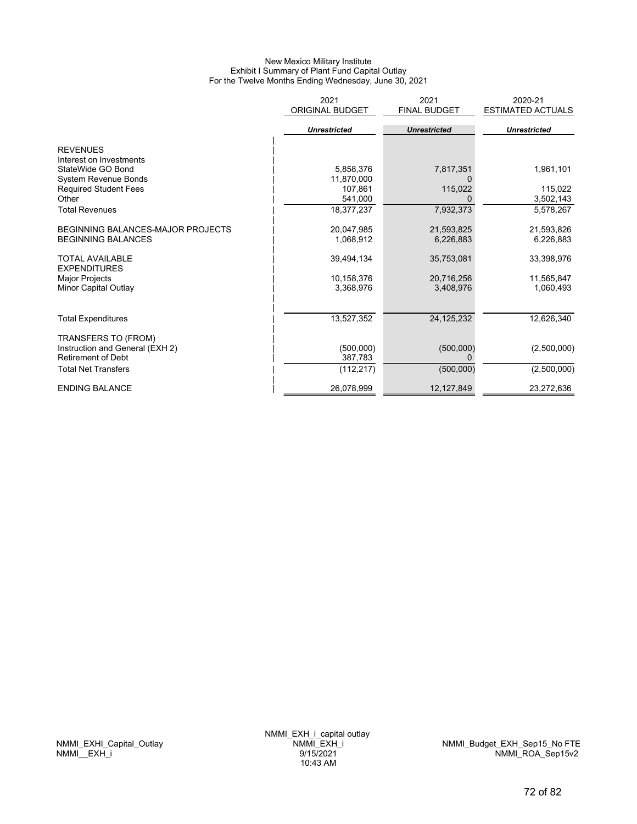#### New Mexico Military Institute Exhibit I Summary of Plant Fund Capital Outlay For the Twelve Months Ending Wednesday, June 30, 2021

|                                               | 2021<br><b>ORIGINAL BUDGET</b> | 2021<br><b>FINAL BUDGET</b> | 2020-21<br><b>ESTIMATED ACTUALS</b> |
|-----------------------------------------------|--------------------------------|-----------------------------|-------------------------------------|
|                                               | <b>Unrestricted</b>            | <b>Unrestricted</b>         | <b>Unrestricted</b>                 |
| <b>REVENUES</b>                               |                                |                             |                                     |
| Interest on Investments                       |                                |                             |                                     |
| StateWide GO Bond                             | 5,858,376                      | 7,817,351                   | 1,961,101                           |
| <b>System Revenue Bonds</b>                   | 11,870,000                     |                             |                                     |
| <b>Required Student Fees</b>                  | 107,861                        | 115,022                     | 115,022                             |
| Other                                         | 541,000                        |                             | 3,502,143                           |
| <b>Total Revenues</b>                         | 18,377,237                     | 7,932,373                   | 5,578,267                           |
| <b>BEGINNING BALANCES-MAJOR PROJECTS</b>      | 20,047,985                     | 21,593,825                  | 21,593,826                          |
| <b>BEGINNING BALANCES</b>                     | 1,068,912                      | 6,226,883                   | 6,226,883                           |
| <b>TOTAL AVAILABLE</b><br><b>EXPENDITURES</b> | 39,494,134                     | 35,753,081                  | 33,398,976                          |
| <b>Major Projects</b>                         | 10,158,376                     | 20,716,256                  | 11,565,847                          |
| Minor Capital Outlay                          | 3,368,976                      | 3,408,976                   | 1,060,493                           |
|                                               |                                |                             |                                     |
| <b>Total Expenditures</b>                     | 13,527,352                     | 24, 125, 232                | 12,626,340                          |
| TRANSFERS TO (FROM)                           |                                |                             |                                     |
| Instruction and General (EXH 2)               | (500,000)                      | (500,000)                   | (2,500,000)                         |
| <b>Retirement of Debt</b>                     | 387,783                        |                             |                                     |
| <b>Total Net Transfers</b>                    | (112, 217)                     | (500,000)                   | (2,500,000)                         |
| <b>ENDING BALANCE</b>                         | 26,078,999                     | 12, 127, 849                | 23,272,636                          |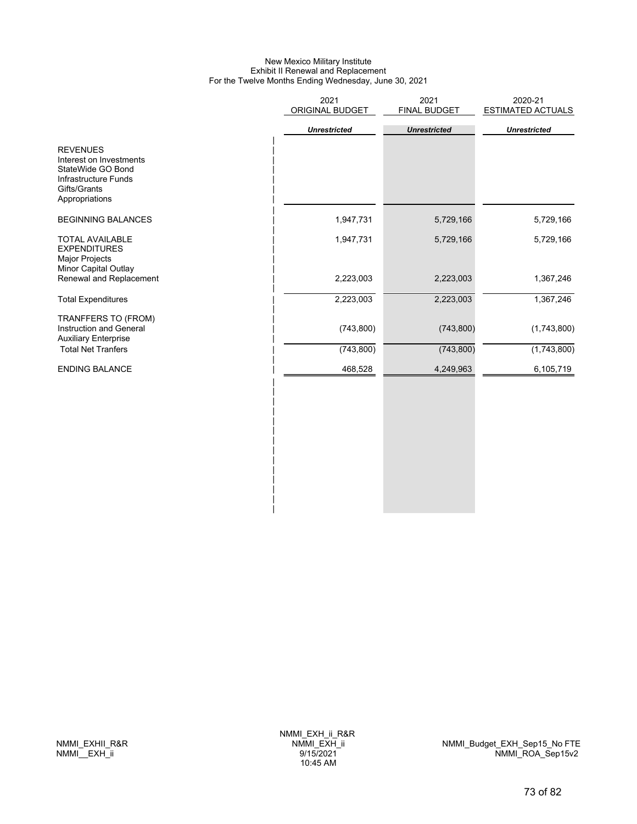## New Mexico Military Institute Exhibit II Renewal and Replacement For the Twelve Months Ending Wednesday, June 30, 2021

|                                                                                                                           | 2021<br>ORIGINAL BUDGET | 2021<br>FINAL BUDGET | 2020-21<br><b>ESTIMATED ACTUALS</b> |
|---------------------------------------------------------------------------------------------------------------------------|-------------------------|----------------------|-------------------------------------|
|                                                                                                                           | <b>Unrestricted</b>     | <b>Unrestricted</b>  | <b>Unrestricted</b>                 |
| <b>REVENUES</b><br>Interest on Investments<br>StateWide GO Bond<br>Infrastructure Funds<br>Gifts/Grants<br>Appropriations |                         |                      |                                     |
| <b>BEGINNING BALANCES</b>                                                                                                 | 1,947,731               | 5,729,166            | 5,729,166                           |
| <b>TOTAL AVAILABLE</b><br><b>EXPENDITURES</b><br><b>Major Projects</b><br>Minor Capital Outlay                            | 1,947,731               | 5,729,166            | 5,729,166                           |
| Renewal and Replacement                                                                                                   | 2,223,003               | 2,223,003            | 1,367,246                           |
| <b>Total Expenditures</b>                                                                                                 | 2,223,003               | 2,223,003            | 1,367,246                           |
| TRANFFERS TO (FROM)<br>Instruction and General<br><b>Auxiliary Enterprise</b>                                             | (743, 800)              | (743, 800)           | (1,743,800)                         |
| <b>Total Net Tranfers</b>                                                                                                 | (743, 800)              | (743, 800)           | (1,743,800)                         |
| <b>ENDING BALANCE</b>                                                                                                     | 468,528                 | 4,249,963            | 6,105,719                           |
|                                                                                                                           |                         |                      |                                     |
|                                                                                                                           |                         |                      |                                     |

 $\mathbf{i}$  $\overline{ }$ | |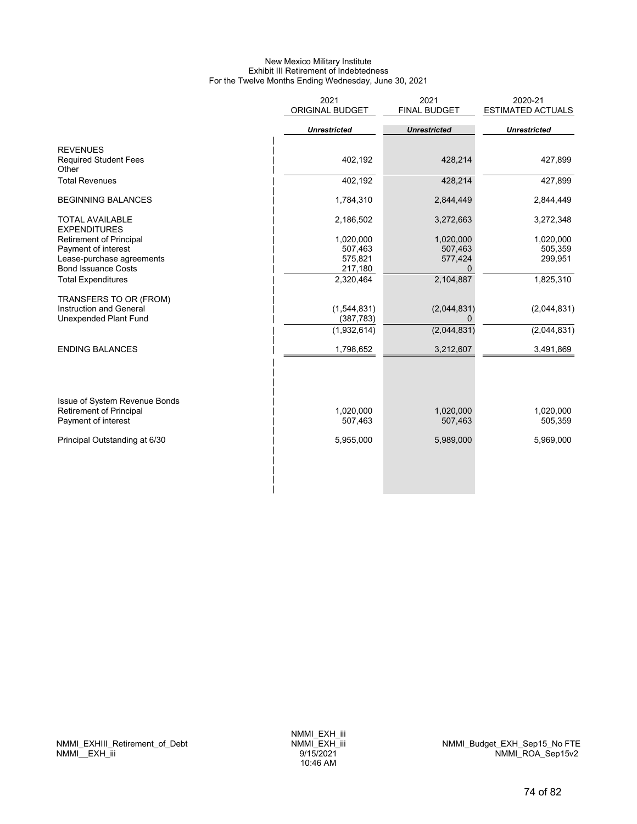## New Mexico Military Institute Exhibit III Retirement of Indebtedness For the Twelve Months Ending Wednesday, June 30, 2021

|                                                         | 2021<br><b>ORIGINAL BUDGET</b> | 2021<br><b>FINAL BUDGET</b> | 2020-21<br><b>ESTIMATED ACTUALS</b> |
|---------------------------------------------------------|--------------------------------|-----------------------------|-------------------------------------|
|                                                         | <b>Unrestricted</b>            | <b>Unrestricted</b>         | <b>Unrestricted</b>                 |
| <b>REVENUES</b>                                         |                                |                             |                                     |
| <b>Required Student Fees</b><br>Other                   | 402,192                        | 428,214                     | 427,899                             |
| <b>Total Revenues</b>                                   | 402,192                        | 428,214                     | 427,899                             |
| <b>BEGINNING BALANCES</b>                               | 1,784,310                      | 2,844,449                   | 2,844,449                           |
| <b>TOTAL AVAILABLE</b><br><b>EXPENDITURES</b>           | 2,186,502                      | 3,272,663                   | 3,272,348                           |
| <b>Retirement of Principal</b>                          | 1,020,000                      | 1,020,000                   | 1,020,000                           |
| Payment of interest                                     | 507,463                        | 507,463                     | 505,359                             |
| Lease-purchase agreements<br><b>Bond Issuance Costs</b> | 575,821<br>217,180             | 577,424<br>$\Omega$         | 299,951                             |
| <b>Total Expenditures</b>                               | 2,320,464                      | 2,104,887                   | 1,825,310                           |
| TRANSFERS TO OR (FROM)                                  |                                |                             |                                     |
| Instruction and General                                 | (1,544,831)                    | (2,044,831)                 | (2,044,831)                         |
| <b>Unexpended Plant Fund</b>                            | (387, 783)                     | 0                           |                                     |
|                                                         | (1,932,614)                    | (2,044,831)                 | (2,044,831)                         |
| <b>ENDING BALANCES</b>                                  | 1,798,652                      | 3,212,607                   | 3,491,869                           |
|                                                         |                                |                             |                                     |
| Issue of System Revenue Bonds                           |                                |                             |                                     |
| <b>Retirement of Principal</b>                          | 1,020,000                      | 1,020,000                   | 1,020,000                           |
| Payment of interest                                     | 507,463                        | 507,463                     | 505,359                             |
| Principal Outstanding at 6/30                           | 5,955,000                      | 5,989,000                   | 5,969,000                           |
|                                                         |                                |                             |                                     |
|                                                         |                                |                             |                                     |
|                                                         |                                |                             |                                     |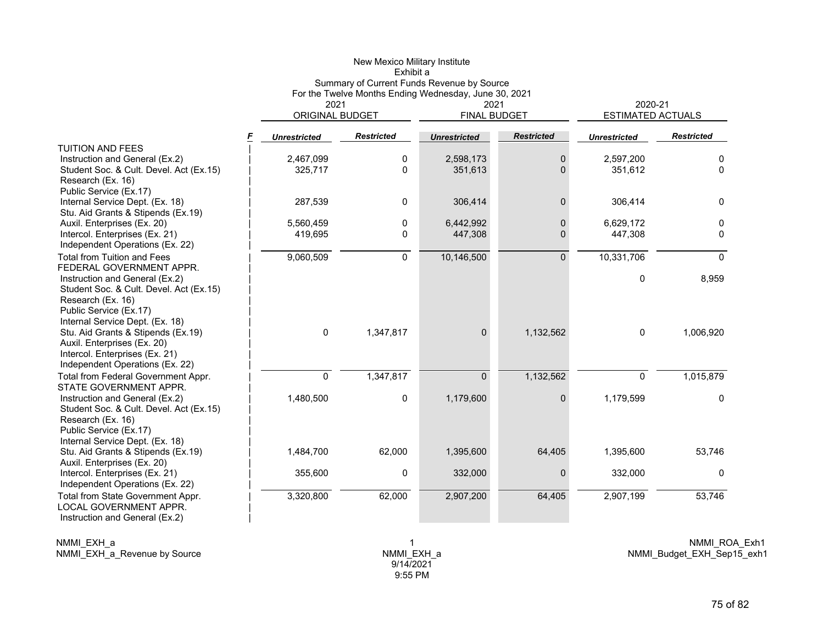|                                                                   |                         | New Mexico Military Institute<br>Exhibit a            |                     |                             |                     |                          |
|-------------------------------------------------------------------|-------------------------|-------------------------------------------------------|---------------------|-----------------------------|---------------------|--------------------------|
|                                                                   |                         | Summary of Current Funds Revenue by Source            |                     |                             |                     |                          |
|                                                                   |                         | For the Twelve Months Ending Wednesday, June 30, 2021 |                     |                             | 2020-21             |                          |
|                                                                   | 2021<br>ORIGINAL BUDGET |                                                       |                     | 2021<br><b>FINAL BUDGET</b> |                     | <b>ESTIMATED ACTUALS</b> |
| F                                                                 | <b>Unrestricted</b>     | <b>Restricted</b>                                     | <b>Unrestricted</b> | <b>Restricted</b>           | <b>Unrestricted</b> | <b>Restricted</b>        |
| <b>TUITION AND FEES</b>                                           |                         |                                                       |                     |                             |                     |                          |
| Instruction and General (Ex.2)                                    | 2,467,099               | 0                                                     | 2,598,173           | 0                           | 2,597,200           | 0                        |
| Student Soc. & Cult. Devel. Act (Ex.15)                           | 325,717                 | 0                                                     | 351,613             | $\Omega$                    | 351,612             | 0                        |
| Research (Ex. 16)                                                 |                         |                                                       |                     |                             |                     |                          |
| Public Service (Ex.17)                                            |                         |                                                       |                     |                             |                     |                          |
| Internal Service Dept. (Ex. 18)                                   | 287,539                 | 0                                                     | 306,414             | $\Omega$                    | 306,414             | $\mathbf{0}$             |
| Stu. Aid Grants & Stipends (Ex.19)<br>Auxil. Enterprises (Ex. 20) | 5,560,459               | 0                                                     | 6,442,992           | 0                           | 6,629,172           | 0                        |
| Intercol. Enterprises (Ex. 21)                                    | 419,695                 | 0                                                     | 447,308             | 0                           | 447,308             | 0                        |
| Independent Operations (Ex. 22)                                   |                         |                                                       |                     |                             |                     |                          |
| <b>Total from Tuition and Fees</b>                                | 9,060,509               | $\overline{0}$                                        | 10,146,500          | $\overline{0}$              | 10,331,706          | $\Omega$                 |
| FEDERAL GOVERNMENT APPR.                                          |                         |                                                       |                     |                             |                     |                          |
| Instruction and General (Ex.2)                                    |                         |                                                       |                     |                             | 0                   | 8,959                    |
| Student Soc. & Cult. Devel. Act (Ex.15)                           |                         |                                                       |                     |                             |                     |                          |
| Research (Ex. 16)                                                 |                         |                                                       |                     |                             |                     |                          |
| Public Service (Ex.17)                                            |                         |                                                       |                     |                             |                     |                          |
| Internal Service Dept. (Ex. 18)                                   |                         |                                                       |                     |                             |                     |                          |
| Stu. Aid Grants & Stipends (Ex.19)                                | 0                       | 1,347,817                                             | $\mathbf{0}$        | 1,132,562                   | $\mathbf 0$         | 1,006,920                |
| Auxil. Enterprises (Ex. 20)                                       |                         |                                                       |                     |                             |                     |                          |
| Intercol. Enterprises (Ex. 21)                                    |                         |                                                       |                     |                             |                     |                          |
| Independent Operations (Ex. 22)                                   |                         |                                                       |                     |                             |                     |                          |
| Total from Federal Government Appr.                               | $\mathbf 0$             | 1,347,817                                             | $\Omega$            | 1,132,562                   | $\mathbf 0$         | 1,015,879                |
| STATE GOVERNMENT APPR.                                            |                         |                                                       |                     |                             |                     |                          |
| Instruction and General (Ex.2)                                    | 1,480,500               | 0                                                     | 1,179,600           | 0                           | 1,179,599           | 0                        |
| Student Soc. & Cult. Devel. Act (Ex.15)<br>Research (Ex. 16)      |                         |                                                       |                     |                             |                     |                          |
| Public Service (Ex.17)                                            |                         |                                                       |                     |                             |                     |                          |
| Internal Service Dept. (Ex. 18)                                   |                         |                                                       |                     |                             |                     |                          |
| Stu. Aid Grants & Stipends (Ex.19)                                | 1,484,700               | 62,000                                                | 1,395,600           | 64,405                      | 1,395,600           | 53,746                   |
| Auxil. Enterprises (Ex. 20)                                       |                         |                                                       |                     |                             |                     |                          |
| Intercol. Enterprises (Ex. 21)                                    | 355,600                 | 0                                                     | 332,000             | 0                           | 332,000             | 0                        |
| Independent Operations (Ex. 22)                                   |                         |                                                       |                     |                             |                     |                          |
| Total from State Government Appr.                                 | 3,320,800               | 62,000                                                | 2,907,200           | 64,405                      | 2,907,199           | 53,746                   |
| <b>LOCAL GOVERNMENT APPR.</b>                                     |                         |                                                       |                     |                             |                     |                          |
| Instruction and General (Ex.2)                                    |                         |                                                       |                     |                             |                     |                          |
|                                                                   |                         |                                                       |                     |                             |                     |                          |

NMMI\_EXH\_a

NMMI\_EXH\_a\_Revenue by Source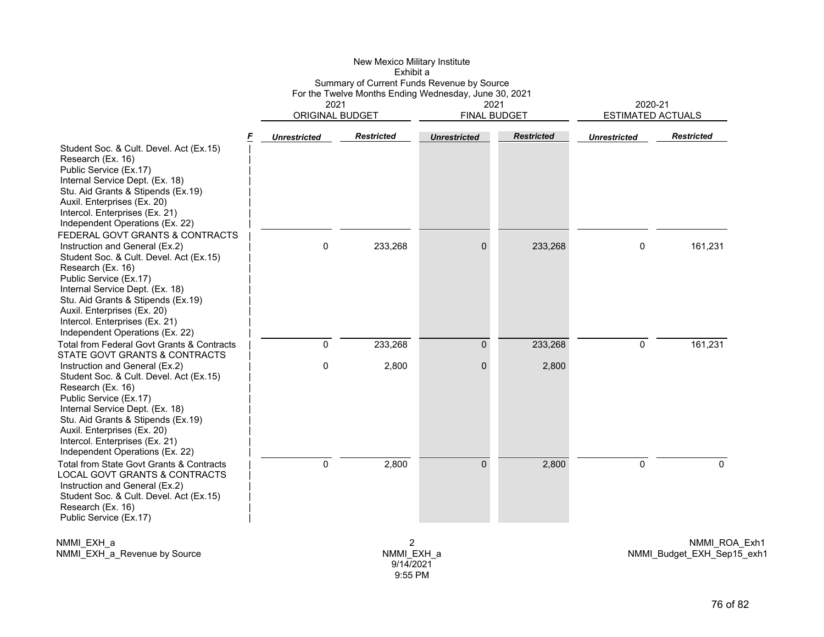|                                                                                                                                                                                                                                                                                                                                          |                                | Exhibit a         | Summary of Current Funds Revenue by Source            |                   |                                     |                   |  |
|------------------------------------------------------------------------------------------------------------------------------------------------------------------------------------------------------------------------------------------------------------------------------------------------------------------------------------------|--------------------------------|-------------------|-------------------------------------------------------|-------------------|-------------------------------------|-------------------|--|
|                                                                                                                                                                                                                                                                                                                                          |                                |                   | For the Twelve Months Ending Wednesday, June 30, 2021 |                   |                                     |                   |  |
|                                                                                                                                                                                                                                                                                                                                          | 2021<br><b>ORIGINAL BUDGET</b> |                   | 2021<br><b>FINAL BUDGET</b>                           |                   | 2020-21<br><b>ESTIMATED ACTUALS</b> |                   |  |
|                                                                                                                                                                                                                                                                                                                                          |                                |                   |                                                       |                   |                                     |                   |  |
| F<br>Student Soc. & Cult. Devel. Act (Ex.15)<br>Research (Ex. 16)<br>Public Service (Ex.17)<br>Internal Service Dept. (Ex. 18)<br>Stu. Aid Grants & Stipends (Ex.19)<br>Auxil. Enterprises (Ex. 20)<br>Intercol. Enterprises (Ex. 21)<br>Independent Operations (Ex. 22)                                                                 | <b>Unrestricted</b>            | <b>Restricted</b> | <b>Unrestricted</b>                                   | <b>Restricted</b> | <b>Unrestricted</b>                 | <b>Restricted</b> |  |
| FEDERAL GOVT GRANTS & CONTRACTS<br>Instruction and General (Ex.2)<br>Student Soc. & Cult. Devel. Act (Ex.15)<br>Research (Ex. 16)<br>Public Service (Ex.17)<br>Internal Service Dept. (Ex. 18)<br>Stu. Aid Grants & Stipends (Ex.19)<br>Auxil. Enterprises (Ex. 20)<br>Intercol. Enterprises (Ex. 21)<br>Independent Operations (Ex. 22) | 0                              | 233,268           | 0                                                     | 233,268           | 0                                   | 161,231           |  |
| Total from Federal Govt Grants & Contracts<br>STATE GOVT GRANTS & CONTRACTS                                                                                                                                                                                                                                                              | 0                              | 233,268           | $\overline{0}$                                        | 233,268           | 0                                   | 161,231           |  |
| Instruction and General (Ex.2)<br>Student Soc. & Cult. Devel. Act (Ex.15)<br>Research (Ex. 16)<br>Public Service (Ex.17)<br>Internal Service Dept. (Ex. 18)<br>Stu. Aid Grants & Stipends (Ex.19)<br>Auxil. Enterprises (Ex. 20)<br>Intercol. Enterprises (Ex. 21)<br>Independent Operations (Ex. 22)                                    | $\mathbf 0$                    | 2,800             | $\Omega$                                              | 2,800             |                                     |                   |  |
| Total from State Govt Grants & Contracts<br>LOCAL GOVT GRANTS & CONTRACTS<br>Instruction and General (Ex.2)<br>Student Soc. & Cult. Devel. Act (Ex.15)<br>Research (Ex. 16)<br>Public Service (Ex.17)                                                                                                                                    | $\mathbf 0$                    | 2,800             | $\Omega$                                              | 2,800             | 0                                   | $\Omega$          |  |

New Mexico Military Institute

NMMI\_EXH\_a NMMI\_EXH\_a\_Revenue by Source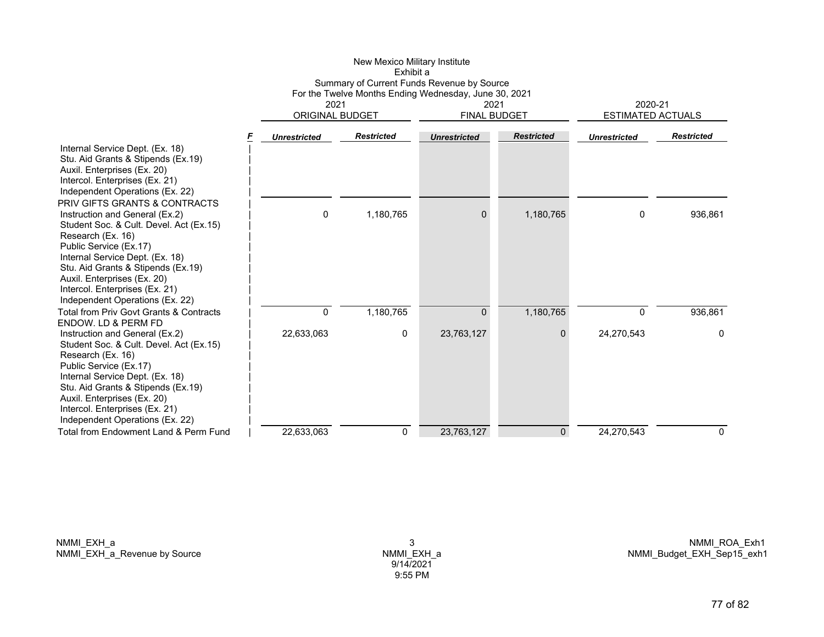|                                                                                                                                                                                                                                                                                                                                        |                     | Summary of Current Funds Revenue by Source<br>For the Twelve Months Ending Wednesday, June 30, 2021<br>2021<br>ORIGINAL BUDGET |                     | 2021<br><b>FINAL BUDGET</b> | 2020-21<br><b>ESTIMATED ACTUALS</b> |                   |
|----------------------------------------------------------------------------------------------------------------------------------------------------------------------------------------------------------------------------------------------------------------------------------------------------------------------------------------|---------------------|--------------------------------------------------------------------------------------------------------------------------------|---------------------|-----------------------------|-------------------------------------|-------------------|
|                                                                                                                                                                                                                                                                                                                                        | <b>Unrestricted</b> | <b>Restricted</b>                                                                                                              | <b>Unrestricted</b> | <b>Restricted</b>           | <b>Unrestricted</b>                 | <b>Restricted</b> |
| Internal Service Dept. (Ex. 18)<br>Stu. Aid Grants & Stipends (Ex.19)<br>Auxil. Enterprises (Ex. 20)<br>Intercol. Enterprises (Ex. 21)<br>Independent Operations (Ex. 22)                                                                                                                                                              |                     |                                                                                                                                |                     |                             |                                     |                   |
| PRIV GIFTS GRANTS & CONTRACTS<br>Instruction and General (Ex.2)<br>Student Soc. & Cult. Devel. Act (Ex.15)<br>Research (Ex. 16)<br>Public Service (Ex.17)<br>Internal Service Dept. (Ex. 18)<br>Stu. Aid Grants & Stipends (Ex.19)<br>Auxil. Enterprises (Ex. 20)<br>Intercol. Enterprises (Ex. 21)<br>Independent Operations (Ex. 22) | 0                   | 1,180,765                                                                                                                      | $\Omega$            | 1,180,765                   | 0                                   | 936,861           |
| Total from Priv Govt Grants & Contracts                                                                                                                                                                                                                                                                                                | 0                   | 1,180,765                                                                                                                      | $\mathbf{0}$        | 1,180,765                   | $\mathbf{0}$                        | 936,861           |
| ENDOW. LD & PERM FD<br>Instruction and General (Ex.2)<br>Student Soc. & Cult. Devel. Act (Ex.15)<br>Research (Ex. 16)<br>Public Service (Ex.17)<br>Internal Service Dept. (Ex. 18)<br>Stu. Aid Grants & Stipends (Ex.19)<br>Auxil. Enterprises (Ex. 20)<br>Intercol. Enterprises (Ex. 21)<br>Independent Operations (Ex. 22)           | 22,633,063          | 0                                                                                                                              | 23,763,127          | 0                           | 24,270,543                          | 0                 |
| Total from Endowment Land & Perm Fund                                                                                                                                                                                                                                                                                                  | 22,633,063          | 0                                                                                                                              | 23,763,127          | $\mathbf 0$                 | 24,270,543                          | $\mathbf{0}$      |

New Mexico Military Institute

NMMI\_EXH\_a NMMI\_EXH\_a\_Revenue by Source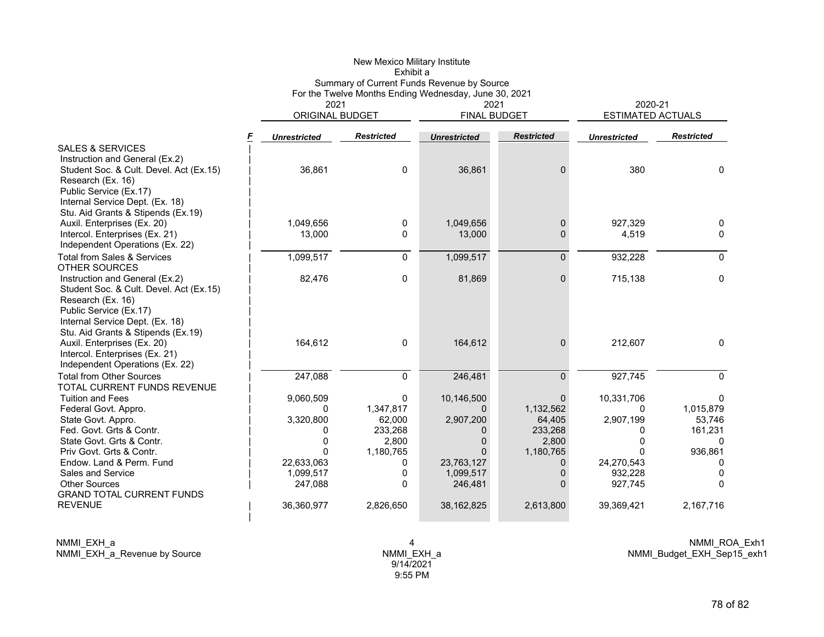|                                                                                                                                                                                                                                                                                                        | Exhibit a<br>Summary of Current Funds Revenue by Source<br>For the Twelve Months Ending Wednesday, June 30, 2021 |                                                                                  |                                                                          |                                                                                              |                                                                            |                                                                                 |                                                                    |
|--------------------------------------------------------------------------------------------------------------------------------------------------------------------------------------------------------------------------------------------------------------------------------------------------------|------------------------------------------------------------------------------------------------------------------|----------------------------------------------------------------------------------|--------------------------------------------------------------------------|----------------------------------------------------------------------------------------------|----------------------------------------------------------------------------|---------------------------------------------------------------------------------|--------------------------------------------------------------------|
|                                                                                                                                                                                                                                                                                                        |                                                                                                                  | 2021<br><b>ORIGINAL BUDGET</b>                                                   |                                                                          | 2021<br><b>FINAL BUDGET</b>                                                                  |                                                                            | 2020-21<br><b>ESTIMATED ACTUALS</b>                                             |                                                                    |
|                                                                                                                                                                                                                                                                                                        | F                                                                                                                | <b>Unrestricted</b>                                                              | <b>Restricted</b>                                                        | <b>Unrestricted</b>                                                                          | <b>Restricted</b>                                                          | <b>Unrestricted</b>                                                             | <b>Restricted</b>                                                  |
| <b>SALES &amp; SERVICES</b><br>Instruction and General (Ex.2)<br>Student Soc. & Cult. Devel. Act (Ex.15)<br>Research (Ex. 16)<br>Public Service (Ex.17)                                                                                                                                                |                                                                                                                  | 36,861                                                                           | $\mathbf 0$                                                              | 36,861                                                                                       | $\Omega$                                                                   | 380                                                                             | 0                                                                  |
| Internal Service Dept. (Ex. 18)<br>Stu. Aid Grants & Stipends (Ex.19)<br>Auxil. Enterprises (Ex. 20)<br>Intercol. Enterprises (Ex. 21)<br>Independent Operations (Ex. 22)                                                                                                                              |                                                                                                                  | 1,049,656<br>13,000                                                              | 0<br>0                                                                   | 1,049,656<br>13,000                                                                          | $\mathbf 0$<br>$\Omega$                                                    | 927,329<br>4,519                                                                | 0<br>0                                                             |
| <b>Total from Sales &amp; Services</b>                                                                                                                                                                                                                                                                 |                                                                                                                  | 1,099,517                                                                        | $\mathbf 0$                                                              | 1,099,517                                                                                    | $\Omega$                                                                   | 932,228                                                                         | $\mathbf{0}$                                                       |
| <b>OTHER SOURCES</b><br>Instruction and General (Ex.2)<br>Student Soc. & Cult. Devel. Act (Ex.15)<br>Research (Ex. 16)<br>Public Service (Ex.17)                                                                                                                                                       |                                                                                                                  | 82,476                                                                           | 0                                                                        | 81,869                                                                                       | $\Omega$                                                                   | 715,138                                                                         | 0                                                                  |
| Internal Service Dept. (Ex. 18)<br>Stu. Aid Grants & Stipends (Ex.19)<br>Auxil. Enterprises (Ex. 20)<br>Intercol. Enterprises (Ex. 21)<br>Independent Operations (Ex. 22)                                                                                                                              |                                                                                                                  | 164,612                                                                          | 0                                                                        | 164,612                                                                                      | $\Omega$                                                                   | 212,607                                                                         | 0                                                                  |
| <b>Total from Other Sources</b>                                                                                                                                                                                                                                                                        |                                                                                                                  | 247,088                                                                          | $\mathbf{0}$                                                             | 246,481                                                                                      | $\Omega$                                                                   | 927,745                                                                         | $\Omega$                                                           |
| TOTAL CURRENT FUNDS REVENUE<br><b>Tuition and Fees</b><br>Federal Govt. Appro.<br>State Govt. Appro.<br>Fed. Govt. Grts & Contr.<br>State Govt. Grts & Contr.<br>Priv Govt. Grts & Contr.<br>Endow. Land & Perm. Fund<br>Sales and Service<br><b>Other Sources</b><br><b>GRAND TOTAL CURRENT FUNDS</b> |                                                                                                                  | 9,060,509<br>0<br>3,320,800<br>0<br>0<br>O<br>22,633,063<br>1,099,517<br>247,088 | 0<br>1,347,817<br>62,000<br>233,268<br>2,800<br>1,180,765<br>0<br>0<br>0 | 10,146,500<br>$\mathbf{0}$<br>2,907,200<br>0<br>0<br>0<br>23,763,127<br>1,099,517<br>246,481 | $\Omega$<br>1,132,562<br>64,405<br>233,268<br>2,800<br>1,180,765<br>0<br>0 | 10,331,706<br>0<br>2,907,199<br>0<br>0<br>n<br>24,270,543<br>932,228<br>927,745 | 0<br>1,015,879<br>53,746<br>161,231<br>0<br>936,861<br>0<br>0<br>0 |
| <b>REVENUE</b>                                                                                                                                                                                                                                                                                         |                                                                                                                  | 36,360,977                                                                       | 2,826,650                                                                | 38, 162, 825                                                                                 | 2,613,800                                                                  | 39,369,421                                                                      | 2,167,716                                                          |

NMMI\_EXH\_a NMMI\_EXH\_a\_Revenue by Source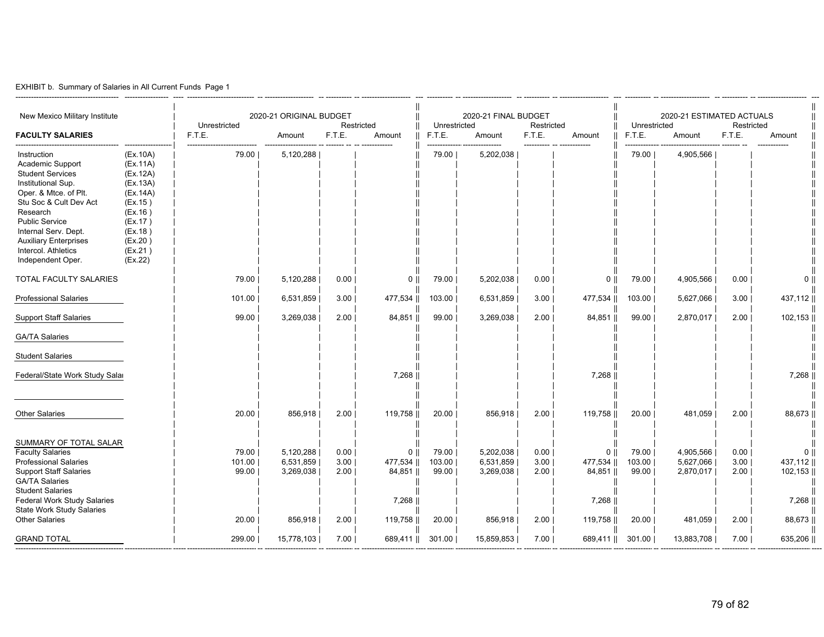| EXHIBIT b. Summary of Salaries in All Current Funds Page 1 |  |
|------------------------------------------------------------|--|
|------------------------------------------------------------|--|

| New Mexico Military Institute<br><b>FACULTY SALARIES</b>                                                                                                                                                                                                                     |                                                                                                                                       | Unrestricted<br>F.T.E.            | 2020-21 ORIGINAL BUDGET<br>Amount              | F.T.E.                       | Restricted<br>Amount                                  | Unrestricted<br>F.T.E.            | 2020-21 FINAL BUDGET<br>Amount                 | Restricted<br>F.T.E.         | Amount                                                        | Unrestricted<br>F.T.E.            | 2020-21 ESTIMATED ACTUALS<br>Amount            | Restricted<br>F.T.E.         | Amount                                                        |
|------------------------------------------------------------------------------------------------------------------------------------------------------------------------------------------------------------------------------------------------------------------------------|---------------------------------------------------------------------------------------------------------------------------------------|-----------------------------------|------------------------------------------------|------------------------------|-------------------------------------------------------|-----------------------------------|------------------------------------------------|------------------------------|---------------------------------------------------------------|-----------------------------------|------------------------------------------------|------------------------------|---------------------------------------------------------------|
| Instruction<br>Academic Support<br><b>Student Services</b><br>Institutional Sup.<br>Oper. & Mtce. of Plt.<br>Stu Soc & Cult Dev Act<br>Research<br><b>Public Service</b><br>Internal Serv. Dept.<br><b>Auxiliary Enterprises</b><br>Intercol. Athletics<br>Independent Oper. | (EX.10A)<br>(EX.11A)<br>(EX.12A)<br>(EX.13A)<br>(EX.14A)<br>(EX.15)<br>(EX.16)<br>(EX.17)<br>(EX.18)<br>(EX.20)<br>(EX.21)<br>(EX.22) | 79.00                             | 5,120,288                                      |                              |                                                       | 79.00                             | 5,202,038                                      |                              |                                                               | 79.00                             | 4,905,566                                      |                              |                                                               |
| TOTAL FACULTY SALARIES                                                                                                                                                                                                                                                       |                                                                                                                                       | 79.00                             | 5,120,288                                      | 0.00                         | 0 <sub>1</sub>                                        | 79.00                             | 5,202,038                                      | 0.00                         | $\mathbf 0$                                                   | 79.00                             | 4,905,566                                      | 0.00                         | $0$                                                           |
| <b>Professional Salaries</b>                                                                                                                                                                                                                                                 |                                                                                                                                       | 101.00                            | 6,531,859                                      | 3.00                         | 477,534                                               | 103.00                            | 6,531,859                                      | 3.00                         | 477,534                                                       | 103.00                            | 5,627,066                                      | 3.00                         | 437,112                                                       |
| <b>Support Staff Salaries</b>                                                                                                                                                                                                                                                |                                                                                                                                       | 99.00                             | 3,269,038                                      | 2.00                         | 84,851                                                | 99.00                             | 3,269,038                                      | 2.00                         | 84,851                                                        | 99.00                             | 2,870,017                                      | 2.00                         | 102,153                                                       |
| <b>GA/TA Salaries</b>                                                                                                                                                                                                                                                        |                                                                                                                                       |                                   |                                                |                              |                                                       |                                   |                                                |                              |                                                               |                                   |                                                |                              |                                                               |
| <b>Student Salaries</b>                                                                                                                                                                                                                                                      |                                                                                                                                       |                                   |                                                |                              |                                                       |                                   |                                                |                              |                                                               |                                   |                                                |                              |                                                               |
| Federal/State Work Study Salar                                                                                                                                                                                                                                               |                                                                                                                                       |                                   |                                                |                              | 7,268                                                 |                                   |                                                |                              | 7,268                                                         |                                   |                                                |                              | 7,268                                                         |
| <b>Other Salaries</b>                                                                                                                                                                                                                                                        |                                                                                                                                       | 20.00                             | 856,918                                        | 2.00                         | 119,758                                               | 20.00                             | 856,918                                        | 2.00                         | 119,758                                                       | 20.00                             | 481,059                                        | 2.00                         | 88,673                                                        |
| SUMMARY OF TOTAL SALAR<br><b>Faculty Salaries</b><br>Professional Salaries<br><b>Support Staff Salaries</b><br><b>GA/TA Salaries</b><br><b>Student Salaries</b><br><b>Federal Work Study Salaries</b><br><b>State Work Study Salaries</b><br><b>Other Salaries</b>           |                                                                                                                                       | 79.00<br>101.00<br>99.00<br>20.00 | 5,120,288<br>6,531,859<br>3,269,038<br>856,918 | 0.00<br>3.00<br>2.00<br>2.00 | $0$   <br>477,534   <br>84,851   <br>7,268<br>119,758 | 79.00<br>103.00<br>99.00<br>20.00 | 5,202,038<br>6,531,859<br>3,269,038<br>856,918 | 0.00<br>3.00<br>2.00<br>2.00 | 0 <sup>1</sup><br>477,534   <br>84,851   <br>7,268<br>119,758 | 79.00<br>103.00<br>99.00<br>20.00 | 4,905,566<br>5,627,066<br>2,870,017<br>481,059 | 0.00<br>3.00<br>2.00<br>2.00 | 0 <sup>1</sup><br>437,112   <br>102,153   <br>7,268<br>88,673 |
| <b>GRAND TOTAL</b>                                                                                                                                                                                                                                                           |                                                                                                                                       | 299.00                            | 15,778,103                                     | 7.00                         | 689,411                                               | 301.00                            | 15,859,853                                     | 7.00                         | 689,411                                                       | 301.00                            | 13,883,708                                     | 7.00                         | 635,206                                                       |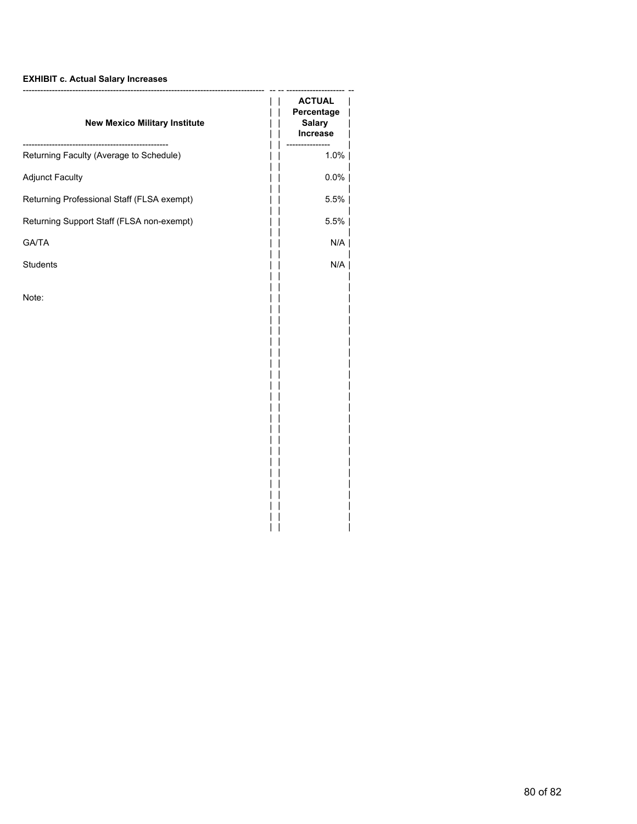# **EXHIBIT c. Actual Salary Increases**

| <b>ACTUAL</b><br>Percentage<br><b>Salary</b><br><b>Increase</b> |
|-----------------------------------------------------------------|
| ----------<br>1.0%                                              |
| $0.0\%$                                                         |
| 5.5%                                                            |
| 5.5%                                                            |
| N/A                                                             |
| N/A                                                             |
|                                                                 |
|                                                                 |

 $||$   $||$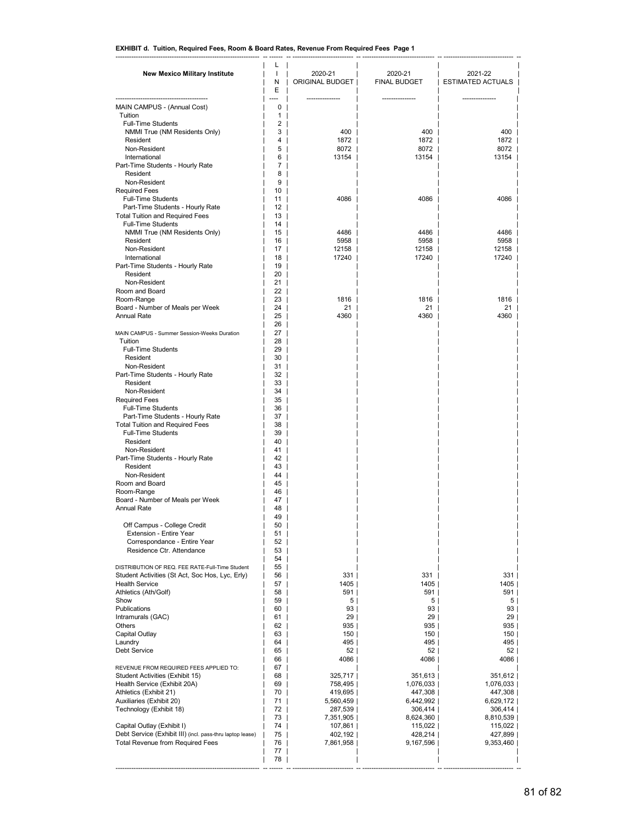## **EXHIBIT d. Tuition, Required Fees, Room & Board Rates, Revenue From Required Fees Page 1**

| <b>New Mexico Military Institute</b>                                                    | L<br>$\mathbf{I}$ | 2020-21                | 2020-21                | 2021-22                  |
|-----------------------------------------------------------------------------------------|-------------------|------------------------|------------------------|--------------------------|
|                                                                                         | Ν<br>E            | ORIGINAL BUDGET        | FINAL BUDGET           | <b>ESTIMATED ACTUALS</b> |
| MAIN CAMPUS - (Annual Cost)                                                             | 0                 |                        |                        |                          |
| Tuition                                                                                 | 1                 |                        |                        |                          |
| <b>Full-Time Students</b>                                                               | 2                 |                        |                        |                          |
| NMMI True (NM Residents Only)<br>Resident                                               | 3<br>4            | 400<br>1872            | 400<br>1872            | 400<br>1872              |
| Non-Resident                                                                            | 5                 | 8072                   | 8072                   | 8072                     |
| International<br>Part-Time Students - Hourly Rate                                       | 6<br>7            | 13154                  | 13154                  | 13154                    |
| Resident                                                                                | 8                 |                        |                        |                          |
| Non-Resident                                                                            | 9                 |                        |                        |                          |
| <b>Required Fees</b>                                                                    | 10                | 4086                   | 4086                   | 4086                     |
| <b>Full-Time Students</b><br>Part-Time Students - Hourly Rate                           | 11<br>12          |                        |                        |                          |
| <b>Total Tuition and Required Fees</b>                                                  | 13                |                        |                        |                          |
| <b>Full-Time Students</b>                                                               | 14                |                        |                        |                          |
| NMMI True (NM Residents Only)<br>Resident                                               | 15<br>16          | 4486<br>5958           | 4486<br>5958           | 4486<br>5958             |
| Non-Resident                                                                            | 17                | 12158                  | 12158                  | 12158                    |
| International                                                                           | 18                | 17240                  | 17240                  | 17240                    |
| Part-Time Students - Hourly Rate<br>Resident                                            | 19<br>20          |                        |                        |                          |
| Non-Resident                                                                            | 21                |                        |                        |                          |
| Room and Board                                                                          | 22                |                        |                        |                          |
| Room-Range                                                                              | 23<br>24          | 1816<br>21             | 1816<br>21             | 1816<br>21               |
| Board - Number of Meals per Week<br><b>Annual Rate</b>                                  | 25                | 4360                   | 4360                   | 4360                     |
|                                                                                         | 26                |                        |                        |                          |
| MAIN CAMPUS - Summer Session-Weeks Duration                                             | 27                |                        |                        |                          |
| Tuition<br>Full-Time Students                                                           | 28<br>29          |                        |                        |                          |
| Resident                                                                                | 30                |                        |                        |                          |
| Non-Resident                                                                            | 31                |                        |                        |                          |
| Part-Time Students - Hourly Rate<br>Resident                                            | 32<br>33          |                        |                        |                          |
| Non-Resident                                                                            | 34                |                        |                        |                          |
| <b>Required Fees</b>                                                                    | 35                |                        |                        |                          |
| <b>Full-Time Students</b><br>Part-Time Students - Hourly Rate                           | 36<br>37          |                        |                        |                          |
| <b>Total Tuition and Required Fees</b>                                                  | 38                |                        |                        |                          |
| <b>Full-Time Students</b>                                                               | 39                |                        |                        |                          |
| Resident                                                                                | 40                |                        |                        |                          |
| Non-Resident<br>Part-Time Students - Hourly Rate                                        | 41<br>42          |                        |                        |                          |
| Resident                                                                                | 43                |                        |                        |                          |
| Non-Resident                                                                            | 44                |                        |                        |                          |
| Room and Board<br>Room-Range                                                            | 45<br>46          |                        |                        |                          |
| Board - Number of Meals per Week                                                        | 47                |                        |                        |                          |
| <b>Annual Rate</b>                                                                      | 48                |                        |                        |                          |
| Off Campus - College Credit                                                             | 49<br>50          |                        |                        |                          |
| Extension - Entire Year                                                                 | 51                |                        |                        |                          |
| Correspondance - Entire Year                                                            | 52                |                        |                        |                          |
| Residence Ctr. Attendance                                                               | 53<br>54          |                        |                        |                          |
| DISTRIBUTION OF REQ. FEE RATE-Full-Time Student                                         | 55                |                        |                        |                          |
| Student Activities (St Act, Soc Hos, Lyc, Erly)                                         | 56                | 331                    | 331                    | 331                      |
| <b>Health Service</b><br>Athletics (Ath/Golf)                                           | 57<br>58          | 1405  <br>591          | 1405  <br>591          | 1405  <br>591            |
| Show                                                                                    | 59                | 5                      | 5                      | 5                        |
| Publications                                                                            | 60                | 93                     | 93                     | 93                       |
| Intramurals (GAC)<br>Others                                                             | 61<br>62          | 29 <br>935             | 29 <br>935             | 29 <br>935               |
| Capital Outlay                                                                          | 63                | 150                    | 150                    | 150                      |
| Laundry                                                                                 | 64                | 495                    | 495                    | 495                      |
| <b>Debt Service</b>                                                                     | 65                | 52                     | 52                     | 52                       |
| REVENUE FROM REQUIRED FEES APPLIED TO:                                                  | 66<br>67          | 4086                   | 4086                   | 4086                     |
| Student Activities (Exhibit 15)                                                         | 68                | 325,717                | 351,613                | 351,612                  |
| Health Service (Exhibit 20A)                                                            | 69                | 758,495                | 1,076,033              | 1,076,033                |
| Athletics (Exhibit 21)<br>Auxiliaries (Exhibit 20)                                      | 70<br>71          | 419,695  <br>5,560,459 | 447,308  <br>6,442,992 | 447,308  <br>6,629,172   |
| Technology (Exhibit 18)                                                                 | 72                | 287,539                | 306,414                | 306,414                  |
|                                                                                         | 73                | 7,351,905              | 8,624,360              | 8,810,539                |
| Capital Outlay (Exhibit I)<br>Debt Service (Exhibit III) (incl. pass-thru laptop lease) | 74<br>75          | 107,861<br>402,192     | 115,022  <br>428,214   | 115,022<br>427,899       |
| Total Revenue from Required Fees                                                        | 76                | 7,861,958              | 9,167,596              | 9,353,460                |
|                                                                                         | 77                |                        |                        |                          |
|                                                                                         | 78                |                        |                        |                          |